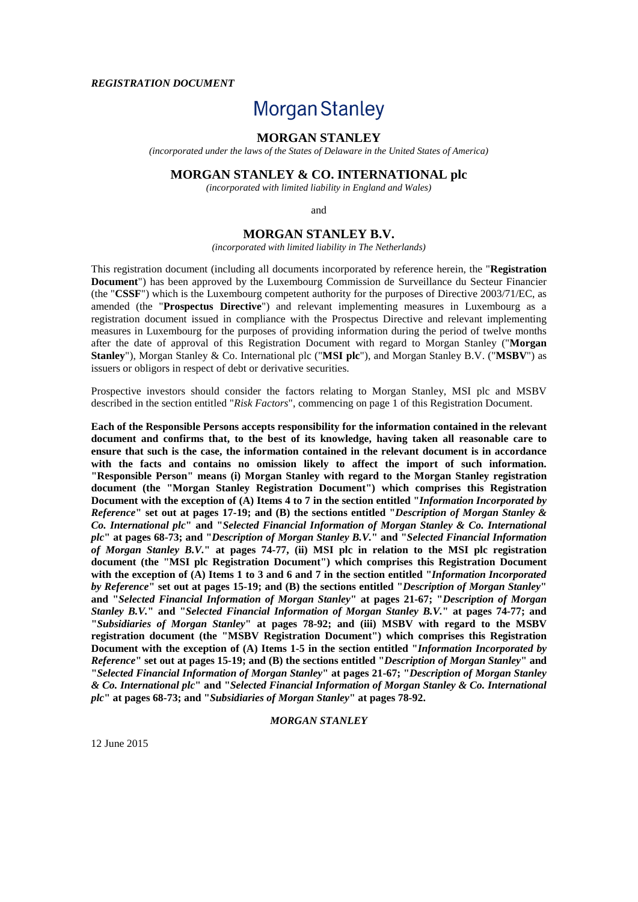#### *REGISTRATION DOCUMENT*

# **Morgan Stanley**

# **MORGAN STANLEY**

*(incorporated under the laws of the States of Delaware in the United States of America)*

# **MORGAN STANLEY & CO. INTERNATIONAL plc**

*(incorporated with limited liability in England and Wales)*

and

# **MORGAN STANLEY B.V.**

*(incorporated with limited liability in The Netherlands)*

This registration document (including all documents incorporated by reference herein, the "**Registration Document**") has been approved by the Luxembourg Commission de Surveillance du Secteur Financier (the "**CSSF**") which is the Luxembourg competent authority for the purposes of Directive 2003/71/EC, as amended (the "**Prospectus Directive**") and relevant implementing measures in Luxembourg as a registration document issued in compliance with the Prospectus Directive and relevant implementing measures in Luxembourg for the purposes of providing information during the period of twelve months after the date of approval of this Registration Document with regard to Morgan Stanley ("**Morgan Stanley**"), Morgan Stanley & Co. International plc ("**MSI plc**"), and Morgan Stanley B.V. ("**MSBV**") as issuers or obligors in respect of debt or derivative securities.

Prospective investors should consider the factors relating to Morgan Stanley, MSI plc and MSBV described in the section entitled "*Risk Factors*", commencing on page 1 of this Registration Document.

**Each of the Responsible Persons accepts responsibility for the information contained in the relevant document and confirms that, to the best of its knowledge, having taken all reasonable care to ensure that such is the case, the information contained in the relevant document is in accordance with the facts and contains no omission likely to affect the import of such information. "Responsible Person" means (i) Morgan Stanley with regard to the Morgan Stanley registration document (the "Morgan Stanley Registration Document") which comprises this Registration Document with the exception of (A) Items 4 to 7 in the section entitled "***Information Incorporated by Reference***" set out at pages 17-19; and (B) the sections entitled "***Description of Morgan Stanley & Co. International plc***" and "***Selected Financial Information of Morgan Stanley & Co. International plc***" at pages 68-73; and "***Description of Morgan Stanley B.V.***" and "***Selected Financial Information of Morgan Stanley B.V.***" at pages 74-77, (ii) MSI plc in relation to the MSI plc registration document (the "MSI plc Registration Document") which comprises this Registration Document with the exception of (A) Items 1 to 3 and 6 and 7 in the section entitled "***Information Incorporated by Reference***" set out at pages 15-19; and (B) the sections entitled "***Description of Morgan Stanley***" and "***Selected Financial Information of Morgan Stanley***" at pages 21-67; "***Description of Morgan Stanley B.V.***" and "***Selected Financial Information of Morgan Stanley B.V.***" at pages 74-77; and "***Subsidiaries of Morgan Stanley***" at pages 78-92; and (iii) MSBV with regard to the MSBV registration document (the "MSBV Registration Document") which comprises this Registration Document with the exception of (A) Items 1-5 in the section entitled "***Information Incorporated by Reference***" set out at pages 15-19; and (B) the sections entitled "***Description of Morgan Stanley***" and "***Selected Financial Information of Morgan Stanley***" at pages 21-67; "***Description of Morgan Stanley & Co. International plc***" and "***Selected Financial Information of Morgan Stanley & Co. International plc***" at pages 68-73; and "***Subsidiaries of Morgan Stanley***" at pages 78-92.**

## *MORGAN STANLEY*

12 June 2015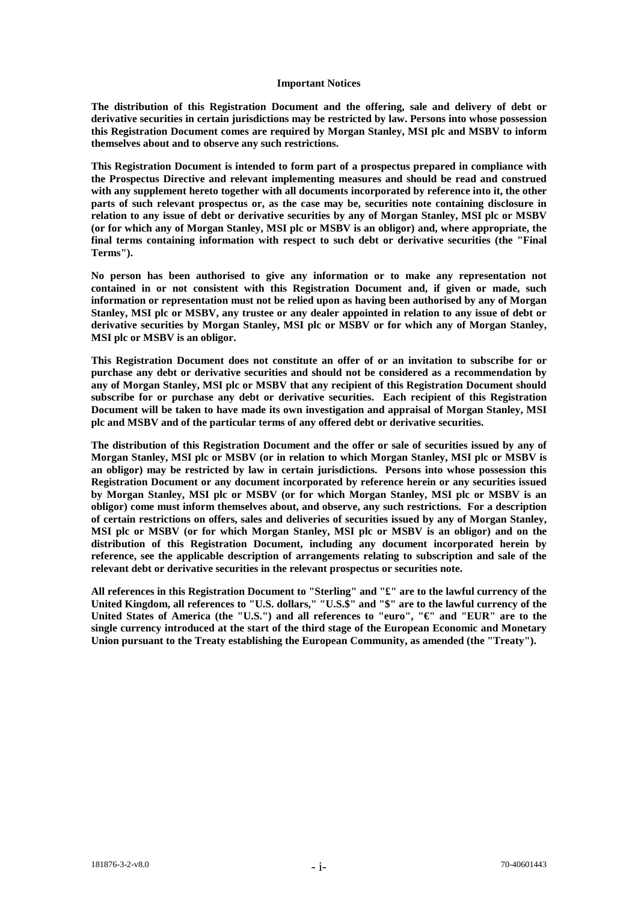#### **Important Notices**

**The distribution of this Registration Document and the offering, sale and delivery of debt or derivative securities in certain jurisdictions may be restricted by law. Persons into whose possession this Registration Document comes are required by Morgan Stanley, MSI plc and MSBV to inform themselves about and to observe any such restrictions.**

**This Registration Document is intended to form part of a prospectus prepared in compliance with the Prospectus Directive and relevant implementing measures and should be read and construed with any supplement hereto together with all documents incorporated by reference into it, the other parts of such relevant prospectus or, as the case may be, securities note containing disclosure in relation to any issue of debt or derivative securities by any of Morgan Stanley, MSI plc or MSBV (or for which any of Morgan Stanley, MSI plc or MSBV is an obligor) and, where appropriate, the final terms containing information with respect to such debt or derivative securities (the "Final Terms").**

**No person has been authorised to give any information or to make any representation not contained in or not consistent with this Registration Document and, if given or made, such information or representation must not be relied upon as having been authorised by any of Morgan Stanley, MSI plc or MSBV, any trustee or any dealer appointed in relation to any issue of debt or derivative securities by Morgan Stanley, MSI plc or MSBV or for which any of Morgan Stanley, MSI plc or MSBV is an obligor.**

**This Registration Document does not constitute an offer of or an invitation to subscribe for or purchase any debt or derivative securities and should not be considered as a recommendation by any of Morgan Stanley, MSI plc or MSBV that any recipient of this Registration Document should subscribe for or purchase any debt or derivative securities. Each recipient of this Registration Document will be taken to have made its own investigation and appraisal of Morgan Stanley, MSI plc and MSBV and of the particular terms of any offered debt or derivative securities.**

**The distribution of this Registration Document and the offer or sale of securities issued by any of Morgan Stanley, MSI plc or MSBV (or in relation to which Morgan Stanley, MSI plc or MSBV is an obligor) may be restricted by law in certain jurisdictions. Persons into whose possession this Registration Document or any document incorporated by reference herein or any securities issued by Morgan Stanley, MSI plc or MSBV (or for which Morgan Stanley, MSI plc or MSBV is an obligor) come must inform themselves about, and observe, any such restrictions. For a description of certain restrictions on offers, sales and deliveries of securities issued by any of Morgan Stanley, MSI plc or MSBV (or for which Morgan Stanley, MSI plc or MSBV is an obligor) and on the distribution of this Registration Document, including any document incorporated herein by reference, see the applicable description of arrangements relating to subscription and sale of the relevant debt or derivative securities in the relevant prospectus or securities note.**

**All references in this Registration Document to "Sterling" and "£" are to the lawful currency of the United Kingdom, all references to "U.S. dollars," "U.S.\$" and "\$" are to the lawful currency of the United States of America (the "U.S.") and all references to "euro", "€" and "EUR" are to the single currency introduced at the start of the third stage of the European Economic and Monetary Union pursuant to the Treaty establishing the European Community, as amended (the "Treaty").**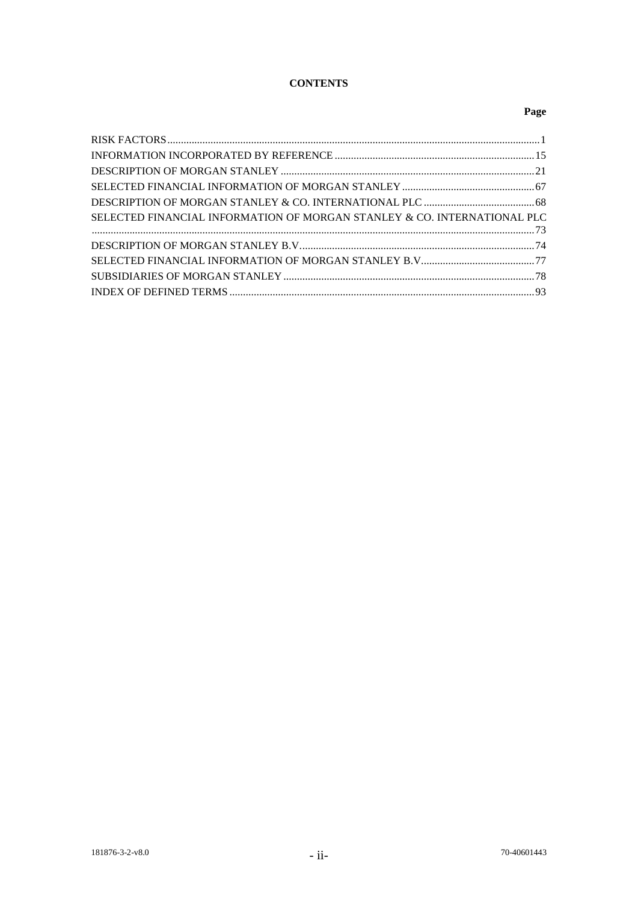# **CONTENTS**

# **Page**

| SELECTED FINANCIAL INFORMATION OF MORGAN STANLEY & CO. INTERNATIONAL PLC |  |
|--------------------------------------------------------------------------|--|
|                                                                          |  |
|                                                                          |  |
|                                                                          |  |
|                                                                          |  |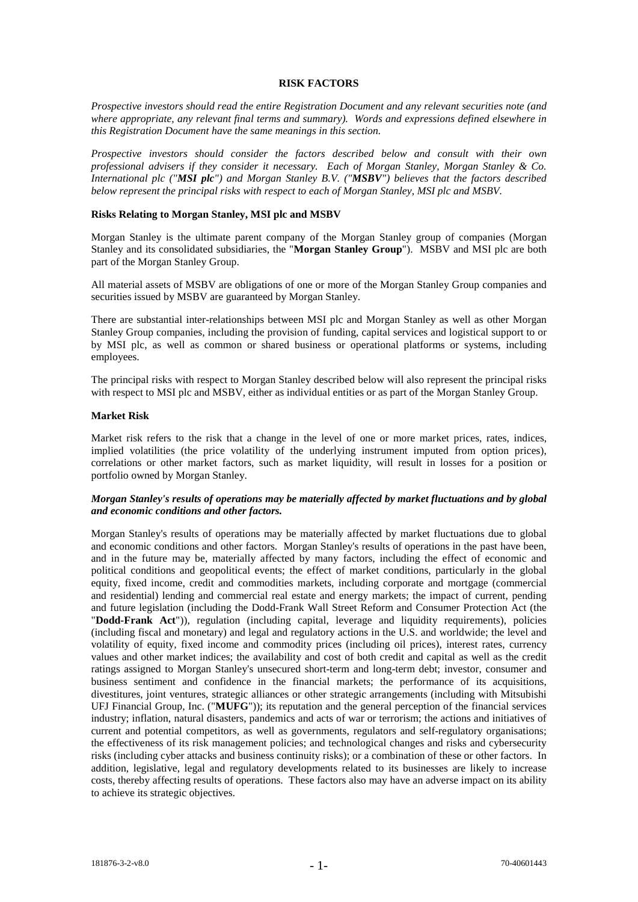#### **RISK FACTORS**

*Prospective investors should read the entire Registration Document and any relevant securities note (and where appropriate, any relevant final terms and summary). Words and expressions defined elsewhere in this Registration Document have the same meanings in this section.*

*Prospective investors should consider the factors described below and consult with their own professional advisers if they consider it necessary. Each of Morgan Stanley, Morgan Stanley & Co. International plc ("MSI plc") and Morgan Stanley B.V. ("MSBV") believes that the factors described below represent the principal risks with respect to each of Morgan Stanley, MSI plc and MSBV.*

#### **Risks Relating to Morgan Stanley, MSI plc and MSBV**

Morgan Stanley is the ultimate parent company of the Morgan Stanley group of companies (Morgan Stanley and its consolidated subsidiaries, the "**Morgan Stanley Group**"). MSBV and MSI plc are both part of the Morgan Stanley Group.

All material assets of MSBV are obligations of one or more of the Morgan Stanley Group companies and securities issued by MSBV are guaranteed by Morgan Stanley.

There are substantial inter-relationships between MSI plc and Morgan Stanley as well as other Morgan Stanley Group companies, including the provision of funding, capital services and logistical support to or by MSI plc, as well as common or shared business or operational platforms or systems, including employees.

The principal risks with respect to Morgan Stanley described below will also represent the principal risks with respect to MSI plc and MSBV, either as individual entities or as part of the Morgan Stanley Group.

#### **Market Risk**

Market risk refers to the risk that a change in the level of one or more market prices, rates, indices, implied volatilities (the price volatility of the underlying instrument imputed from option prices), correlations or other market factors, such as market liquidity, will result in losses for a position or portfolio owned by Morgan Stanley.

## *Morgan Stanley's results of operations may be materially affected by market fluctuations and by global and economic conditions and other factors.*

Morgan Stanley's results of operations may be materially affected by market fluctuations due to global and economic conditions and other factors. Morgan Stanley's results of operations in the past have been, and in the future may be, materially affected by many factors, including the effect of economic and political conditions and geopolitical events; the effect of market conditions, particularly in the global equity, fixed income, credit and commodities markets, including corporate and mortgage (commercial and residential) lending and commercial real estate and energy markets; the impact of current, pending and future legislation (including the Dodd-Frank Wall Street Reform and Consumer Protection Act (the "**Dodd-Frank Act**")), regulation (including capital, leverage and liquidity requirements), policies (including fiscal and monetary) and legal and regulatory actions in the U.S. and worldwide; the level and volatility of equity, fixed income and commodity prices (including oil prices), interest rates, currency values and other market indices; the availability and cost of both credit and capital as well as the credit ratings assigned to Morgan Stanley's unsecured short-term and long-term debt; investor, consumer and business sentiment and confidence in the financial markets; the performance of its acquisitions, divestitures, joint ventures, strategic alliances or other strategic arrangements (including with Mitsubishi UFJ Financial Group, Inc. ("**MUFG**")); its reputation and the general perception of the financial services industry; inflation, natural disasters, pandemics and acts of war or terrorism; the actions and initiatives of current and potential competitors, as well as governments, regulators and self-regulatory organisations; the effectiveness of its risk management policies; and technological changes and risks and cybersecurity risks (including cyber attacks and business continuity risks); or a combination of these or other factors. In addition, legislative, legal and regulatory developments related to its businesses are likely to increase costs, thereby affecting results of operations. These factors also may have an adverse impact on its ability to achieve its strategic objectives.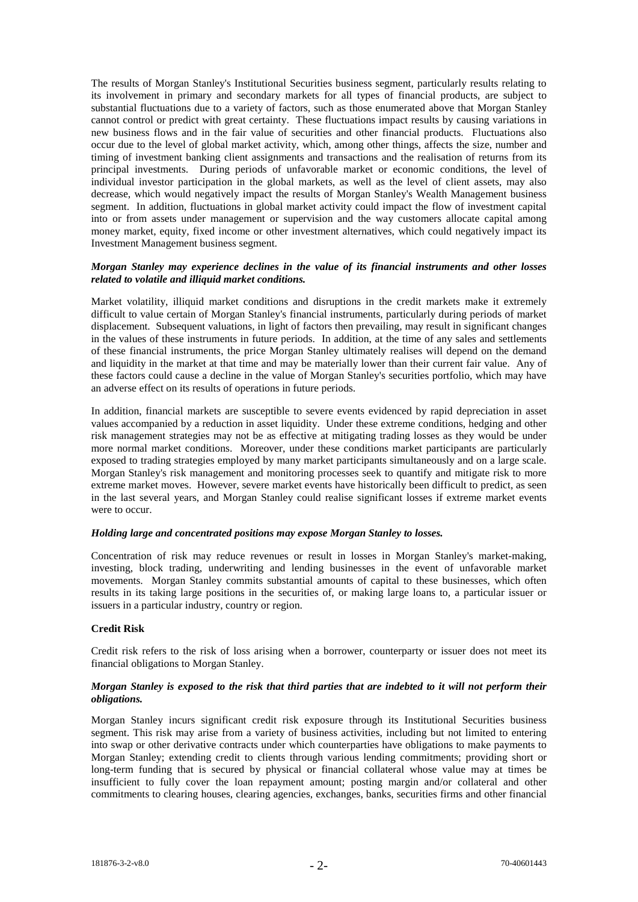The results of Morgan Stanley's Institutional Securities business segment, particularly results relating to its involvement in primary and secondary markets for all types of financial products, are subject to substantial fluctuations due to a variety of factors, such as those enumerated above that Morgan Stanley cannot control or predict with great certainty. These fluctuations impact results by causing variations in new business flows and in the fair value of securities and other financial products. Fluctuations also occur due to the level of global market activity, which, among other things, affects the size, number and timing of investment banking client assignments and transactions and the realisation of returns from its principal investments. During periods of unfavorable market or economic conditions, the level of individual investor participation in the global markets, as well as the level of client assets, may also decrease, which would negatively impact the results of Morgan Stanley's Wealth Management business segment. In addition, fluctuations in global market activity could impact the flow of investment capital into or from assets under management or supervision and the way customers allocate capital among money market, equity, fixed income or other investment alternatives, which could negatively impact its Investment Management business segment.

#### *Morgan Stanley may experience declines in the value of its financial instruments and other losses related to volatile and illiquid market conditions.*

Market volatility, illiquid market conditions and disruptions in the credit markets make it extremely difficult to value certain of Morgan Stanley's financial instruments, particularly during periods of market displacement. Subsequent valuations, in light of factors then prevailing, may result in significant changes in the values of these instruments in future periods. In addition, at the time of any sales and settlements of these financial instruments, the price Morgan Stanley ultimately realises will depend on the demand and liquidity in the market at that time and may be materially lower than their current fair value. Any of these factors could cause a decline in the value of Morgan Stanley's securities portfolio, which may have an adverse effect on its results of operations in future periods.

In addition, financial markets are susceptible to severe events evidenced by rapid depreciation in asset values accompanied by a reduction in asset liquidity. Under these extreme conditions, hedging and other risk management strategies may not be as effective at mitigating trading losses as they would be under more normal market conditions. Moreover, under these conditions market participants are particularly exposed to trading strategies employed by many market participants simultaneously and on a large scale. Morgan Stanley's risk management and monitoring processes seek to quantify and mitigate risk to more extreme market moves. However, severe market events have historically been difficult to predict, as seen in the last several years, and Morgan Stanley could realise significant losses if extreme market events were to occur.

#### *Holding large and concentrated positions may expose Morgan Stanley to losses.*

Concentration of risk may reduce revenues or result in losses in Morgan Stanley's market-making, investing, block trading, underwriting and lending businesses in the event of unfavorable market movements. Morgan Stanley commits substantial amounts of capital to these businesses, which often results in its taking large positions in the securities of, or making large loans to, a particular issuer or issuers in a particular industry, country or region.

## **Credit Risk**

Credit risk refers to the risk of loss arising when a borrower, counterparty or issuer does not meet its financial obligations to Morgan Stanley.

## *Morgan Stanley is exposed to the risk that third parties that are indebted to it will not perform their obligations.*

Morgan Stanley incurs significant credit risk exposure through its Institutional Securities business segment. This risk may arise from a variety of business activities, including but not limited to entering into swap or other derivative contracts under which counterparties have obligations to make payments to Morgan Stanley; extending credit to clients through various lending commitments; providing short or long-term funding that is secured by physical or financial collateral whose value may at times be insufficient to fully cover the loan repayment amount; posting margin and/or collateral and other commitments to clearing houses, clearing agencies, exchanges, banks, securities firms and other financial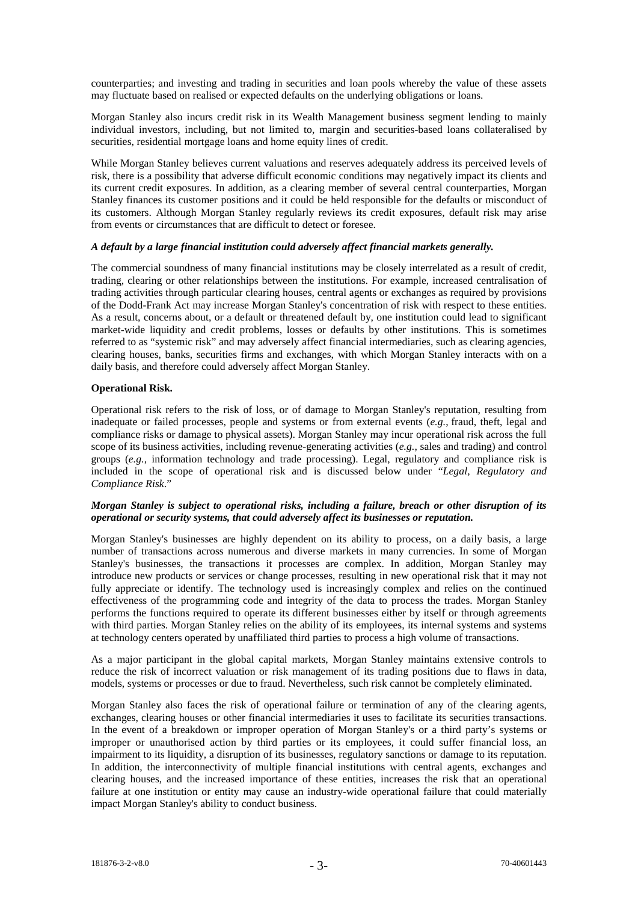counterparties; and investing and trading in securities and loan pools whereby the value of these assets may fluctuate based on realised or expected defaults on the underlying obligations or loans.

Morgan Stanley also incurs credit risk in its Wealth Management business segment lending to mainly individual investors, including, but not limited to, margin and securities-based loans collateralised by securities, residential mortgage loans and home equity lines of credit.

While Morgan Stanley believes current valuations and reserves adequately address its perceived levels of risk, there is a possibility that adverse difficult economic conditions may negatively impact its clients and its current credit exposures. In addition, as a clearing member of several central counterparties, Morgan Stanley finances its customer positions and it could be held responsible for the defaults or misconduct of its customers. Although Morgan Stanley regularly reviews its credit exposures, default risk may arise from events or circumstances that are difficult to detect or foresee.

#### *A default by a large financial institution could adversely affect financial markets generally.*

The commercial soundness of many financial institutions may be closely interrelated as a result of credit, trading, clearing or other relationships between the institutions. For example, increased centralisation of trading activities through particular clearing houses, central agents or exchanges as required by provisions of the Dodd-Frank Act may increase Morgan Stanley's concentration of risk with respect to these entities. As a result, concerns about, or a default or threatened default by, one institution could lead to significant market-wide liquidity and credit problems, losses or defaults by other institutions. This is sometimes referred to as "systemic risk" and may adversely affect financial intermediaries, such as clearing agencies, clearing houses, banks, securities firms and exchanges, with which Morgan Stanley interacts with on a daily basis, and therefore could adversely affect Morgan Stanley.

## **Operational Risk.**

Operational risk refers to the risk of loss, or of damage to Morgan Stanley's reputation, resulting from inadequate or failed processes, people and systems or from external events (*e.g.*, fraud, theft, legal and compliance risks or damage to physical assets). Morgan Stanley may incur operational risk across the full scope of its business activities, including revenue-generating activities (*e.g.*, sales and trading) and control groups (*e.g.*, information technology and trade processing). Legal, regulatory and compliance risk is included in the scope of operational risk and is discussed below under "*Legal, Regulatory and Compliance Risk*."

#### *Morgan Stanley is subject to operational risks, including a failure, breach or other disruption of its operational or security systems, that could adversely affect its businesses or reputation.*

Morgan Stanley's businesses are highly dependent on its ability to process, on a daily basis, a large number of transactions across numerous and diverse markets in many currencies. In some of Morgan Stanley's businesses, the transactions it processes are complex. In addition, Morgan Stanley may introduce new products or services or change processes, resulting in new operational risk that it may not fully appreciate or identify. The technology used is increasingly complex and relies on the continued effectiveness of the programming code and integrity of the data to process the trades. Morgan Stanley performs the functions required to operate its different businesses either by itself or through agreements with third parties. Morgan Stanley relies on the ability of its employees, its internal systems and systems at technology centers operated by unaffiliated third parties to process a high volume of transactions.

As a major participant in the global capital markets, Morgan Stanley maintains extensive controls to reduce the risk of incorrect valuation or risk management of its trading positions due to flaws in data, models, systems or processes or due to fraud. Nevertheless, such risk cannot be completely eliminated.

Morgan Stanley also faces the risk of operational failure or termination of any of the clearing agents, exchanges, clearing houses or other financial intermediaries it uses to facilitate its securities transactions. In the event of a breakdown or improper operation of Morgan Stanley's or a third party's systems or improper or unauthorised action by third parties or its employees, it could suffer financial loss, an impairment to its liquidity, a disruption of its businesses, regulatory sanctions or damage to its reputation. In addition, the interconnectivity of multiple financial institutions with central agents, exchanges and clearing houses, and the increased importance of these entities, increases the risk that an operational failure at one institution or entity may cause an industry-wide operational failure that could materially impact Morgan Stanley's ability to conduct business.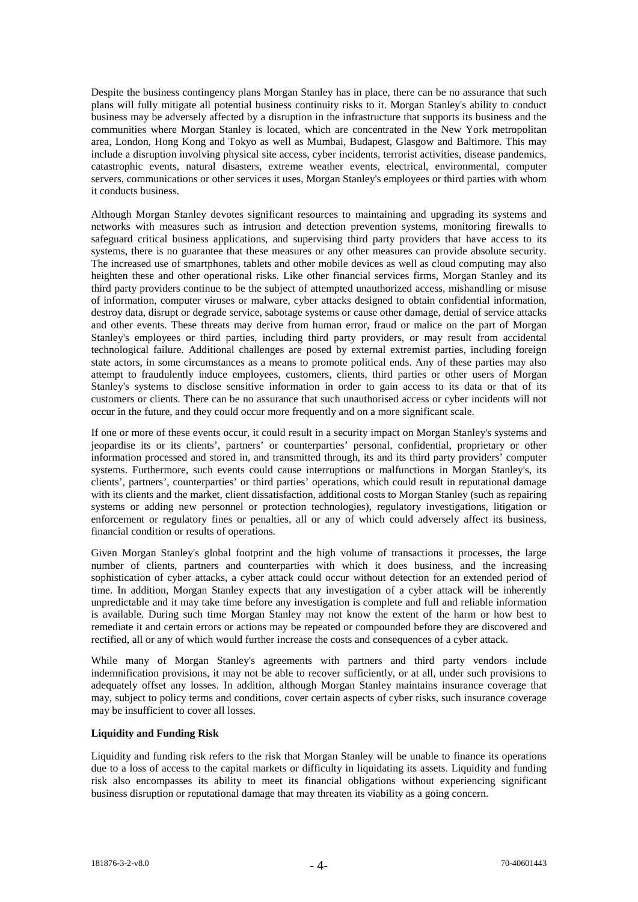Despite the business contingency plans Morgan Stanley has in place, there can be no assurance that such plans will fully mitigate all potential business continuity risks to it. Morgan Stanley's ability to conduct business may be adversely affected by a disruption in the infrastructure that supports its business and the communities where Morgan Stanley is located, which are concentrated in the New York metropolitan area, London, Hong Kong and Tokyo as well as Mumbai, Budapest, Glasgow and Baltimore. This may include a disruption involving physical site access, cyber incidents, terrorist activities, disease pandemics, catastrophic events, natural disasters, extreme weather events, electrical, environmental, computer servers, communications or other services it uses, Morgan Stanley's employees or third parties with whom it conducts business.

Although Morgan Stanley devotes significant resources to maintaining and upgrading its systems and networks with measures such as intrusion and detection prevention systems, monitoring firewalls to safeguard critical business applications, and supervising third party providers that have access to its systems, there is no guarantee that these measures or any other measures can provide absolute security. The increased use of smartphones, tablets and other mobile devices as well as cloud computing may also heighten these and other operational risks. Like other financial services firms, Morgan Stanley and its third party providers continue to be the subject of attempted unauthorized access, mishandling or misuse of information, computer viruses or malware, cyber attacks designed to obtain confidential information, destroy data, disrupt or degrade service, sabotage systems or cause other damage, denial of service attacks and other events. These threats may derive from human error, fraud or malice on the part of Morgan Stanley's employees or third parties, including third party providers, or may result from accidental technological failure. Additional challenges are posed by external extremist parties, including foreign state actors, in some circumstances as a means to promote political ends. Any of these parties may also attempt to fraudulently induce employees, customers, clients, third parties or other users of Morgan Stanley's systems to disclose sensitive information in order to gain access to its data or that of its customers or clients. There can be no assurance that such unauthorised access or cyber incidents will not occur in the future, and they could occur more frequently and on a more significant scale.

If one or more of these events occur, it could result in a security impact on Morgan Stanley's systems and jeopardise its or its clients', partners' or counterparties' personal, confidential, proprietary or other information processed and stored in, and transmitted through, its and its third party providers' computer systems. Furthermore, such events could cause interruptions or malfunctions in Morgan Stanley's, its clients', partners', counterparties' or third parties' operations, which could result in reputational damage with its clients and the market, client dissatisfaction, additional costs to Morgan Stanley (such as repairing systems or adding new personnel or protection technologies), regulatory investigations, litigation or enforcement or regulatory fines or penalties, all or any of which could adversely affect its business, financial condition or results of operations.

Given Morgan Stanley's global footprint and the high volume of transactions it processes, the large number of clients, partners and counterparties with which it does business, and the increasing sophistication of cyber attacks, a cyber attack could occur without detection for an extended period of time. In addition, Morgan Stanley expects that any investigation of a cyber attack will be inherently unpredictable and it may take time before any investigation is complete and full and reliable information is available. During such time Morgan Stanley may not know the extent of the harm or how best to remediate it and certain errors or actions may be repeated or compounded before they are discovered and rectified, all or any of which would further increase the costs and consequences of a cyber attack.

While many of Morgan Stanley's agreements with partners and third party vendors include indemnification provisions, it may not be able to recover sufficiently, or at all, under such provisions to adequately offset any losses. In addition, although Morgan Stanley maintains insurance coverage that may, subject to policy terms and conditions, cover certain aspects of cyber risks, such insurance coverage may be insufficient to cover all losses.

# **Liquidity and Funding Risk**

Liquidity and funding risk refers to the risk that Morgan Stanley will be unable to finance its operations due to a loss of access to the capital markets or difficulty in liquidating its assets. Liquidity and funding risk also encompasses its ability to meet its financial obligations without experiencing significant business disruption or reputational damage that may threaten its viability as a going concern.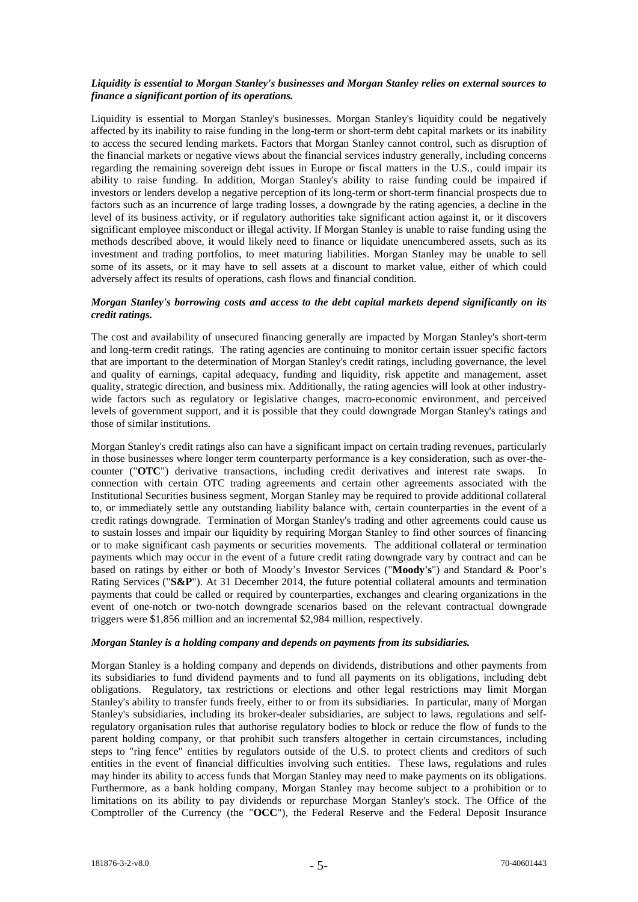#### *Liquidity is essential to Morgan Stanley's businesses and Morgan Stanley relies on external sources to finance a significant portion of its operations.*

Liquidity is essential to Morgan Stanley's businesses. Morgan Stanley's liquidity could be negatively affected by its inability to raise funding in the long-term or short-term debt capital markets or its inability to access the secured lending markets. Factors that Morgan Stanley cannot control, such as disruption of the financial markets or negative views about the financial services industry generally, including concerns regarding the remaining sovereign debt issues in Europe or fiscal matters in the U.S., could impair its ability to raise funding. In addition, Morgan Stanley's ability to raise funding could be impaired if investors or lenders develop a negative perception of its long-term or short-term financial prospects due to factors such as an incurrence of large trading losses, a downgrade by the rating agencies, a decline in the level of its business activity, or if regulatory authorities take significant action against it, or it discovers significant employee misconduct or illegal activity. If Morgan Stanley is unable to raise funding using the methods described above, it would likely need to finance or liquidate unencumbered assets, such as its investment and trading portfolios, to meet maturing liabilities. Morgan Stanley may be unable to sell some of its assets, or it may have to sell assets at a discount to market value, either of which could adversely affect its results of operations, cash flows and financial condition.

## *Morgan Stanley's borrowing costs and access to the debt capital markets depend significantly on its credit ratings.*

The cost and availability of unsecured financing generally are impacted by Morgan Stanley's short-term and long-term credit ratings. The rating agencies are continuing to monitor certain issuer specific factors that are important to the determination of Morgan Stanley's credit ratings, including governance, the level and quality of earnings, capital adequacy, funding and liquidity, risk appetite and management, asset quality, strategic direction, and business mix. Additionally, the rating agencies will look at other industrywide factors such as regulatory or legislative changes, macro-economic environment, and perceived levels of government support, and it is possible that they could downgrade Morgan Stanley's ratings and those of similar institutions.

Morgan Stanley's credit ratings also can have a significant impact on certain trading revenues, particularly in those businesses where longer term counterparty performance is a key consideration, such as over-thecounter ("**OTC**") derivative transactions, including credit derivatives and interest rate swaps. In connection with certain OTC trading agreements and certain other agreements associated with the Institutional Securities business segment, Morgan Stanley may be required to provide additional collateral to, or immediately settle any outstanding liability balance with, certain counterparties in the event of a credit ratings downgrade. Termination of Morgan Stanley's trading and other agreements could cause us to sustain losses and impair our liquidity by requiring Morgan Stanley to find other sources of financing or to make significant cash payments or securities movements. The additional collateral or termination payments which may occur in the event of a future credit rating downgrade vary by contract and can be based on ratings by either or both of Moody's Investor Services ("**Moody's**") and Standard & Poor's Rating Services ("**S&P**"). At 31 December 2014, the future potential collateral amounts and termination payments that could be called or required by counterparties, exchanges and clearing organizations in the event of one-notch or two-notch downgrade scenarios based on the relevant contractual downgrade triggers were \$1,856 million and an incremental \$2,984 million, respectively.

#### *Morgan Stanley is a holding company and depends on payments from its subsidiaries.*

Morgan Stanley is a holding company and depends on dividends, distributions and other payments from its subsidiaries to fund dividend payments and to fund all payments on its obligations, including debt obligations. Regulatory, tax restrictions or elections and other legal restrictions may limit Morgan Stanley's ability to transfer funds freely, either to or from its subsidiaries. In particular, many of Morgan Stanley's subsidiaries, including its broker-dealer subsidiaries, are subject to laws, regulations and selfregulatory organisation rules that authorise regulatory bodies to block or reduce the flow of funds to the parent holding company, or that prohibit such transfers altogether in certain circumstances, including steps to "ring fence" entities by regulators outside of the U.S. to protect clients and creditors of such entities in the event of financial difficulties involving such entities. These laws, regulations and rules may hinder its ability to access funds that Morgan Stanley may need to make payments on its obligations. Furthermore, as a bank holding company, Morgan Stanley may become subject to a prohibition or to limitations on its ability to pay dividends or repurchase Morgan Stanley's stock. The Office of the Comptroller of the Currency (the "**OCC**"), the Federal Reserve and the Federal Deposit Insurance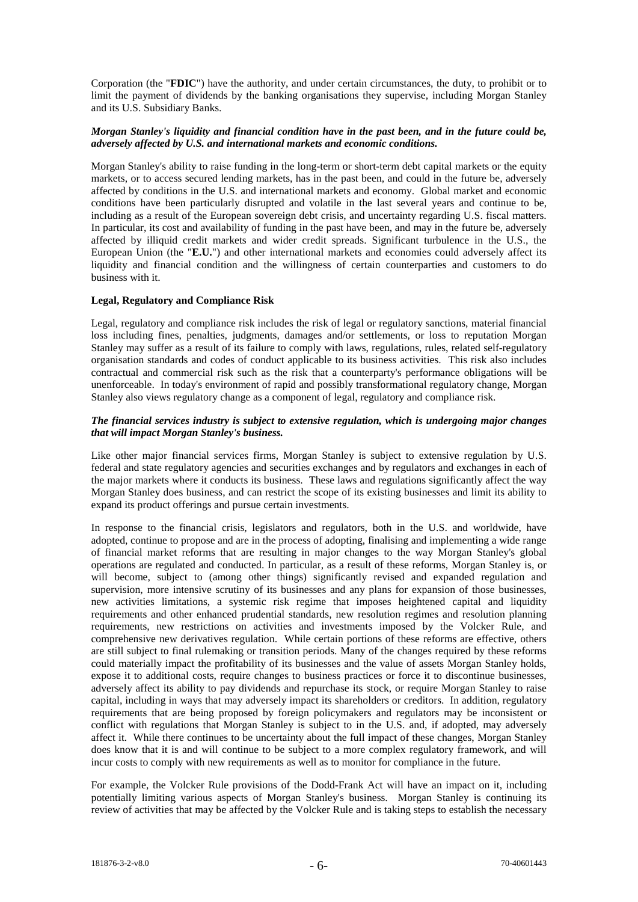Corporation (the "**FDIC**") have the authority, and under certain circumstances, the duty, to prohibit or to limit the payment of dividends by the banking organisations they supervise, including Morgan Stanley and its U.S. Subsidiary Banks.

#### *Morgan Stanley's liquidity and financial condition have in the past been, and in the future could be, adversely affected by U.S. and international markets and economic conditions.*

Morgan Stanley's ability to raise funding in the long-term or short-term debt capital markets or the equity markets, or to access secured lending markets, has in the past been, and could in the future be, adversely affected by conditions in the U.S. and international markets and economy. Global market and economic conditions have been particularly disrupted and volatile in the last several years and continue to be, including as a result of the European sovereign debt crisis, and uncertainty regarding U.S. fiscal matters. In particular, its cost and availability of funding in the past have been, and may in the future be, adversely affected by illiquid credit markets and wider credit spreads. Significant turbulence in the U.S., the European Union (the "**E.U.**") and other international markets and economies could adversely affect its liquidity and financial condition and the willingness of certain counterparties and customers to do business with it.

## **Legal, Regulatory and Compliance Risk**

Legal, regulatory and compliance risk includes the risk of legal or regulatory sanctions, material financial loss including fines, penalties, judgments, damages and/or settlements, or loss to reputation Morgan Stanley may suffer as a result of its failure to comply with laws, regulations, rules, related self-regulatory organisation standards and codes of conduct applicable to its business activities. This risk also includes contractual and commercial risk such as the risk that a counterparty's performance obligations will be unenforceable. In today's environment of rapid and possibly transformational regulatory change, Morgan Stanley also views regulatory change as a component of legal, regulatory and compliance risk.

#### *The financial services industry is subject to extensive regulation, which is undergoing major changes that will impact Morgan Stanley's business.*

Like other major financial services firms, Morgan Stanley is subject to extensive regulation by U.S. federal and state regulatory agencies and securities exchanges and by regulators and exchanges in each of the major markets where it conducts its business. These laws and regulations significantly affect the way Morgan Stanley does business, and can restrict the scope of its existing businesses and limit its ability to expand its product offerings and pursue certain investments.

In response to the financial crisis, legislators and regulators, both in the U.S. and worldwide, have adopted, continue to propose and are in the process of adopting, finalising and implementing a wide range of financial market reforms that are resulting in major changes to the way Morgan Stanley's global operations are regulated and conducted. In particular, as a result of these reforms, Morgan Stanley is, or will become, subject to (among other things) significantly revised and expanded regulation and supervision, more intensive scrutiny of its businesses and any plans for expansion of those businesses, new activities limitations, a systemic risk regime that imposes heightened capital and liquidity requirements and other enhanced prudential standards, new resolution regimes and resolution planning requirements, new restrictions on activities and investments imposed by the Volcker Rule, and comprehensive new derivatives regulation. While certain portions of these reforms are effective, others are still subject to final rulemaking or transition periods. Many of the changes required by these reforms could materially impact the profitability of its businesses and the value of assets Morgan Stanley holds, expose it to additional costs, require changes to business practices or force it to discontinue businesses, adversely affect its ability to pay dividends and repurchase its stock, or require Morgan Stanley to raise capital, including in ways that may adversely impact its shareholders or creditors. In addition, regulatory requirements that are being proposed by foreign policymakers and regulators may be inconsistent or conflict with regulations that Morgan Stanley is subject to in the U.S. and, if adopted, may adversely affect it. While there continues to be uncertainty about the full impact of these changes, Morgan Stanley does know that it is and will continue to be subject to a more complex regulatory framework, and will incur costs to comply with new requirements as well as to monitor for compliance in the future.

For example, the Volcker Rule provisions of the Dodd-Frank Act will have an impact on it, including potentially limiting various aspects of Morgan Stanley's business. Morgan Stanley is continuing its review of activities that may be affected by the Volcker Rule and is taking steps to establish the necessary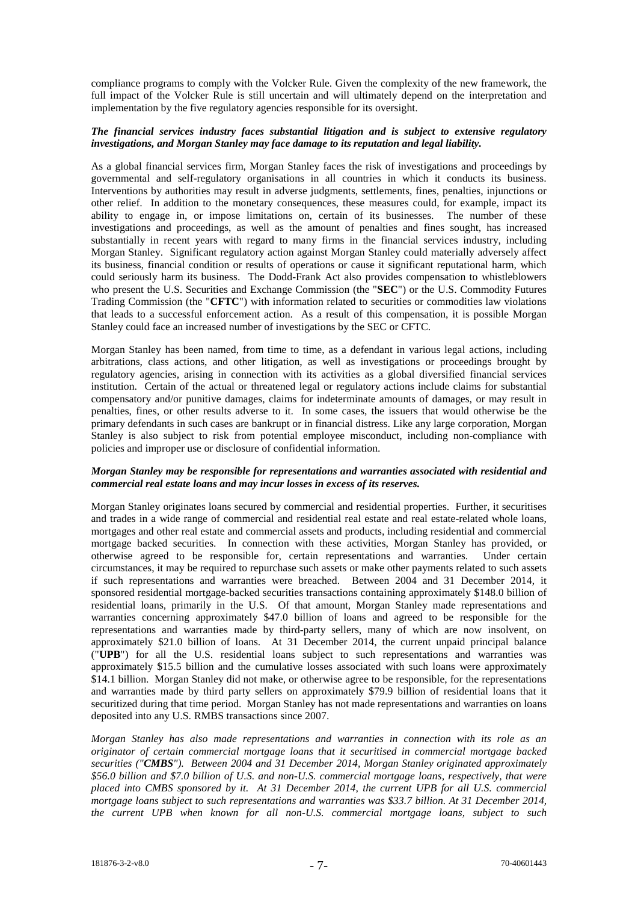compliance programs to comply with the Volcker Rule. Given the complexity of the new framework, the full impact of the Volcker Rule is still uncertain and will ultimately depend on the interpretation and implementation by the five regulatory agencies responsible for its oversight.

#### *The financial services industry faces substantial litigation and is subject to extensive regulatory investigations, and Morgan Stanley may face damage to its reputation and legal liability.*

As a global financial services firm, Morgan Stanley faces the risk of investigations and proceedings by governmental and self-regulatory organisations in all countries in which it conducts its business. Interventions by authorities may result in adverse judgments, settlements, fines, penalties, injunctions or other relief. In addition to the monetary consequences, these measures could, for example, impact its ability to engage in, or impose limitations on, certain of its businesses. The number of these investigations and proceedings, as well as the amount of penalties and fines sought, has increased substantially in recent years with regard to many firms in the financial services industry, including Morgan Stanley. Significant regulatory action against Morgan Stanley could materially adversely affect its business, financial condition or results of operations or cause it significant reputational harm, which could seriously harm its business. The Dodd-Frank Act also provides compensation to whistleblowers who present the U.S. Securities and Exchange Commission (the "**SEC**") or the U.S. Commodity Futures Trading Commission (the "**CFTC**") with information related to securities or commodities law violations that leads to a successful enforcement action. As a result of this compensation, it is possible Morgan Stanley could face an increased number of investigations by the SEC or CFTC.

Morgan Stanley has been named, from time to time, as a defendant in various legal actions, including arbitrations, class actions, and other litigation, as well as investigations or proceedings brought by regulatory agencies, arising in connection with its activities as a global diversified financial services institution. Certain of the actual or threatened legal or regulatory actions include claims for substantial compensatory and/or punitive damages, claims for indeterminate amounts of damages, or may result in penalties, fines, or other results adverse to it. In some cases, the issuers that would otherwise be the primary defendants in such cases are bankrupt or in financial distress. Like any large corporation, Morgan Stanley is also subject to risk from potential employee misconduct, including non-compliance with policies and improper use or disclosure of confidential information.

## *Morgan Stanley may be responsible for representations and warranties associated with residential and commercial real estate loans and may incur losses in excess of its reserves.*

Morgan Stanley originates loans secured by commercial and residential properties. Further, it securitises and trades in a wide range of commercial and residential real estate and real estate-related whole loans, mortgages and other real estate and commercial assets and products, including residential and commercial mortgage backed securities. In connection with these activities, Morgan Stanley has provided, or otherwise agreed to be responsible for, certain representations and warranties. Under certain circumstances, it may be required to repurchase such assets or make other payments related to such assets if such representations and warranties were breached. Between 2004 and 31 December 2014, it sponsored residential mortgage-backed securities transactions containing approximately \$148.0 billion of residential loans, primarily in the U.S. Of that amount, Morgan Stanley made representations and warranties concerning approximately \$47.0 billion of loans and agreed to be responsible for the representations and warranties made by third-party sellers, many of which are now insolvent, on approximately \$21.0 billion of loans. At 31 December 2014, the current unpaid principal balance ("**UPB**") for all the U.S. residential loans subject to such representations and warranties was approximately \$15.5 billion and the cumulative losses associated with such loans were approximately \$14.1 billion. Morgan Stanley did not make, or otherwise agree to be responsible, for the representations and warranties made by third party sellers on approximately \$79.9 billion of residential loans that it securitized during that time period. Morgan Stanley has not made representations and warranties on loans deposited into any U.S. RMBS transactions since 2007.

*Morgan Stanley has also made representations and warranties in connection with its role as an originator of certain commercial mortgage loans that it securitised in commercial mortgage backed securities ("CMBS"). Between 2004 and 31 December 2014, Morgan Stanley originated approximately \$56.0 billion and \$7.0 billion of U.S. and non-U.S. commercial mortgage loans, respectively, that were placed into CMBS sponsored by it. At 31 December 2014, the current UPB for all U.S. commercial mortgage loans subject to such representations and warranties was \$33.7 billion. At 31 December 2014, the current UPB when known for all non-U.S. commercial mortgage loans, subject to such*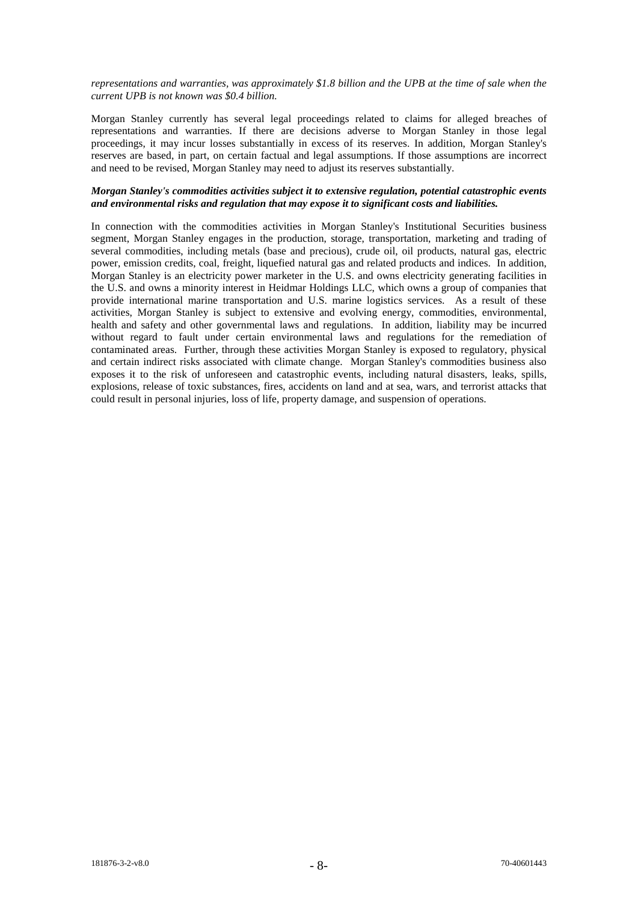*representations and warranties, was approximately \$1.8 billion and the UPB at the time of sale when the current UPB is not known was \$0.4 billion.*

Morgan Stanley currently has several legal proceedings related to claims for alleged breaches of representations and warranties. If there are decisions adverse to Morgan Stanley in those legal proceedings, it may incur losses substantially in excess of its reserves. In addition, Morgan Stanley's reserves are based, in part, on certain factual and legal assumptions. If those assumptions are incorrect and need to be revised, Morgan Stanley may need to adjust its reserves substantially.

## *Morgan Stanley's commodities activities subject it to extensive regulation, potential catastrophic events and environmental risks and regulation that may expose it to significant costs and liabilities.*

In connection with the commodities activities in Morgan Stanley's Institutional Securities business segment, Morgan Stanley engages in the production, storage, transportation, marketing and trading of several commodities, including metals (base and precious), crude oil, oil products, natural gas, electric power, emission credits, coal, freight, liquefied natural gas and related products and indices. In addition, Morgan Stanley is an electricity power marketer in the U.S. and owns electricity generating facilities in the U.S. and owns a minority interest in Heidmar Holdings LLC, which owns a group of companies that provide international marine transportation and U.S. marine logistics services. As a result of these activities, Morgan Stanley is subject to extensive and evolving energy, commodities, environmental, health and safety and other governmental laws and regulations. In addition, liability may be incurred without regard to fault under certain environmental laws and regulations for the remediation of contaminated areas. Further, through these activities Morgan Stanley is exposed to regulatory, physical and certain indirect risks associated with climate change. Morgan Stanley's commodities business also exposes it to the risk of unforeseen and catastrophic events, including natural disasters, leaks, spills, explosions, release of toxic substances, fires, accidents on land and at sea, wars, and terrorist attacks that could result in personal injuries, loss of life, property damage, and suspension of operations.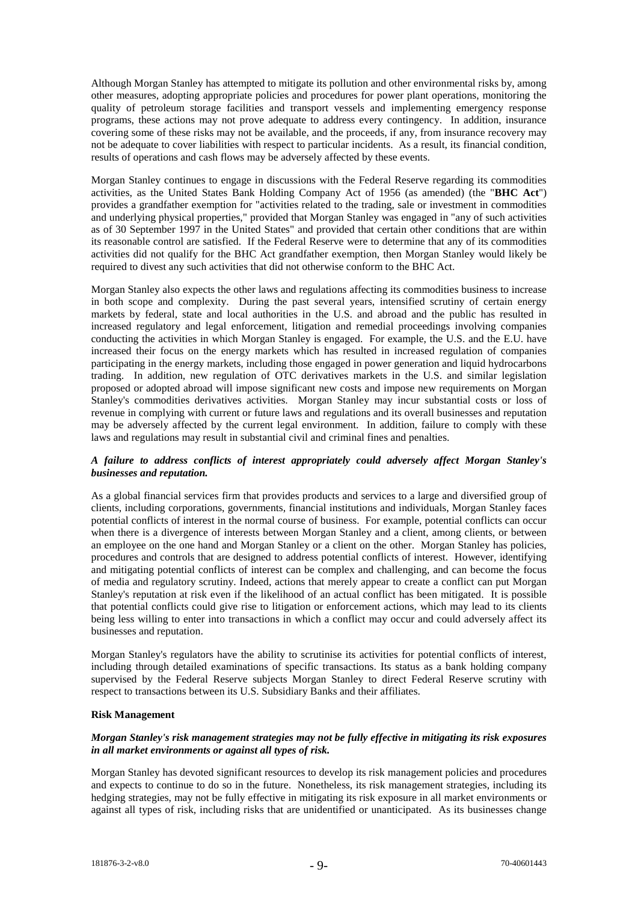Although Morgan Stanley has attempted to mitigate its pollution and other environmental risks by, among other measures, adopting appropriate policies and procedures for power plant operations, monitoring the quality of petroleum storage facilities and transport vessels and implementing emergency response programs, these actions may not prove adequate to address every contingency. In addition, insurance covering some of these risks may not be available, and the proceeds, if any, from insurance recovery may not be adequate to cover liabilities with respect to particular incidents. As a result, its financial condition, results of operations and cash flows may be adversely affected by these events.

Morgan Stanley continues to engage in discussions with the Federal Reserve regarding its commodities activities, as the United States Bank Holding Company Act of 1956 (as amended) (the "**BHC Act**") provides a grandfather exemption for "activities related to the trading, sale or investment in commodities and underlying physical properties," provided that Morgan Stanley was engaged in "any of such activities as of 30 September 1997 in the United States" and provided that certain other conditions that are within its reasonable control are satisfied. If the Federal Reserve were to determine that any of its commodities activities did not qualify for the BHC Act grandfather exemption, then Morgan Stanley would likely be required to divest any such activities that did not otherwise conform to the BHC Act.

Morgan Stanley also expects the other laws and regulations affecting its commodities business to increase in both scope and complexity. During the past several years, intensified scrutiny of certain energy markets by federal, state and local authorities in the U.S. and abroad and the public has resulted in increased regulatory and legal enforcement, litigation and remedial proceedings involving companies conducting the activities in which Morgan Stanley is engaged. For example, the U.S. and the E.U. have increased their focus on the energy markets which has resulted in increased regulation of companies participating in the energy markets, including those engaged in power generation and liquid hydrocarbons trading. In addition, new regulation of OTC derivatives markets in the U.S. and similar legislation proposed or adopted abroad will impose significant new costs and impose new requirements on Morgan Stanley's commodities derivatives activities. Morgan Stanley may incur substantial costs or loss of revenue in complying with current or future laws and regulations and its overall businesses and reputation may be adversely affected by the current legal environment. In addition, failure to comply with these laws and regulations may result in substantial civil and criminal fines and penalties.

## *A failure to address conflicts of interest appropriately could adversely affect Morgan Stanley's businesses and reputation.*

As a global financial services firm that provides products and services to a large and diversified group of clients, including corporations, governments, financial institutions and individuals, Morgan Stanley faces potential conflicts of interest in the normal course of business. For example, potential conflicts can occur when there is a divergence of interests between Morgan Stanley and a client, among clients, or between an employee on the one hand and Morgan Stanley or a client on the other. Morgan Stanley has policies, procedures and controls that are designed to address potential conflicts of interest. However, identifying and mitigating potential conflicts of interest can be complex and challenging, and can become the focus of media and regulatory scrutiny. Indeed, actions that merely appear to create a conflict can put Morgan Stanley's reputation at risk even if the likelihood of an actual conflict has been mitigated. It is possible that potential conflicts could give rise to litigation or enforcement actions, which may lead to its clients being less willing to enter into transactions in which a conflict may occur and could adversely affect its businesses and reputation.

Morgan Stanley's regulators have the ability to scrutinise its activities for potential conflicts of interest, including through detailed examinations of specific transactions. Its status as a bank holding company supervised by the Federal Reserve subjects Morgan Stanley to direct Federal Reserve scrutiny with respect to transactions between its U.S. Subsidiary Banks and their affiliates.

## **Risk Management**

## *Morgan Stanley's risk management strategies may not be fully effective in mitigating its risk exposures in all market environments or against all types of risk.*

Morgan Stanley has devoted significant resources to develop its risk management policies and procedures and expects to continue to do so in the future. Nonetheless, its risk management strategies, including its hedging strategies, may not be fully effective in mitigating its risk exposure in all market environments or against all types of risk, including risks that are unidentified or unanticipated. As its businesses change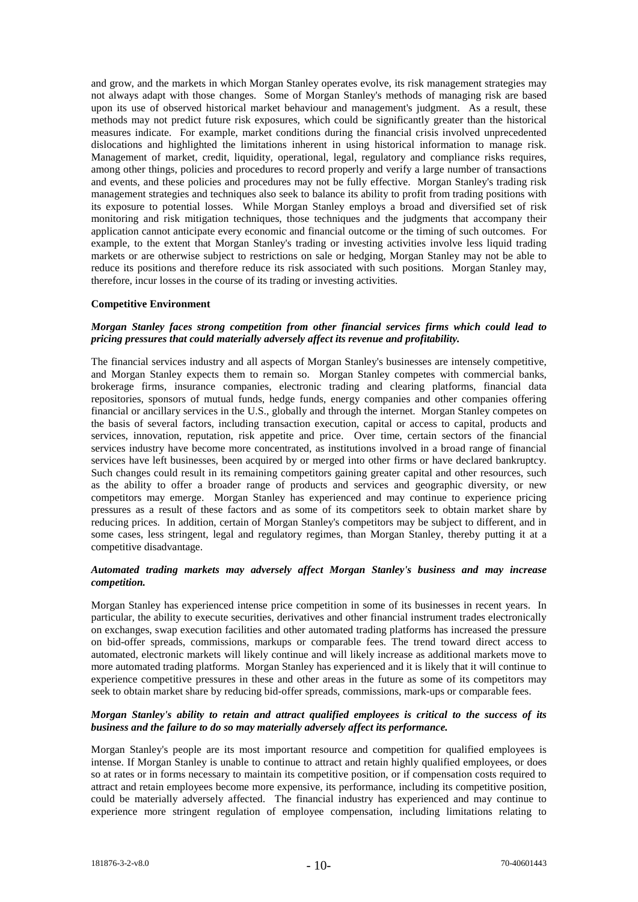and grow, and the markets in which Morgan Stanley operates evolve, its risk management strategies may not always adapt with those changes. Some of Morgan Stanley's methods of managing risk are based upon its use of observed historical market behaviour and management's judgment. As a result, these methods may not predict future risk exposures, which could be significantly greater than the historical measures indicate. For example, market conditions during the financial crisis involved unprecedented dislocations and highlighted the limitations inherent in using historical information to manage risk. Management of market, credit, liquidity, operational, legal, regulatory and compliance risks requires, among other things, policies and procedures to record properly and verify a large number of transactions and events, and these policies and procedures may not be fully effective. Morgan Stanley's trading risk management strategies and techniques also seek to balance its ability to profit from trading positions with its exposure to potential losses. While Morgan Stanley employs a broad and diversified set of risk monitoring and risk mitigation techniques, those techniques and the judgments that accompany their application cannot anticipate every economic and financial outcome or the timing of such outcomes. For example, to the extent that Morgan Stanley's trading or investing activities involve less liquid trading markets or are otherwise subject to restrictions on sale or hedging, Morgan Stanley may not be able to reduce its positions and therefore reduce its risk associated with such positions. Morgan Stanley may, therefore, incur losses in the course of its trading or investing activities.

#### **Competitive Environment**

## *Morgan Stanley faces strong competition from other financial services firms which could lead to pricing pressures that could materially adversely affect its revenue and profitability.*

The financial services industry and all aspects of Morgan Stanley's businesses are intensely competitive, and Morgan Stanley expects them to remain so. Morgan Stanley competes with commercial banks, brokerage firms, insurance companies, electronic trading and clearing platforms, financial data repositories, sponsors of mutual funds, hedge funds, energy companies and other companies offering financial or ancillary services in the U.S., globally and through the internet. Morgan Stanley competes on the basis of several factors, including transaction execution, capital or access to capital, products and services, innovation, reputation, risk appetite and price. Over time, certain sectors of the financial services industry have become more concentrated, as institutions involved in a broad range of financial services have left businesses, been acquired by or merged into other firms or have declared bankruptcy. Such changes could result in its remaining competitors gaining greater capital and other resources, such as the ability to offer a broader range of products and services and geographic diversity, or new competitors may emerge. Morgan Stanley has experienced and may continue to experience pricing pressures as a result of these factors and as some of its competitors seek to obtain market share by reducing prices. In addition, certain of Morgan Stanley's competitors may be subject to different, and in some cases, less stringent, legal and regulatory regimes, than Morgan Stanley, thereby putting it at a competitive disadvantage.

# *Automated trading markets may adversely affect Morgan Stanley's business and may increase competition.*

Morgan Stanley has experienced intense price competition in some of its businesses in recent years. In particular, the ability to execute securities, derivatives and other financial instrument trades electronically on exchanges, swap execution facilities and other automated trading platforms has increased the pressure on bid-offer spreads, commissions, markups or comparable fees. The trend toward direct access to automated, electronic markets will likely continue and will likely increase as additional markets move to more automated trading platforms. Morgan Stanley has experienced and it is likely that it will continue to experience competitive pressures in these and other areas in the future as some of its competitors may seek to obtain market share by reducing bid-offer spreads, commissions, mark-ups or comparable fees.

## *Morgan Stanley's ability to retain and attract qualified employees is critical to the success of its business and the failure to do so may materially adversely affect its performance.*

Morgan Stanley's people are its most important resource and competition for qualified employees is intense. If Morgan Stanley is unable to continue to attract and retain highly qualified employees, or does so at rates or in forms necessary to maintain its competitive position, or if compensation costs required to attract and retain employees become more expensive, its performance, including its competitive position, could be materially adversely affected. The financial industry has experienced and may continue to experience more stringent regulation of employee compensation, including limitations relating to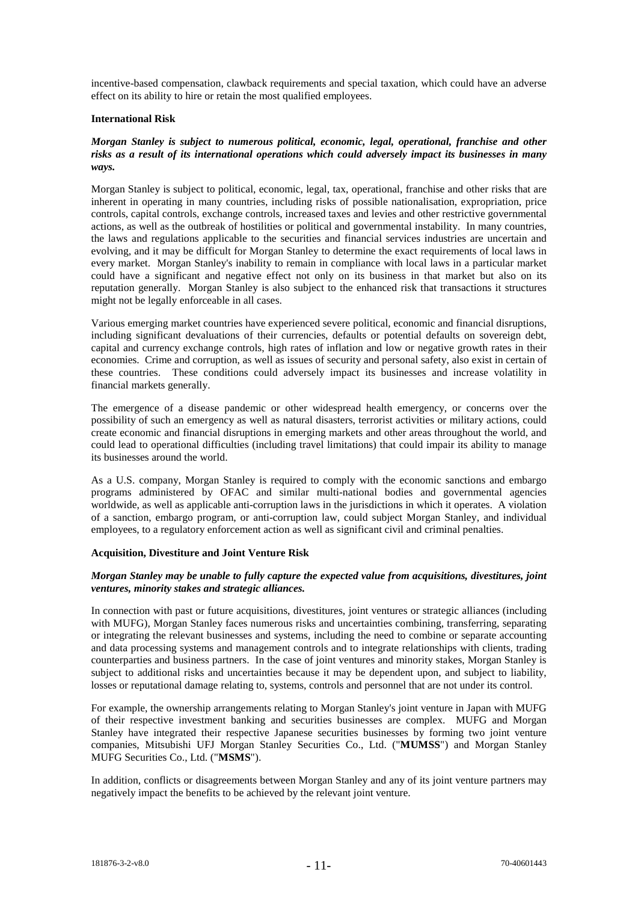incentive-based compensation, clawback requirements and special taxation, which could have an adverse effect on its ability to hire or retain the most qualified employees.

#### **International Risk**

#### *Morgan Stanley is subject to numerous political, economic, legal, operational, franchise and other risks as a result of its international operations which could adversely impact its businesses in many ways.*

Morgan Stanley is subject to political, economic, legal, tax, operational, franchise and other risks that are inherent in operating in many countries, including risks of possible nationalisation, expropriation, price controls, capital controls, exchange controls, increased taxes and levies and other restrictive governmental actions, as well as the outbreak of hostilities or political and governmental instability. In many countries, the laws and regulations applicable to the securities and financial services industries are uncertain and evolving, and it may be difficult for Morgan Stanley to determine the exact requirements of local laws in every market. Morgan Stanley's inability to remain in compliance with local laws in a particular market could have a significant and negative effect not only on its business in that market but also on its reputation generally. Morgan Stanley is also subject to the enhanced risk that transactions it structures might not be legally enforceable in all cases.

Various emerging market countries have experienced severe political, economic and financial disruptions, including significant devaluations of their currencies, defaults or potential defaults on sovereign debt, capital and currency exchange controls, high rates of inflation and low or negative growth rates in their economies. Crime and corruption, as well as issues of security and personal safety, also exist in certain of these countries. These conditions could adversely impact its businesses and increase volatility in financial markets generally.

The emergence of a disease pandemic or other widespread health emergency, or concerns over the possibility of such an emergency as well as natural disasters, terrorist activities or military actions, could create economic and financial disruptions in emerging markets and other areas throughout the world, and could lead to operational difficulties (including travel limitations) that could impair its ability to manage its businesses around the world.

As a U.S. company, Morgan Stanley is required to comply with the economic sanctions and embargo programs administered by OFAC and similar multi-national bodies and governmental agencies worldwide, as well as applicable anti-corruption laws in the jurisdictions in which it operates. A violation of a sanction, embargo program, or anti-corruption law, could subject Morgan Stanley, and individual employees, to a regulatory enforcement action as well as significant civil and criminal penalties.

## **Acquisition, Divestiture and Joint Venture Risk**

## *Morgan Stanley may be unable to fully capture the expected value from acquisitions, divestitures, joint ventures, minority stakes and strategic alliances.*

In connection with past or future acquisitions, divestitures, joint ventures or strategic alliances (including with MUFG), Morgan Stanley faces numerous risks and uncertainties combining, transferring, separating or integrating the relevant businesses and systems, including the need to combine or separate accounting and data processing systems and management controls and to integrate relationships with clients, trading counterparties and business partners. In the case of joint ventures and minority stakes, Morgan Stanley is subject to additional risks and uncertainties because it may be dependent upon, and subject to liability, losses or reputational damage relating to, systems, controls and personnel that are not under its control.

For example, the ownership arrangements relating to Morgan Stanley's joint venture in Japan with MUFG of their respective investment banking and securities businesses are complex. MUFG and Morgan Stanley have integrated their respective Japanese securities businesses by forming two joint venture companies, Mitsubishi UFJ Morgan Stanley Securities Co., Ltd. ("**MUMSS**") and Morgan Stanley MUFG Securities Co., Ltd. ("**MSMS**").

In addition, conflicts or disagreements between Morgan Stanley and any of its joint venture partners may negatively impact the benefits to be achieved by the relevant joint venture.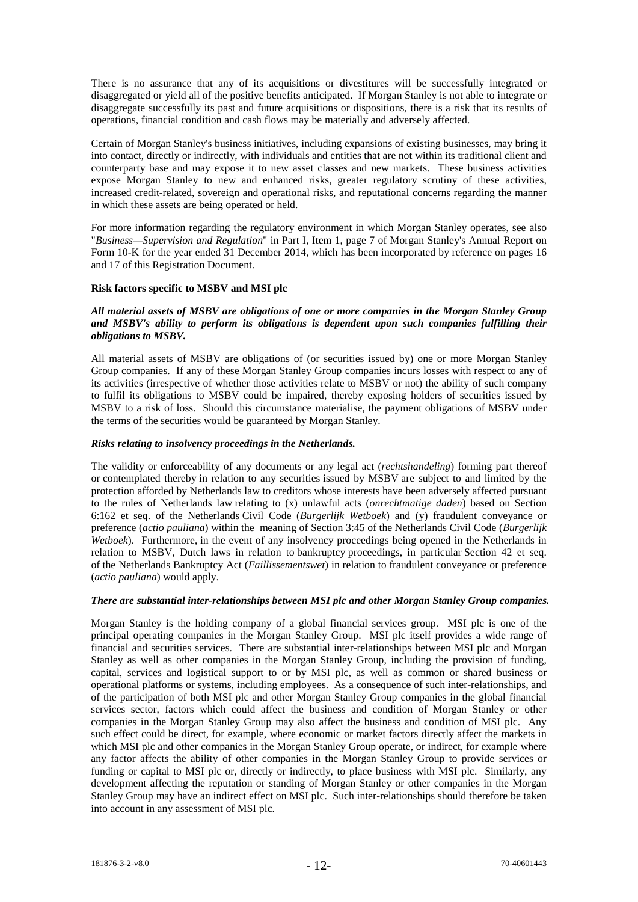There is no assurance that any of its acquisitions or divestitures will be successfully integrated or disaggregated or yield all of the positive benefits anticipated. If Morgan Stanley is not able to integrate or disaggregate successfully its past and future acquisitions or dispositions, there is a risk that its results of operations, financial condition and cash flows may be materially and adversely affected.

Certain of Morgan Stanley's business initiatives, including expansions of existing businesses, may bring it into contact, directly or indirectly, with individuals and entities that are not within its traditional client and counterparty base and may expose it to new asset classes and new markets. These business activities expose Morgan Stanley to new and enhanced risks, greater regulatory scrutiny of these activities, increased credit-related, sovereign and operational risks, and reputational concerns regarding the manner in which these assets are being operated or held.

For more information regarding the regulatory environment in which Morgan Stanley operates, see also "*Business—Supervision and Regulation*" in Part I, Item 1, page 7 of Morgan Stanley's Annual Report on Form 10-K for the year ended 31 December 2014, which has been incorporated by reference on pages 16 and 17 of this Registration Document.

#### **Risk factors specific to MSBV and MSI plc**

#### *All material assets of MSBV are obligations of one or more companies in the Morgan Stanley Group and MSBV's ability to perform its obligations is dependent upon such companies fulfilling their obligations to MSBV.*

All material assets of MSBV are obligations of (or securities issued by) one or more Morgan Stanley Group companies. If any of these Morgan Stanley Group companies incurs losses with respect to any of its activities (irrespective of whether those activities relate to MSBV or not) the ability of such company to fulfil its obligations to MSBV could be impaired, thereby exposing holders of securities issued by MSBV to a risk of loss. Should this circumstance materialise, the payment obligations of MSBV under the terms of the securities would be guaranteed by Morgan Stanley.

#### *Risks relating to insolvency proceedings in the Netherlands.*

The validity or enforceability of any documents or any legal act (*rechtshandeling*) forming part thereof or contemplated thereby in relation to any securities issued by MSBV are subject to and limited by the protection afforded by Netherlands law to creditors whose interests have been adversely affected pursuant to the rules of Netherlands law relating to (x) unlawful acts (*onrechtmatige daden*) based on Section 6:162 et seq. of the Netherlands Civil Code (*Burgerlijk Wetboek*) and (y) fraudulent conveyance or preference (*actio pauliana*) within the meaning of Section 3:45 of the Netherlands Civil Code (*Burgerlijk Wetboek*). Furthermore, in the event of any insolvency proceedings being opened in the Netherlands in relation to MSBV, Dutch laws in relation to bankruptcy proceedings, in particular Section 42 et seq. of the Netherlands Bankruptcy Act (*Faillissementswet*) in relation to fraudulent conveyance or preference (*actio pauliana*) would apply.

## *There are substantial inter-relationships between MSI plc and other Morgan Stanley Group companies.*

Morgan Stanley is the holding company of a global financial services group. MSI plc is one of the principal operating companies in the Morgan Stanley Group. MSI plc itself provides a wide range of financial and securities services. There are substantial inter-relationships between MSI plc and Morgan Stanley as well as other companies in the Morgan Stanley Group, including the provision of funding, capital, services and logistical support to or by MSI plc, as well as common or shared business or operational platforms or systems, including employees. As a consequence of such inter-relationships, and of the participation of both MSI plc and other Morgan Stanley Group companies in the global financial services sector, factors which could affect the business and condition of Morgan Stanley or other companies in the Morgan Stanley Group may also affect the business and condition of MSI plc. Any such effect could be direct, for example, where economic or market factors directly affect the markets in which MSI plc and other companies in the Morgan Stanley Group operate, or indirect, for example where any factor affects the ability of other companies in the Morgan Stanley Group to provide services or funding or capital to MSI plc or, directly or indirectly, to place business with MSI plc. Similarly, any development affecting the reputation or standing of Morgan Stanley or other companies in the Morgan Stanley Group may have an indirect effect on MSI plc. Such inter-relationships should therefore be taken into account in any assessment of MSI plc.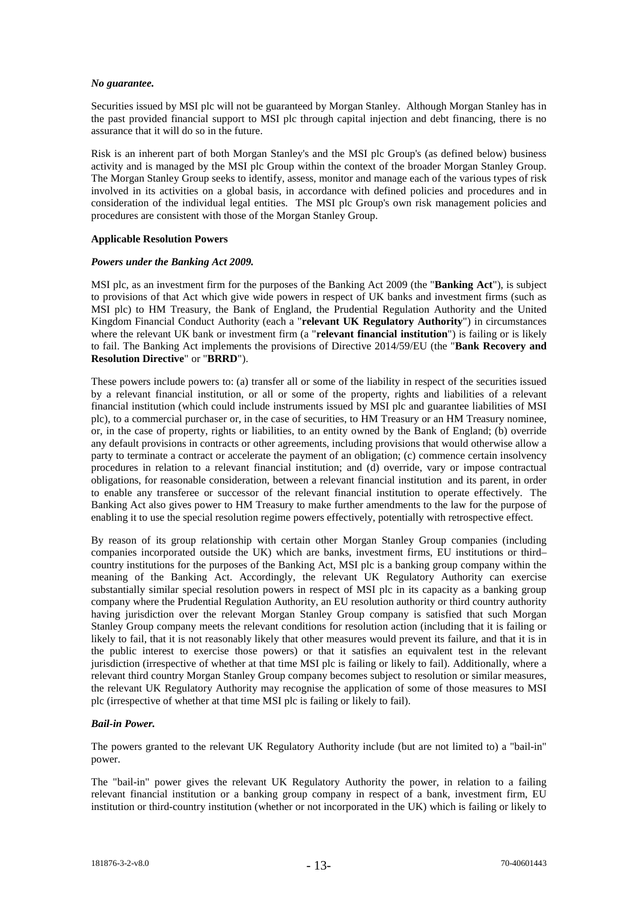#### *No guarantee.*

Securities issued by MSI plc will not be guaranteed by Morgan Stanley. Although Morgan Stanley has in the past provided financial support to MSI plc through capital injection and debt financing, there is no assurance that it will do so in the future.

Risk is an inherent part of both Morgan Stanley's and the MSI plc Group's (as defined below) business activity and is managed by the MSI plc Group within the context of the broader Morgan Stanley Group. The Morgan Stanley Group seeks to identify, assess, monitor and manage each of the various types of risk involved in its activities on a global basis, in accordance with defined policies and procedures and in consideration of the individual legal entities. The MSI plc Group's own risk management policies and procedures are consistent with those of the Morgan Stanley Group.

#### **Applicable Resolution Powers**

#### *Powers under the Banking Act 2009.*

MSI plc, as an investment firm for the purposes of the Banking Act 2009 (the "**Banking Act**"), is subject to provisions of that Act which give wide powers in respect of UK banks and investment firms (such as MSI plc) to HM Treasury, the Bank of England, the Prudential Regulation Authority and the United Kingdom Financial Conduct Authority (each a "**relevant UK Regulatory Authority**") in circumstances where the relevant UK bank or investment firm (a "**relevant financial institution**") is failing or is likely to fail. The Banking Act implements the provisions of Directive 2014/59/EU (the "**Bank Recovery and Resolution Directive**" or "**BRRD**").

These powers include powers to: (a) transfer all or some of the liability in respect of the securities issued by a relevant financial institution, or all or some of the property, rights and liabilities of a relevant financial institution (which could include instruments issued by MSI plc and guarantee liabilities of MSI plc), to a commercial purchaser or, in the case of securities, to HM Treasury or an HM Treasury nominee, or, in the case of property, rights or liabilities, to an entity owned by the Bank of England; (b) override any default provisions in contracts or other agreements, including provisions that would otherwise allow a party to terminate a contract or accelerate the payment of an obligation; (c) commence certain insolvency procedures in relation to a relevant financial institution; and (d) override, vary or impose contractual obligations, for reasonable consideration, between a relevant financial institution and its parent, in order to enable any transferee or successor of the relevant financial institution to operate effectively. The Banking Act also gives power to HM Treasury to make further amendments to the law for the purpose of enabling it to use the special resolution regime powers effectively, potentially with retrospective effect.

By reason of its group relationship with certain other Morgan Stanley Group companies (including companies incorporated outside the UK) which are banks, investment firms, EU institutions or third– country institutions for the purposes of the Banking Act, MSI plc is a banking group company within the meaning of the Banking Act. Accordingly, the relevant UK Regulatory Authority can exercise substantially similar special resolution powers in respect of MSI plc in its capacity as a banking group company where the Prudential Regulation Authority, an EU resolution authority or third country authority having jurisdiction over the relevant Morgan Stanley Group company is satisfied that such Morgan Stanley Group company meets the relevant conditions for resolution action (including that it is failing or likely to fail, that it is not reasonably likely that other measures would prevent its failure, and that it is in the public interest to exercise those powers) or that it satisfies an equivalent test in the relevant jurisdiction (irrespective of whether at that time MSI plc is failing or likely to fail). Additionally, where a relevant third country Morgan Stanley Group company becomes subject to resolution or similar measures, the relevant UK Regulatory Authority may recognise the application of some of those measures to MSI plc (irrespective of whether at that time MSI plc is failing or likely to fail).

## *Bail-in Power.*

The powers granted to the relevant UK Regulatory Authority include (but are not limited to) a "bail-in" power.

The "bail-in" power gives the relevant UK Regulatory Authority the power, in relation to a failing relevant financial institution or a banking group company in respect of a bank, investment firm, EU institution or third-country institution (whether or not incorporated in the UK) which is failing or likely to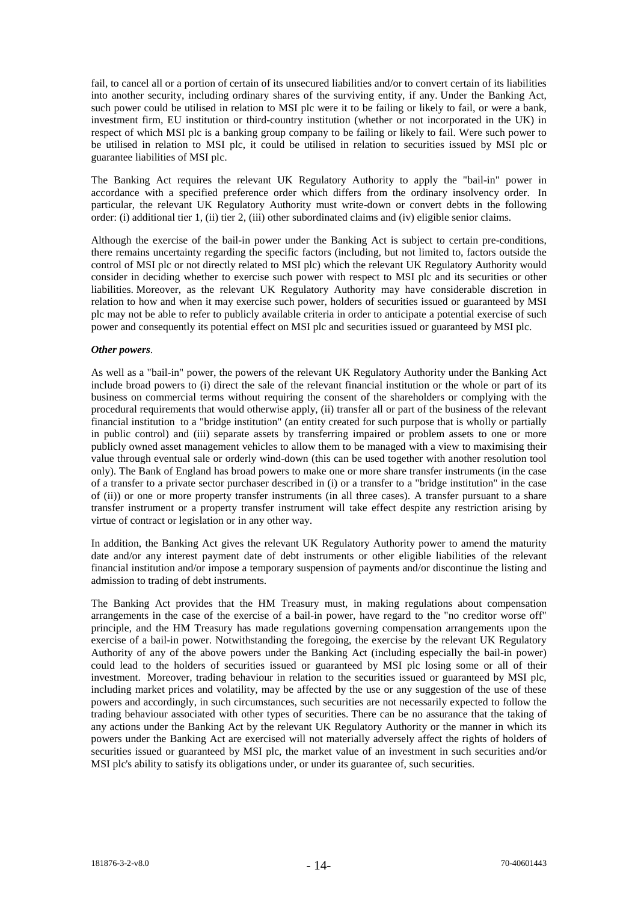fail, to cancel all or a portion of certain of its unsecured liabilities and/or to convert certain of its liabilities into another security, including ordinary shares of the surviving entity, if any. Under the Banking Act, such power could be utilised in relation to MSI plc were it to be failing or likely to fail, or were a bank, investment firm, EU institution or third-country institution (whether or not incorporated in the UK) in respect of which MSI plc is a banking group company to be failing or likely to fail. Were such power to be utilised in relation to MSI plc, it could be utilised in relation to securities issued by MSI plc or guarantee liabilities of MSI plc.

The Banking Act requires the relevant UK Regulatory Authority to apply the "bail-in" power in accordance with a specified preference order which differs from the ordinary insolvency order. In particular, the relevant UK Regulatory Authority must write-down or convert debts in the following order: (i) additional tier 1, (ii) tier 2, (iii) other subordinated claims and (iv) eligible senior claims.

Although the exercise of the bail-in power under the Banking Act is subject to certain pre-conditions, there remains uncertainty regarding the specific factors (including, but not limited to, factors outside the control of MSI plc or not directly related to MSI plc) which the relevant UK Regulatory Authority would consider in deciding whether to exercise such power with respect to MSI plc and its securities or other liabilities. Moreover, as the relevant UK Regulatory Authority may have considerable discretion in relation to how and when it may exercise such power, holders of securities issued or guaranteed by MSI plc may not be able to refer to publicly available criteria in order to anticipate a potential exercise of such power and consequently its potential effect on MSI plc and securities issued or guaranteed by MSI plc.

#### *Other powers*.

As well as a "bail-in" power, the powers of the relevant UK Regulatory Authority under the Banking Act include broad powers to (i) direct the sale of the relevant financial institution or the whole or part of its business on commercial terms without requiring the consent of the shareholders or complying with the procedural requirements that would otherwise apply, (ii) transfer all or part of the business of the relevant financial institution to a "bridge institution" (an entity created for such purpose that is wholly or partially in public control) and (iii) separate assets by transferring impaired or problem assets to one or more publicly owned asset management vehicles to allow them to be managed with a view to maximising their value through eventual sale or orderly wind-down (this can be used together with another resolution tool only). The Bank of England has broad powers to make one or more share transfer instruments (in the case of a transfer to a private sector purchaser described in (i) or a transfer to a "bridge institution" in the case of (ii)) or one or more property transfer instruments (in all three cases). A transfer pursuant to a share transfer instrument or a property transfer instrument will take effect despite any restriction arising by virtue of contract or legislation or in any other way.

In addition, the Banking Act gives the relevant UK Regulatory Authority power to amend the maturity date and/or any interest payment date of debt instruments or other eligible liabilities of the relevant financial institution and/or impose a temporary suspension of payments and/or discontinue the listing and admission to trading of debt instruments.

The Banking Act provides that the HM Treasury must, in making regulations about compensation arrangements in the case of the exercise of a bail-in power, have regard to the "no creditor worse off" principle, and the HM Treasury has made regulations governing compensation arrangements upon the exercise of a bail-in power. Notwithstanding the foregoing, the exercise by the relevant UK Regulatory Authority of any of the above powers under the Banking Act (including especially the bail-in power) could lead to the holders of securities issued or guaranteed by MSI plc losing some or all of their investment. Moreover, trading behaviour in relation to the securities issued or guaranteed by MSI plc, including market prices and volatility, may be affected by the use or any suggestion of the use of these powers and accordingly, in such circumstances, such securities are not necessarily expected to follow the trading behaviour associated with other types of securities. There can be no assurance that the taking of any actions under the Banking Act by the relevant UK Regulatory Authority or the manner in which its powers under the Banking Act are exercised will not materially adversely affect the rights of holders of securities issued or guaranteed by MSI plc, the market value of an investment in such securities and/or MSI plc's ability to satisfy its obligations under, or under its guarantee of, such securities.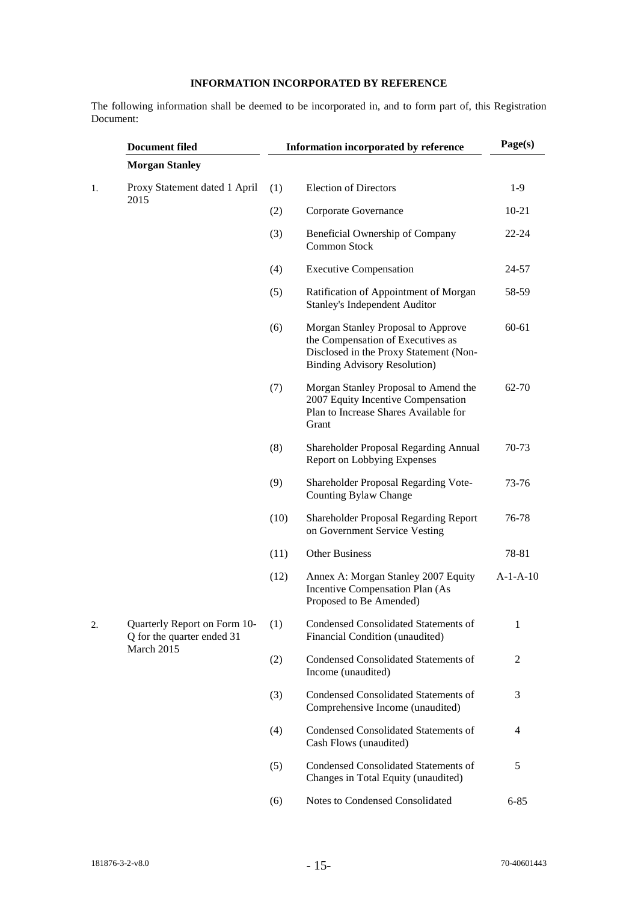# **INFORMATION INCORPORATED BY REFERENCE**

The following information shall be deemed to be incorporated in, and to form part of, this Registration Document:

| <b>Document filed</b> |                                                            |      | Information incorporated by reference                                                                                                                     |            |  |
|-----------------------|------------------------------------------------------------|------|-----------------------------------------------------------------------------------------------------------------------------------------------------------|------------|--|
|                       | <b>Morgan Stanley</b>                                      |      |                                                                                                                                                           |            |  |
| 1.                    | Proxy Statement dated 1 April<br>2015                      | (1)  | <b>Election of Directors</b>                                                                                                                              | $1-9$      |  |
|                       |                                                            | (2)  | Corporate Governance                                                                                                                                      | $10 - 21$  |  |
|                       |                                                            | (3)  | Beneficial Ownership of Company<br>Common Stock                                                                                                           | $22 - 24$  |  |
|                       |                                                            | (4)  | <b>Executive Compensation</b>                                                                                                                             | 24-57      |  |
|                       |                                                            | (5)  | Ratification of Appointment of Morgan<br><b>Stanley's Independent Auditor</b>                                                                             | 58-59      |  |
|                       |                                                            | (6)  | Morgan Stanley Proposal to Approve<br>the Compensation of Executives as<br>Disclosed in the Proxy Statement (Non-<br><b>Binding Advisory Resolution</b> ) | 60-61      |  |
|                       |                                                            | (7)  | Morgan Stanley Proposal to Amend the<br>2007 Equity Incentive Compensation<br>Plan to Increase Shares Available for<br>Grant                              | 62-70      |  |
|                       |                                                            | (8)  | Shareholder Proposal Regarding Annual<br><b>Report on Lobbying Expenses</b>                                                                               | 70-73      |  |
|                       |                                                            | (9)  | Shareholder Proposal Regarding Vote-<br>Counting Bylaw Change                                                                                             | 73-76      |  |
|                       |                                                            | (10) | Shareholder Proposal Regarding Report<br>on Government Service Vesting                                                                                    | 76-78      |  |
|                       |                                                            | (11) | <b>Other Business</b>                                                                                                                                     | 78-81      |  |
|                       |                                                            | (12) | Annex A: Morgan Stanley 2007 Equity<br>Incentive Compensation Plan (As<br>Proposed to Be Amended)                                                         | $A-1-A-10$ |  |
| 2.                    | Quarterly Report on Form 10-<br>Q for the quarter ended 31 | (1)  | Condensed Consolidated Statements of<br>Financial Condition (unaudited)                                                                                   | 1          |  |
|                       | March 2015                                                 | (2)  | Condensed Consolidated Statements of<br>Income (unaudited)                                                                                                | 2          |  |
|                       |                                                            | (3)  | Condensed Consolidated Statements of<br>Comprehensive Income (unaudited)                                                                                  | 3          |  |
|                       |                                                            | (4)  | <b>Condensed Consolidated Statements of</b><br>Cash Flows (unaudited)                                                                                     | 4          |  |
|                       |                                                            | (5)  | Condensed Consolidated Statements of<br>Changes in Total Equity (unaudited)                                                                               | 5          |  |
|                       |                                                            | (6)  | Notes to Condensed Consolidated                                                                                                                           | $6 - 85$   |  |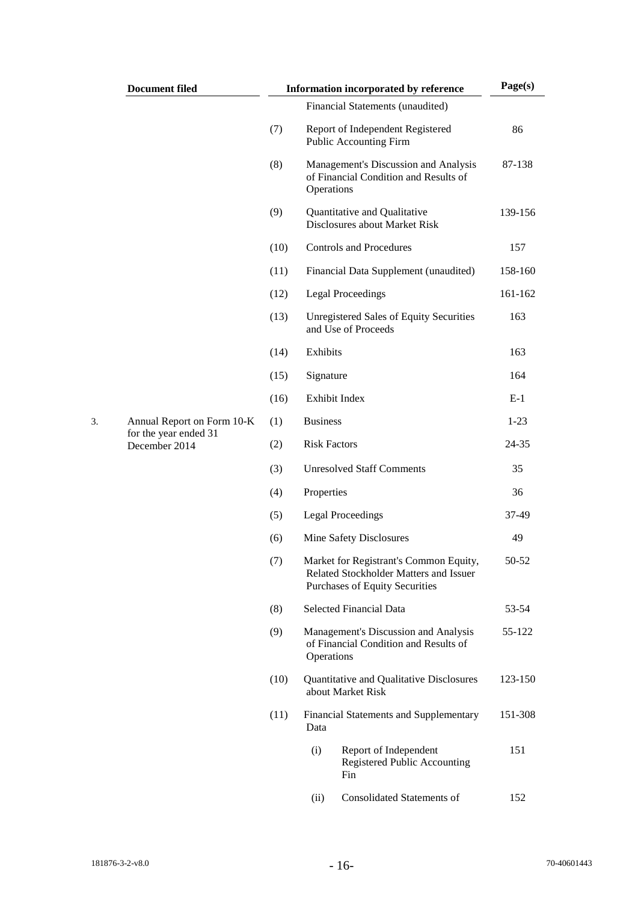| <b>Document filed</b>                  | Information incorporated by reference | Page(s)                                                    |                                                                                                                           |         |
|----------------------------------------|---------------------------------------|------------------------------------------------------------|---------------------------------------------------------------------------------------------------------------------------|---------|
|                                        |                                       |                                                            | Financial Statements (unaudited)                                                                                          |         |
|                                        | (7)                                   | Report of Independent Registered<br>Public Accounting Firm |                                                                                                                           | 86      |
|                                        | (8)                                   | Operations                                                 | Management's Discussion and Analysis<br>of Financial Condition and Results of                                             | 87-138  |
|                                        | (9)                                   |                                                            | Quantitative and Qualitative<br>Disclosures about Market Risk                                                             | 139-156 |
|                                        | (10)                                  |                                                            | <b>Controls and Procedures</b>                                                                                            | 157     |
|                                        | (11)                                  |                                                            | Financial Data Supplement (unaudited)                                                                                     | 158-160 |
|                                        | (12)                                  |                                                            | <b>Legal Proceedings</b>                                                                                                  | 161-162 |
|                                        | (13)                                  |                                                            | <b>Unregistered Sales of Equity Securities</b><br>and Use of Proceeds                                                     | 163     |
|                                        | (14)                                  | Exhibits                                                   |                                                                                                                           | 163     |
|                                        | (15)                                  | Signature                                                  |                                                                                                                           | 164     |
|                                        | (16)                                  |                                                            | Exhibit Index                                                                                                             | $E-1$   |
| Annual Report on Form 10-K             | (1)                                   | <b>Business</b>                                            |                                                                                                                           | $1-23$  |
| for the year ended 31<br>December 2014 | (2)                                   | <b>Risk Factors</b>                                        |                                                                                                                           | 24-35   |
|                                        | (3)                                   | <b>Unresolved Staff Comments</b>                           |                                                                                                                           | 35      |
|                                        | (4)                                   | Properties                                                 |                                                                                                                           | 36      |
|                                        | (5)                                   |                                                            | <b>Legal Proceedings</b>                                                                                                  | 37-49   |
|                                        | (6)                                   |                                                            | Mine Safety Disclosures                                                                                                   | 49      |
|                                        | (7)                                   |                                                            | Market for Registrant's Common Equity,<br>Related Stockholder Matters and Issuer<br><b>Purchases of Equity Securities</b> | 50-52   |
|                                        | (8)                                   |                                                            | Selected Financial Data                                                                                                   | 53-54   |
|                                        | (9)                                   | Operations                                                 | Management's Discussion and Analysis<br>of Financial Condition and Results of                                             | 55-122  |
|                                        | (10)                                  |                                                            | Quantitative and Qualitative Disclosures<br>about Market Risk                                                             | 123-150 |
|                                        | (11)                                  | Data                                                       | <b>Financial Statements and Supplementary</b>                                                                             | 151-308 |
|                                        |                                       | (i)                                                        | Report of Independent<br>Registered Public Accounting<br>Fin                                                              | 151     |
|                                        |                                       | (ii)                                                       | Consolidated Statements of                                                                                                | 152     |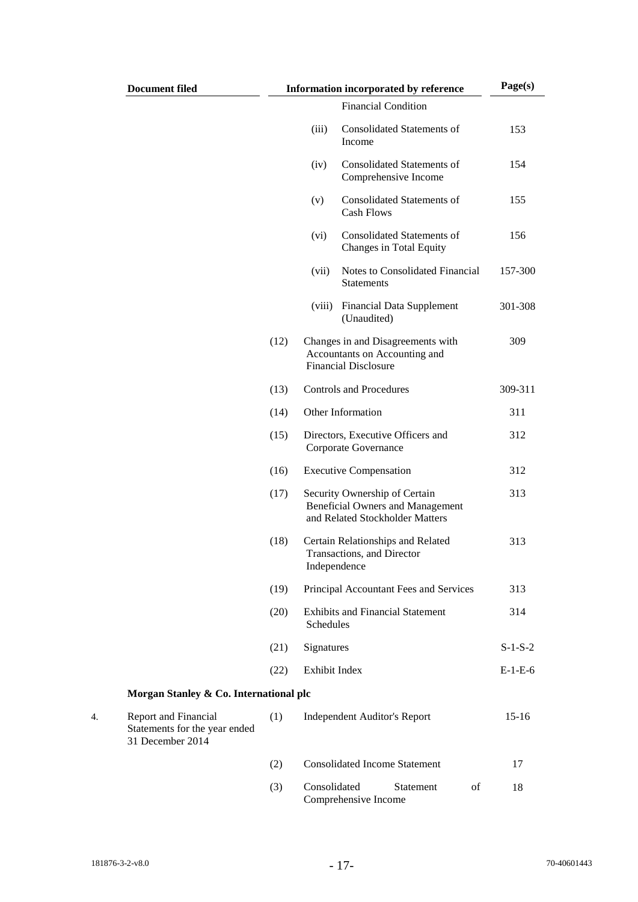| <b>Document filed</b>                                                     |      |               | <b>Information incorporated by reference</b>                                                                | Page(s)   |
|---------------------------------------------------------------------------|------|---------------|-------------------------------------------------------------------------------------------------------------|-----------|
|                                                                           |      |               | <b>Financial Condition</b>                                                                                  |           |
|                                                                           |      | (iii)         | Consolidated Statements of<br>Income                                                                        | 153       |
|                                                                           |      | (iv)          | <b>Consolidated Statements of</b><br>Comprehensive Income                                                   | 154       |
|                                                                           |      | (v)           | <b>Consolidated Statements of</b><br><b>Cash Flows</b>                                                      | 155       |
|                                                                           |      | (vi)          | <b>Consolidated Statements of</b><br>Changes in Total Equity                                                | 156       |
|                                                                           |      | (vii)         | Notes to Consolidated Financial<br><b>Statements</b>                                                        | 157-300   |
|                                                                           |      | (viii)        | <b>Financial Data Supplement</b><br>(Unaudited)                                                             | 301-308   |
|                                                                           | (12) |               | Changes in and Disagreements with<br>Accountants on Accounting and<br><b>Financial Disclosure</b>           | 309       |
|                                                                           | (13) |               | <b>Controls and Procedures</b>                                                                              | 309-311   |
|                                                                           | (14) |               | Other Information                                                                                           | 311       |
|                                                                           | (15) |               | Directors, Executive Officers and<br>Corporate Governance                                                   | 312       |
|                                                                           | (16) |               | <b>Executive Compensation</b>                                                                               | 312       |
|                                                                           | (17) |               | Security Ownership of Certain<br><b>Beneficial Owners and Management</b><br>and Related Stockholder Matters | 313       |
|                                                                           | (18) |               | Certain Relationships and Related<br>Transactions, and Director<br>Independence                             | 313       |
|                                                                           | (19) |               | Principal Accountant Fees and Services                                                                      | 313       |
|                                                                           | (20) | Schedules     | <b>Exhibits and Financial Statement</b>                                                                     | 314       |
|                                                                           | (21) | Signatures    |                                                                                                             | $S-1-S-2$ |
|                                                                           | (22) | Exhibit Index |                                                                                                             | $E-1-E-6$ |
| Morgan Stanley & Co. International plc                                    |      |               |                                                                                                             |           |
| Report and Financial<br>Statements for the year ended<br>31 December 2014 | (1)  |               | <b>Independent Auditor's Report</b>                                                                         | $15-16$   |
|                                                                           | (2)  |               | <b>Consolidated Income Statement</b>                                                                        | 17        |
|                                                                           | (3)  | Consolidated  | of<br>Statement<br>Comprehensive Income                                                                     | 18        |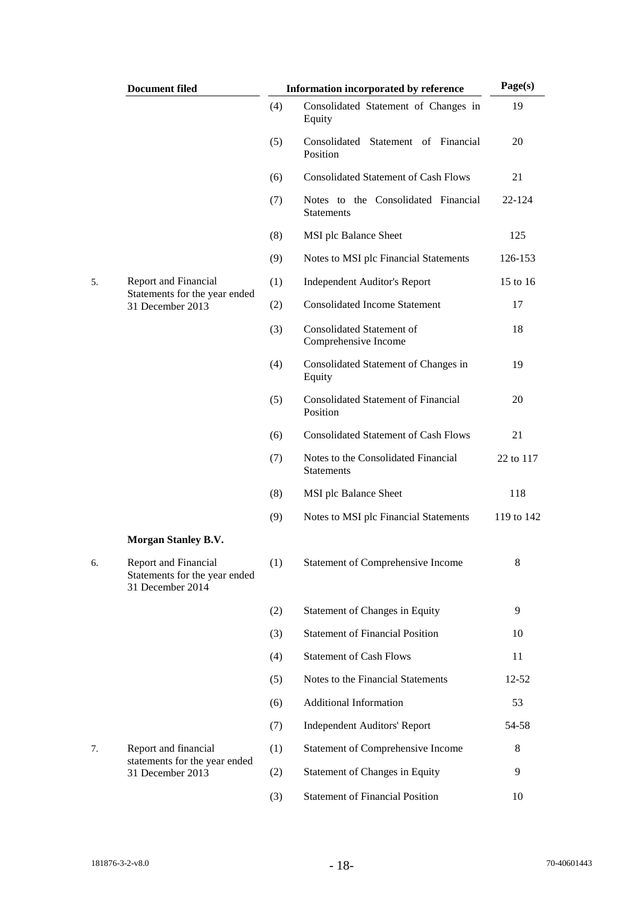|    | <b>Document filed</b>                                                            | Information incorporated by reference |                                                          | Page(s)    |
|----|----------------------------------------------------------------------------------|---------------------------------------|----------------------------------------------------------|------------|
|    |                                                                                  | (4)                                   | Consolidated Statement of Changes in<br>Equity           | 19         |
|    |                                                                                  | (5)                                   | Consolidated Statement of Financial<br>Position          | 20         |
|    |                                                                                  | (6)                                   | <b>Consolidated Statement of Cash Flows</b>              | 21         |
|    |                                                                                  | (7)                                   | Notes to the Consolidated Financial<br><b>Statements</b> | 22-124     |
|    |                                                                                  | (8)                                   | MSI plc Balance Sheet                                    | 125        |
|    |                                                                                  | (9)                                   | Notes to MSI plc Financial Statements                    | 126-153    |
| 5. | Report and Financial                                                             | (1)                                   | <b>Independent Auditor's Report</b>                      | 15 to 16   |
|    | Statements for the year ended<br>31 December 2013                                | (2)                                   | <b>Consolidated Income Statement</b>                     | 17         |
|    |                                                                                  | (3)                                   | Consolidated Statement of<br>Comprehensive Income        | 18         |
|    |                                                                                  | (4)                                   | Consolidated Statement of Changes in<br>Equity           | 19         |
|    |                                                                                  | (5)                                   | <b>Consolidated Statement of Financial</b><br>Position   | 20         |
|    |                                                                                  | (6)                                   | <b>Consolidated Statement of Cash Flows</b>              | 21         |
|    |                                                                                  | (7)                                   | Notes to the Consolidated Financial<br><b>Statements</b> | 22 to 117  |
|    |                                                                                  | (8)                                   | MSI plc Balance Sheet                                    | 118        |
|    |                                                                                  | (9)                                   | Notes to MSI plc Financial Statements                    | 119 to 142 |
|    | <b>Morgan Stanley B.V.</b>                                                       |                                       |                                                          |            |
| б. | <b>Report and Financial</b><br>Statements for the year ended<br>31 December 2014 | (1)                                   | <b>Statement of Comprehensive Income</b>                 | 8          |
|    |                                                                                  | (2)                                   | Statement of Changes in Equity                           | 9          |
|    |                                                                                  | (3)                                   | <b>Statement of Financial Position</b>                   | 10         |
|    |                                                                                  | (4)                                   | <b>Statement of Cash Flows</b>                           | 11         |
|    |                                                                                  | (5)                                   | Notes to the Financial Statements                        | $12 - 52$  |
|    |                                                                                  | (6)                                   | <b>Additional Information</b>                            | 53         |
|    |                                                                                  | (7)                                   | <b>Independent Auditors' Report</b>                      | 54-58      |
| 7. | Report and financial<br>statements for the year ended                            | (1)                                   | Statement of Comprehensive Income                        | 8          |
|    | 31 December 2013                                                                 | (2)                                   | Statement of Changes in Equity                           | 9          |
|    |                                                                                  | (3)                                   | <b>Statement of Financial Position</b>                   | 10         |
|    |                                                                                  |                                       |                                                          |            |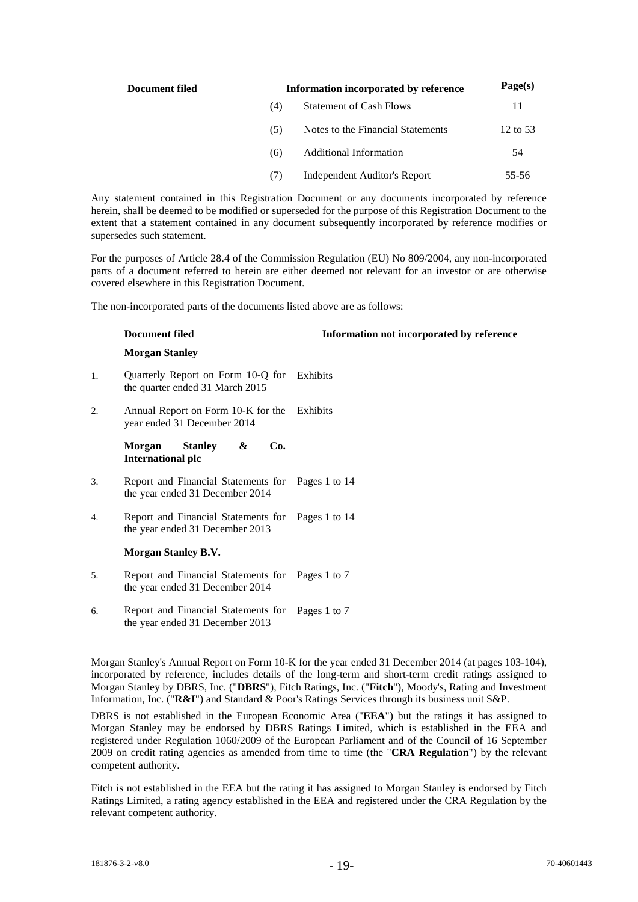| Document filed |     | Information incorporated by reference |          |  |  |
|----------------|-----|---------------------------------------|----------|--|--|
|                | (4) | <b>Statement of Cash Flows</b>        | 11       |  |  |
|                | (5) | Notes to the Financial Statements     | 12 to 53 |  |  |
|                | (6) | <b>Additional Information</b>         | 54       |  |  |
|                | (7) | Independent Auditor's Report          | 55-56    |  |  |

Any statement contained in this Registration Document or any documents incorporated by reference herein, shall be deemed to be modified or superseded for the purpose of this Registration Document to the extent that a statement contained in any document subsequently incorporated by reference modifies or supersedes such statement.

For the purposes of Article 28.4 of the Commission Regulation (EU) No 809/2004, any non-incorporated parts of a document referred to herein are either deemed not relevant for an investor or are otherwise covered elsewhere in this Registration Document.

The non-incorporated parts of the documents listed above are as follows:

|    | <b>Document filed</b>                                                               | Information not incorporated by reference |
|----|-------------------------------------------------------------------------------------|-------------------------------------------|
|    | <b>Morgan Stanley</b>                                                               |                                           |
| 1. | Quarterly Report on Form 10-Q for<br>the quarter ended 31 March 2015                | Exhibits                                  |
| 2. | Annual Report on Form 10-K for the<br>year ended 31 December 2014                   | Exhibits                                  |
|    | Morgan<br><b>Stanley</b><br>Co.<br>&<br><b>International plc</b>                    |                                           |
| 3. | Report and Financial Statements for<br>the year ended 31 December 2014              | Pages 1 to 14                             |
| 4. | Report and Financial Statements for<br>the year ended 31 December 2013              | Pages 1 to 14                             |
|    | <b>Morgan Stanley B.V.</b>                                                          |                                           |
| 5. | Report and Financial Statements for Pages 1 to 7<br>the year ended 31 December 2014 |                                           |
| 6. | Report and Financial Statements for<br>the year ended 31 December 2013              | Pages 1 to 7                              |
|    |                                                                                     |                                           |

Morgan Stanley's Annual Report on Form 10-K for the year ended 31 December 2014 (at pages 103-104), incorporated by reference, includes details of the long-term and short-term credit ratings assigned to Morgan Stanley by DBRS, Inc. ("**DBRS**"), Fitch Ratings, Inc. ("**Fitch**"), Moody's, Rating and Investment Information, Inc. ("**R&I**") and Standard & Poor's Ratings Services through its business unit S&P.

DBRS is not established in the European Economic Area ("**EEA**") but the ratings it has assigned to Morgan Stanley may be endorsed by DBRS Ratings Limited, which is established in the EEA and registered under Regulation 1060/2009 of the European Parliament and of the Council of 16 September 2009 on credit rating agencies as amended from time to time (the "**CRA Regulation**") by the relevant competent authority.

Fitch is not established in the EEA but the rating it has assigned to Morgan Stanley is endorsed by Fitch Ratings Limited, a rating agency established in the EEA and registered under the CRA Regulation by the relevant competent authority.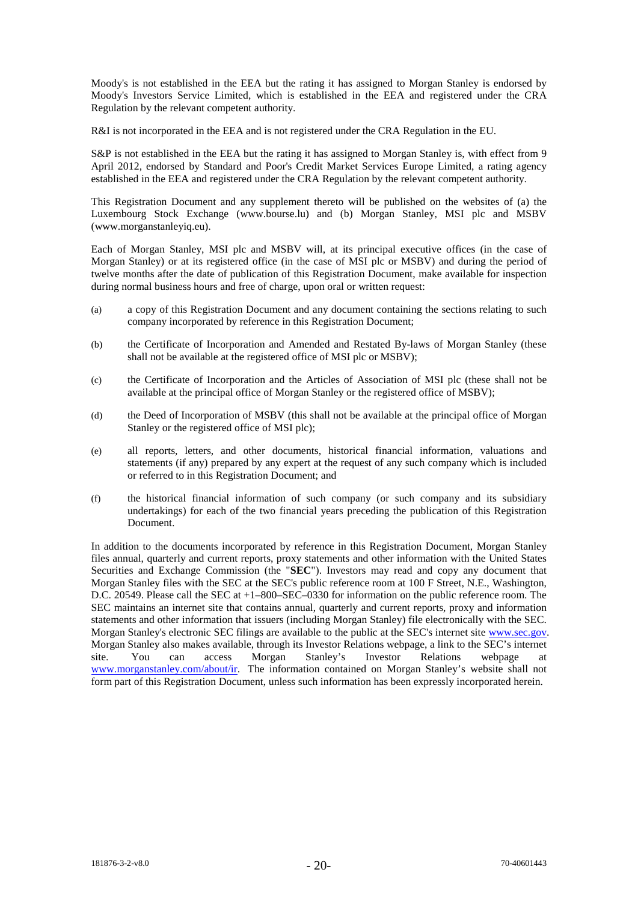Moody's is not established in the EEA but the rating it has assigned to Morgan Stanley is endorsed by Moody's Investors Service Limited, which is established in the EEA and registered under the CRA Regulation by the relevant competent authority.

R&I is not incorporated in the EEA and is not registered under the CRA Regulation in the EU.

S&P is not established in the EEA but the rating it has assigned to Morgan Stanley is, with effect from 9 April 2012, endorsed by Standard and Poor's Credit Market Services Europe Limited, a rating agency established in the EEA and registered under the CRA Regulation by the relevant competent authority.

This Registration Document and any supplement thereto will be published on the websites of (a) the Luxembourg Stock Exchange [\(www.bourse.lu\)](http://www.bourse.lu/) and (b) Morgan Stanley, MSI plc and MSBV (www.morganstanleyiq.eu).

Each of Morgan Stanley, MSI plc and MSBV will, at its principal executive offices (in the case of Morgan Stanley) or at its registered office (in the case of MSI plc or MSBV) and during the period of twelve months after the date of publication of this Registration Document, make available for inspection during normal business hours and free of charge, upon oral or written request:

- (a) a copy of this Registration Document and any document containing the sections relating to such company incorporated by reference in this Registration Document;
- (b) the Certificate of Incorporation and Amended and Restated By-laws of Morgan Stanley (these shall not be available at the registered office of MSI plc or MSBV);
- (c) the Certificate of Incorporation and the Articles of Association of MSI plc (these shall not be available at the principal office of Morgan Stanley or the registered office of MSBV);
- (d) the Deed of Incorporation of MSBV (this shall not be available at the principal office of Morgan Stanley or the registered office of MSI plc);
- (e) all reports, letters, and other documents, historical financial information, valuations and statements (if any) prepared by any expert at the request of any such company which is included or referred to in this Registration Document; and
- (f) the historical financial information of such company (or such company and its subsidiary undertakings) for each of the two financial years preceding the publication of this Registration Document.

In addition to the documents incorporated by reference in this Registration Document, Morgan Stanley files annual, quarterly and current reports, proxy statements and other information with the United States Securities and Exchange Commission (the "**SEC**"). Investors may read and copy any document that Morgan Stanley files with the SEC at the SEC's public reference room at 100 F Street, N.E., Washington, D.C. 20549. Please call the SEC at +1–800–SEC–0330 for information on the public reference room. The SEC maintains an internet site that contains annual, quarterly and current reports, proxy and information statements and other information that issuers (including Morgan Stanley) file electronically with the SEC. Morgan Stanley's electronic SEC filings are available to the public at the SEC's internet site [www.sec.gov.](http://www.sec.gov/)  Morgan Stanley also makes available, through its Investor Relations webpage, a link to the SEC's internet site. You can access Morgan Stanley's Investor Relations webpage at site. You can access Morgan Stanley's Investor Relations webpage at [www.morganstanley.com/about/ir.](http://www.morganstanley.com/about/ir) The information contained on Morgan Stanley's website shall not form part of this Registration Document, unless such information has been expressly incorporated herein.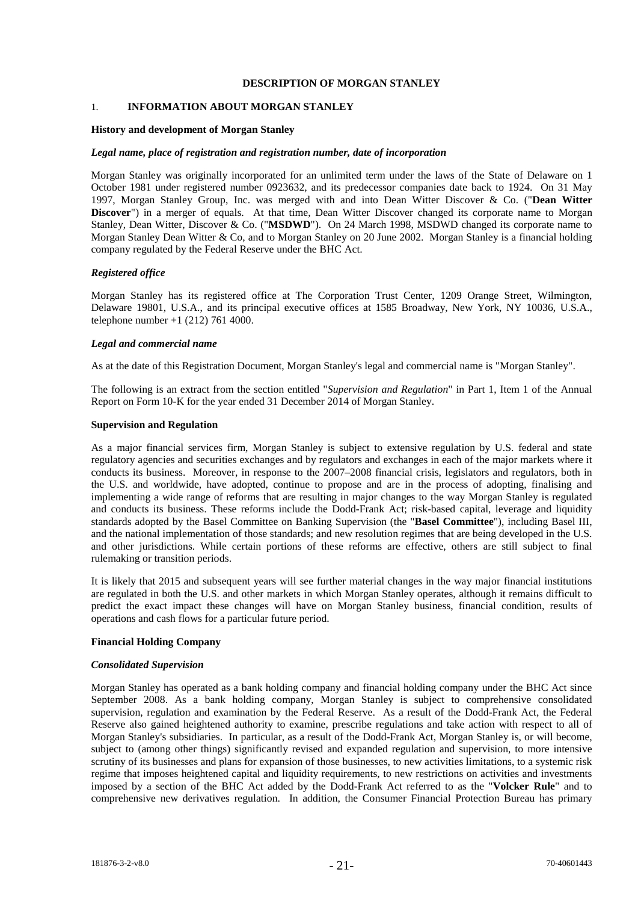## **DESCRIPTION OF MORGAN STANLEY**

# 1. **INFORMATION ABOUT MORGAN STANLEY**

#### **History and development of Morgan Stanley**

#### *Legal name, place of registration and registration number, date of incorporation*

Morgan Stanley was originally incorporated for an unlimited term under the laws of the State of Delaware on 1 October 1981 under registered number 0923632, and its predecessor companies date back to 1924. On 31 May 1997, Morgan Stanley Group, Inc. was merged with and into Dean Witter Discover & Co. ("**Dean Witter**  Discover") in a merger of equals. At that time, Dean Witter Discover changed its corporate name to Morgan Stanley, Dean Witter, Discover & Co. ("**MSDWD**"). On 24 March 1998, MSDWD changed its corporate name to Morgan Stanley Dean Witter & Co, and to Morgan Stanley on 20 June 2002. Morgan Stanley is a financial holding company regulated by the Federal Reserve under the BHC Act.

#### *Registered office*

Morgan Stanley has its registered office at The Corporation Trust Center, 1209 Orange Street, Wilmington, Delaware 19801, U.S.A., and its principal executive offices at 1585 Broadway, New York, NY 10036, U.S.A., telephone number +1 (212) 761 4000.

#### *Legal and commercial name*

As at the date of this Registration Document, Morgan Stanley's legal and commercial name is "Morgan Stanley".

The following is an extract from the section entitled "*Supervision and Regulation*" in Part 1, Item 1 of the Annual Report on Form 10-K for the year ended 31 December 2014 of Morgan Stanley.

#### **Supervision and Regulation**

As a major financial services firm, Morgan Stanley is subject to extensive regulation by U.S. federal and state regulatory agencies and securities exchanges and by regulators and exchanges in each of the major markets where it conducts its business. Moreover, in response to the 2007–2008 financial crisis, legislators and regulators, both in the U.S. and worldwide, have adopted, continue to propose and are in the process of adopting, finalising and implementing a wide range of reforms that are resulting in major changes to the way Morgan Stanley is regulated and conducts its business. These reforms include the Dodd-Frank Act; risk-based capital, leverage and liquidity standards adopted by the Basel Committee on Banking Supervision (the "**Basel Committee**"), including Basel III, and the national implementation of those standards; and new resolution regimes that are being developed in the U.S. and other jurisdictions. While certain portions of these reforms are effective, others are still subject to final rulemaking or transition periods.

It is likely that 2015 and subsequent years will see further material changes in the way major financial institutions are regulated in both the U.S. and other markets in which Morgan Stanley operates, although it remains difficult to predict the exact impact these changes will have on Morgan Stanley business, financial condition, results of operations and cash flows for a particular future period.

#### **Financial Holding Company**

#### *Consolidated Supervision*

Morgan Stanley has operated as a bank holding company and financial holding company under the BHC Act since September 2008. As a bank holding company, Morgan Stanley is subject to comprehensive consolidated supervision, regulation and examination by the Federal Reserve. As a result of the Dodd-Frank Act, the Federal Reserve also gained heightened authority to examine, prescribe regulations and take action with respect to all of Morgan Stanley's subsidiaries. In particular, as a result of the Dodd-Frank Act, Morgan Stanley is, or will become, subject to (among other things) significantly revised and expanded regulation and supervision, to more intensive scrutiny of its businesses and plans for expansion of those businesses, to new activities limitations, to a systemic risk regime that imposes heightened capital and liquidity requirements, to new restrictions on activities and investments imposed by a section of the BHC Act added by the Dodd-Frank Act referred to as the "**Volcker Rule**" and to comprehensive new derivatives regulation. In addition, the Consumer Financial Protection Bureau has primary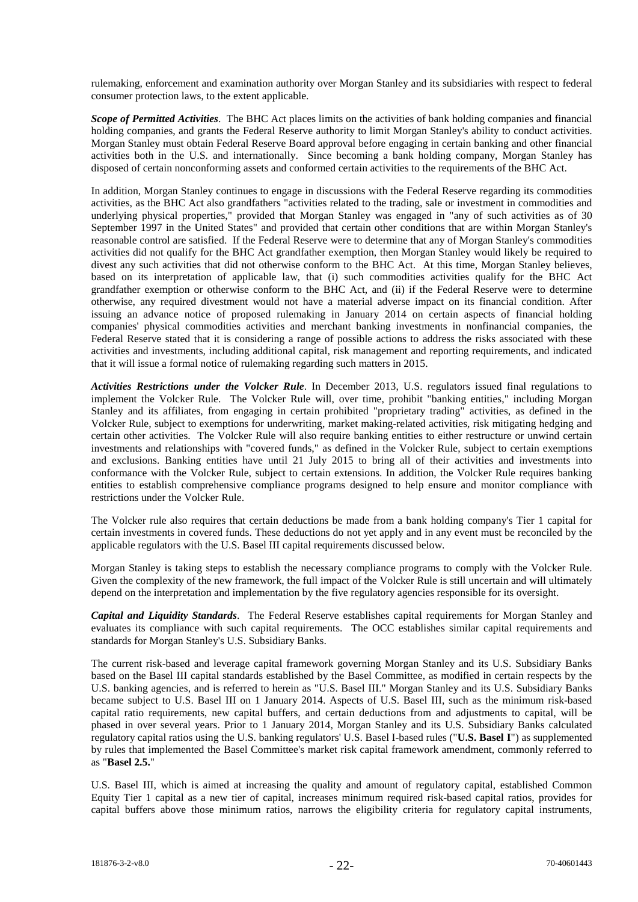rulemaking, enforcement and examination authority over Morgan Stanley and its subsidiaries with respect to federal consumer protection laws, to the extent applicable.

*Scope of Permitted Activities*. The BHC Act places limits on the activities of bank holding companies and financial holding companies, and grants the Federal Reserve authority to limit Morgan Stanley's ability to conduct activities. Morgan Stanley must obtain Federal Reserve Board approval before engaging in certain banking and other financial activities both in the U.S. and internationally. Since becoming a bank holding company, Morgan Stanley has disposed of certain nonconforming assets and conformed certain activities to the requirements of the BHC Act.

In addition, Morgan Stanley continues to engage in discussions with the Federal Reserve regarding its commodities activities, as the BHC Act also grandfathers "activities related to the trading, sale or investment in commodities and underlying physical properties," provided that Morgan Stanley was engaged in "any of such activities as of 30 September 1997 in the United States" and provided that certain other conditions that are within Morgan Stanley's reasonable control are satisfied. If the Federal Reserve were to determine that any of Morgan Stanley's commodities activities did not qualify for the BHC Act grandfather exemption, then Morgan Stanley would likely be required to divest any such activities that did not otherwise conform to the BHC Act. At this time, Morgan Stanley believes, based on its interpretation of applicable law, that (i) such commodities activities qualify for the BHC Act grandfather exemption or otherwise conform to the BHC Act, and (ii) if the Federal Reserve were to determine otherwise, any required divestment would not have a material adverse impact on its financial condition. After issuing an advance notice of proposed rulemaking in January 2014 on certain aspects of financial holding companies' physical commodities activities and merchant banking investments in nonfinancial companies, the Federal Reserve stated that it is considering a range of possible actions to address the risks associated with these activities and investments, including additional capital, risk management and reporting requirements, and indicated that it will issue a formal notice of rulemaking regarding such matters in 2015.

*Activities Restrictions under the Volcker Rule*. In December 2013, U.S. regulators issued final regulations to implement the Volcker Rule. The Volcker Rule will, over time, prohibit "banking entities," including Morgan Stanley and its affiliates, from engaging in certain prohibited "proprietary trading" activities, as defined in the Volcker Rule, subject to exemptions for underwriting, market making-related activities, risk mitigating hedging and certain other activities. The Volcker Rule will also require banking entities to either restructure or unwind certain investments and relationships with "covered funds," as defined in the Volcker Rule, subject to certain exemptions and exclusions. Banking entities have until 21 July 2015 to bring all of their activities and investments into conformance with the Volcker Rule, subject to certain extensions. In addition, the Volcker Rule requires banking entities to establish comprehensive compliance programs designed to help ensure and monitor compliance with restrictions under the Volcker Rule.

The Volcker rule also requires that certain deductions be made from a bank holding company's Tier 1 capital for certain investments in covered funds. These deductions do not yet apply and in any event must be reconciled by the applicable regulators with the U.S. Basel III capital requirements discussed below.

Morgan Stanley is taking steps to establish the necessary compliance programs to comply with the Volcker Rule. Given the complexity of the new framework, the full impact of the Volcker Rule is still uncertain and will ultimately depend on the interpretation and implementation by the five regulatory agencies responsible for its oversight.

*Capital and Liquidity Standards*. The Federal Reserve establishes capital requirements for Morgan Stanley and evaluates its compliance with such capital requirements. The OCC establishes similar capital requirements and standards for Morgan Stanley's U.S. Subsidiary Banks.

The current risk-based and leverage capital framework governing Morgan Stanley and its U.S. Subsidiary Banks based on the Basel III capital standards established by the Basel Committee, as modified in certain respects by the U.S. banking agencies, and is referred to herein as "U.S. Basel III." Morgan Stanley and its U.S. Subsidiary Banks became subject to U.S. Basel III on 1 January 2014. Aspects of U.S. Basel III, such as the minimum risk-based capital ratio requirements, new capital buffers, and certain deductions from and adjustments to capital, will be phased in over several years. Prior to 1 January 2014, Morgan Stanley and its U.S. Subsidiary Banks calculated regulatory capital ratios using the U.S. banking regulators' U.S. Basel I-based rules ("**U.S. Basel I**") as supplemented by rules that implemented the Basel Committee's market risk capital framework amendment, commonly referred to as "**Basel 2.5.**"

U.S. Basel III, which is aimed at increasing the quality and amount of regulatory capital, established Common Equity Tier 1 capital as a new tier of capital, increases minimum required risk-based capital ratios, provides for capital buffers above those minimum ratios, narrows the eligibility criteria for regulatory capital instruments,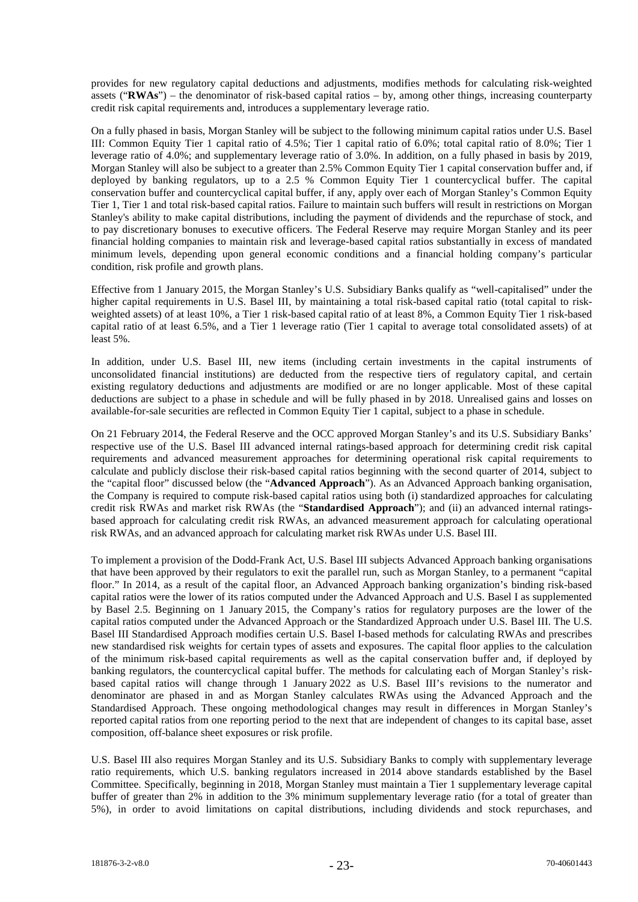provides for new regulatory capital deductions and adjustments, modifies methods for calculating risk-weighted assets ("**RWAs**") – the denominator of risk-based capital ratios – by, among other things, increasing counterparty credit risk capital requirements and, introduces a supplementary leverage ratio.

On a fully phased in basis, Morgan Stanley will be subject to the following minimum capital ratios under U.S. Basel III: Common Equity Tier 1 capital ratio of 4.5%; Tier 1 capital ratio of 6.0%; total capital ratio of 8.0%; Tier 1 leverage ratio of 4.0%; and supplementary leverage ratio of 3.0%. In addition, on a fully phased in basis by 2019, Morgan Stanley will also be subject to a greater than 2.5% Common Equity Tier 1 capital conservation buffer and, if deployed by banking regulators, up to a 2.5 % Common Equity Tier 1 countercyclical buffer. The capital conservation buffer and countercyclical capital buffer, if any, apply over each of Morgan Stanley's Common Equity Tier 1, Tier 1 and total risk-based capital ratios. Failure to maintain such buffers will result in restrictions on Morgan Stanley's ability to make capital distributions, including the payment of dividends and the repurchase of stock, and to pay discretionary bonuses to executive officers. The Federal Reserve may require Morgan Stanley and its peer financial holding companies to maintain risk and leverage-based capital ratios substantially in excess of mandated minimum levels, depending upon general economic conditions and a financial holding company's particular condition, risk profile and growth plans.

Effective from 1 January 2015, the Morgan Stanley's U.S. Subsidiary Banks qualify as "well-capitalised" under the higher capital requirements in U.S. Basel III, by maintaining a total risk-based capital ratio (total capital to riskweighted assets) of at least 10%, a Tier 1 risk-based capital ratio of at least 8%, a Common Equity Tier 1 risk-based capital ratio of at least 6.5%, and a Tier 1 leverage ratio (Tier 1 capital to average total consolidated assets) of at least 5%.

In addition, under U.S. Basel III, new items (including certain investments in the capital instruments of unconsolidated financial institutions) are deducted from the respective tiers of regulatory capital, and certain existing regulatory deductions and adjustments are modified or are no longer applicable. Most of these capital deductions are subject to a phase in schedule and will be fully phased in by 2018. Unrealised gains and losses on available-for-sale securities are reflected in Common Equity Tier 1 capital, subject to a phase in schedule.

On 21 February 2014, the Federal Reserve and the OCC approved Morgan Stanley's and its U.S. Subsidiary Banks' respective use of the U.S. Basel III advanced internal ratings-based approach for determining credit risk capital requirements and advanced measurement approaches for determining operational risk capital requirements to calculate and publicly disclose their risk-based capital ratios beginning with the second quarter of 2014, subject to the "capital floor" discussed below (the "**Advanced Approach**"). As an Advanced Approach banking organisation, the Company is required to compute risk-based capital ratios using both (i) standardized approaches for calculating credit risk RWAs and market risk RWAs (the "**Standardised Approach**"); and (ii) an advanced internal ratingsbased approach for calculating credit risk RWAs, an advanced measurement approach for calculating operational risk RWAs, and an advanced approach for calculating market risk RWAs under U.S. Basel III.

To implement a provision of the Dodd-Frank Act, U.S. Basel III subjects Advanced Approach banking organisations that have been approved by their regulators to exit the parallel run, such as Morgan Stanley, to a permanent "capital floor." In 2014, as a result of the capital floor, an Advanced Approach banking organization's binding risk-based capital ratios were the lower of its ratios computed under the Advanced Approach and U.S. Basel I as supplemented by Basel 2.5. Beginning on 1 January 2015, the Company's ratios for regulatory purposes are the lower of the capital ratios computed under the Advanced Approach or the Standardized Approach under U.S. Basel III. The U.S. Basel III Standardised Approach modifies certain U.S. Basel I-based methods for calculating RWAs and prescribes new standardised risk weights for certain types of assets and exposures. The capital floor applies to the calculation of the minimum risk-based capital requirements as well as the capital conservation buffer and, if deployed by banking regulators, the countercyclical capital buffer. The methods for calculating each of Morgan Stanley's riskbased capital ratios will change through 1 January 2022 as U.S. Basel III's revisions to the numerator and denominator are phased in and as Morgan Stanley calculates RWAs using the Advanced Approach and the Standardised Approach. These ongoing methodological changes may result in differences in Morgan Stanley's reported capital ratios from one reporting period to the next that are independent of changes to its capital base, asset composition, off-balance sheet exposures or risk profile.

U.S. Basel III also requires Morgan Stanley and its U.S. Subsidiary Banks to comply with supplementary leverage ratio requirements, which U.S. banking regulators increased in 2014 above standards established by the Basel Committee. Specifically, beginning in 2018, Morgan Stanley must maintain a Tier 1 supplementary leverage capital buffer of greater than 2% in addition to the 3% minimum supplementary leverage ratio (for a total of greater than 5%), in order to avoid limitations on capital distributions, including dividends and stock repurchases, and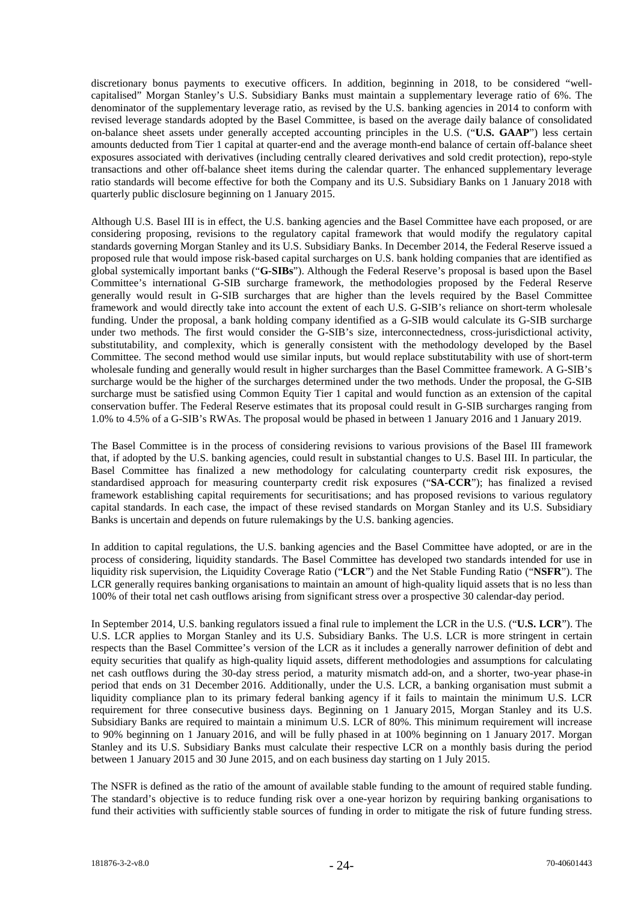discretionary bonus payments to executive officers. In addition, beginning in 2018, to be considered "wellcapitalised" Morgan Stanley's U.S. Subsidiary Banks must maintain a supplementary leverage ratio of 6%. The denominator of the supplementary leverage ratio, as revised by the U.S. banking agencies in 2014 to conform with revised leverage standards adopted by the Basel Committee, is based on the average daily balance of consolidated on-balance sheet assets under generally accepted accounting principles in the U.S. ("**U.S. GAAP**") less certain amounts deducted from Tier 1 capital at quarter-end and the average month-end balance of certain off-balance sheet exposures associated with derivatives (including centrally cleared derivatives and sold credit protection), repo-style transactions and other off-balance sheet items during the calendar quarter. The enhanced supplementary leverage ratio standards will become effective for both the Company and its U.S. Subsidiary Banks on 1 January 2018 with quarterly public disclosure beginning on 1 January 2015.

Although U.S. Basel III is in effect, the U.S. banking agencies and the Basel Committee have each proposed, or are considering proposing, revisions to the regulatory capital framework that would modify the regulatory capital standards governing Morgan Stanley and its U.S. Subsidiary Banks. In December 2014, the Federal Reserve issued a proposed rule that would impose risk-based capital surcharges on U.S. bank holding companies that are identified as global systemically important banks ("**G-SIBs**"). Although the Federal Reserve's proposal is based upon the Basel Committee's international G-SIB surcharge framework, the methodologies proposed by the Federal Reserve generally would result in G-SIB surcharges that are higher than the levels required by the Basel Committee framework and would directly take into account the extent of each U.S. G-SIB's reliance on short-term wholesale funding. Under the proposal, a bank holding company identified as a G-SIB would calculate its G-SIB surcharge under two methods. The first would consider the G-SIB's size, interconnectedness, cross-jurisdictional activity, substitutability, and complexity, which is generally consistent with the methodology developed by the Basel Committee. The second method would use similar inputs, but would replace substitutability with use of short-term wholesale funding and generally would result in higher surcharges than the Basel Committee framework. A G-SIB's surcharge would be the higher of the surcharges determined under the two methods. Under the proposal, the G-SIB surcharge must be satisfied using Common Equity Tier 1 capital and would function as an extension of the capital conservation buffer. The Federal Reserve estimates that its proposal could result in G-SIB surcharges ranging from 1.0% to 4.5% of a G-SIB's RWAs. The proposal would be phased in between 1 January 2016 and 1 January 2019.

The Basel Committee is in the process of considering revisions to various provisions of the Basel III framework that, if adopted by the U.S. banking agencies, could result in substantial changes to U.S. Basel III. In particular, the Basel Committee has finalized a new methodology for calculating counterparty credit risk exposures, the standardised approach for measuring counterparty credit risk exposures ("**SA-CCR**"); has finalized a revised framework establishing capital requirements for securitisations; and has proposed revisions to various regulatory capital standards. In each case, the impact of these revised standards on Morgan Stanley and its U.S. Subsidiary Banks is uncertain and depends on future rulemakings by the U.S. banking agencies.

In addition to capital regulations, the U.S. banking agencies and the Basel Committee have adopted, or are in the process of considering, liquidity standards. The Basel Committee has developed two standards intended for use in liquidity risk supervision, the Liquidity Coverage Ratio ("**LCR**") and the Net Stable Funding Ratio ("**NSFR**"). The LCR generally requires banking organisations to maintain an amount of high-quality liquid assets that is no less than 100% of their total net cash outflows arising from significant stress over a prospective 30 calendar-day period.

In September 2014, U.S. banking regulators issued a final rule to implement the LCR in the U.S. ("**U.S. LCR**"). The U.S. LCR applies to Morgan Stanley and its U.S. Subsidiary Banks. The U.S. LCR is more stringent in certain respects than the Basel Committee's version of the LCR as it includes a generally narrower definition of debt and equity securities that qualify as high-quality liquid assets, different methodologies and assumptions for calculating net cash outflows during the 30-day stress period, a maturity mismatch add-on, and a shorter, two-year phase-in period that ends on 31 December 2016. Additionally, under the U.S. LCR, a banking organisation must submit a liquidity compliance plan to its primary federal banking agency if it fails to maintain the minimum U.S. LCR requirement for three consecutive business days. Beginning on 1 January 2015, Morgan Stanley and its U.S. Subsidiary Banks are required to maintain a minimum U.S. LCR of 80%. This minimum requirement will increase to 90% beginning on 1 January 2016, and will be fully phased in at 100% beginning on 1 January 2017. Morgan Stanley and its U.S. Subsidiary Banks must calculate their respective LCR on a monthly basis during the period between 1 January 2015 and 30 June 2015, and on each business day starting on 1 July 2015.

The NSFR is defined as the ratio of the amount of available stable funding to the amount of required stable funding. The standard's objective is to reduce funding risk over a one-year horizon by requiring banking organisations to fund their activities with sufficiently stable sources of funding in order to mitigate the risk of future funding stress.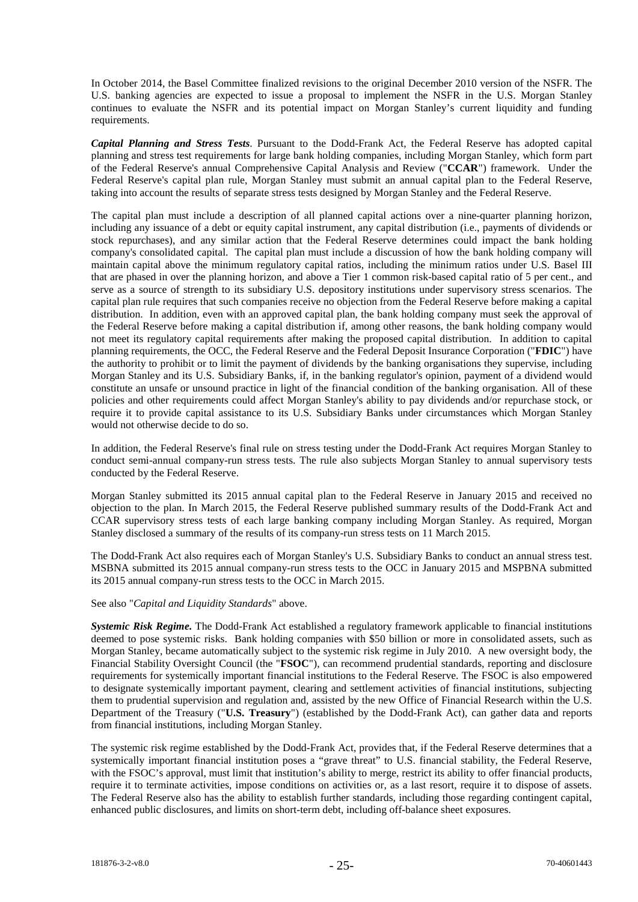In October 2014, the Basel Committee finalized revisions to the original December 2010 version of the NSFR. The U.S. banking agencies are expected to issue a proposal to implement the NSFR in the U.S. Morgan Stanley continues to evaluate the NSFR and its potential impact on Morgan Stanley's current liquidity and funding requirements.

*Capital Planning and Stress Tests*. Pursuant to the Dodd-Frank Act, the Federal Reserve has adopted capital planning and stress test requirements for large bank holding companies, including Morgan Stanley, which form part of the Federal Reserve's annual Comprehensive Capital Analysis and Review ("**CCAR**") framework. Under the Federal Reserve's capital plan rule, Morgan Stanley must submit an annual capital plan to the Federal Reserve, taking into account the results of separate stress tests designed by Morgan Stanley and the Federal Reserve.

The capital plan must include a description of all planned capital actions over a nine-quarter planning horizon, including any issuance of a debt or equity capital instrument, any capital distribution (i.e., payments of dividends or stock repurchases), and any similar action that the Federal Reserve determines could impact the bank holding company's consolidated capital. The capital plan must include a discussion of how the bank holding company will maintain capital above the minimum regulatory capital ratios, including the minimum ratios under U.S. Basel III that are phased in over the planning horizon, and above a Tier 1 common risk-based capital ratio of 5 per cent., and serve as a source of strength to its subsidiary U.S. depository institutions under supervisory stress scenarios. The capital plan rule requires that such companies receive no objection from the Federal Reserve before making a capital distribution. In addition, even with an approved capital plan, the bank holding company must seek the approval of the Federal Reserve before making a capital distribution if, among other reasons, the bank holding company would not meet its regulatory capital requirements after making the proposed capital distribution. In addition to capital planning requirements, the OCC, the Federal Reserve and the Federal Deposit Insurance Corporation ("**FDIC**") have the authority to prohibit or to limit the payment of dividends by the banking organisations they supervise, including Morgan Stanley and its U.S. Subsidiary Banks, if, in the banking regulator's opinion, payment of a dividend would constitute an unsafe or unsound practice in light of the financial condition of the banking organisation. All of these policies and other requirements could affect Morgan Stanley's ability to pay dividends and/or repurchase stock, or require it to provide capital assistance to its U.S. Subsidiary Banks under circumstances which Morgan Stanley would not otherwise decide to do so.

In addition, the Federal Reserve's final rule on stress testing under the Dodd-Frank Act requires Morgan Stanley to conduct semi-annual company-run stress tests. The rule also subjects Morgan Stanley to annual supervisory tests conducted by the Federal Reserve.

Morgan Stanley submitted its 2015 annual capital plan to the Federal Reserve in January 2015 and received no objection to the plan. In March 2015, the Federal Reserve published summary results of the Dodd-Frank Act and CCAR supervisory stress tests of each large banking company including Morgan Stanley. As required, Morgan Stanley disclosed a summary of the results of its company-run stress tests on 11 March 2015.

The Dodd-Frank Act also requires each of Morgan Stanley's U.S. Subsidiary Banks to conduct an annual stress test. MSBNA submitted its 2015 annual company-run stress tests to the OCC in January 2015 and MSPBNA submitted its 2015 annual company-run stress tests to the OCC in March 2015.

## See also "*Capital and Liquidity Standards*" above.

*Systemic Risk Regime.* The Dodd-Frank Act established a regulatory framework applicable to financial institutions deemed to pose systemic risks. Bank holding companies with \$50 billion or more in consolidated assets, such as Morgan Stanley, became automatically subject to the systemic risk regime in July 2010. A new oversight body, the Financial Stability Oversight Council (the "**FSOC**"), can recommend prudential standards, reporting and disclosure requirements for systemically important financial institutions to the Federal Reserve. The FSOC is also empowered to designate systemically important payment, clearing and settlement activities of financial institutions, subjecting them to prudential supervision and regulation and, assisted by the new Office of Financial Research within the U.S. Department of the Treasury ("**U.S. Treasury**") (established by the Dodd-Frank Act), can gather data and reports from financial institutions, including Morgan Stanley.

The systemic risk regime established by the Dodd-Frank Act, provides that, if the Federal Reserve determines that a systemically important financial institution poses a "grave threat" to U.S. financial stability, the Federal Reserve, with the FSOC's approval, must limit that institution's ability to merge, restrict its ability to offer financial products, require it to terminate activities, impose conditions on activities or, as a last resort, require it to dispose of assets. The Federal Reserve also has the ability to establish further standards, including those regarding contingent capital, enhanced public disclosures, and limits on short-term debt, including off-balance sheet exposures.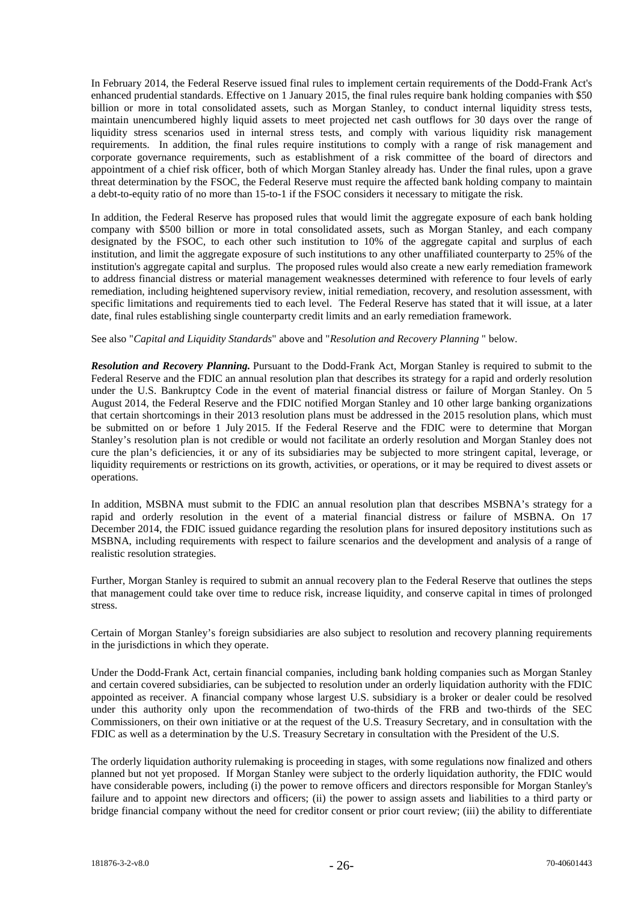In February 2014, the Federal Reserve issued final rules to implement certain requirements of the Dodd-Frank Act's enhanced prudential standards. Effective on 1 January 2015, the final rules require bank holding companies with \$50 billion or more in total consolidated assets, such as Morgan Stanley, to conduct internal liquidity stress tests, maintain unencumbered highly liquid assets to meet projected net cash outflows for 30 days over the range of liquidity stress scenarios used in internal stress tests, and comply with various liquidity risk management requirements. In addition, the final rules require institutions to comply with a range of risk management and corporate governance requirements, such as establishment of a risk committee of the board of directors and appointment of a chief risk officer, both of which Morgan Stanley already has. Under the final rules, upon a grave threat determination by the FSOC, the Federal Reserve must require the affected bank holding company to maintain a debt-to-equity ratio of no more than 15-to-1 if the FSOC considers it necessary to mitigate the risk.

In addition, the Federal Reserve has proposed rules that would limit the aggregate exposure of each bank holding company with \$500 billion or more in total consolidated assets, such as Morgan Stanley, and each company designated by the FSOC, to each other such institution to 10% of the aggregate capital and surplus of each institution, and limit the aggregate exposure of such institutions to any other unaffiliated counterparty to 25% of the institution's aggregate capital and surplus. The proposed rules would also create a new early remediation framework to address financial distress or material management weaknesses determined with reference to four levels of early remediation, including heightened supervisory review, initial remediation, recovery, and resolution assessment, with specific limitations and requirements tied to each level. The Federal Reserve has stated that it will issue, at a later date, final rules establishing single counterparty credit limits and an early remediation framework.

#### See also "*Capital and Liquidity Standards*" above and "*Resolution and Recovery Planning* " below.

*Resolution and Recovery Planning.* Pursuant to the Dodd-Frank Act, Morgan Stanley is required to submit to the Federal Reserve and the FDIC an annual resolution plan that describes its strategy for a rapid and orderly resolution under the U.S. Bankruptcy Code in the event of material financial distress or failure of Morgan Stanley. On 5 August 2014, the Federal Reserve and the FDIC notified Morgan Stanley and 10 other large banking organizations that certain shortcomings in their 2013 resolution plans must be addressed in the 2015 resolution plans, which must be submitted on or before 1 July 2015. If the Federal Reserve and the FDIC were to determine that Morgan Stanley's resolution plan is not credible or would not facilitate an orderly resolution and Morgan Stanley does not cure the plan's deficiencies, it or any of its subsidiaries may be subjected to more stringent capital, leverage, or liquidity requirements or restrictions on its growth, activities, or operations, or it may be required to divest assets or operations.

In addition, MSBNA must submit to the FDIC an annual resolution plan that describes MSBNA's strategy for a rapid and orderly resolution in the event of a material financial distress or failure of MSBNA. On 17 December 2014, the FDIC issued guidance regarding the resolution plans for insured depository institutions such as MSBNA, including requirements with respect to failure scenarios and the development and analysis of a range of realistic resolution strategies.

Further, Morgan Stanley is required to submit an annual recovery plan to the Federal Reserve that outlines the steps that management could take over time to reduce risk, increase liquidity, and conserve capital in times of prolonged stress.

Certain of Morgan Stanley's foreign subsidiaries are also subject to resolution and recovery planning requirements in the jurisdictions in which they operate.

Under the Dodd-Frank Act, certain financial companies, including bank holding companies such as Morgan Stanley and certain covered subsidiaries, can be subjected to resolution under an orderly liquidation authority with the FDIC appointed as receiver. A financial company whose largest U.S. subsidiary is a broker or dealer could be resolved under this authority only upon the recommendation of two-thirds of the FRB and two-thirds of the SEC Commissioners, on their own initiative or at the request of the U.S. Treasury Secretary, and in consultation with the FDIC as well as a determination by the U.S. Treasury Secretary in consultation with the President of the U.S.

The orderly liquidation authority rulemaking is proceeding in stages, with some regulations now finalized and others planned but not yet proposed. If Morgan Stanley were subject to the orderly liquidation authority, the FDIC would have considerable powers, including (i) the power to remove officers and directors responsible for Morgan Stanley's failure and to appoint new directors and officers; (ii) the power to assign assets and liabilities to a third party or bridge financial company without the need for creditor consent or prior court review; (iii) the ability to differentiate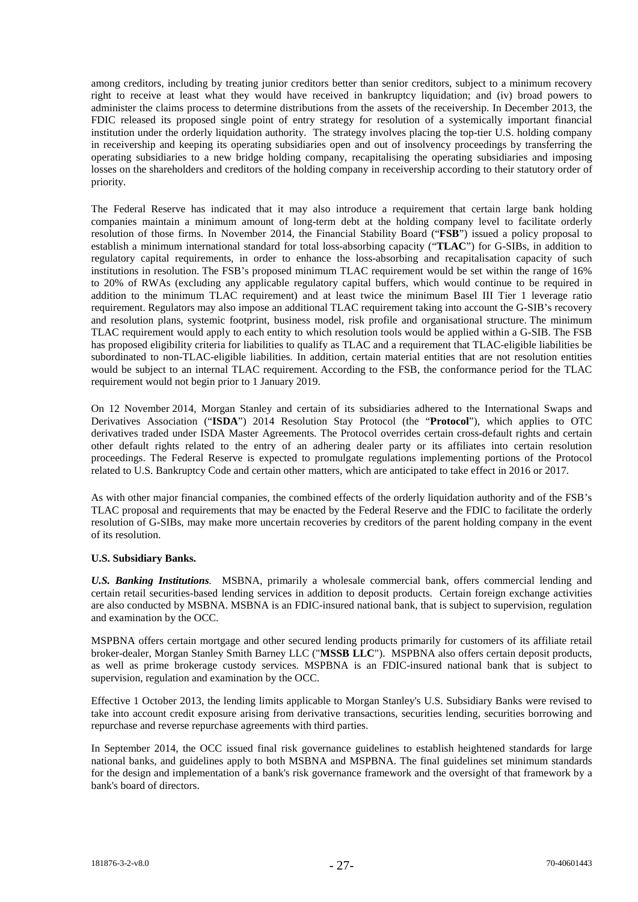among creditors, including by treating junior creditors better than senior creditors, subject to a minimum recovery right to receive at least what they would have received in bankruptcy liquidation; and (iv) broad powers to administer the claims process to determine distributions from the assets of the receivership. In December 2013, the FDIC released its proposed single point of entry strategy for resolution of a systemically important financial institution under the orderly liquidation authority. The strategy involves placing the top-tier U.S. holding company in receivership and keeping its operating subsidiaries open and out of insolvency proceedings by transferring the operating subsidiaries to a new bridge holding company, recapitalising the operating subsidiaries and imposing losses on the shareholders and creditors of the holding company in receivership according to their statutory order of priority.

The Federal Reserve has indicated that it may also introduce a requirement that certain large bank holding companies maintain a minimum amount of long-term debt at the holding company level to facilitate orderly resolution of those firms. In November 2014, the Financial Stability Board ("**FSB**") issued a policy proposal to establish a minimum international standard for total loss-absorbing capacity ("**TLAC**") for G-SIBs, in addition to regulatory capital requirements, in order to enhance the loss-absorbing and recapitalisation capacity of such institutions in resolution. The FSB's proposed minimum TLAC requirement would be set within the range of 16% to 20% of RWAs (excluding any applicable regulatory capital buffers, which would continue to be required in addition to the minimum TLAC requirement) and at least twice the minimum Basel III Tier 1 leverage ratio requirement. Regulators may also impose an additional TLAC requirement taking into account the G-SIB's recovery and resolution plans, systemic footprint, business model, risk profile and organisational structure. The minimum TLAC requirement would apply to each entity to which resolution tools would be applied within a G-SIB. The FSB has proposed eligibility criteria for liabilities to qualify as TLAC and a requirement that TLAC-eligible liabilities be subordinated to non-TLAC-eligible liabilities. In addition, certain material entities that are not resolution entities would be subject to an internal TLAC requirement. According to the FSB, the conformance period for the TLAC requirement would not begin prior to 1 January 2019.

On 12 November 2014, Morgan Stanley and certain of its subsidiaries adhered to the International Swaps and Derivatives Association ("**ISDA**") 2014 Resolution Stay Protocol (the "**Protocol**"), which applies to OTC derivatives traded under ISDA Master Agreements. The Protocol overrides certain cross-default rights and certain other default rights related to the entry of an adhering dealer party or its affiliates into certain resolution proceedings. The Federal Reserve is expected to promulgate regulations implementing portions of the Protocol related to U.S. Bankruptcy Code and certain other matters, which are anticipated to take effect in 2016 or 2017.

As with other major financial companies, the combined effects of the orderly liquidation authority and of the FSB's TLAC proposal and requirements that may be enacted by the Federal Reserve and the FDIC to facilitate the orderly resolution of G-SIBs, may make more uncertain recoveries by creditors of the parent holding company in the event of its resolution.

## **U.S. Subsidiary Banks.**

*U.S. Banking Institutions.* MSBNA, primarily a wholesale commercial bank, offers commercial lending and certain retail securities-based lending services in addition to deposit products. Certain foreign exchange activities are also conducted by MSBNA. MSBNA is an FDIC-insured national bank, that is subject to supervision, regulation and examination by the OCC.

MSPBNA offers certain mortgage and other secured lending products primarily for customers of its affiliate retail broker-dealer, Morgan Stanley Smith Barney LLC ("**MSSB LLC**"). MSPBNA also offers certain deposit products, as well as prime brokerage custody services. MSPBNA is an FDIC-insured national bank that is subject to supervision, regulation and examination by the OCC.

Effective 1 October 2013, the lending limits applicable to Morgan Stanley's U.S. Subsidiary Banks were revised to take into account credit exposure arising from derivative transactions, securities lending, securities borrowing and repurchase and reverse repurchase agreements with third parties.

In September 2014, the OCC issued final risk governance guidelines to establish heightened standards for large national banks, and guidelines apply to both MSBNA and MSPBNA. The final guidelines set minimum standards for the design and implementation of a bank's risk governance framework and the oversight of that framework by a bank's board of directors.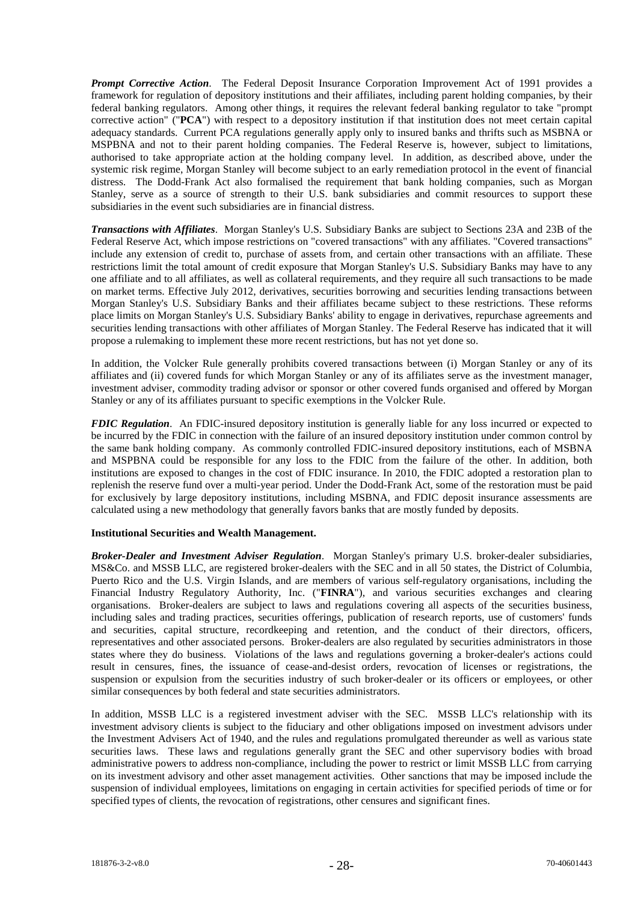*Prompt Corrective Action*. The Federal Deposit Insurance Corporation Improvement Act of 1991 provides a framework for regulation of depository institutions and their affiliates, including parent holding companies, by their federal banking regulators. Among other things, it requires the relevant federal banking regulator to take "prompt corrective action" ("**PCA**") with respect to a depository institution if that institution does not meet certain capital adequacy standards. Current PCA regulations generally apply only to insured banks and thrifts such as MSBNA or MSPBNA and not to their parent holding companies. The Federal Reserve is, however, subject to limitations, authorised to take appropriate action at the holding company level. In addition, as described above, under the systemic risk regime, Morgan Stanley will become subject to an early remediation protocol in the event of financial distress. The Dodd-Frank Act also formalised the requirement that bank holding companies, such as Morgan Stanley, serve as a source of strength to their U.S. bank subsidiaries and commit resources to support these subsidiaries in the event such subsidiaries are in financial distress.

*Transactions with Affiliates*. Morgan Stanley's U.S. Subsidiary Banks are subject to Sections 23A and 23B of the Federal Reserve Act, which impose restrictions on "covered transactions" with any affiliates. "Covered transactions" include any extension of credit to, purchase of assets from, and certain other transactions with an affiliate. These restrictions limit the total amount of credit exposure that Morgan Stanley's U.S. Subsidiary Banks may have to any one affiliate and to all affiliates, as well as collateral requirements, and they require all such transactions to be made on market terms. Effective July 2012, derivatives, securities borrowing and securities lending transactions between Morgan Stanley's U.S. Subsidiary Banks and their affiliates became subject to these restrictions. These reforms place limits on Morgan Stanley's U.S. Subsidiary Banks' ability to engage in derivatives, repurchase agreements and securities lending transactions with other affiliates of Morgan Stanley. The Federal Reserve has indicated that it will propose a rulemaking to implement these more recent restrictions, but has not yet done so.

In addition, the Volcker Rule generally prohibits covered transactions between (i) Morgan Stanley or any of its affiliates and (ii) covered funds for which Morgan Stanley or any of its affiliates serve as the investment manager, investment adviser, commodity trading advisor or sponsor or other covered funds organised and offered by Morgan Stanley or any of its affiliates pursuant to specific exemptions in the Volcker Rule.

*FDIC Regulation*. An FDIC-insured depository institution is generally liable for any loss incurred or expected to be incurred by the FDIC in connection with the failure of an insured depository institution under common control by the same bank holding company. As commonly controlled FDIC-insured depository institutions, each of MSBNA and MSPBNA could be responsible for any loss to the FDIC from the failure of the other. In addition, both institutions are exposed to changes in the cost of FDIC insurance. In 2010, the FDIC adopted a restoration plan to replenish the reserve fund over a multi-year period. Under the Dodd-Frank Act, some of the restoration must be paid for exclusively by large depository institutions, including MSBNA, and FDIC deposit insurance assessments are calculated using a new methodology that generally favors banks that are mostly funded by deposits.

## **Institutional Securities and Wealth Management.**

*Broker-Dealer and Investment Adviser Regulation*. Morgan Stanley's primary U.S. broker-dealer subsidiaries, MS&Co. and MSSB LLC, are registered broker-dealers with the SEC and in all 50 states, the District of Columbia, Puerto Rico and the U.S. Virgin Islands, and are members of various self-regulatory organisations, including the Financial Industry Regulatory Authority, Inc. ("**FINRA**"), and various securities exchanges and clearing organisations. Broker-dealers are subject to laws and regulations covering all aspects of the securities business, including sales and trading practices, securities offerings, publication of research reports, use of customers' funds and securities, capital structure, recordkeeping and retention, and the conduct of their directors, officers, representatives and other associated persons. Broker-dealers are also regulated by securities administrators in those states where they do business. Violations of the laws and regulations governing a broker-dealer's actions could result in censures, fines, the issuance of cease-and-desist orders, revocation of licenses or registrations, the suspension or expulsion from the securities industry of such broker-dealer or its officers or employees, or other similar consequences by both federal and state securities administrators.

In addition, MSSB LLC is a registered investment adviser with the SEC. MSSB LLC's relationship with its investment advisory clients is subject to the fiduciary and other obligations imposed on investment advisors under the Investment Advisers Act of 1940, and the rules and regulations promulgated thereunder as well as various state securities laws. These laws and regulations generally grant the SEC and other supervisory bodies with broad administrative powers to address non-compliance, including the power to restrict or limit MSSB LLC from carrying on its investment advisory and other asset management activities. Other sanctions that may be imposed include the suspension of individual employees, limitations on engaging in certain activities for specified periods of time or for specified types of clients, the revocation of registrations, other censures and significant fines.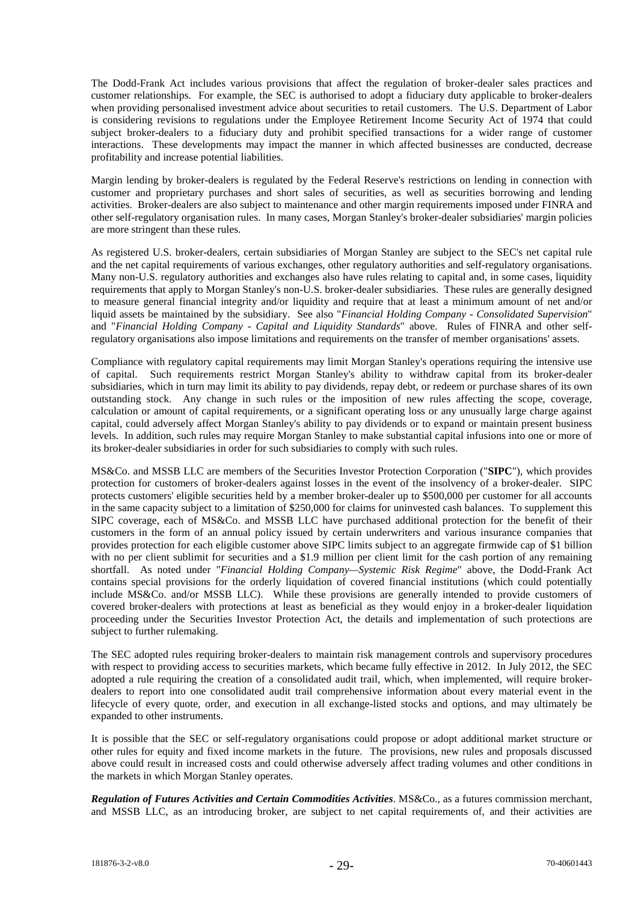The Dodd-Frank Act includes various provisions that affect the regulation of broker-dealer sales practices and customer relationships. For example, the SEC is authorised to adopt a fiduciary duty applicable to broker-dealers when providing personalised investment advice about securities to retail customers. The U.S. Department of Labor is considering revisions to regulations under the Employee Retirement Income Security Act of 1974 that could subject broker-dealers to a fiduciary duty and prohibit specified transactions for a wider range of customer interactions. These developments may impact the manner in which affected businesses are conducted, decrease profitability and increase potential liabilities.

Margin lending by broker-dealers is regulated by the Federal Reserve's restrictions on lending in connection with customer and proprietary purchases and short sales of securities, as well as securities borrowing and lending activities. Broker-dealers are also subject to maintenance and other margin requirements imposed under FINRA and other self-regulatory organisation rules. In many cases, Morgan Stanley's broker-dealer subsidiaries' margin policies are more stringent than these rules.

As registered U.S. broker-dealers, certain subsidiaries of Morgan Stanley are subject to the SEC's net capital rule and the net capital requirements of various exchanges, other regulatory authorities and self-regulatory organisations. Many non-U.S. regulatory authorities and exchanges also have rules relating to capital and, in some cases, liquidity requirements that apply to Morgan Stanley's non-U.S. broker-dealer subsidiaries. These rules are generally designed to measure general financial integrity and/or liquidity and require that at least a minimum amount of net and/or liquid assets be maintained by the subsidiary. See also "*Financial Holding Company - Consolidated Supervision*" and "*Financial Holding Company - Capital and Liquidity Standards*" above. Rules of FINRA and other selfregulatory organisations also impose limitations and requirements on the transfer of member organisations' assets.

Compliance with regulatory capital requirements may limit Morgan Stanley's operations requiring the intensive use of capital. Such requirements restrict Morgan Stanley's ability to withdraw capital from its broker-dealer subsidiaries, which in turn may limit its ability to pay dividends, repay debt, or redeem or purchase shares of its own outstanding stock. Any change in such rules or the imposition of new rules affecting the scope, coverage, calculation or amount of capital requirements, or a significant operating loss or any unusually large charge against capital, could adversely affect Morgan Stanley's ability to pay dividends or to expand or maintain present business levels. In addition, such rules may require Morgan Stanley to make substantial capital infusions into one or more of its broker-dealer subsidiaries in order for such subsidiaries to comply with such rules.

MS&Co. and MSSB LLC are members of the Securities Investor Protection Corporation ("**SIPC**"), which provides protection for customers of broker-dealers against losses in the event of the insolvency of a broker-dealer. SIPC protects customers' eligible securities held by a member broker-dealer up to \$500,000 per customer for all accounts in the same capacity subject to a limitation of \$250,000 for claims for uninvested cash balances. To supplement this SIPC coverage, each of MS&Co. and MSSB LLC have purchased additional protection for the benefit of their customers in the form of an annual policy issued by certain underwriters and various insurance companies that provides protection for each eligible customer above SIPC limits subject to an aggregate firmwide cap of \$1 billion with no per client sublimit for securities and a \$1.9 million per client limit for the cash portion of any remaining shortfall. As noted under "*Financial Holding Company—Systemic Risk Regime*" above, the Dodd-Frank Act contains special provisions for the orderly liquidation of covered financial institutions (which could potentially include MS&Co. and/or MSSB LLC). While these provisions are generally intended to provide customers of covered broker-dealers with protections at least as beneficial as they would enjoy in a broker-dealer liquidation proceeding under the Securities Investor Protection Act, the details and implementation of such protections are subject to further rulemaking.

The SEC adopted rules requiring broker-dealers to maintain risk management controls and supervisory procedures with respect to providing access to securities markets, which became fully effective in 2012. In July 2012, the SEC adopted a rule requiring the creation of a consolidated audit trail, which, when implemented, will require brokerdealers to report into one consolidated audit trail comprehensive information about every material event in the lifecycle of every quote, order, and execution in all exchange-listed stocks and options, and may ultimately be expanded to other instruments.

It is possible that the SEC or self-regulatory organisations could propose or adopt additional market structure or other rules for equity and fixed income markets in the future. The provisions, new rules and proposals discussed above could result in increased costs and could otherwise adversely affect trading volumes and other conditions in the markets in which Morgan Stanley operates.

*Regulation of Futures Activities and Certain Commodities Activities*. MS&Co., as a futures commission merchant, and MSSB LLC, as an introducing broker, are subject to net capital requirements of, and their activities are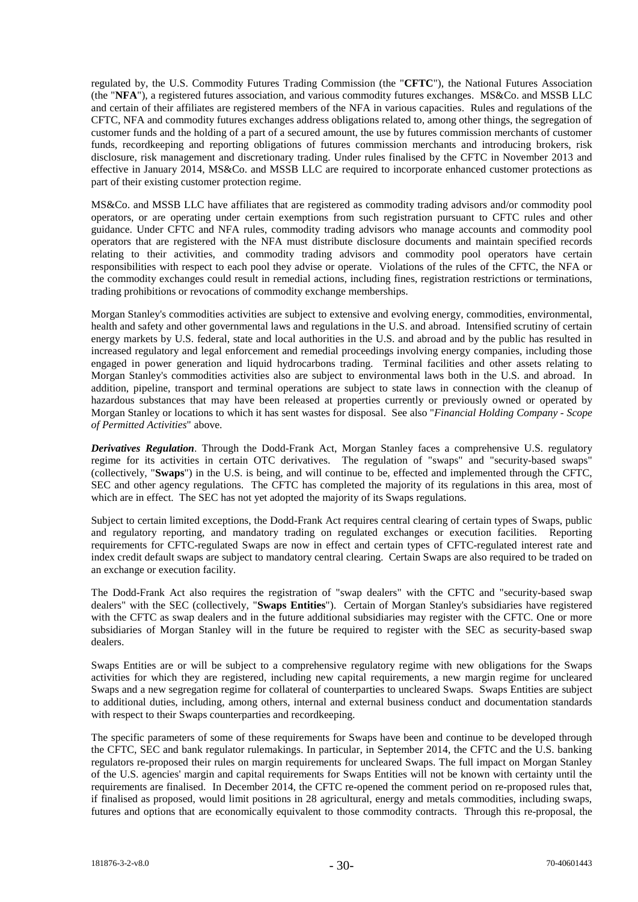regulated by, the U.S. Commodity Futures Trading Commission (the "**CFTC**"), the National Futures Association (the "**NFA**"), a registered futures association, and various commodity futures exchanges. MS&Co. and MSSB LLC and certain of their affiliates are registered members of the NFA in various capacities. Rules and regulations of the CFTC, NFA and commodity futures exchanges address obligations related to, among other things, the segregation of customer funds and the holding of a part of a secured amount, the use by futures commission merchants of customer funds, recordkeeping and reporting obligations of futures commission merchants and introducing brokers, risk disclosure, risk management and discretionary trading. Under rules finalised by the CFTC in November 2013 and effective in January 2014, MS&Co. and MSSB LLC are required to incorporate enhanced customer protections as part of their existing customer protection regime.

MS&Co. and MSSB LLC have affiliates that are registered as commodity trading advisors and/or commodity pool operators, or are operating under certain exemptions from such registration pursuant to CFTC rules and other guidance. Under CFTC and NFA rules, commodity trading advisors who manage accounts and commodity pool operators that are registered with the NFA must distribute disclosure documents and maintain specified records relating to their activities, and commodity trading advisors and commodity pool operators have certain responsibilities with respect to each pool they advise or operate. Violations of the rules of the CFTC, the NFA or the commodity exchanges could result in remedial actions, including fines, registration restrictions or terminations, trading prohibitions or revocations of commodity exchange memberships.

Morgan Stanley's commodities activities are subject to extensive and evolving energy, commodities, environmental, health and safety and other governmental laws and regulations in the U.S. and abroad. Intensified scrutiny of certain energy markets by U.S. federal, state and local authorities in the U.S. and abroad and by the public has resulted in increased regulatory and legal enforcement and remedial proceedings involving energy companies, including those engaged in power generation and liquid hydrocarbons trading. Terminal facilities and other assets relating to Morgan Stanley's commodities activities also are subject to environmental laws both in the U.S. and abroad. In addition, pipeline, transport and terminal operations are subject to state laws in connection with the cleanup of hazardous substances that may have been released at properties currently or previously owned or operated by Morgan Stanley or locations to which it has sent wastes for disposal. See also "*Financial Holding Company - Scope of Permitted Activities*" above.

*Derivatives Regulation*. Through the Dodd-Frank Act, Morgan Stanley faces a comprehensive U.S. regulatory regime for its activities in certain OTC derivatives. The regulation of "swaps" and "security-based swaps" (collectively, "**Swaps**") in the U.S. is being, and will continue to be, effected and implemented through the CFTC, SEC and other agency regulations. The CFTC has completed the majority of its regulations in this area, most of which are in effect. The SEC has not yet adopted the majority of its Swaps regulations.

Subject to certain limited exceptions, the Dodd-Frank Act requires central clearing of certain types of Swaps, public and regulatory reporting, and mandatory trading on regulated exchanges or execution facilities. Reporting requirements for CFTC-regulated Swaps are now in effect and certain types of CFTC-regulated interest rate and index credit default swaps are subject to mandatory central clearing. Certain Swaps are also required to be traded on an exchange or execution facility.

The Dodd-Frank Act also requires the registration of "swap dealers" with the CFTC and "security-based swap dealers" with the SEC (collectively, "**Swaps Entities**"). Certain of Morgan Stanley's subsidiaries have registered with the CFTC as swap dealers and in the future additional subsidiaries may register with the CFTC. One or more subsidiaries of Morgan Stanley will in the future be required to register with the SEC as security-based swap dealers.

Swaps Entities are or will be subject to a comprehensive regulatory regime with new obligations for the Swaps activities for which they are registered, including new capital requirements, a new margin regime for uncleared Swaps and a new segregation regime for collateral of counterparties to uncleared Swaps. Swaps Entities are subject to additional duties, including, among others, internal and external business conduct and documentation standards with respect to their Swaps counterparties and recordkeeping.

The specific parameters of some of these requirements for Swaps have been and continue to be developed through the CFTC, SEC and bank regulator rulemakings. In particular, in September 2014, the CFTC and the U.S. banking regulators re-proposed their rules on margin requirements for uncleared Swaps. The full impact on Morgan Stanley of the U.S. agencies' margin and capital requirements for Swaps Entities will not be known with certainty until the requirements are finalised. In December 2014, the CFTC re-opened the comment period on re-proposed rules that, if finalised as proposed, would limit positions in 28 agricultural, energy and metals commodities, including swaps, futures and options that are economically equivalent to those commodity contracts. Through this re-proposal, the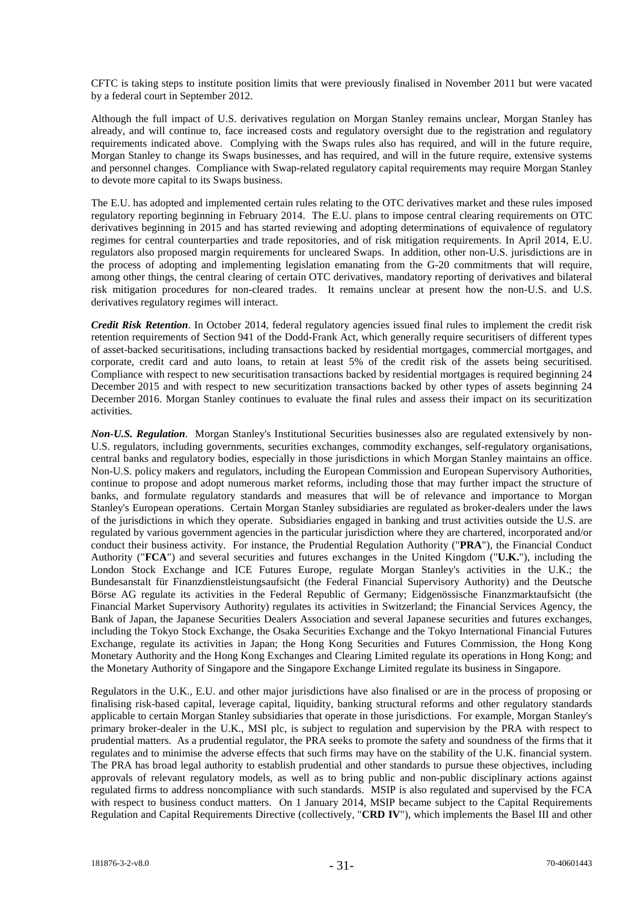CFTC is taking steps to institute position limits that were previously finalised in November 2011 but were vacated by a federal court in September 2012.

Although the full impact of U.S. derivatives regulation on Morgan Stanley remains unclear, Morgan Stanley has already, and will continue to, face increased costs and regulatory oversight due to the registration and regulatory requirements indicated above. Complying with the Swaps rules also has required, and will in the future require, Morgan Stanley to change its Swaps businesses, and has required, and will in the future require, extensive systems and personnel changes. Compliance with Swap-related regulatory capital requirements may require Morgan Stanley to devote more capital to its Swaps business.

The E.U. has adopted and implemented certain rules relating to the OTC derivatives market and these rules imposed regulatory reporting beginning in February 2014. The E.U. plans to impose central clearing requirements on OTC derivatives beginning in 2015 and has started reviewing and adopting determinations of equivalence of regulatory regimes for central counterparties and trade repositories, and of risk mitigation requirements. In April 2014, E.U. regulators also proposed margin requirements for uncleared Swaps. In addition, other non-U.S. jurisdictions are in the process of adopting and implementing legislation emanating from the G-20 commitments that will require, among other things, the central clearing of certain OTC derivatives, mandatory reporting of derivatives and bilateral risk mitigation procedures for non-cleared trades. It remains unclear at present how the non-U.S. and U.S. derivatives regulatory regimes will interact.

*Credit Risk Retention*. In October 2014, federal regulatory agencies issued final rules to implement the credit risk retention requirements of Section 941 of the Dodd-Frank Act, which generally require securitisers of different types of asset-backed securitisations, including transactions backed by residential mortgages, commercial mortgages, and corporate, credit card and auto loans, to retain at least 5% of the credit risk of the assets being securitised. Compliance with respect to new securitisation transactions backed by residential mortgages is required beginning 24 December 2015 and with respect to new securitization transactions backed by other types of assets beginning 24 December 2016. Morgan Stanley continues to evaluate the final rules and assess their impact on its securitization activities.

*Non-U.S. Regulation*. Morgan Stanley's Institutional Securities businesses also are regulated extensively by non-U.S. regulators, including governments, securities exchanges, commodity exchanges, self-regulatory organisations, central banks and regulatory bodies, especially in those jurisdictions in which Morgan Stanley maintains an office. Non-U.S. policy makers and regulators, including the European Commission and European Supervisory Authorities, continue to propose and adopt numerous market reforms, including those that may further impact the structure of banks, and formulate regulatory standards and measures that will be of relevance and importance to Morgan Stanley's European operations. Certain Morgan Stanley subsidiaries are regulated as broker-dealers under the laws of the jurisdictions in which they operate. Subsidiaries engaged in banking and trust activities outside the U.S. are regulated by various government agencies in the particular jurisdiction where they are chartered, incorporated and/or conduct their business activity. For instance, the Prudential Regulation Authority ("**PRA**"), the Financial Conduct Authority ("**FCA**") and several securities and futures exchanges in the United Kingdom ("**U.K.**"), including the London Stock Exchange and ICE Futures Europe, regulate Morgan Stanley's activities in the U.K.; the Bundesanstalt für Finanzdienstleistungsaufsicht (the Federal Financial Supervisory Authority) and the Deutsche Börse AG regulate its activities in the Federal Republic of Germany; Eidgenössische Finanzmarktaufsicht (the Financial Market Supervisory Authority) regulates its activities in Switzerland; the Financial Services Agency, the Bank of Japan, the Japanese Securities Dealers Association and several Japanese securities and futures exchanges, including the Tokyo Stock Exchange, the Osaka Securities Exchange and the Tokyo International Financial Futures Exchange, regulate its activities in Japan; the Hong Kong Securities and Futures Commission, the Hong Kong Monetary Authority and the Hong Kong Exchanges and Clearing Limited regulate its operations in Hong Kong; and the Monetary Authority of Singapore and the Singapore Exchange Limited regulate its business in Singapore.

Regulators in the U.K., E.U. and other major jurisdictions have also finalised or are in the process of proposing or finalising risk-based capital, leverage capital, liquidity, banking structural reforms and other regulatory standards applicable to certain Morgan Stanley subsidiaries that operate in those jurisdictions. For example, Morgan Stanley's primary broker-dealer in the U.K., MSI plc, is subject to regulation and supervision by the PRA with respect to prudential matters. As a prudential regulator, the PRA seeks to promote the safety and soundness of the firms that it regulates and to minimise the adverse effects that such firms may have on the stability of the U.K. financial system. The PRA has broad legal authority to establish prudential and other standards to pursue these objectives, including approvals of relevant regulatory models, as well as to bring public and non-public disciplinary actions against regulated firms to address noncompliance with such standards. MSIP is also regulated and supervised by the FCA with respect to business conduct matters. On 1 January 2014, MSIP became subject to the Capital Requirements Regulation and Capital Requirements Directive (collectively, "**CRD IV**"), which implements the Basel III and other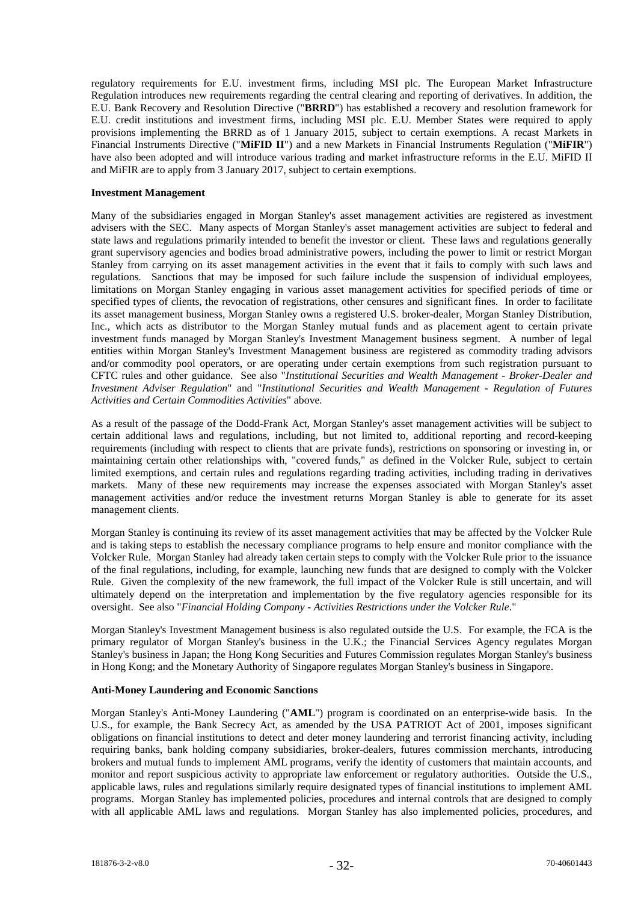regulatory requirements for E.U. investment firms, including MSI plc. The European Market Infrastructure Regulation introduces new requirements regarding the central clearing and reporting of derivatives. In addition, the E.U. Bank Recovery and Resolution Directive ("**BRRD**") has established a recovery and resolution framework for E.U. credit institutions and investment firms, including MSI plc. E.U. Member States were required to apply provisions implementing the BRRD as of 1 January 2015, subject to certain exemptions. A recast Markets in Financial Instruments Directive ("**MiFID II**") and a new Markets in Financial Instruments Regulation ("**MiFIR**") have also been adopted and will introduce various trading and market infrastructure reforms in the E.U. MiFID II and MiFIR are to apply from 3 January 2017, subject to certain exemptions.

#### **Investment Management**

Many of the subsidiaries engaged in Morgan Stanley's asset management activities are registered as investment advisers with the SEC. Many aspects of Morgan Stanley's asset management activities are subject to federal and state laws and regulations primarily intended to benefit the investor or client. These laws and regulations generally grant supervisory agencies and bodies broad administrative powers, including the power to limit or restrict Morgan Stanley from carrying on its asset management activities in the event that it fails to comply with such laws and regulations. Sanctions that may be imposed for such failure include the suspension of individual employees, limitations on Morgan Stanley engaging in various asset management activities for specified periods of time or specified types of clients, the revocation of registrations, other censures and significant fines. In order to facilitate its asset management business, Morgan Stanley owns a registered U.S. broker-dealer, Morgan Stanley Distribution, Inc., which acts as distributor to the Morgan Stanley mutual funds and as placement agent to certain private investment funds managed by Morgan Stanley's Investment Management business segment. A number of legal entities within Morgan Stanley's Investment Management business are registered as commodity trading advisors and/or commodity pool operators, or are operating under certain exemptions from such registration pursuant to CFTC rules and other guidance. See also "*Institutional Securities and Wealth Management - Broker-Dealer and Investment Adviser Regulation*" and "*Institutional Securities and Wealth Management - Regulation of Futures Activities and Certain Commodities Activities*" above.

As a result of the passage of the Dodd-Frank Act, Morgan Stanley's asset management activities will be subject to certain additional laws and regulations, including, but not limited to, additional reporting and record-keeping requirements (including with respect to clients that are private funds), restrictions on sponsoring or investing in, or maintaining certain other relationships with, "covered funds," as defined in the Volcker Rule, subject to certain limited exemptions, and certain rules and regulations regarding trading activities, including trading in derivatives markets. Many of these new requirements may increase the expenses associated with Morgan Stanley's asset management activities and/or reduce the investment returns Morgan Stanley is able to generate for its asset management clients.

Morgan Stanley is continuing its review of its asset management activities that may be affected by the Volcker Rule and is taking steps to establish the necessary compliance programs to help ensure and monitor compliance with the Volcker Rule. Morgan Stanley had already taken certain steps to comply with the Volcker Rule prior to the issuance of the final regulations, including, for example, launching new funds that are designed to comply with the Volcker Rule. Given the complexity of the new framework, the full impact of the Volcker Rule is still uncertain, and will ultimately depend on the interpretation and implementation by the five regulatory agencies responsible for its oversight. See also "*Financial Holding Company - Activities Restrictions under the Volcker Rule*."

Morgan Stanley's Investment Management business is also regulated outside the U.S. For example, the FCA is the primary regulator of Morgan Stanley's business in the U.K.; the Financial Services Agency regulates Morgan Stanley's business in Japan; the Hong Kong Securities and Futures Commission regulates Morgan Stanley's business in Hong Kong; and the Monetary Authority of Singapore regulates Morgan Stanley's business in Singapore.

#### **Anti-Money Laundering and Economic Sanctions**

Morgan Stanley's Anti-Money Laundering ("**AML**") program is coordinated on an enterprise-wide basis. In the U.S., for example, the Bank Secrecy Act, as amended by the USA PATRIOT Act of 2001, imposes significant obligations on financial institutions to detect and deter money laundering and terrorist financing activity, including requiring banks, bank holding company subsidiaries, broker-dealers, futures commission merchants, introducing brokers and mutual funds to implement AML programs, verify the identity of customers that maintain accounts, and monitor and report suspicious activity to appropriate law enforcement or regulatory authorities. Outside the U.S., applicable laws, rules and regulations similarly require designated types of financial institutions to implement AML programs. Morgan Stanley has implemented policies, procedures and internal controls that are designed to comply with all applicable AML laws and regulations. Morgan Stanley has also implemented policies, procedures, and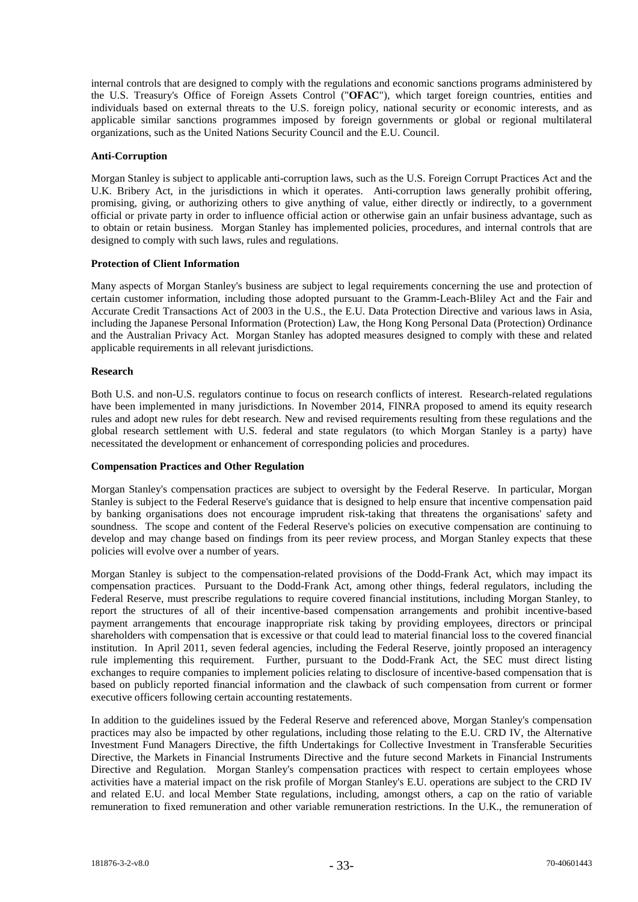internal controls that are designed to comply with the regulations and economic sanctions programs administered by the U.S. Treasury's Office of Foreign Assets Control ("**OFAC**"), which target foreign countries, entities and individuals based on external threats to the U.S. foreign policy, national security or economic interests, and as applicable similar sanctions programmes imposed by foreign governments or global or regional multilateral organizations, such as the United Nations Security Council and the E.U. Council.

#### **Anti-Corruption**

Morgan Stanley is subject to applicable anti-corruption laws, such as the U.S. Foreign Corrupt Practices Act and the U.K. Bribery Act, in the jurisdictions in which it operates. Anti-corruption laws generally prohibit offering, promising, giving, or authorizing others to give anything of value, either directly or indirectly, to a government official or private party in order to influence official action or otherwise gain an unfair business advantage, such as to obtain or retain business. Morgan Stanley has implemented policies, procedures, and internal controls that are designed to comply with such laws, rules and regulations.

#### **Protection of Client Information**

Many aspects of Morgan Stanley's business are subject to legal requirements concerning the use and protection of certain customer information, including those adopted pursuant to the Gramm-Leach-Bliley Act and the Fair and Accurate Credit Transactions Act of 2003 in the U.S., the E.U. Data Protection Directive and various laws in Asia, including the Japanese Personal Information (Protection) Law, the Hong Kong Personal Data (Protection) Ordinance and the Australian Privacy Act. Morgan Stanley has adopted measures designed to comply with these and related applicable requirements in all relevant jurisdictions.

#### **Research**

Both U.S. and non-U.S. regulators continue to focus on research conflicts of interest. Research-related regulations have been implemented in many jurisdictions. In November 2014, FINRA proposed to amend its equity research rules and adopt new rules for debt research. New and revised requirements resulting from these regulations and the global research settlement with U.S. federal and state regulators (to which Morgan Stanley is a party) have necessitated the development or enhancement of corresponding policies and procedures.

#### **Compensation Practices and Other Regulation**

Morgan Stanley's compensation practices are subject to oversight by the Federal Reserve. In particular, Morgan Stanley is subject to the Federal Reserve's guidance that is designed to help ensure that incentive compensation paid by banking organisations does not encourage imprudent risk-taking that threatens the organisations' safety and soundness. The scope and content of the Federal Reserve's policies on executive compensation are continuing to develop and may change based on findings from its peer review process, and Morgan Stanley expects that these policies will evolve over a number of years.

Morgan Stanley is subject to the compensation-related provisions of the Dodd-Frank Act, which may impact its compensation practices. Pursuant to the Dodd-Frank Act, among other things, federal regulators, including the Federal Reserve, must prescribe regulations to require covered financial institutions, including Morgan Stanley, to report the structures of all of their incentive-based compensation arrangements and prohibit incentive-based payment arrangements that encourage inappropriate risk taking by providing employees, directors or principal shareholders with compensation that is excessive or that could lead to material financial loss to the covered financial institution. In April 2011, seven federal agencies, including the Federal Reserve, jointly proposed an interagency rule implementing this requirement. Further, pursuant to the Dodd-Frank Act, the SEC must direct listing exchanges to require companies to implement policies relating to disclosure of incentive-based compensation that is based on publicly reported financial information and the clawback of such compensation from current or former executive officers following certain accounting restatements.

In addition to the guidelines issued by the Federal Reserve and referenced above, Morgan Stanley's compensation practices may also be impacted by other regulations, including those relating to the E.U. CRD IV, the Alternative Investment Fund Managers Directive, the fifth Undertakings for Collective Investment in Transferable Securities Directive, the Markets in Financial Instruments Directive and the future second Markets in Financial Instruments Directive and Regulation. Morgan Stanley's compensation practices with respect to certain employees whose activities have a material impact on the risk profile of Morgan Stanley's E.U. operations are subject to the CRD IV and related E.U. and local Member State regulations, including, amongst others, a cap on the ratio of variable remuneration to fixed remuneration and other variable remuneration restrictions. In the U.K., the remuneration of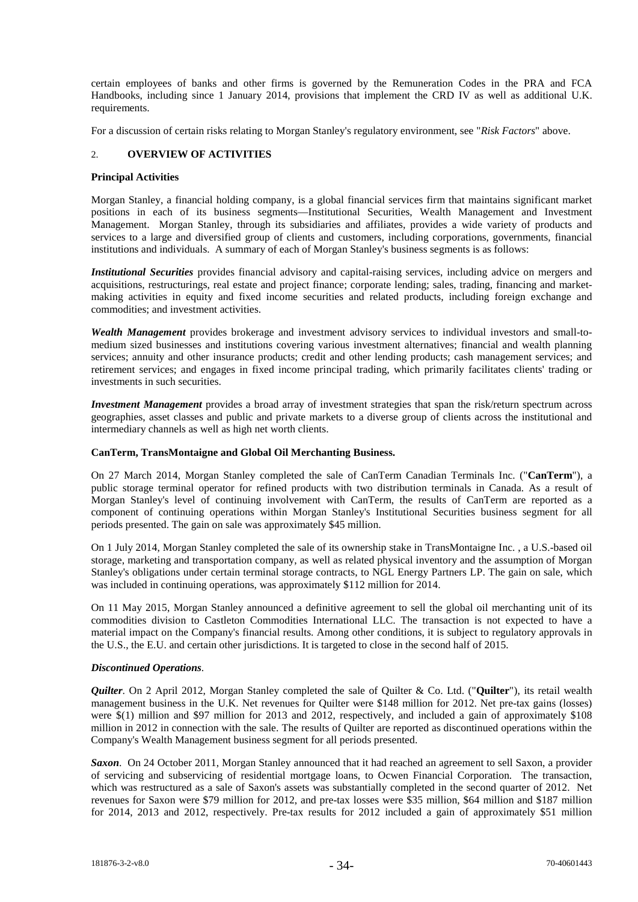certain employees of banks and other firms is governed by the Remuneration Codes in the PRA and FCA Handbooks, including since 1 January 2014, provisions that implement the CRD IV as well as additional U.K. requirements.

For a discussion of certain risks relating to Morgan Stanley's regulatory environment, see "*Risk Factors*" above.

## 2. **OVERVIEW OF ACTIVITIES**

### **Principal Activities**

Morgan Stanley, a financial holding company, is a global financial services firm that maintains significant market positions in each of its business segments—Institutional Securities, Wealth Management and Investment Management. Morgan Stanley, through its subsidiaries and affiliates, provides a wide variety of products and services to a large and diversified group of clients and customers, including corporations, governments, financial institutions and individuals. A summary of each of Morgan Stanley's business segments is as follows:

*Institutional Securities* provides financial advisory and capital-raising services, including advice on mergers and acquisitions, restructurings, real estate and project finance; corporate lending; sales, trading, financing and marketmaking activities in equity and fixed income securities and related products, including foreign exchange and commodities; and investment activities.

*Wealth Management* provides brokerage and investment advisory services to individual investors and small-tomedium sized businesses and institutions covering various investment alternatives; financial and wealth planning services; annuity and other insurance products; credit and other lending products; cash management services; and retirement services; and engages in fixed income principal trading, which primarily facilitates clients' trading or investments in such securities.

*Investment Management* provides a broad array of investment strategies that span the risk/return spectrum across geographies, asset classes and public and private markets to a diverse group of clients across the institutional and intermediary channels as well as high net worth clients.

## **CanTerm, TransMontaigne and Global Oil Merchanting Business.**

On 27 March 2014, Morgan Stanley completed the sale of CanTerm Canadian Terminals Inc. ("**CanTerm**"), a public storage terminal operator for refined products with two distribution terminals in Canada. As a result of Morgan Stanley's level of continuing involvement with CanTerm, the results of CanTerm are reported as a component of continuing operations within Morgan Stanley's Institutional Securities business segment for all periods presented. The gain on sale was approximately \$45 million.

On 1 July 2014, Morgan Stanley completed the sale of its ownership stake in TransMontaigne Inc. , a U.S.-based oil storage, marketing and transportation company, as well as related physical inventory and the assumption of Morgan Stanley's obligations under certain terminal storage contracts, to NGL Energy Partners LP. The gain on sale, which was included in continuing operations, was approximately \$112 million for 2014.

On 11 May 2015, Morgan Stanley announced a definitive agreement to sell the global oil merchanting unit of its commodities division to Castleton Commodities International LLC. The transaction is not expected to have a material impact on the Company's financial results. Among other conditions, it is subject to regulatory approvals in the U.S., the E.U. and certain other jurisdictions. It is targeted to close in the second half of 2015.

## *Discontinued Operations*.

*Quilter*. On 2 April 2012, Morgan Stanley completed the sale of Quilter & Co. Ltd. ("**Quilter**"), its retail wealth management business in the U.K. Net revenues for Quilter were \$148 million for 2012. Net pre-tax gains (losses) were  $\Im(1)$  million and  $\Im(97)$  million for 2013 and 2012, respectively, and included a gain of approximately  $\Im(108)$ million in 2012 in connection with the sale. The results of Quilter are reported as discontinued operations within the Company's Wealth Management business segment for all periods presented.

*Saxon*. On 24 October 2011, Morgan Stanley announced that it had reached an agreement to sell Saxon, a provider of servicing and subservicing of residential mortgage loans, to Ocwen Financial Corporation. The transaction, which was restructured as a sale of Saxon's assets was substantially completed in the second quarter of 2012. Net revenues for Saxon were \$79 million for 2012, and pre-tax losses were \$35 million, \$64 million and \$187 million for 2014, 2013 and 2012, respectively. Pre-tax results for 2012 included a gain of approximately \$51 million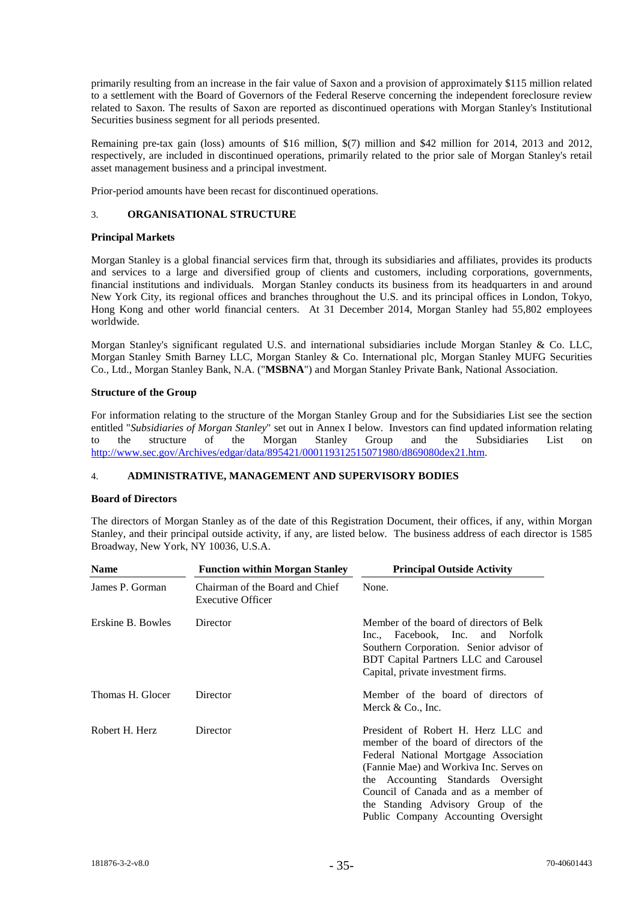primarily resulting from an increase in the fair value of Saxon and a provision of approximately \$115 million related to a settlement with the Board of Governors of the Federal Reserve concerning the independent foreclosure review related to Saxon. The results of Saxon are reported as discontinued operations with Morgan Stanley's Institutional Securities business segment for all periods presented.

Remaining pre-tax gain (loss) amounts of \$16 million, \$(7) million and \$42 million for 2014, 2013 and 2012, respectively, are included in discontinued operations, primarily related to the prior sale of Morgan Stanley's retail asset management business and a principal investment.

Prior-period amounts have been recast for discontinued operations.

## 3. **ORGANISATIONAL STRUCTURE**

## **Principal Markets**

Morgan Stanley is a global financial services firm that, through its subsidiaries and affiliates, provides its products and services to a large and diversified group of clients and customers, including corporations, governments, financial institutions and individuals. Morgan Stanley conducts its business from its headquarters in and around New York City, its regional offices and branches throughout the U.S. and its principal offices in London, Tokyo, Hong Kong and other world financial centers. At 31 December 2014, Morgan Stanley had 55,802 employees worldwide.

Morgan Stanley's significant regulated U.S. and international subsidiaries include Morgan Stanley & Co. LLC, Morgan Stanley Smith Barney LLC, Morgan Stanley & Co. International plc, Morgan Stanley MUFG Securities Co., Ltd., Morgan Stanley Bank, N.A. ("**MSBNA**") and Morgan Stanley Private Bank, National Association.

## **Structure of the Group**

For information relating to the structure of the Morgan Stanley Group and for the Subsidiaries List see the section entitled "*Subsidiaries of Morgan Stanley*" set out in Annex I below. Investors can find updated information relating<br>to the structure of the Morgan Stanley Group and the Subsidiaries List on to the structure of the Morgan Stanley Group and the Subsidiaries List on [http://www.sec.gov/Archives/edgar/data/895421/000119312515071980/d869080dex21.htm.](http://www.sec.gov/Archives/edgar/data/895421/000119312515071980/d869080dex21.htm)

## 4. **ADMINISTRATIVE, MANAGEMENT AND SUPERVISORY BODIES**

## **Board of Directors**

The directors of Morgan Stanley as of the date of this Registration Document, their offices, if any, within Morgan Stanley, and their principal outside activity, if any, are listed below. The business address of each director is 1585 Broadway, New York, NY 10036, U.S.A.

| <b>Name</b>       | <b>Function within Morgan Stanley</b>                       | <b>Principal Outside Activity</b>                                                                                                                                                                                                                                                                                             |  |  |  |
|-------------------|-------------------------------------------------------------|-------------------------------------------------------------------------------------------------------------------------------------------------------------------------------------------------------------------------------------------------------------------------------------------------------------------------------|--|--|--|
| James P. Gorman   | Chairman of the Board and Chief<br><b>Executive Officer</b> | None.                                                                                                                                                                                                                                                                                                                         |  |  |  |
| Erskine B. Bowles | Director                                                    | Member of the board of directors of Belk<br>Inc., Facebook, Inc. and Norfolk<br>Southern Corporation. Senior advisor of<br>BDT Capital Partners LLC and Carousel<br>Capital, private investment firms.                                                                                                                        |  |  |  |
| Thomas H. Glocer  | Director                                                    | Member of the board of directors of<br>Merck $& Co., Inc.$                                                                                                                                                                                                                                                                    |  |  |  |
| Robert H. Herz    | Director                                                    | President of Robert H. Herz LLC and<br>member of the board of directors of the<br>Federal National Mortgage Association<br>(Fannie Mae) and Workiva Inc. Serves on<br>the Accounting Standards Oversight<br>Council of Canada and as a member of<br>the Standing Advisory Group of the<br>Public Company Accounting Oversight |  |  |  |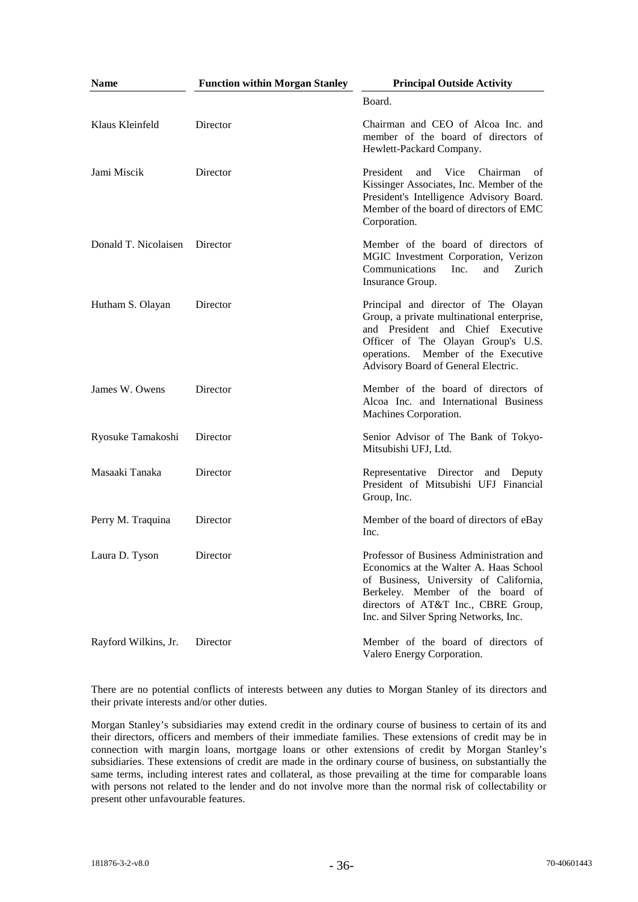| <b>Name</b>                   | <b>Function within Morgan Stanley</b> | <b>Principal Outside Activity</b>                                                                                                                                                                                                                |
|-------------------------------|---------------------------------------|--------------------------------------------------------------------------------------------------------------------------------------------------------------------------------------------------------------------------------------------------|
|                               |                                       | Board.                                                                                                                                                                                                                                           |
| Klaus Kleinfeld               | Director                              | Chairman and CEO of Alcoa Inc. and<br>member of the board of directors of<br>Hewlett-Packard Company.                                                                                                                                            |
| Jami Miscik                   | Director                              | President<br>and<br>Vice<br>Chairman<br>of<br>Kissinger Associates, Inc. Member of the<br>President's Intelligence Advisory Board.<br>Member of the board of directors of EMC<br>Corporation.                                                    |
| Donald T. Nicolaisen Director |                                       | Member of the board of directors of<br>MGIC Investment Corporation, Verizon<br>Communications<br>Inc.<br>Zurich<br>and<br>Insurance Group.                                                                                                       |
| Hutham S. Olayan              | Director                              | Principal and director of The Olayan<br>Group, a private multinational enterprise,<br>and President and Chief Executive<br>Officer of The Olayan Group's U.S.<br>operations. Member of the Executive<br>Advisory Board of General Electric.      |
| James W. Owens                | Director                              | Member of the board of directors of<br>Alcoa Inc. and International Business<br>Machines Corporation.                                                                                                                                            |
| Ryosuke Tamakoshi             | Director                              | Senior Advisor of The Bank of Tokyo-<br>Mitsubishi UFJ, Ltd.                                                                                                                                                                                     |
| Masaaki Tanaka                | Director                              | Representative Director and Deputy<br>President of Mitsubishi UFJ Financial<br>Group, Inc.                                                                                                                                                       |
| Perry M. Traquina             | Director                              | Member of the board of directors of eBay<br>Inc.                                                                                                                                                                                                 |
| Laura D. Tyson                | Director                              | Professor of Business Administration and<br>Economics at the Walter A. Haas School<br>of Business, University of California,<br>Berkeley. Member of the board of<br>directors of AT&T Inc., CBRE Group,<br>Inc. and Silver Spring Networks, Inc. |
| Rayford Wilkins, Jr.          | Director                              | Member of the board of directors of<br>Valero Energy Corporation.                                                                                                                                                                                |

There are no potential conflicts of interests between any duties to Morgan Stanley of its directors and their private interests and/or other duties.

Morgan Stanley's subsidiaries may extend credit in the ordinary course of business to certain of its and their directors, officers and members of their immediate families. These extensions of credit may be in connection with margin loans, mortgage loans or other extensions of credit by Morgan Stanley's subsidiaries. These extensions of credit are made in the ordinary course of business, on substantially the same terms, including interest rates and collateral, as those prevailing at the time for comparable loans with persons not related to the lender and do not involve more than the normal risk of collectability or present other unfavourable features.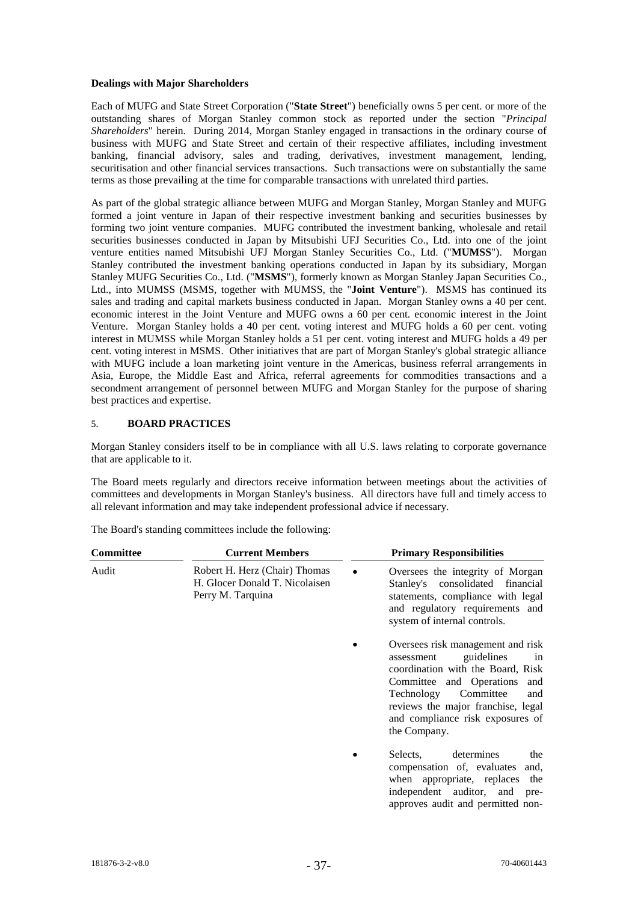## **Dealings with Major Shareholders**

Each of MUFG and State Street Corporation ("**State Street**") beneficially owns 5 per cent. or more of the outstanding shares of Morgan Stanley common stock as reported under the section "*Principal Shareholders*" herein. During 2014, Morgan Stanley engaged in transactions in the ordinary course of business with MUFG and State Street and certain of their respective affiliates, including investment banking, financial advisory, sales and trading, derivatives, investment management, lending, securitisation and other financial services transactions. Such transactions were on substantially the same terms as those prevailing at the time for comparable transactions with unrelated third parties.

As part of the global strategic alliance between MUFG and Morgan Stanley, Morgan Stanley and MUFG formed a joint venture in Japan of their respective investment banking and securities businesses by forming two joint venture companies. MUFG contributed the investment banking, wholesale and retail securities businesses conducted in Japan by Mitsubishi UFJ Securities Co., Ltd. into one of the joint venture entities named Mitsubishi UFJ Morgan Stanley Securities Co., Ltd. ("**MUMSS**"). Morgan Stanley contributed the investment banking operations conducted in Japan by its subsidiary, Morgan Stanley MUFG Securities Co., Ltd. ("**MSMS**"), formerly known as Morgan Stanley Japan Securities Co., Ltd., into MUMSS (MSMS, together with MUMSS, the "**Joint Venture**"). MSMS has continued its sales and trading and capital markets business conducted in Japan. Morgan Stanley owns a 40 per cent. economic interest in the Joint Venture and MUFG owns a 60 per cent. economic interest in the Joint Venture. Morgan Stanley holds a 40 per cent. voting interest and MUFG holds a 60 per cent. voting interest in MUMSS while Morgan Stanley holds a 51 per cent. voting interest and MUFG holds a 49 per cent. voting interest in MSMS. Other initiatives that are part of Morgan Stanley's global strategic alliance with MUFG include a loan marketing joint venture in the Americas, business referral arrangements in Asia, Europe, the Middle East and Africa, referral agreements for commodities transactions and a secondment arrangement of personnel between MUFG and Morgan Stanley for the purpose of sharing best practices and expertise.

## 5. **BOARD PRACTICES**

Morgan Stanley considers itself to be in compliance with all U.S. laws relating to corporate governance that are applicable to it.

The Board meets regularly and directors receive information between meetings about the activities of committees and developments in Morgan Stanley's business. All directors have full and timely access to all relevant information and may take independent professional advice if necessary.

The Board's standing committees include the following:

| <b>Committee</b> | <b>Current Members</b>                                                               | <b>Primary Responsibilities</b>                                                                                                                                                                                                                                      |
|------------------|--------------------------------------------------------------------------------------|----------------------------------------------------------------------------------------------------------------------------------------------------------------------------------------------------------------------------------------------------------------------|
| Audit            | Robert H. Herz (Chair) Thomas<br>H. Glocer Donald T. Nicolaisen<br>Perry M. Tarquina | Oversees the integrity of Morgan<br>consolidated financial<br>Stanley's<br>statements, compliance with legal<br>and regulatory requirements and<br>system of internal controls.                                                                                      |
|                  |                                                                                      | Oversees risk management and risk<br>guidelines<br>assessment<br>in<br>coordination with the Board, Risk<br>Committee and Operations and<br>Technology<br>Committee<br>and<br>reviews the major franchise, legal<br>and compliance risk exposures of<br>the Company. |
|                  |                                                                                      | determines<br>the<br>Selects,<br>compensation of, evaluates<br>and,<br>when appropriate, replaces the<br>independent auditor, and<br>pre-<br>approves audit and permitted non-                                                                                       |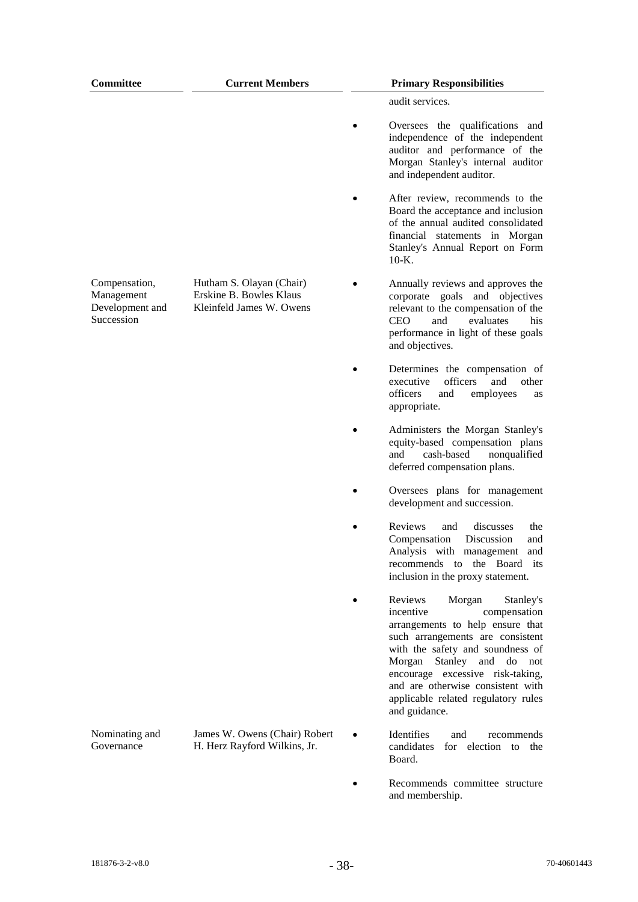| <b>Committee</b>                                             | <b>Current Members</b>                                                          | <b>Primary Responsibilities</b>                                                                                                                                                                                                                                                                                                                |
|--------------------------------------------------------------|---------------------------------------------------------------------------------|------------------------------------------------------------------------------------------------------------------------------------------------------------------------------------------------------------------------------------------------------------------------------------------------------------------------------------------------|
|                                                              |                                                                                 | audit services.                                                                                                                                                                                                                                                                                                                                |
|                                                              |                                                                                 | Oversees the qualifications and<br>independence of the independent<br>auditor and performance of the<br>Morgan Stanley's internal auditor<br>and independent auditor.                                                                                                                                                                          |
|                                                              |                                                                                 | After review, recommends to the<br>Board the acceptance and inclusion<br>of the annual audited consolidated<br>financial statements in Morgan<br>Stanley's Annual Report on Form<br>$10-K$ .                                                                                                                                                   |
| Compensation,<br>Management<br>Development and<br>Succession | Hutham S. Olayan (Chair)<br>Erskine B. Bowles Klaus<br>Kleinfeld James W. Owens | Annually reviews and approves the<br>corporate goals and objectives<br>relevant to the compensation of the<br><b>CEO</b><br>evaluates<br>and<br>his<br>performance in light of these goals<br>and objectives.                                                                                                                                  |
|                                                              |                                                                                 | Determines the compensation of<br>officers<br>executive<br>and<br>other<br>officers<br>and<br>employees<br>as<br>appropriate.                                                                                                                                                                                                                  |
|                                                              |                                                                                 | Administers the Morgan Stanley's<br>equity-based compensation plans<br>cash-based<br>nonqualified<br>and<br>deferred compensation plans.                                                                                                                                                                                                       |
|                                                              |                                                                                 | Oversees plans for management<br>development and succession.                                                                                                                                                                                                                                                                                   |
|                                                              |                                                                                 | Reviews<br>discusses<br>and<br>the<br>Discussion<br>Compensation<br>and<br>Analysis with management<br>and<br>recommends to the Board its<br>inclusion in the proxy statement.                                                                                                                                                                 |
|                                                              |                                                                                 | Reviews<br>Morgan<br>Stanley's<br>incentive<br>compensation<br>arrangements to help ensure that<br>such arrangements are consistent<br>with the safety and soundness of<br>Morgan<br>Stanley and<br>do<br>not<br>encourage excessive risk-taking,<br>and are otherwise consistent with<br>applicable related regulatory rules<br>and guidance. |
| Nominating and<br>Governance                                 | James W. Owens (Chair) Robert<br>H. Herz Rayford Wilkins, Jr.                   | Identifies<br>and<br>recommends<br>candidates<br>for election to the<br>Board.                                                                                                                                                                                                                                                                 |
|                                                              |                                                                                 | Recommends committee structure<br>and membership.                                                                                                                                                                                                                                                                                              |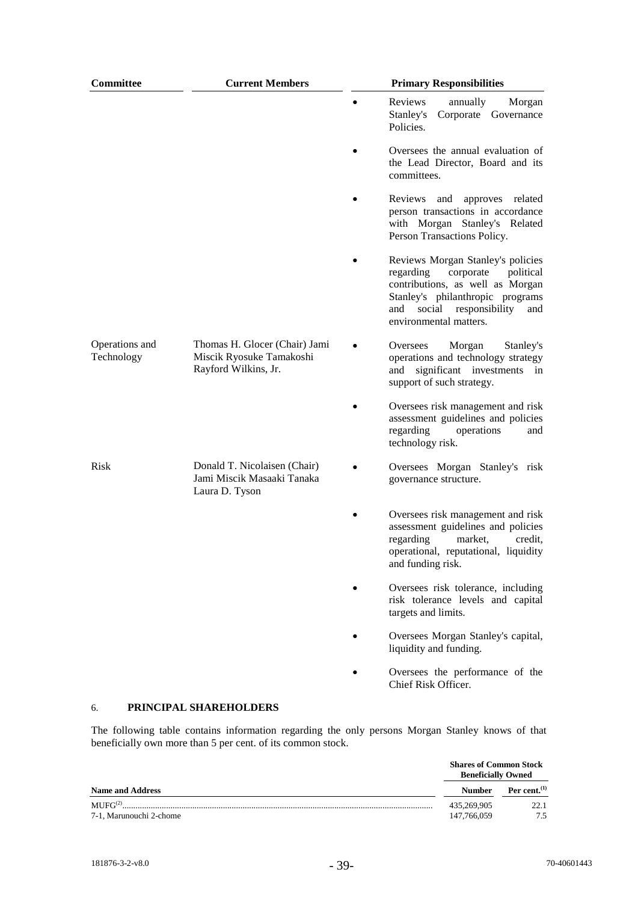| Committee                    | <b>Current Members</b>                                                            | <b>Primary Responsibilities</b>                                                                                                                                                                                      |
|------------------------------|-----------------------------------------------------------------------------------|----------------------------------------------------------------------------------------------------------------------------------------------------------------------------------------------------------------------|
|                              |                                                                                   | Reviews<br>annually<br>Morgan<br>Stanley's<br>Corporate Governance<br>Policies.                                                                                                                                      |
|                              |                                                                                   | Oversees the annual evaluation of<br>the Lead Director, Board and its<br>committees.                                                                                                                                 |
|                              |                                                                                   | Reviews<br>and<br>approves related<br>person transactions in accordance<br>with Morgan Stanley's Related<br>Person Transactions Policy.                                                                              |
|                              |                                                                                   | Reviews Morgan Stanley's policies<br>regarding<br>corporate<br>political<br>contributions, as well as Morgan<br>Stanley's philanthropic programs<br>social<br>responsibility<br>and<br>and<br>environmental matters. |
| Operations and<br>Technology | Thomas H. Glocer (Chair) Jami<br>Miscik Ryosuke Tamakoshi<br>Rayford Wilkins, Jr. | Morgan<br>Oversees<br>Stanley's<br>operations and technology strategy<br>significant investments<br>and<br>in<br>support of such strategy.                                                                           |
|                              |                                                                                   | Oversees risk management and risk<br>assessment guidelines and policies<br>regarding<br>operations<br>and<br>technology risk.                                                                                        |
| <b>Risk</b>                  | Donald T. Nicolaisen (Chair)<br>Jami Miscik Masaaki Tanaka<br>Laura D. Tyson      | Oversees Morgan Stanley's risk<br>governance structure.                                                                                                                                                              |
|                              |                                                                                   | Oversees risk management and risk<br>assessment guidelines and policies<br>regarding<br>market,<br>credit.<br>operational, reputational, liquidity<br>and funding risk.                                              |
|                              |                                                                                   | Oversees risk tolerance, including<br>risk tolerance levels and capital<br>targets and limits.                                                                                                                       |
|                              |                                                                                   | Oversees Morgan Stanley's capital,<br>liquidity and funding.                                                                                                                                                         |
|                              |                                                                                   | Oversees the performance of the<br>Chief Risk Officer.                                                                                                                                                               |
| 6.                           | PRINCIPAL SHAREHOLDERS                                                            |                                                                                                                                                                                                                      |

The following table contains information regarding the only persons Morgan Stanley knows of that beneficially own more than 5 per cent. of its common stock.

|                                                  | <b>Shares of Common Stock</b><br><b>Beneficially Owned</b> |                 |  |  |  |
|--------------------------------------------------|------------------------------------------------------------|-----------------|--|--|--|
| <b>Name and Address</b>                          | <b>Number</b>                                              | Per cent. $(1)$ |  |  |  |
| $\mathbf{MUEG}^{(2)}$<br>7-1. Marunouchi 2-chome | 435,269,905<br>147,766,059                                 | 22.1<br>75      |  |  |  |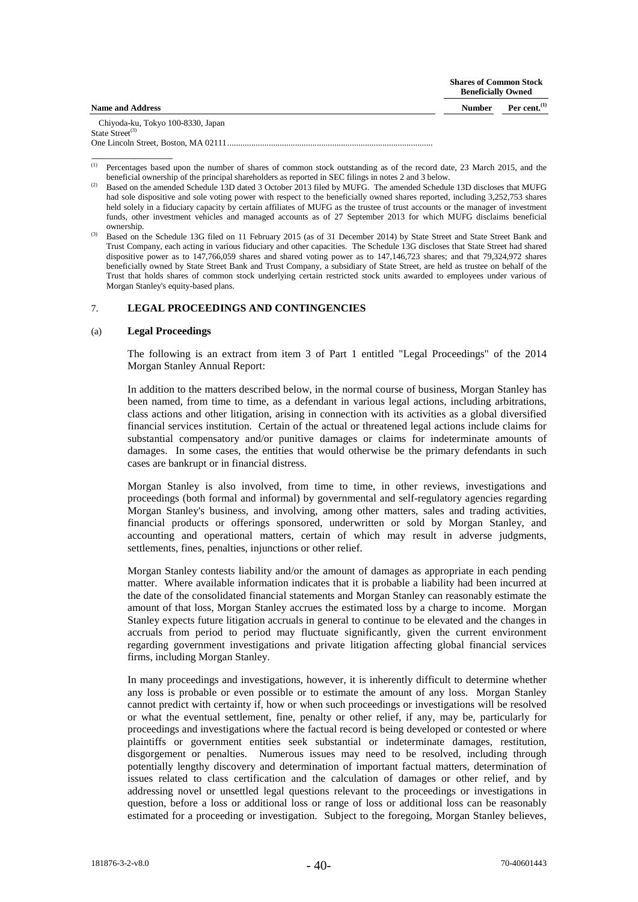|                                   | <b>Shares of Common Stock</b><br><b>Beneficially Owned</b> |                 |  |  |
|-----------------------------------|------------------------------------------------------------|-----------------|--|--|
| <b>Name and Address</b>           | <b>Number</b>                                              | Per cent. $(1)$ |  |  |
| Chiyoda-ku, Tokyo 100-8330, Japan |                                                            |                 |  |  |
| State Street <sup>(3)</sup>       |                                                            |                 |  |  |
|                                   |                                                            |                 |  |  |

(1) Percentages based upon the number of shares of common stock outstanding as of the record date, 23 March 2015, and the beneficial ownership of the principal shareholders as reported in SEC filings in notes 2 and 3 below.

<sup>(2)</sup> Based on the amended Schedule 13D dated 3 October 2013 filed by MUFG. The amended Schedule 13D discloses that MUFG had sole dispositive and sole voting power with respect to the beneficially owned shares reported, including 3,252,753 shares held solely in a fiduciary capacity by certain affiliates of MUFG as the trustee of trust accounts or the manager of investment funds, other investment vehicles and managed accounts as of 27 September 2013 for which MUFG disclaims beneficial ownership.

(3) Based on the Schedule 13G filed on 11 February 2015 (as of 31 December 2014) by State Street and State Street Bank and Trust Company, each acting in various fiduciary and other capacities. The Schedule 13G discloses that State Street had shared dispositive power as to 147,766,059 shares and shared voting power as to 147,146,723 shares; and that 79,324,972 shares beneficially owned by State Street Bank and Trust Company, a subsidiary of State Street, are held as trustee on behalf of the Trust that holds shares of common stock underlying certain restricted stock units awarded to employees under various of Morgan Stanley's equity-based plans.

## 7. **LEGAL PROCEEDINGS AND CONTINGENCIES**

#### (a) **Legal Proceedings**

\_\_\_\_\_\_\_\_\_\_\_\_\_\_\_

The following is an extract from item 3 of Part 1 entitled "Legal Proceedings" of the 2014 Morgan Stanley Annual Report:

In addition to the matters described below, in the normal course of business, Morgan Stanley has been named, from time to time, as a defendant in various legal actions, including arbitrations, class actions and other litigation, arising in connection with its activities as a global diversified financial services institution. Certain of the actual or threatened legal actions include claims for substantial compensatory and/or punitive damages or claims for indeterminate amounts of damages. In some cases, the entities that would otherwise be the primary defendants in such cases are bankrupt or in financial distress.

Morgan Stanley is also involved, from time to time, in other reviews, investigations and proceedings (both formal and informal) by governmental and self-regulatory agencies regarding Morgan Stanley's business, and involving, among other matters, sales and trading activities, financial products or offerings sponsored, underwritten or sold by Morgan Stanley, and accounting and operational matters, certain of which may result in adverse judgments, settlements, fines, penalties, injunctions or other relief.

Morgan Stanley contests liability and/or the amount of damages as appropriate in each pending matter. Where available information indicates that it is probable a liability had been incurred at the date of the consolidated financial statements and Morgan Stanley can reasonably estimate the amount of that loss, Morgan Stanley accrues the estimated loss by a charge to income. Morgan Stanley expects future litigation accruals in general to continue to be elevated and the changes in accruals from period to period may fluctuate significantly, given the current environment regarding government investigations and private litigation affecting global financial services firms, including Morgan Stanley.

In many proceedings and investigations, however, it is inherently difficult to determine whether any loss is probable or even possible or to estimate the amount of any loss. Morgan Stanley cannot predict with certainty if, how or when such proceedings or investigations will be resolved or what the eventual settlement, fine, penalty or other relief, if any, may be, particularly for proceedings and investigations where the factual record is being developed or contested or where plaintiffs or government entities seek substantial or indeterminate damages, restitution, disgorgement or penalties. Numerous issues may need to be resolved, including through potentially lengthy discovery and determination of important factual matters, determination of issues related to class certification and the calculation of damages or other relief, and by addressing novel or unsettled legal questions relevant to the proceedings or investigations in question, before a loss or additional loss or range of loss or additional loss can be reasonably estimated for a proceeding or investigation. Subject to the foregoing, Morgan Stanley believes,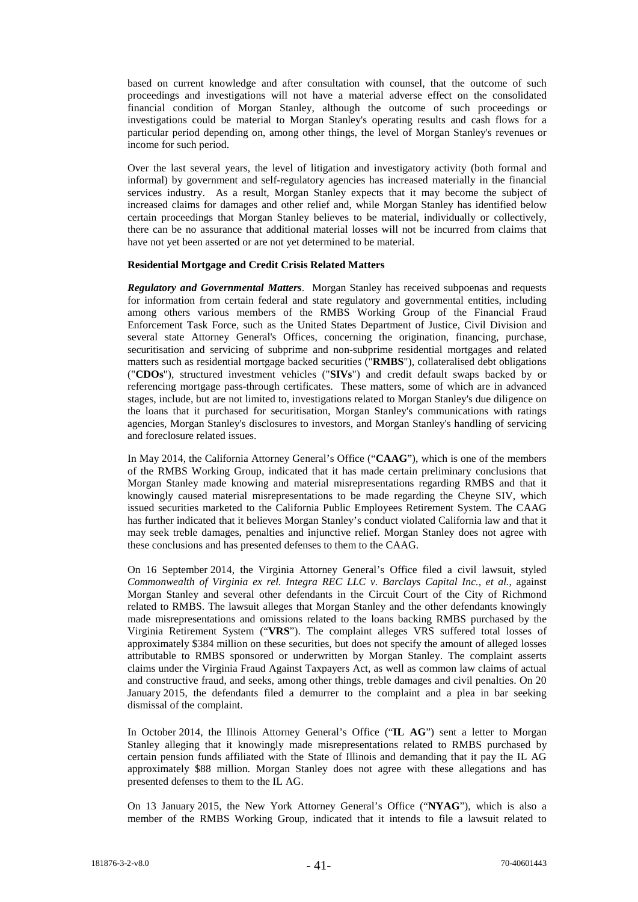based on current knowledge and after consultation with counsel, that the outcome of such proceedings and investigations will not have a material adverse effect on the consolidated financial condition of Morgan Stanley, although the outcome of such proceedings or investigations could be material to Morgan Stanley's operating results and cash flows for a particular period depending on, among other things, the level of Morgan Stanley's revenues or income for such period.

Over the last several years, the level of litigation and investigatory activity (both formal and informal) by government and self-regulatory agencies has increased materially in the financial services industry. As a result, Morgan Stanley expects that it may become the subject of increased claims for damages and other relief and, while Morgan Stanley has identified below certain proceedings that Morgan Stanley believes to be material, individually or collectively, there can be no assurance that additional material losses will not be incurred from claims that have not yet been asserted or are not yet determined to be material.

#### **Residential Mortgage and Credit Crisis Related Matters**

*Regulatory and Governmental Matters*. Morgan Stanley has received subpoenas and requests for information from certain federal and state regulatory and governmental entities, including among others various members of the RMBS Working Group of the Financial Fraud Enforcement Task Force, such as the United States Department of Justice, Civil Division and several state Attorney General's Offices, concerning the origination, financing, purchase, securitisation and servicing of subprime and non-subprime residential mortgages and related matters such as residential mortgage backed securities ("**RMBS**"), collateralised debt obligations ("**CDOs**"), structured investment vehicles ("**SIVs**") and credit default swaps backed by or referencing mortgage pass-through certificates. These matters, some of which are in advanced stages, include, but are not limited to, investigations related to Morgan Stanley's due diligence on the loans that it purchased for securitisation, Morgan Stanley's communications with ratings agencies, Morgan Stanley's disclosures to investors, and Morgan Stanley's handling of servicing and foreclosure related issues.

In May 2014, the California Attorney General's Office ("**CAAG**"), which is one of the members of the RMBS Working Group, indicated that it has made certain preliminary conclusions that Morgan Stanley made knowing and material misrepresentations regarding RMBS and that it knowingly caused material misrepresentations to be made regarding the Cheyne SIV, which issued securities marketed to the California Public Employees Retirement System. The CAAG has further indicated that it believes Morgan Stanley's conduct violated California law and that it may seek treble damages, penalties and injunctive relief. Morgan Stanley does not agree with these conclusions and has presented defenses to them to the CAAG.

On 16 September 2014, the Virginia Attorney General's Office filed a civil lawsuit, styled *Commonwealth of Virginia ex rel. Integra REC LLC v. Barclays Capital Inc., et al.*, against Morgan Stanley and several other defendants in the Circuit Court of the City of Richmond related to RMBS. The lawsuit alleges that Morgan Stanley and the other defendants knowingly made misrepresentations and omissions related to the loans backing RMBS purchased by the Virginia Retirement System ("**VRS**"). The complaint alleges VRS suffered total losses of approximately \$384 million on these securities, but does not specify the amount of alleged losses attributable to RMBS sponsored or underwritten by Morgan Stanley. The complaint asserts claims under the Virginia Fraud Against Taxpayers Act, as well as common law claims of actual and constructive fraud, and seeks, among other things, treble damages and civil penalties. On 20 January 2015, the defendants filed a demurrer to the complaint and a plea in bar seeking dismissal of the complaint.

In October 2014, the Illinois Attorney General's Office ("**IL AG**") sent a letter to Morgan Stanley alleging that it knowingly made misrepresentations related to RMBS purchased by certain pension funds affiliated with the State of Illinois and demanding that it pay the IL AG approximately \$88 million. Morgan Stanley does not agree with these allegations and has presented defenses to them to the IL AG.

On 13 January 2015, the New York Attorney General's Office ("**NYAG**"), which is also a member of the RMBS Working Group, indicated that it intends to file a lawsuit related to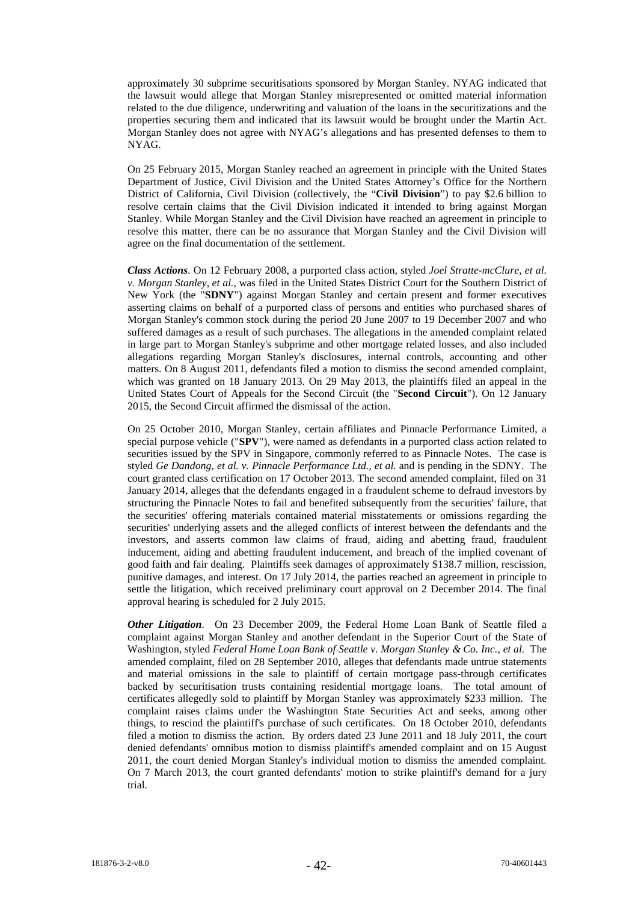approximately 30 subprime securitisations sponsored by Morgan Stanley. NYAG indicated that the lawsuit would allege that Morgan Stanley misrepresented or omitted material information related to the due diligence, underwriting and valuation of the loans in the securitizations and the properties securing them and indicated that its lawsuit would be brought under the Martin Act. Morgan Stanley does not agree with NYAG's allegations and has presented defenses to them to NYAG.

On 25 February 2015, Morgan Stanley reached an agreement in principle with the United States Department of Justice, Civil Division and the United States Attorney's Office for the Northern District of California, Civil Division (collectively, the "**Civil Division**") to pay \$2.6 billion to resolve certain claims that the Civil Division indicated it intended to bring against Morgan Stanley. While Morgan Stanley and the Civil Division have reached an agreement in principle to resolve this matter, there can be no assurance that Morgan Stanley and the Civil Division will agree on the final documentation of the settlement.

*Class Actions*. On 12 February 2008, a purported class action, styled *Joel Stratte-mcClure, et al. v. Morgan Stanley, et al.*, was filed in the United States District Court for the Southern District of New York (the "**SDNY**") against Morgan Stanley and certain present and former executives asserting claims on behalf of a purported class of persons and entities who purchased shares of Morgan Stanley's common stock during the period 20 June 2007 to 19 December 2007 and who suffered damages as a result of such purchases. The allegations in the amended complaint related in large part to Morgan Stanley's subprime and other mortgage related losses, and also included allegations regarding Morgan Stanley's disclosures, internal controls, accounting and other matters. On 8 August 2011, defendants filed a motion to dismiss the second amended complaint, which was granted on 18 January 2013. On 29 May 2013, the plaintiffs filed an appeal in the United States Court of Appeals for the Second Circuit (the "**Second Circuit**"). On 12 January 2015, the Second Circuit affirmed the dismissal of the action.

On 25 October 2010, Morgan Stanley, certain affiliates and Pinnacle Performance Limited, a special purpose vehicle ("**SPV**"), were named as defendants in a purported class action related to securities issued by the SPV in Singapore, commonly referred to as Pinnacle Notes. The case is styled *Ge Dandong, et al. v. Pinnacle Performance Ltd., et al.* and is pending in the SDNY. The court granted class certification on 17 October 2013. The second amended complaint, filed on 31 January 2014, alleges that the defendants engaged in a fraudulent scheme to defraud investors by structuring the Pinnacle Notes to fail and benefited subsequently from the securities' failure, that the securities' offering materials contained material misstatements or omissions regarding the securities' underlying assets and the alleged conflicts of interest between the defendants and the investors, and asserts common law claims of fraud, aiding and abetting fraud, fraudulent inducement, aiding and abetting fraudulent inducement, and breach of the implied covenant of good faith and fair dealing. Plaintiffs seek damages of approximately \$138.7 million, rescission, punitive damages, and interest. On 17 July 2014, the parties reached an agreement in principle to settle the litigation, which received preliminary court approval on 2 December 2014. The final approval hearing is scheduled for 2 July 2015.

*Other Litigation*. On 23 December 2009, the Federal Home Loan Bank of Seattle filed a complaint against Morgan Stanley and another defendant in the Superior Court of the State of Washington, styled *Federal Home Loan Bank of Seattle v. Morgan Stanley & Co. Inc., et al.* The amended complaint, filed on 28 September 2010, alleges that defendants made untrue statements and material omissions in the sale to plaintiff of certain mortgage pass-through certificates backed by securitisation trusts containing residential mortgage loans. The total amount of certificates allegedly sold to plaintiff by Morgan Stanley was approximately \$233 million. The complaint raises claims under the Washington State Securities Act and seeks, among other things, to rescind the plaintiff's purchase of such certificates. On 18 October 2010, defendants filed a motion to dismiss the action. By orders dated 23 June 2011 and 18 July 2011, the court denied defendants' omnibus motion to dismiss plaintiff's amended complaint and on 15 August 2011, the court denied Morgan Stanley's individual motion to dismiss the amended complaint. On 7 March 2013, the court granted defendants' motion to strike plaintiff's demand for a jury trial.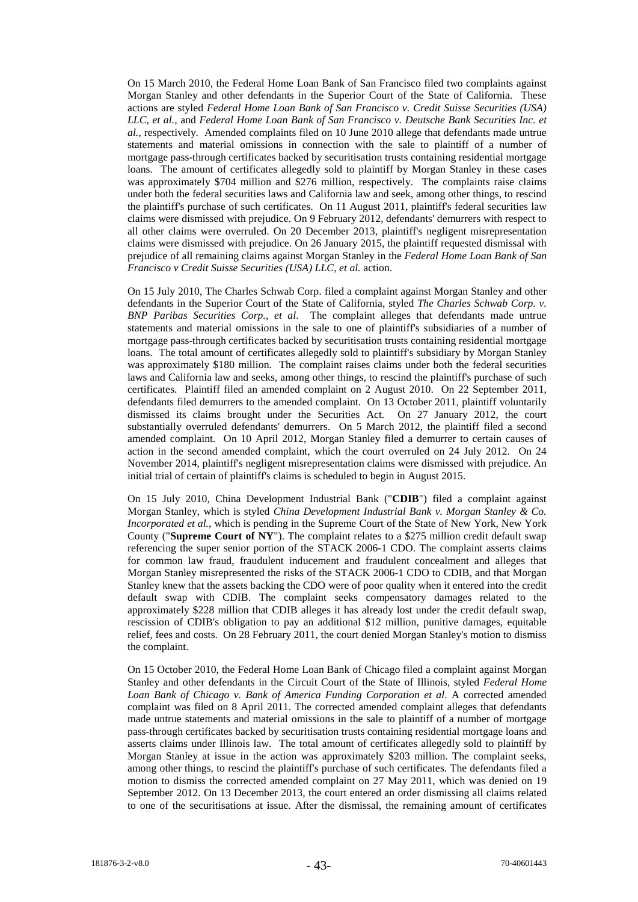On 15 March 2010, the Federal Home Loan Bank of San Francisco filed two complaints against Morgan Stanley and other defendants in the Superior Court of the State of California. These actions are styled *Federal Home Loan Bank of San Francisco v. Credit Suisse Securities (USA) LLC, et al.*, and *Federal Home Loan Bank of San Francisco v. Deutsche Bank Securities Inc. et al.*, respectively. Amended complaints filed on 10 June 2010 allege that defendants made untrue statements and material omissions in connection with the sale to plaintiff of a number of mortgage pass-through certificates backed by securitisation trusts containing residential mortgage loans. The amount of certificates allegedly sold to plaintiff by Morgan Stanley in these cases was approximately \$704 million and \$276 million, respectively. The complaints raise claims under both the federal securities laws and California law and seek, among other things, to rescind the plaintiff's purchase of such certificates. On 11 August 2011, plaintiff's federal securities law claims were dismissed with prejudice. On 9 February 2012, defendants' demurrers with respect to all other claims were overruled. On 20 December 2013, plaintiff's negligent misrepresentation claims were dismissed with prejudice. On 26 January 2015, the plaintiff requested dismissal with prejudice of all remaining claims against Morgan Stanley in the *Federal Home Loan Bank of San Francisco v Credit Suisse Securities (USA) LLC, et al.* action.

On 15 July 2010, The Charles Schwab Corp. filed a complaint against Morgan Stanley and other defendants in the Superior Court of the State of California, styled *The Charles Schwab Corp. v. BNP Paribas Securities Corp., et al*. The complaint alleges that defendants made untrue statements and material omissions in the sale to one of plaintiff's subsidiaries of a number of mortgage pass-through certificates backed by securitisation trusts containing residential mortgage loans. The total amount of certificates allegedly sold to plaintiff's subsidiary by Morgan Stanley was approximately \$180 million. The complaint raises claims under both the federal securities laws and California law and seeks, among other things, to rescind the plaintiff's purchase of such certificates. Plaintiff filed an amended complaint on 2 August 2010. On 22 September 2011, defendants filed demurrers to the amended complaint. On 13 October 2011, plaintiff voluntarily dismissed its claims brought under the Securities Act. On 27 January 2012, the court substantially overruled defendants' demurrers. On 5 March 2012, the plaintiff filed a second amended complaint. On 10 April 2012, Morgan Stanley filed a demurrer to certain causes of action in the second amended complaint, which the court overruled on 24 July 2012. On 24 November 2014, plaintiff's negligent misrepresentation claims were dismissed with prejudice. An initial trial of certain of plaintiff's claims is scheduled to begin in August 2015.

On 15 July 2010, China Development Industrial Bank ("**CDIB**") filed a complaint against Morgan Stanley, which is styled *China Development Industrial Bank v. Morgan Stanley & Co. Incorporated et al.*, which is pending in the Supreme Court of the State of New York, New York County ("**Supreme Court of NY**"). The complaint relates to a \$275 million credit default swap referencing the super senior portion of the STACK 2006-1 CDO. The complaint asserts claims for common law fraud, fraudulent inducement and fraudulent concealment and alleges that Morgan Stanley misrepresented the risks of the STACK 2006-1 CDO to CDIB, and that Morgan Stanley knew that the assets backing the CDO were of poor quality when it entered into the credit default swap with CDIB. The complaint seeks compensatory damages related to the approximately \$228 million that CDIB alleges it has already lost under the credit default swap, rescission of CDIB's obligation to pay an additional \$12 million, punitive damages, equitable relief, fees and costs. On 28 February 2011, the court denied Morgan Stanley's motion to dismiss the complaint.

On 15 October 2010, the Federal Home Loan Bank of Chicago filed a complaint against Morgan Stanley and other defendants in the Circuit Court of the State of Illinois, styled *Federal Home Loan Bank of Chicago v. Bank of America Funding Corporation et al*. A corrected amended complaint was filed on 8 April 2011. The corrected amended complaint alleges that defendants made untrue statements and material omissions in the sale to plaintiff of a number of mortgage pass-through certificates backed by securitisation trusts containing residential mortgage loans and asserts claims under Illinois law. The total amount of certificates allegedly sold to plaintiff by Morgan Stanley at issue in the action was approximately \$203 million. The complaint seeks, among other things, to rescind the plaintiff's purchase of such certificates. The defendants filed a motion to dismiss the corrected amended complaint on 27 May 2011, which was denied on 19 September 2012. On 13 December 2013, the court entered an order dismissing all claims related to one of the securitisations at issue. After the dismissal, the remaining amount of certificates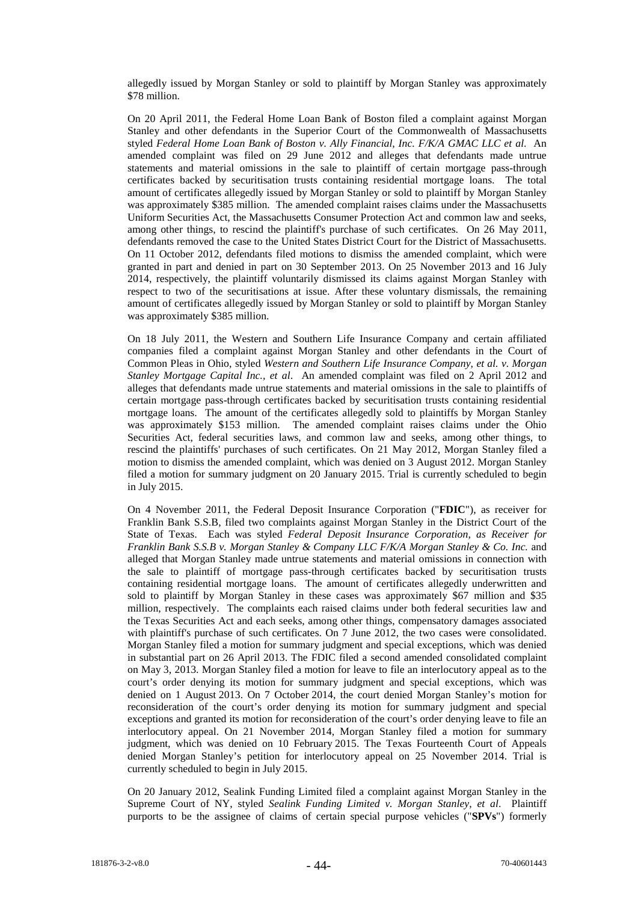allegedly issued by Morgan Stanley or sold to plaintiff by Morgan Stanley was approximately \$78 million.

On 20 April 2011, the Federal Home Loan Bank of Boston filed a complaint against Morgan Stanley and other defendants in the Superior Court of the Commonwealth of Massachusetts styled *Federal Home Loan Bank of Boston v. Ally Financial, Inc. F/K/A GMAC LLC et al*. An amended complaint was filed on 29 June 2012 and alleges that defendants made untrue statements and material omissions in the sale to plaintiff of certain mortgage pass-through certificates backed by securitisation trusts containing residential mortgage loans. The total amount of certificates allegedly issued by Morgan Stanley or sold to plaintiff by Morgan Stanley was approximately \$385 million. The amended complaint raises claims under the Massachusetts Uniform Securities Act, the Massachusetts Consumer Protection Act and common law and seeks, among other things, to rescind the plaintiff's purchase of such certificates. On 26 May 2011, defendants removed the case to the United States District Court for the District of Massachusetts. On 11 October 2012, defendants filed motions to dismiss the amended complaint, which were granted in part and denied in part on 30 September 2013. On 25 November 2013 and 16 July 2014, respectively, the plaintiff voluntarily dismissed its claims against Morgan Stanley with respect to two of the securitisations at issue. After these voluntary dismissals, the remaining amount of certificates allegedly issued by Morgan Stanley or sold to plaintiff by Morgan Stanley was approximately \$385 million.

On 18 July 2011, the Western and Southern Life Insurance Company and certain affiliated companies filed a complaint against Morgan Stanley and other defendants in the Court of Common Pleas in Ohio, styled *Western and Southern Life Insurance Company, et al. v. Morgan Stanley Mortgage Capital Inc., et al*. An amended complaint was filed on 2 April 2012 and alleges that defendants made untrue statements and material omissions in the sale to plaintiffs of certain mortgage pass-through certificates backed by securitisation trusts containing residential mortgage loans. The amount of the certificates allegedly sold to plaintiffs by Morgan Stanley was approximately \$153 million. The amended complaint raises claims under the Ohio Securities Act, federal securities laws, and common law and seeks, among other things, to rescind the plaintiffs' purchases of such certificates. On 21 May 2012, Morgan Stanley filed a motion to dismiss the amended complaint, which was denied on 3 August 2012. Morgan Stanley filed a motion for summary judgment on 20 January 2015. Trial is currently scheduled to begin in July 2015.

On 4 November 2011, the Federal Deposit Insurance Corporation ("**FDIC**"), as receiver for Franklin Bank S.S.B, filed two complaints against Morgan Stanley in the District Court of the State of Texas. Each was styled *Federal Deposit Insurance Corporation, as Receiver for Franklin Bank S.S.B v. Morgan Stanley & Company LLC F/K/A Morgan Stanley & Co. Inc.* and alleged that Morgan Stanley made untrue statements and material omissions in connection with the sale to plaintiff of mortgage pass-through certificates backed by securitisation trusts containing residential mortgage loans. The amount of certificates allegedly underwritten and sold to plaintiff by Morgan Stanley in these cases was approximately \$67 million and \$35 million, respectively. The complaints each raised claims under both federal securities law and the Texas Securities Act and each seeks, among other things, compensatory damages associated with plaintiff's purchase of such certificates. On 7 June 2012, the two cases were consolidated. Morgan Stanley filed a motion for summary judgment and special exceptions, which was denied in substantial part on 26 April 2013. The FDIC filed a second amended consolidated complaint on May 3, 2013. Morgan Stanley filed a motion for leave to file an interlocutory appeal as to the court's order denying its motion for summary judgment and special exceptions, which was denied on 1 August 2013. On 7 October 2014, the court denied Morgan Stanley's motion for reconsideration of the court's order denying its motion for summary judgment and special exceptions and granted its motion for reconsideration of the court's order denying leave to file an interlocutory appeal. On 21 November 2014, Morgan Stanley filed a motion for summary judgment, which was denied on 10 February 2015. The Texas Fourteenth Court of Appeals denied Morgan Stanley's petition for interlocutory appeal on 25 November 2014. Trial is currently scheduled to begin in July 2015.

On 20 January 2012, Sealink Funding Limited filed a complaint against Morgan Stanley in the Supreme Court of NY, styled *Sealink Funding Limited v. Morgan Stanley, et al*. Plaintiff purports to be the assignee of claims of certain special purpose vehicles ("**SPVs**") formerly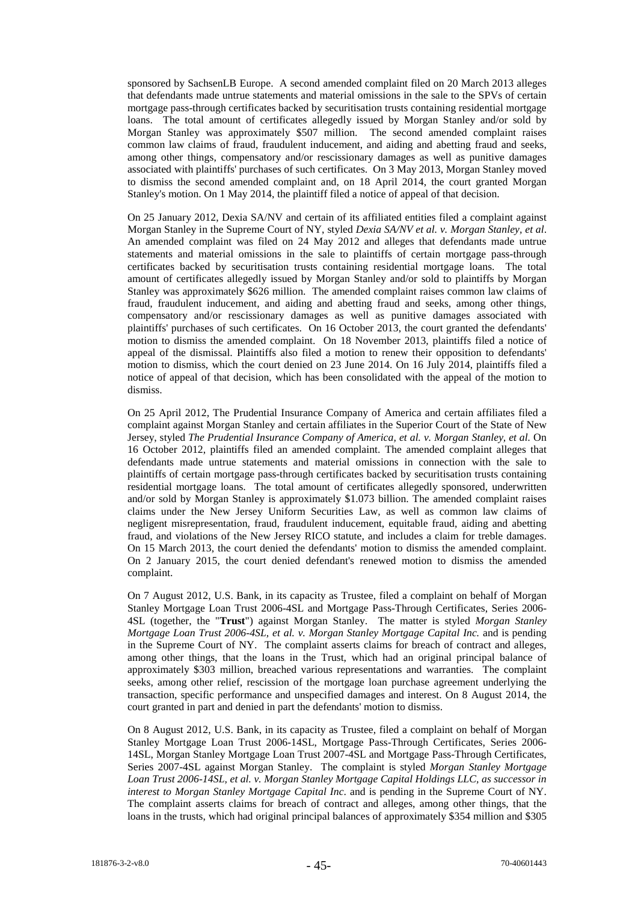sponsored by SachsenLB Europe. A second amended complaint filed on 20 March 2013 alleges that defendants made untrue statements and material omissions in the sale to the SPVs of certain mortgage pass-through certificates backed by securitisation trusts containing residential mortgage loans. The total amount of certificates allegedly issued by Morgan Stanley and/or sold by Morgan Stanley was approximately \$507 million. The second amended complaint raises common law claims of fraud, fraudulent inducement, and aiding and abetting fraud and seeks, among other things, compensatory and/or rescissionary damages as well as punitive damages associated with plaintiffs' purchases of such certificates. On 3 May 2013, Morgan Stanley moved to dismiss the second amended complaint and, on 18 April 2014, the court granted Morgan Stanley's motion. On 1 May 2014, the plaintiff filed a notice of appeal of that decision.

On 25 January 2012, Dexia SA/NV and certain of its affiliated entities filed a complaint against Morgan Stanley in the Supreme Court of NY, styled *Dexia SA/NV et al. v. Morgan Stanley, et al*. An amended complaint was filed on 24 May 2012 and alleges that defendants made untrue statements and material omissions in the sale to plaintiffs of certain mortgage pass-through certificates backed by securitisation trusts containing residential mortgage loans. The total amount of certificates allegedly issued by Morgan Stanley and/or sold to plaintiffs by Morgan Stanley was approximately \$626 million. The amended complaint raises common law claims of fraud, fraudulent inducement, and aiding and abetting fraud and seeks, among other things, compensatory and/or rescissionary damages as well as punitive damages associated with plaintiffs' purchases of such certificates. On 16 October 2013, the court granted the defendants' motion to dismiss the amended complaint. On 18 November 2013, plaintiffs filed a notice of appeal of the dismissal. Plaintiffs also filed a motion to renew their opposition to defendants' motion to dismiss, which the court denied on 23 June 2014. On 16 July 2014, plaintiffs filed a notice of appeal of that decision, which has been consolidated with the appeal of the motion to dismiss.

On 25 April 2012, The Prudential Insurance Company of America and certain affiliates filed a complaint against Morgan Stanley and certain affiliates in the Superior Court of the State of New Jersey, styled *The Prudential Insurance Company of America, et al. v. Morgan Stanley, et al.* On 16 October 2012, plaintiffs filed an amended complaint. The amended complaint alleges that defendants made untrue statements and material omissions in connection with the sale to plaintiffs of certain mortgage pass-through certificates backed by securitisation trusts containing residential mortgage loans. The total amount of certificates allegedly sponsored, underwritten and/or sold by Morgan Stanley is approximately \$1.073 billion. The amended complaint raises claims under the New Jersey Uniform Securities Law, as well as common law claims of negligent misrepresentation, fraud, fraudulent inducement, equitable fraud, aiding and abetting fraud, and violations of the New Jersey RICO statute, and includes a claim for treble damages. On 15 March 2013, the court denied the defendants' motion to dismiss the amended complaint. On 2 January 2015, the court denied defendant's renewed motion to dismiss the amended complaint.

On 7 August 2012, U.S. Bank, in its capacity as Trustee, filed a complaint on behalf of Morgan Stanley Mortgage Loan Trust 2006-4SL and Mortgage Pass-Through Certificates, Series 2006- 4SL (together, the "**Trust**") against Morgan Stanley. The matter is styled *Morgan Stanley Mortgage Loan Trust 2006-4SL, et al. v. Morgan Stanley Mortgage Capital Inc.* and is pending in the Supreme Court of NY. The complaint asserts claims for breach of contract and alleges, among other things, that the loans in the Trust, which had an original principal balance of approximately \$303 million, breached various representations and warranties. The complaint seeks, among other relief, rescission of the mortgage loan purchase agreement underlying the transaction, specific performance and unspecified damages and interest. On 8 August 2014, the court granted in part and denied in part the defendants' motion to dismiss.

On 8 August 2012, U.S. Bank, in its capacity as Trustee, filed a complaint on behalf of Morgan Stanley Mortgage Loan Trust 2006-14SL, Mortgage Pass-Through Certificates, Series 2006- 14SL, Morgan Stanley Mortgage Loan Trust 2007-4SL and Mortgage Pass-Through Certificates, Series 2007-4SL against Morgan Stanley. The complaint is styled *Morgan Stanley Mortgage Loan Trust 2006-14SL, et al. v. Morgan Stanley Mortgage Capital Holdings LLC, as successor in interest to Morgan Stanley Mortgage Capital Inc*. and is pending in the Supreme Court of NY. The complaint asserts claims for breach of contract and alleges, among other things, that the loans in the trusts, which had original principal balances of approximately \$354 million and \$305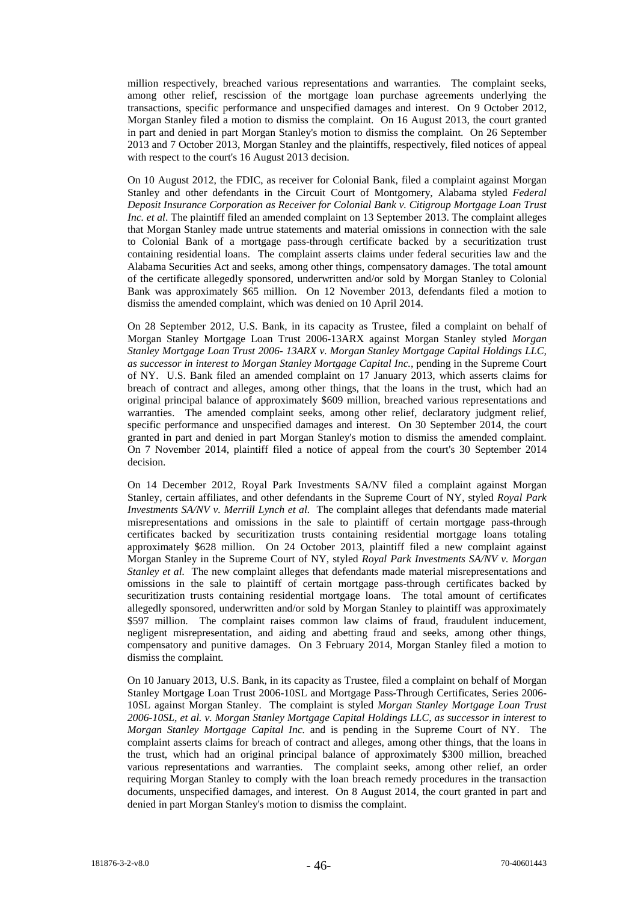million respectively, breached various representations and warranties. The complaint seeks, among other relief, rescission of the mortgage loan purchase agreements underlying the transactions, specific performance and unspecified damages and interest. On 9 October 2012, Morgan Stanley filed a motion to dismiss the complaint. On 16 August 2013, the court granted in part and denied in part Morgan Stanley's motion to dismiss the complaint. On 26 September 2013 and 7 October 2013, Morgan Stanley and the plaintiffs, respectively, filed notices of appeal with respect to the court's 16 August 2013 decision.

On 10 August 2012, the FDIC, as receiver for Colonial Bank, filed a complaint against Morgan Stanley and other defendants in the Circuit Court of Montgomery, Alabama styled *Federal Deposit Insurance Corporation as Receiver for Colonial Bank v. Citigroup Mortgage Loan Trust Inc. et al*. The plaintiff filed an amended complaint on 13 September 2013. The complaint alleges that Morgan Stanley made untrue statements and material omissions in connection with the sale to Colonial Bank of a mortgage pass-through certificate backed by a securitization trust containing residential loans. The complaint asserts claims under federal securities law and the Alabama Securities Act and seeks, among other things, compensatory damages. The total amount of the certificate allegedly sponsored, underwritten and/or sold by Morgan Stanley to Colonial Bank was approximately \$65 million. On 12 November 2013, defendants filed a motion to dismiss the amended complaint, which was denied on 10 April 2014.

On 28 September 2012, U.S. Bank, in its capacity as Trustee, filed a complaint on behalf of Morgan Stanley Mortgage Loan Trust 2006-13ARX against Morgan Stanley styled *Morgan Stanley Mortgage Loan Trust 2006- 13ARX v. Morgan Stanley Mortgage Capital Holdings LLC, as successor in interest to Morgan Stanley Mortgage Capital Inc.,* pending in the Supreme Court of NY. U.S. Bank filed an amended complaint on 17 January 2013, which asserts claims for breach of contract and alleges, among other things, that the loans in the trust, which had an original principal balance of approximately \$609 million, breached various representations and warranties. The amended complaint seeks, among other relief, declaratory judgment relief, specific performance and unspecified damages and interest. On 30 September 2014, the court granted in part and denied in part Morgan Stanley's motion to dismiss the amended complaint. On 7 November 2014, plaintiff filed a notice of appeal from the court's 30 September 2014 decision.

On 14 December 2012, Royal Park Investments SA/NV filed a complaint against Morgan Stanley, certain affiliates, and other defendants in the Supreme Court of NY, styled *Royal Park Investments SA/NV v. Merrill Lynch et al.* The complaint alleges that defendants made material misrepresentations and omissions in the sale to plaintiff of certain mortgage pass-through certificates backed by securitization trusts containing residential mortgage loans totaling approximately \$628 million. On 24 October 2013, plaintiff filed a new complaint against Morgan Stanley in the Supreme Court of NY, styled *Royal Park Investments SA/NV v. Morgan Stanley et al.* The new complaint alleges that defendants made material misrepresentations and omissions in the sale to plaintiff of certain mortgage pass-through certificates backed by securitization trusts containing residential mortgage loans. The total amount of certificates allegedly sponsored, underwritten and/or sold by Morgan Stanley to plaintiff was approximately \$597 million. The complaint raises common law claims of fraud, fraudulent inducement, negligent misrepresentation, and aiding and abetting fraud and seeks, among other things, compensatory and punitive damages. On 3 February 2014, Morgan Stanley filed a motion to dismiss the complaint.

On 10 January 2013, U.S. Bank, in its capacity as Trustee, filed a complaint on behalf of Morgan Stanley Mortgage Loan Trust 2006-10SL and Mortgage Pass-Through Certificates, Series 2006- 10SL against Morgan Stanley. The complaint is styled *Morgan Stanley Mortgage Loan Trust 2006-10SL, et al. v. Morgan Stanley Mortgage Capital Holdings LLC, as successor in interest to Morgan Stanley Mortgage Capital Inc.* and is pending in the Supreme Court of NY. The complaint asserts claims for breach of contract and alleges, among other things, that the loans in the trust, which had an original principal balance of approximately \$300 million, breached various representations and warranties. The complaint seeks, among other relief, an order requiring Morgan Stanley to comply with the loan breach remedy procedures in the transaction documents, unspecified damages, and interest. On 8 August 2014, the court granted in part and denied in part Morgan Stanley's motion to dismiss the complaint.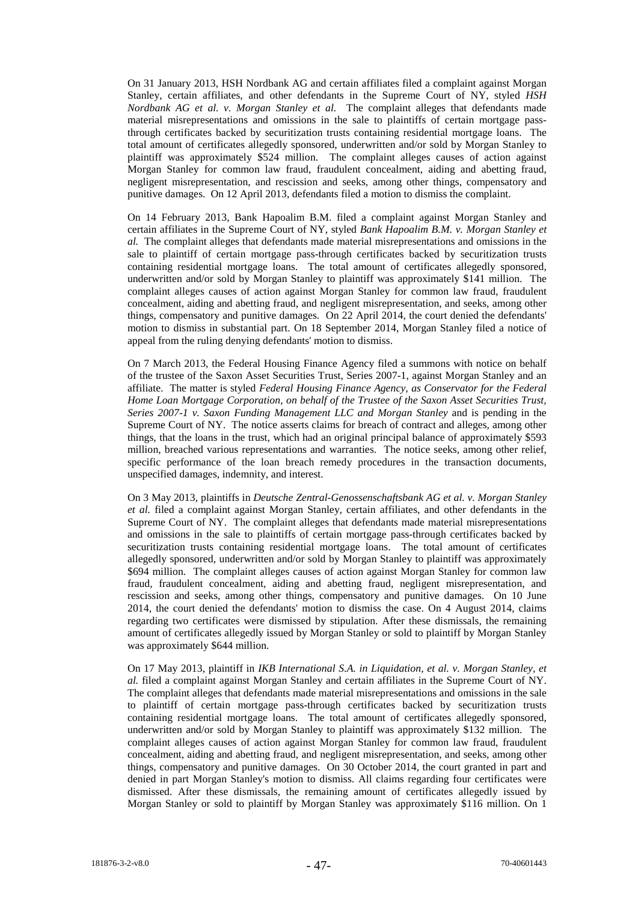On 31 January 2013, HSH Nordbank AG and certain affiliates filed a complaint against Morgan Stanley, certain affiliates, and other defendants in the Supreme Court of NY, styled *HSH Nordbank AG et al. v. Morgan Stanley et al.* The complaint alleges that defendants made material misrepresentations and omissions in the sale to plaintiffs of certain mortgage passthrough certificates backed by securitization trusts containing residential mortgage loans. The total amount of certificates allegedly sponsored, underwritten and/or sold by Morgan Stanley to plaintiff was approximately \$524 million. The complaint alleges causes of action against Morgan Stanley for common law fraud, fraudulent concealment, aiding and abetting fraud, negligent misrepresentation, and rescission and seeks, among other things, compensatory and punitive damages. On 12 April 2013, defendants filed a motion to dismiss the complaint.

On 14 February 2013, Bank Hapoalim B.M. filed a complaint against Morgan Stanley and certain affiliates in the Supreme Court of NY, styled *Bank Hapoalim B.M. v. Morgan Stanley et al.* The complaint alleges that defendants made material misrepresentations and omissions in the sale to plaintiff of certain mortgage pass-through certificates backed by securitization trusts containing residential mortgage loans. The total amount of certificates allegedly sponsored, underwritten and/or sold by Morgan Stanley to plaintiff was approximately \$141 million. The complaint alleges causes of action against Morgan Stanley for common law fraud, fraudulent concealment, aiding and abetting fraud, and negligent misrepresentation, and seeks, among other things, compensatory and punitive damages. On 22 April 2014, the court denied the defendants' motion to dismiss in substantial part. On 18 September 2014, Morgan Stanley filed a notice of appeal from the ruling denying defendants' motion to dismiss.

On 7 March 2013, the Federal Housing Finance Agency filed a summons with notice on behalf of the trustee of the Saxon Asset Securities Trust, Series 2007-1, against Morgan Stanley and an affiliate. The matter is styled *Federal Housing Finance Agency, as Conservator for the Federal Home Loan Mortgage Corporation, on behalf of the Trustee of the Saxon Asset Securities Trust, Series 2007-1 v. Saxon Funding Management LLC and Morgan Stanley* and is pending in the Supreme Court of NY. The notice asserts claims for breach of contract and alleges, among other things, that the loans in the trust, which had an original principal balance of approximately \$593 million, breached various representations and warranties. The notice seeks, among other relief, specific performance of the loan breach remedy procedures in the transaction documents, unspecified damages, indemnity, and interest.

On 3 May 2013, plaintiffs in *Deutsche Zentral-Genossenschaftsbank AG et al. v. Morgan Stanley et al.* filed a complaint against Morgan Stanley, certain affiliates, and other defendants in the Supreme Court of NY. The complaint alleges that defendants made material misrepresentations and omissions in the sale to plaintiffs of certain mortgage pass-through certificates backed by securitization trusts containing residential mortgage loans. The total amount of certificates allegedly sponsored, underwritten and/or sold by Morgan Stanley to plaintiff was approximately \$694 million. The complaint alleges causes of action against Morgan Stanley for common law fraud, fraudulent concealment, aiding and abetting fraud, negligent misrepresentation, and rescission and seeks, among other things, compensatory and punitive damages. On 10 June 2014, the court denied the defendants' motion to dismiss the case. On 4 August 2014, claims regarding two certificates were dismissed by stipulation. After these dismissals, the remaining amount of certificates allegedly issued by Morgan Stanley or sold to plaintiff by Morgan Stanley was approximately \$644 million.

On 17 May 2013, plaintiff in *IKB International S.A. in Liquidation, et al. v. Morgan Stanley, et al.* filed a complaint against Morgan Stanley and certain affiliates in the Supreme Court of NY. The complaint alleges that defendants made material misrepresentations and omissions in the sale to plaintiff of certain mortgage pass-through certificates backed by securitization trusts containing residential mortgage loans. The total amount of certificates allegedly sponsored, underwritten and/or sold by Morgan Stanley to plaintiff was approximately \$132 million. The complaint alleges causes of action against Morgan Stanley for common law fraud, fraudulent concealment, aiding and abetting fraud, and negligent misrepresentation, and seeks, among other things, compensatory and punitive damages. On 30 October 2014, the court granted in part and denied in part Morgan Stanley's motion to dismiss. All claims regarding four certificates were dismissed. After these dismissals, the remaining amount of certificates allegedly issued by Morgan Stanley or sold to plaintiff by Morgan Stanley was approximately \$116 million. On 1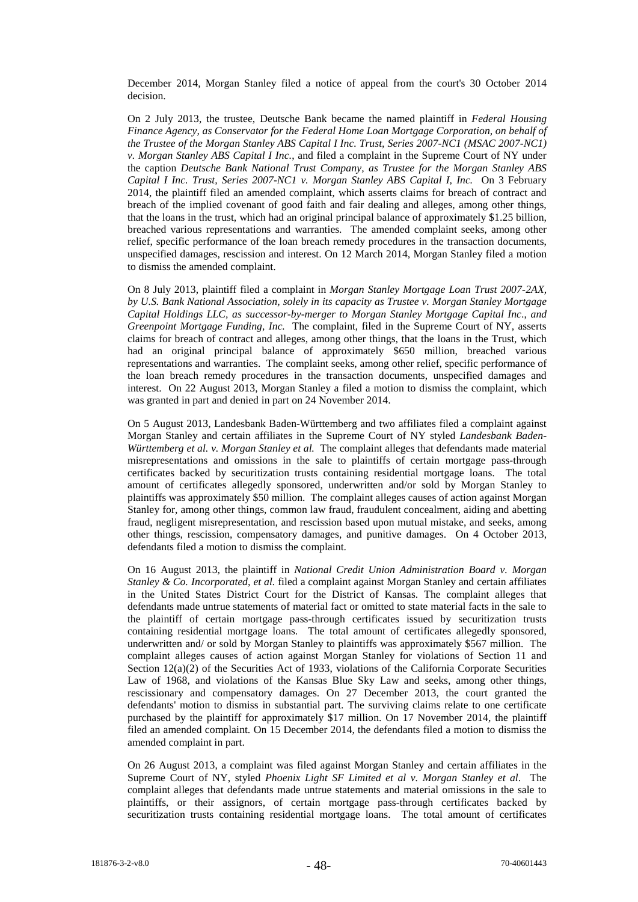December 2014, Morgan Stanley filed a notice of appeal from the court's 30 October 2014 decision.

On 2 July 2013, the trustee, Deutsche Bank became the named plaintiff in *Federal Housing Finance Agency, as Conservator for the Federal Home Loan Mortgage Corporation, on behalf of the Trustee of the Morgan Stanley ABS Capital I Inc. Trust, Series 2007-NC1 (MSAC 2007-NC1) v. Morgan Stanley ABS Capital I Inc.*, and filed a complaint in the Supreme Court of NY under the caption *Deutsche Bank National Trust Company, as Trustee for the Morgan Stanley ABS Capital I Inc. Trust, Series 2007-NC1 v. Morgan Stanley ABS Capital I, Inc.* On 3 February 2014, the plaintiff filed an amended complaint, which asserts claims for breach of contract and breach of the implied covenant of good faith and fair dealing and alleges, among other things, that the loans in the trust, which had an original principal balance of approximately \$1.25 billion, breached various representations and warranties. The amended complaint seeks, among other relief, specific performance of the loan breach remedy procedures in the transaction documents, unspecified damages, rescission and interest. On 12 March 2014, Morgan Stanley filed a motion to dismiss the amended complaint.

On 8 July 2013, plaintiff filed a complaint in *Morgan Stanley Mortgage Loan Trust 2007-2AX, by U.S. Bank National Association, solely in its capacity as Trustee v. Morgan Stanley Mortgage Capital Holdings LLC, as successor-by-merger to Morgan Stanley Mortgage Capital Inc*., *and Greenpoint Mortgage Funding, Inc.* The complaint, filed in the Supreme Court of NY, asserts claims for breach of contract and alleges, among other things, that the loans in the Trust, which had an original principal balance of approximately \$650 million, breached various representations and warranties. The complaint seeks, among other relief, specific performance of the loan breach remedy procedures in the transaction documents, unspecified damages and interest. On 22 August 2013, Morgan Stanley a filed a motion to dismiss the complaint, which was granted in part and denied in part on 24 November 2014.

On 5 August 2013, Landesbank Baden-Württemberg and two affiliates filed a complaint against Morgan Stanley and certain affiliates in the Supreme Court of NY styled *Landesbank Baden-Württemberg et al. v. Morgan Stanley et al.* The complaint alleges that defendants made material misrepresentations and omissions in the sale to plaintiffs of certain mortgage pass-through certificates backed by securitization trusts containing residential mortgage loans. The total amount of certificates allegedly sponsored, underwritten and/or sold by Morgan Stanley to plaintiffs was approximately \$50 million. The complaint alleges causes of action against Morgan Stanley for, among other things, common law fraud, fraudulent concealment, aiding and abetting fraud, negligent misrepresentation, and rescission based upon mutual mistake, and seeks, among other things, rescission, compensatory damages, and punitive damages. On 4 October 2013, defendants filed a motion to dismiss the complaint.

On 16 August 2013, the plaintiff in *National Credit Union Administration Board v. Morgan Stanley & Co. Incorporated, et al.* filed a complaint against Morgan Stanley and certain affiliates in the United States District Court for the District of Kansas. The complaint alleges that defendants made untrue statements of material fact or omitted to state material facts in the sale to the plaintiff of certain mortgage pass-through certificates issued by securitization trusts containing residential mortgage loans. The total amount of certificates allegedly sponsored, underwritten and/ or sold by Morgan Stanley to plaintiffs was approximately \$567 million. The complaint alleges causes of action against Morgan Stanley for violations of Section 11 and Section  $12(a)(2)$  of the Securities Act of 1933, violations of the California Corporate Securities Law of 1968, and violations of the Kansas Blue Sky Law and seeks, among other things, rescissionary and compensatory damages. On 27 December 2013, the court granted the defendants' motion to dismiss in substantial part. The surviving claims relate to one certificate purchased by the plaintiff for approximately \$17 million. On 17 November 2014, the plaintiff filed an amended complaint. On 15 December 2014, the defendants filed a motion to dismiss the amended complaint in part.

On 26 August 2013, a complaint was filed against Morgan Stanley and certain affiliates in the Supreme Court of NY, styled *Phoenix Light SF Limited et al v. Morgan Stanley et al*. The complaint alleges that defendants made untrue statements and material omissions in the sale to plaintiffs, or their assignors, of certain mortgage pass-through certificates backed by securitization trusts containing residential mortgage loans. The total amount of certificates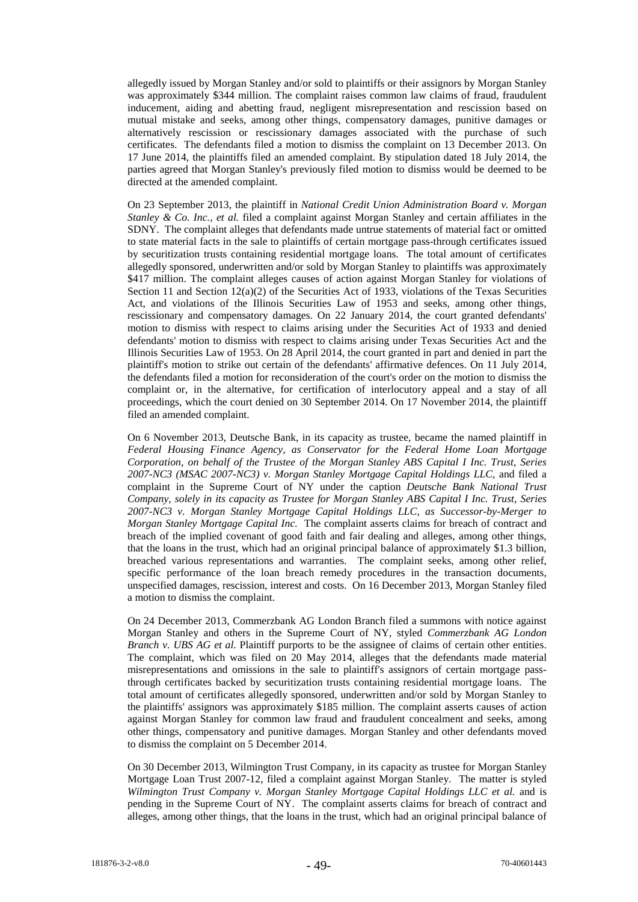allegedly issued by Morgan Stanley and/or sold to plaintiffs or their assignors by Morgan Stanley was approximately \$344 million. The complaint raises common law claims of fraud, fraudulent inducement, aiding and abetting fraud, negligent misrepresentation and rescission based on mutual mistake and seeks, among other things, compensatory damages, punitive damages or alternatively rescission or rescissionary damages associated with the purchase of such certificates. The defendants filed a motion to dismiss the complaint on 13 December 2013. On 17 June 2014, the plaintiffs filed an amended complaint. By stipulation dated 18 July 2014, the parties agreed that Morgan Stanley's previously filed motion to dismiss would be deemed to be directed at the amended complaint.

On 23 September 2013, the plaintiff in *National Credit Union Administration Board v. Morgan Stanley & Co. Inc., et al.* filed a complaint against Morgan Stanley and certain affiliates in the SDNY. The complaint alleges that defendants made untrue statements of material fact or omitted to state material facts in the sale to plaintiffs of certain mortgage pass-through certificates issued by securitization trusts containing residential mortgage loans. The total amount of certificates allegedly sponsored, underwritten and/or sold by Morgan Stanley to plaintiffs was approximately \$417 million. The complaint alleges causes of action against Morgan Stanley for violations of Section 11 and Section  $12(a)(2)$  of the Securities Act of 1933, violations of the Texas Securities Act, and violations of the Illinois Securities Law of 1953 and seeks, among other things, rescissionary and compensatory damages. On 22 January 2014, the court granted defendants' motion to dismiss with respect to claims arising under the Securities Act of 1933 and denied defendants' motion to dismiss with respect to claims arising under Texas Securities Act and the Illinois Securities Law of 1953. On 28 April 2014, the court granted in part and denied in part the plaintiff's motion to strike out certain of the defendants' affirmative defences. On 11 July 2014, the defendants filed a motion for reconsideration of the court's order on the motion to dismiss the complaint or, in the alternative, for certification of interlocutory appeal and a stay of all proceedings, which the court denied on 30 September 2014. On 17 November 2014, the plaintiff filed an amended complaint.

On 6 November 2013, Deutsche Bank, in its capacity as trustee, became the named plaintiff in *Federal Housing Finance Agency, as Conservator for the Federal Home Loan Mortgage Corporation, on behalf of the Trustee of the Morgan Stanley ABS Capital I Inc. Trust, Series 2007-NC3 (MSAC 2007-NC3) v. Morgan Stanley Mortgage Capital Holdings LLC*, and filed a complaint in the Supreme Court of NY under the caption *Deutsche Bank National Trust Company, solely in its capacity as Trustee for Morgan Stanley ABS Capital I Inc. Trust, Series 2007-NC3 v. Morgan Stanley Mortgage Capital Holdings LLC, as Successor-by-Merger to Morgan Stanley Mortgage Capital Inc.* The complaint asserts claims for breach of contract and breach of the implied covenant of good faith and fair dealing and alleges, among other things, that the loans in the trust, which had an original principal balance of approximately \$1.3 billion, breached various representations and warranties. The complaint seeks, among other relief, specific performance of the loan breach remedy procedures in the transaction documents, unspecified damages, rescission, interest and costs. On 16 December 2013, Morgan Stanley filed a motion to dismiss the complaint.

On 24 December 2013, Commerzbank AG London Branch filed a summons with notice against Morgan Stanley and others in the Supreme Court of NY, styled *Commerzbank AG London Branch v. UBS AG et al.* Plaintiff purports to be the assignee of claims of certain other entities. The complaint, which was filed on 20 May 2014, alleges that the defendants made material misrepresentations and omissions in the sale to plaintiff's assignors of certain mortgage passthrough certificates backed by securitization trusts containing residential mortgage loans. The total amount of certificates allegedly sponsored, underwritten and/or sold by Morgan Stanley to the plaintiffs' assignors was approximately \$185 million. The complaint asserts causes of action against Morgan Stanley for common law fraud and fraudulent concealment and seeks, among other things, compensatory and punitive damages. Morgan Stanley and other defendants moved to dismiss the complaint on 5 December 2014.

On 30 December 2013, Wilmington Trust Company, in its capacity as trustee for Morgan Stanley Mortgage Loan Trust 2007-12, filed a complaint against Morgan Stanley. The matter is styled *Wilmington Trust Company v. Morgan Stanley Mortgage Capital Holdings LLC et al.* and is pending in the Supreme Court of NY. The complaint asserts claims for breach of contract and alleges, among other things, that the loans in the trust, which had an original principal balance of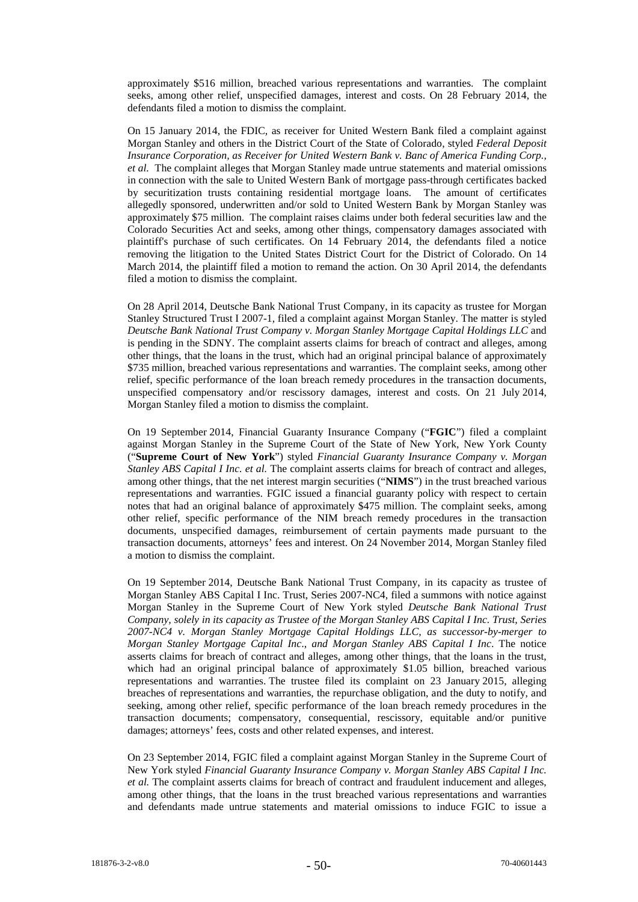approximately \$516 million, breached various representations and warranties. The complaint seeks, among other relief, unspecified damages, interest and costs. On 28 February 2014, the defendants filed a motion to dismiss the complaint.

On 15 January 2014, the FDIC, as receiver for United Western Bank filed a complaint against Morgan Stanley and others in the District Court of the State of Colorado, styled *Federal Deposit Insurance Corporation, as Receiver for United Western Bank v. Banc of America Funding Corp., et al.* The complaint alleges that Morgan Stanley made untrue statements and material omissions in connection with the sale to United Western Bank of mortgage pass-through certificates backed by securitization trusts containing residential mortgage loans. The amount of certificates allegedly sponsored, underwritten and/or sold to United Western Bank by Morgan Stanley was approximately \$75 million. The complaint raises claims under both federal securities law and the Colorado Securities Act and seeks, among other things, compensatory damages associated with plaintiff's purchase of such certificates. On 14 February 2014, the defendants filed a notice removing the litigation to the United States District Court for the District of Colorado. On 14 March 2014, the plaintiff filed a motion to remand the action. On 30 April 2014, the defendants filed a motion to dismiss the complaint.

On 28 April 2014, Deutsche Bank National Trust Company, in its capacity as trustee for Morgan Stanley Structured Trust I 2007-1, filed a complaint against Morgan Stanley. The matter is styled *Deutsche Bank National Trust Company v. Morgan Stanley Mortgage Capital Holdings LLC* and is pending in the SDNY. The complaint asserts claims for breach of contract and alleges, among other things, that the loans in the trust, which had an original principal balance of approximately \$735 million, breached various representations and warranties. The complaint seeks, among other relief, specific performance of the loan breach remedy procedures in the transaction documents, unspecified compensatory and/or rescissory damages, interest and costs. On 21 July 2014, Morgan Stanley filed a motion to dismiss the complaint.

On 19 September 2014, Financial Guaranty Insurance Company ("**FGIC**") filed a complaint against Morgan Stanley in the Supreme Court of the State of New York, New York County ("**Supreme Court of New York**") styled *Financial Guaranty Insurance Company v. Morgan Stanley ABS Capital I Inc. et al.* The complaint asserts claims for breach of contract and alleges, among other things, that the net interest margin securities ("**NIMS**") in the trust breached various representations and warranties. FGIC issued a financial guaranty policy with respect to certain notes that had an original balance of approximately \$475 million. The complaint seeks, among other relief, specific performance of the NIM breach remedy procedures in the transaction documents, unspecified damages, reimbursement of certain payments made pursuant to the transaction documents, attorneys' fees and interest. On 24 November 2014, Morgan Stanley filed a motion to dismiss the complaint.

On 19 September 2014, Deutsche Bank National Trust Company, in its capacity as trustee of Morgan Stanley ABS Capital I Inc. Trust, Series 2007-NC4, filed a summons with notice against Morgan Stanley in the Supreme Court of New York styled *Deutsche Bank National Trust Company, solely in its capacity as Trustee of the Morgan Stanley ABS Capital I Inc. Trust, Series 2007-NC4 v. Morgan Stanley Mortgage Capital Holdings LLC, as successor-by-merger to Morgan Stanley Mortgage Capital Inc*., *and Morgan Stanley ABS Capital I Inc*. The notice asserts claims for breach of contract and alleges, among other things, that the loans in the trust, which had an original principal balance of approximately \$1.05 billion, breached various representations and warranties. The trustee filed its complaint on 23 January 2015, alleging breaches of representations and warranties, the repurchase obligation, and the duty to notify, and seeking, among other relief, specific performance of the loan breach remedy procedures in the transaction documents; compensatory, consequential, rescissory, equitable and/or punitive damages; attorneys' fees, costs and other related expenses, and interest.

On 23 September 2014, FGIC filed a complaint against Morgan Stanley in the Supreme Court of New York styled *Financial Guaranty Insurance Company v. Morgan Stanley ABS Capital I Inc. et al.* The complaint asserts claims for breach of contract and fraudulent inducement and alleges, among other things, that the loans in the trust breached various representations and warranties and defendants made untrue statements and material omissions to induce FGIC to issue a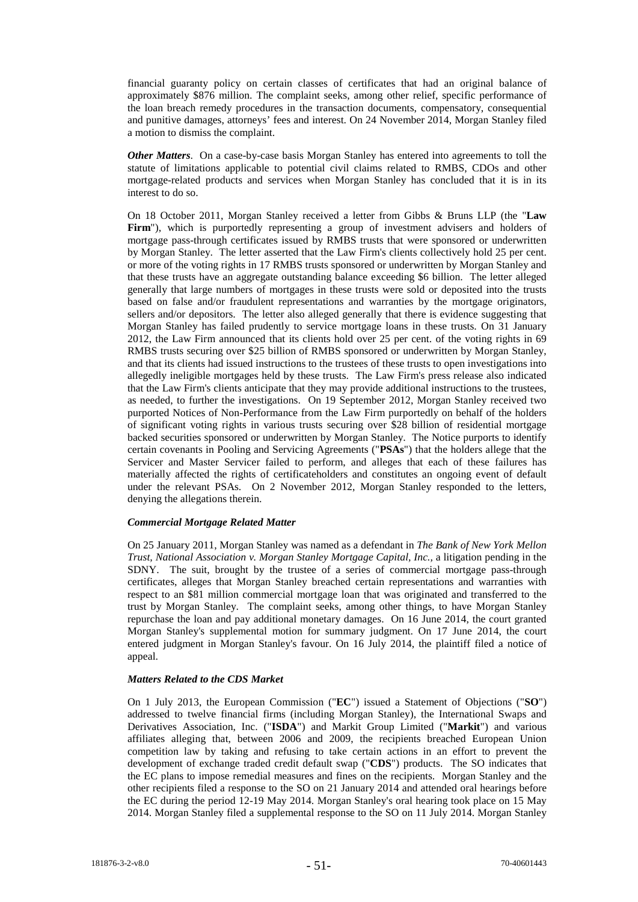financial guaranty policy on certain classes of certificates that had an original balance of approximately \$876 million. The complaint seeks, among other relief, specific performance of the loan breach remedy procedures in the transaction documents, compensatory, consequential and punitive damages, attorneys' fees and interest. On 24 November 2014, Morgan Stanley filed a motion to dismiss the complaint.

*Other Matters*. On a case-by-case basis Morgan Stanley has entered into agreements to toll the statute of limitations applicable to potential civil claims related to RMBS, CDOs and other mortgage-related products and services when Morgan Stanley has concluded that it is in its interest to do so.

On 18 October 2011, Morgan Stanley received a letter from Gibbs & Bruns LLP (the "**Law Firm**"), which is purportedly representing a group of investment advisers and holders of mortgage pass-through certificates issued by RMBS trusts that were sponsored or underwritten by Morgan Stanley. The letter asserted that the Law Firm's clients collectively hold 25 per cent. or more of the voting rights in 17 RMBS trusts sponsored or underwritten by Morgan Stanley and that these trusts have an aggregate outstanding balance exceeding \$6 billion. The letter alleged generally that large numbers of mortgages in these trusts were sold or deposited into the trusts based on false and/or fraudulent representations and warranties by the mortgage originators, sellers and/or depositors. The letter also alleged generally that there is evidence suggesting that Morgan Stanley has failed prudently to service mortgage loans in these trusts. On 31 January 2012, the Law Firm announced that its clients hold over 25 per cent. of the voting rights in 69 RMBS trusts securing over \$25 billion of RMBS sponsored or underwritten by Morgan Stanley, and that its clients had issued instructions to the trustees of these trusts to open investigations into allegedly ineligible mortgages held by these trusts. The Law Firm's press release also indicated that the Law Firm's clients anticipate that they may provide additional instructions to the trustees, as needed, to further the investigations. On 19 September 2012, Morgan Stanley received two purported Notices of Non-Performance from the Law Firm purportedly on behalf of the holders of significant voting rights in various trusts securing over \$28 billion of residential mortgage backed securities sponsored or underwritten by Morgan Stanley. The Notice purports to identify certain covenants in Pooling and Servicing Agreements ("**PSAs**") that the holders allege that the Servicer and Master Servicer failed to perform, and alleges that each of these failures has materially affected the rights of certificateholders and constitutes an ongoing event of default under the relevant PSAs. On 2 November 2012, Morgan Stanley responded to the letters, denying the allegations therein.

#### *Commercial Mortgage Related Matter*

On 25 January 2011, Morgan Stanley was named as a defendant in *The Bank of New York Mellon Trust, National Association v. Morgan Stanley Mortgage Capital, Inc.,* a litigation pending in the SDNY. The suit, brought by the trustee of a series of commercial mortgage pass-through certificates, alleges that Morgan Stanley breached certain representations and warranties with respect to an \$81 million commercial mortgage loan that was originated and transferred to the trust by Morgan Stanley. The complaint seeks, among other things, to have Morgan Stanley repurchase the loan and pay additional monetary damages. On 16 June 2014, the court granted Morgan Stanley's supplemental motion for summary judgment. On 17 June 2014, the court entered judgment in Morgan Stanley's favour. On 16 July 2014, the plaintiff filed a notice of appeal.

#### *Matters Related to the CDS Market*

On 1 July 2013, the European Commission ("**EC**") issued a Statement of Objections ("**SO**") addressed to twelve financial firms (including Morgan Stanley), the International Swaps and Derivatives Association, Inc. ("**ISDA**") and Markit Group Limited ("**Markit**") and various affiliates alleging that, between 2006 and 2009, the recipients breached European Union competition law by taking and refusing to take certain actions in an effort to prevent the development of exchange traded credit default swap ("**CDS**") products. The SO indicates that the EC plans to impose remedial measures and fines on the recipients. Morgan Stanley and the other recipients filed a response to the SO on 21 January 2014 and attended oral hearings before the EC during the period 12-19 May 2014. Morgan Stanley's oral hearing took place on 15 May 2014. Morgan Stanley filed a supplemental response to the SO on 11 July 2014. Morgan Stanley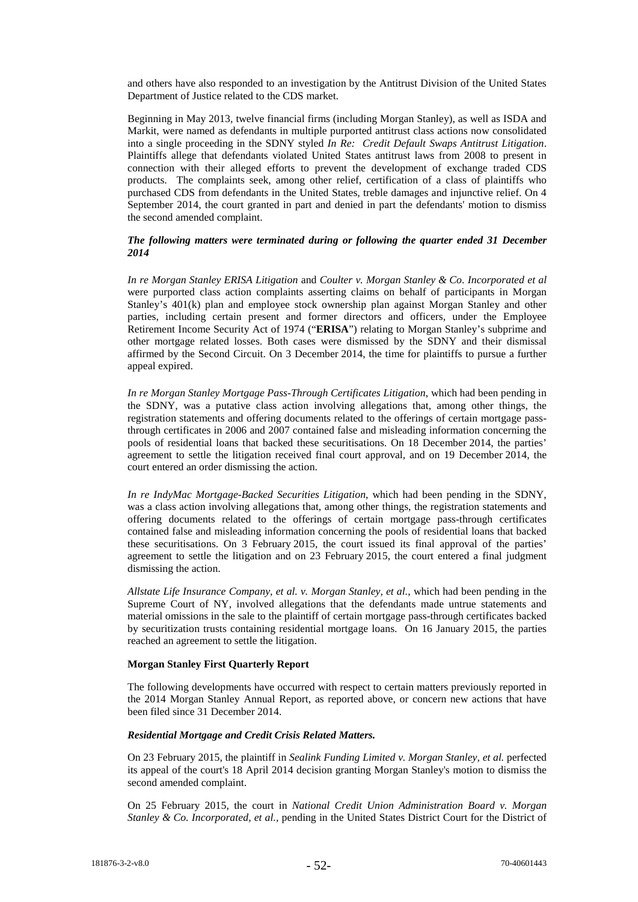and others have also responded to an investigation by the Antitrust Division of the United States Department of Justice related to the CDS market.

Beginning in May 2013, twelve financial firms (including Morgan Stanley), as well as ISDA and Markit, were named as defendants in multiple purported antitrust class actions now consolidated into a single proceeding in the SDNY styled *In Re: Credit Default Swaps Antitrust Litigation*. Plaintiffs allege that defendants violated United States antitrust laws from 2008 to present in connection with their alleged efforts to prevent the development of exchange traded CDS products. The complaints seek, among other relief, certification of a class of plaintiffs who purchased CDS from defendants in the United States, treble damages and injunctive relief. On 4 September 2014, the court granted in part and denied in part the defendants' motion to dismiss the second amended complaint.

## *The following matters were terminated during or following the quarter ended 31 December 2014*

*In re Morgan Stanley ERISA Litigation* and *Coulter v. Morgan Stanley & Co*. *Incorporated et al* were purported class action complaints asserting claims on behalf of participants in Morgan Stanley's 401(k) plan and employee stock ownership plan against Morgan Stanley and other parties, including certain present and former directors and officers, under the Employee Retirement Income Security Act of 1974 ("**ERISA**") relating to Morgan Stanley's subprime and other mortgage related losses. Both cases were dismissed by the SDNY and their dismissal affirmed by the Second Circuit. On 3 December 2014, the time for plaintiffs to pursue a further appeal expired.

*In re Morgan Stanley Mortgage Pass-Through Certificates Litigation*, which had been pending in the SDNY, was a putative class action involving allegations that, among other things, the registration statements and offering documents related to the offerings of certain mortgage passthrough certificates in 2006 and 2007 contained false and misleading information concerning the pools of residential loans that backed these securitisations. On 18 December 2014, the parties' agreement to settle the litigation received final court approval, and on 19 December 2014, the court entered an order dismissing the action.

*In re IndyMac Mortgage-Backed Securities Litigation*, which had been pending in the SDNY, was a class action involving allegations that, among other things, the registration statements and offering documents related to the offerings of certain mortgage pass-through certificates contained false and misleading information concerning the pools of residential loans that backed these securitisations. On 3 February 2015, the court issued its final approval of the parties' agreement to settle the litigation and on 23 February 2015, the court entered a final judgment dismissing the action.

*Allstate Life Insurance Company, et al. v. Morgan Stanley, et al.*, which had been pending in the Supreme Court of NY, involved allegations that the defendants made untrue statements and material omissions in the sale to the plaintiff of certain mortgage pass-through certificates backed by securitization trusts containing residential mortgage loans. On 16 January 2015, the parties reached an agreement to settle the litigation.

## **Morgan Stanley First Quarterly Report**

The following developments have occurred with respect to certain matters previously reported in the 2014 Morgan Stanley Annual Report, as reported above, or concern new actions that have been filed since 31 December 2014.

## *Residential Mortgage and Credit Crisis Related Matters.*

On 23 February 2015, the plaintiff in *Sealink Funding Limited v. Morgan Stanley, et al.* perfected its appeal of the court's 18 April 2014 decision granting Morgan Stanley's motion to dismiss the second amended complaint.

On 25 February 2015, the court in *National Credit Union Administration Board v. Morgan Stanley & Co. Incorporated, et al.,* pending in the United States District Court for the District of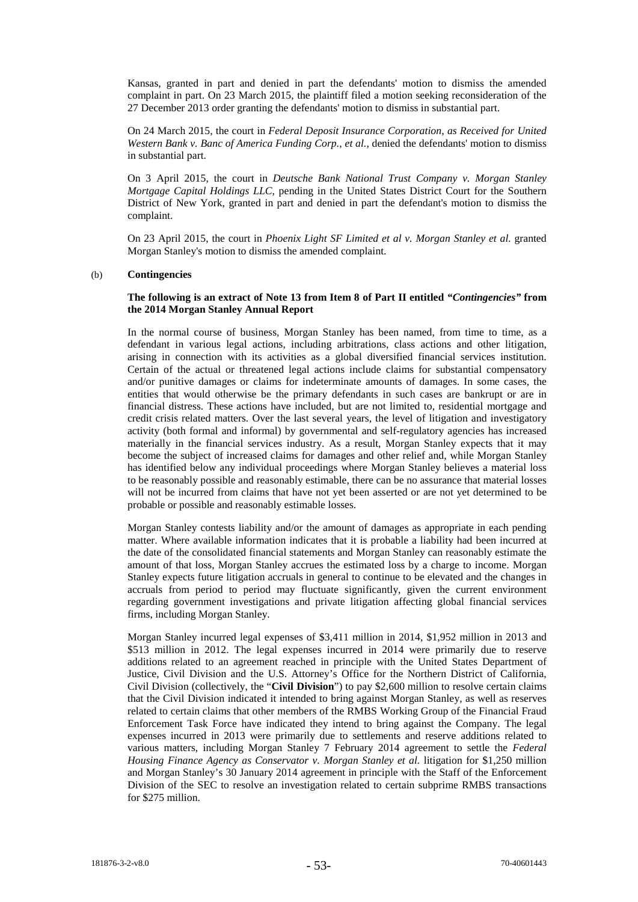Kansas, granted in part and denied in part the defendants' motion to dismiss the amended complaint in part. On 23 March 2015, the plaintiff filed a motion seeking reconsideration of the 27 December 2013 order granting the defendants' motion to dismiss in substantial part.

On 24 March 2015, the court in *Federal Deposit Insurance Corporation, as Received for United Western Bank v. Banc of America Funding Corp., et al.*, denied the defendants' motion to dismiss in substantial part.

On 3 April 2015, the court in *Deutsche Bank National Trust Company v. Morgan Stanley Mortgage Capital Holdings LLC*, pending in the United States District Court for the Southern District of New York, granted in part and denied in part the defendant's motion to dismiss the complaint.

On 23 April 2015, the court in *Phoenix Light SF Limited et al v. Morgan Stanley et al.* granted Morgan Stanley's motion to dismiss the amended complaint.

#### (b) **Contingencies**

## **The following is an extract of Note 13 from Item 8 of Part II entitled** *"Contingencies"* **from the 2014 Morgan Stanley Annual Report**

In the normal course of business, Morgan Stanley has been named, from time to time, as a defendant in various legal actions, including arbitrations, class actions and other litigation, arising in connection with its activities as a global diversified financial services institution. Certain of the actual or threatened legal actions include claims for substantial compensatory and/or punitive damages or claims for indeterminate amounts of damages. In some cases, the entities that would otherwise be the primary defendants in such cases are bankrupt or are in financial distress. These actions have included, but are not limited to, residential mortgage and credit crisis related matters. Over the last several years, the level of litigation and investigatory activity (both formal and informal) by governmental and self-regulatory agencies has increased materially in the financial services industry. As a result, Morgan Stanley expects that it may become the subject of increased claims for damages and other relief and, while Morgan Stanley has identified below any individual proceedings where Morgan Stanley believes a material loss to be reasonably possible and reasonably estimable, there can be no assurance that material losses will not be incurred from claims that have not yet been asserted or are not yet determined to be probable or possible and reasonably estimable losses.

Morgan Stanley contests liability and/or the amount of damages as appropriate in each pending matter. Where available information indicates that it is probable a liability had been incurred at the date of the consolidated financial statements and Morgan Stanley can reasonably estimate the amount of that loss, Morgan Stanley accrues the estimated loss by a charge to income. Morgan Stanley expects future litigation accruals in general to continue to be elevated and the changes in accruals from period to period may fluctuate significantly, given the current environment regarding government investigations and private litigation affecting global financial services firms, including Morgan Stanley.

Morgan Stanley incurred legal expenses of \$3,411 million in 2014, \$1,952 million in 2013 and \$513 million in 2012. The legal expenses incurred in 2014 were primarily due to reserve additions related to an agreement reached in principle with the United States Department of Justice, Civil Division and the U.S. Attorney's Office for the Northern District of California, Civil Division (collectively, the "**Civil Division**") to pay \$2,600 million to resolve certain claims that the Civil Division indicated it intended to bring against Morgan Stanley, as well as reserves related to certain claims that other members of the RMBS Working Group of the Financial Fraud Enforcement Task Force have indicated they intend to bring against the Company. The legal expenses incurred in 2013 were primarily due to settlements and reserve additions related to various matters, including Morgan Stanley 7 February 2014 agreement to settle the *Federal Housing Finance Agency as Conservator v. Morgan Stanley et al.* litigation for \$1,250 million and Morgan Stanley's 30 January 2014 agreement in principle with the Staff of the Enforcement Division of the SEC to resolve an investigation related to certain subprime RMBS transactions for \$275 million.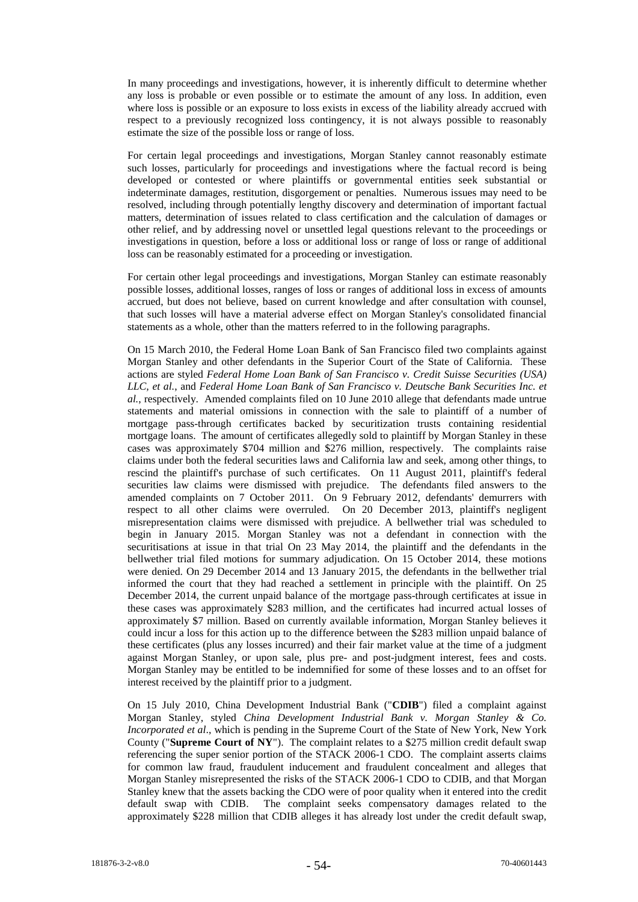In many proceedings and investigations, however, it is inherently difficult to determine whether any loss is probable or even possible or to estimate the amount of any loss. In addition, even where loss is possible or an exposure to loss exists in excess of the liability already accrued with respect to a previously recognized loss contingency, it is not always possible to reasonably estimate the size of the possible loss or range of loss.

For certain legal proceedings and investigations, Morgan Stanley cannot reasonably estimate such losses, particularly for proceedings and investigations where the factual record is being developed or contested or where plaintiffs or governmental entities seek substantial or indeterminate damages, restitution, disgorgement or penalties. Numerous issues may need to be resolved, including through potentially lengthy discovery and determination of important factual matters, determination of issues related to class certification and the calculation of damages or other relief, and by addressing novel or unsettled legal questions relevant to the proceedings or investigations in question, before a loss or additional loss or range of loss or range of additional loss can be reasonably estimated for a proceeding or investigation.

For certain other legal proceedings and investigations, Morgan Stanley can estimate reasonably possible losses, additional losses, ranges of loss or ranges of additional loss in excess of amounts accrued, but does not believe, based on current knowledge and after consultation with counsel, that such losses will have a material adverse effect on Morgan Stanley's consolidated financial statements as a whole, other than the matters referred to in the following paragraphs.

On 15 March 2010, the Federal Home Loan Bank of San Francisco filed two complaints against Morgan Stanley and other defendants in the Superior Court of the State of California. These actions are styled *Federal Home Loan Bank of San Francisco v. Credit Suisse Securities (USA) LLC, et al.*, and *Federal Home Loan Bank of San Francisco v. Deutsche Bank Securities Inc. et al.*, respectively. Amended complaints filed on 10 June 2010 allege that defendants made untrue statements and material omissions in connection with the sale to plaintiff of a number of mortgage pass-through certificates backed by securitization trusts containing residential mortgage loans. The amount of certificates allegedly sold to plaintiff by Morgan Stanley in these cases was approximately \$704 million and \$276 million, respectively. The complaints raise claims under both the federal securities laws and California law and seek, among other things, to rescind the plaintiff's purchase of such certificates. On 11 August 2011, plaintiff's federal securities law claims were dismissed with prejudice. The defendants filed answers to the amended complaints on 7 October 2011. On 9 February 2012, defendants' demurrers with respect to all other claims were overruled. On 20 December 2013, plaintiff's negligent misrepresentation claims were dismissed with prejudice. A bellwether trial was scheduled to begin in January 2015. Morgan Stanley was not a defendant in connection with the securitisations at issue in that trial On 23 May 2014, the plaintiff and the defendants in the bellwether trial filed motions for summary adjudication. On 15 October 2014, these motions were denied. On 29 December 2014 and 13 January 2015, the defendants in the bellwether trial informed the court that they had reached a settlement in principle with the plaintiff. On 25 December 2014, the current unpaid balance of the mortgage pass-through certificates at issue in these cases was approximately \$283 million, and the certificates had incurred actual losses of approximately \$7 million. Based on currently available information, Morgan Stanley believes it could incur a loss for this action up to the difference between the \$283 million unpaid balance of these certificates (plus any losses incurred) and their fair market value at the time of a judgment against Morgan Stanley, or upon sale, plus pre- and post-judgment interest, fees and costs. Morgan Stanley may be entitled to be indemnified for some of these losses and to an offset for interest received by the plaintiff prior to a judgment.

On 15 July 2010, China Development Industrial Bank ("**CDIB**") filed a complaint against Morgan Stanley, styled *China Development Industrial Bank v. Morgan Stanley & Co. Incorporated et al*., which is pending in the Supreme Court of the State of New York, New York County ("**Supreme Court of NY**"). The complaint relates to a \$275 million credit default swap referencing the super senior portion of the STACK 2006-1 CDO. The complaint asserts claims for common law fraud, fraudulent inducement and fraudulent concealment and alleges that Morgan Stanley misrepresented the risks of the STACK 2006-1 CDO to CDIB, and that Morgan Stanley knew that the assets backing the CDO were of poor quality when it entered into the credit default swap with CDIB. The complaint seeks compensatory damages related to the approximately \$228 million that CDIB alleges it has already lost under the credit default swap,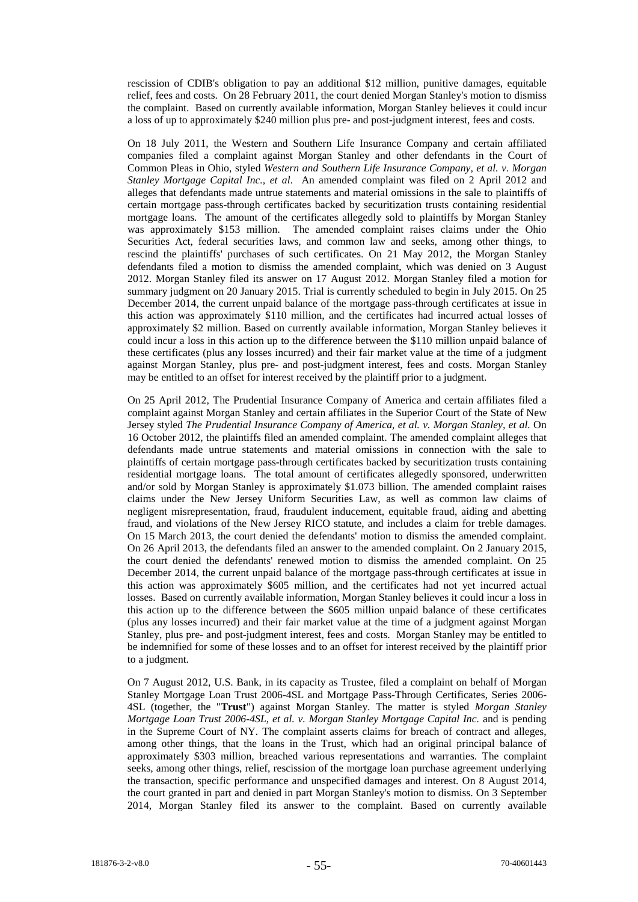rescission of CDIB's obligation to pay an additional \$12 million, punitive damages, equitable relief, fees and costs. On 28 February 2011, the court denied Morgan Stanley's motion to dismiss the complaint. Based on currently available information, Morgan Stanley believes it could incur a loss of up to approximately \$240 million plus pre- and post-judgment interest, fees and costs.

On 18 July 2011, the Western and Southern Life Insurance Company and certain affiliated companies filed a complaint against Morgan Stanley and other defendants in the Court of Common Pleas in Ohio, styled *Western and Southern Life Insurance Company, et al. v. Morgan Stanley Mortgage Capital Inc., et al*. An amended complaint was filed on 2 April 2012 and alleges that defendants made untrue statements and material omissions in the sale to plaintiffs of certain mortgage pass-through certificates backed by securitization trusts containing residential mortgage loans. The amount of the certificates allegedly sold to plaintiffs by Morgan Stanley was approximately \$153 million. The amended complaint raises claims under the Ohio Securities Act, federal securities laws, and common law and seeks, among other things, to rescind the plaintiffs' purchases of such certificates. On 21 May 2012, the Morgan Stanley defendants filed a motion to dismiss the amended complaint, which was denied on 3 August 2012. Morgan Stanley filed its answer on 17 August 2012. Morgan Stanley filed a motion for summary judgment on 20 January 2015. Trial is currently scheduled to begin in July 2015. On 25 December 2014, the current unpaid balance of the mortgage pass-through certificates at issue in this action was approximately \$110 million, and the certificates had incurred actual losses of approximately \$2 million. Based on currently available information, Morgan Stanley believes it could incur a loss in this action up to the difference between the \$110 million unpaid balance of these certificates (plus any losses incurred) and their fair market value at the time of a judgment against Morgan Stanley, plus pre- and post-judgment interest, fees and costs. Morgan Stanley may be entitled to an offset for interest received by the plaintiff prior to a judgment.

On 25 April 2012, The Prudential Insurance Company of America and certain affiliates filed a complaint against Morgan Stanley and certain affiliates in the Superior Court of the State of New Jersey styled *The Prudential Insurance Company of America, et al. v. Morgan Stanley, et al.* On 16 October 2012, the plaintiffs filed an amended complaint. The amended complaint alleges that defendants made untrue statements and material omissions in connection with the sale to plaintiffs of certain mortgage pass-through certificates backed by securitization trusts containing residential mortgage loans. The total amount of certificates allegedly sponsored, underwritten and/or sold by Morgan Stanley is approximately \$1.073 billion. The amended complaint raises claims under the New Jersey Uniform Securities Law, as well as common law claims of negligent misrepresentation, fraud, fraudulent inducement, equitable fraud, aiding and abetting fraud, and violations of the New Jersey RICO statute, and includes a claim for treble damages. On 15 March 2013, the court denied the defendants' motion to dismiss the amended complaint. On 26 April 2013, the defendants filed an answer to the amended complaint. On 2 January 2015, the court denied the defendants' renewed motion to dismiss the amended complaint. On 25 December 2014, the current unpaid balance of the mortgage pass-through certificates at issue in this action was approximately \$605 million, and the certificates had not yet incurred actual losses. Based on currently available information, Morgan Stanley believes it could incur a loss in this action up to the difference between the \$605 million unpaid balance of these certificates (plus any losses incurred) and their fair market value at the time of a judgment against Morgan Stanley, plus pre- and post-judgment interest, fees and costs. Morgan Stanley may be entitled to be indemnified for some of these losses and to an offset for interest received by the plaintiff prior to a judgment.

On 7 August 2012, U.S. Bank, in its capacity as Trustee, filed a complaint on behalf of Morgan Stanley Mortgage Loan Trust 2006-4SL and Mortgage Pass-Through Certificates, Series 2006- 4SL (together, the "**Trust**") against Morgan Stanley. The matter is styled *Morgan Stanley Mortgage Loan Trust 2006-4SL, et al. v. Morgan Stanley Mortgage Capital Inc.* and is pending in the Supreme Court of NY. The complaint asserts claims for breach of contract and alleges, among other things, that the loans in the Trust, which had an original principal balance of approximately \$303 million, breached various representations and warranties. The complaint seeks, among other things, relief, rescission of the mortgage loan purchase agreement underlying the transaction, specific performance and unspecified damages and interest. On 8 August 2014, the court granted in part and denied in part Morgan Stanley's motion to dismiss. On 3 September 2014, Morgan Stanley filed its answer to the complaint. Based on currently available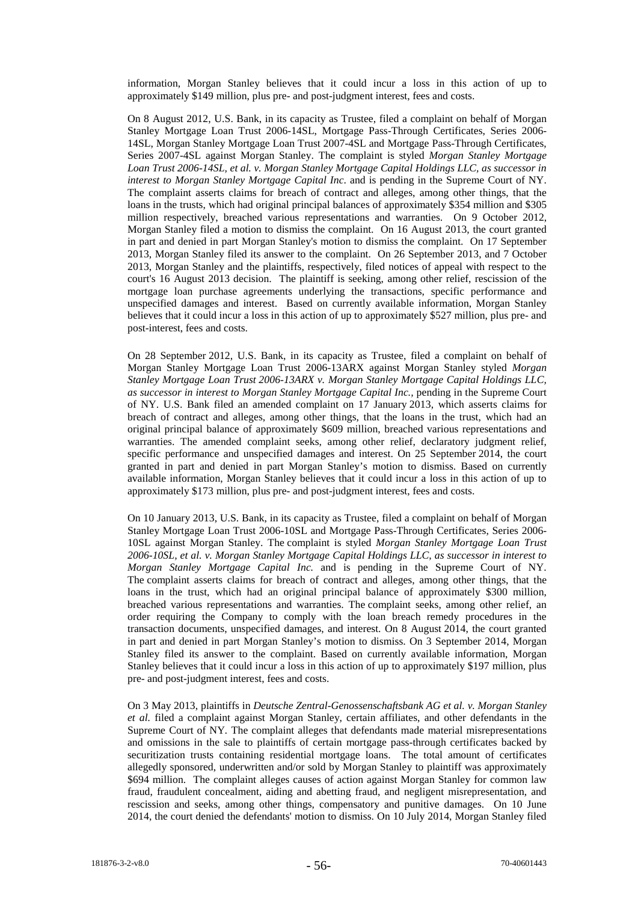information, Morgan Stanley believes that it could incur a loss in this action of up to approximately \$149 million, plus pre- and post-judgment interest, fees and costs.

On 8 August 2012, U.S. Bank, in its capacity as Trustee, filed a complaint on behalf of Morgan Stanley Mortgage Loan Trust 2006-14SL, Mortgage Pass-Through Certificates, Series 2006- 14SL, Morgan Stanley Mortgage Loan Trust 2007-4SL and Mortgage Pass-Through Certificates, Series 2007-4SL against Morgan Stanley. The complaint is styled *Morgan Stanley Mortgage Loan Trust 2006-14SL, et al. v. Morgan Stanley Mortgage Capital Holdings LLC, as successor in interest to Morgan Stanley Mortgage Capital Inc*. and is pending in the Supreme Court of NY. The complaint asserts claims for breach of contract and alleges, among other things, that the loans in the trusts, which had original principal balances of approximately \$354 million and \$305 million respectively, breached various representations and warranties. On 9 October 2012, Morgan Stanley filed a motion to dismiss the complaint. On 16 August 2013, the court granted in part and denied in part Morgan Stanley's motion to dismiss the complaint. On 17 September 2013, Morgan Stanley filed its answer to the complaint. On 26 September 2013, and 7 October 2013, Morgan Stanley and the plaintiffs, respectively, filed notices of appeal with respect to the court's 16 August 2013 decision. The plaintiff is seeking, among other relief, rescission of the mortgage loan purchase agreements underlying the transactions, specific performance and unspecified damages and interest. Based on currently available information, Morgan Stanley believes that it could incur a loss in this action of up to approximately \$527 million, plus pre- and post-interest, fees and costs.

On 28 September 2012, U.S. Bank, in its capacity as Trustee, filed a complaint on behalf of Morgan Stanley Mortgage Loan Trust 2006-13ARX against Morgan Stanley styled *Morgan Stanley Mortgage Loan Trust 2006-13ARX v. Morgan Stanley Mortgage Capital Holdings LLC, as successor in interest to Morgan Stanley Mortgage Capital Inc.,* pending in the Supreme Court of NY. U.S. Bank filed an amended complaint on 17 January 2013, which asserts claims for breach of contract and alleges, among other things, that the loans in the trust, which had an original principal balance of approximately \$609 million, breached various representations and warranties. The amended complaint seeks, among other relief, declaratory judgment relief, specific performance and unspecified damages and interest. On 25 September 2014, the court granted in part and denied in part Morgan Stanley's motion to dismiss. Based on currently available information, Morgan Stanley believes that it could incur a loss in this action of up to approximately \$173 million, plus pre- and post-judgment interest, fees and costs.

On 10 January 2013, U.S. Bank, in its capacity as Trustee, filed a complaint on behalf of Morgan Stanley Mortgage Loan Trust 2006-10SL and Mortgage Pass-Through Certificates, Series 2006- 10SL against Morgan Stanley. The complaint is styled *Morgan Stanley Mortgage Loan Trust 2006-10SL, et al. v. Morgan Stanley Mortgage Capital Holdings LLC, as successor in interest to Morgan Stanley Mortgage Capital Inc.* and is pending in the Supreme Court of NY. The complaint asserts claims for breach of contract and alleges, among other things, that the loans in the trust, which had an original principal balance of approximately \$300 million, breached various representations and warranties. The complaint seeks, among other relief, an order requiring the Company to comply with the loan breach remedy procedures in the transaction documents, unspecified damages, and interest. On 8 August 2014, the court granted in part and denied in part Morgan Stanley's motion to dismiss. On 3 September 2014, Morgan Stanley filed its answer to the complaint. Based on currently available information, Morgan Stanley believes that it could incur a loss in this action of up to approximately \$197 million, plus pre- and post-judgment interest, fees and costs.

On 3 May 2013, plaintiffs in *Deutsche Zentral-Genossenschaftsbank AG et al. v. Morgan Stanley et al.* filed a complaint against Morgan Stanley, certain affiliates, and other defendants in the Supreme Court of NY*.* The complaint alleges that defendants made material misrepresentations and omissions in the sale to plaintiffs of certain mortgage pass-through certificates backed by securitization trusts containing residential mortgage loans. The total amount of certificates allegedly sponsored, underwritten and/or sold by Morgan Stanley to plaintiff was approximately \$694 million. The complaint alleges causes of action against Morgan Stanley for common law fraud, fraudulent concealment, aiding and abetting fraud, and negligent misrepresentation, and rescission and seeks, among other things, compensatory and punitive damages. On 10 June 2014, the court denied the defendants' motion to dismiss. On 10 July 2014, Morgan Stanley filed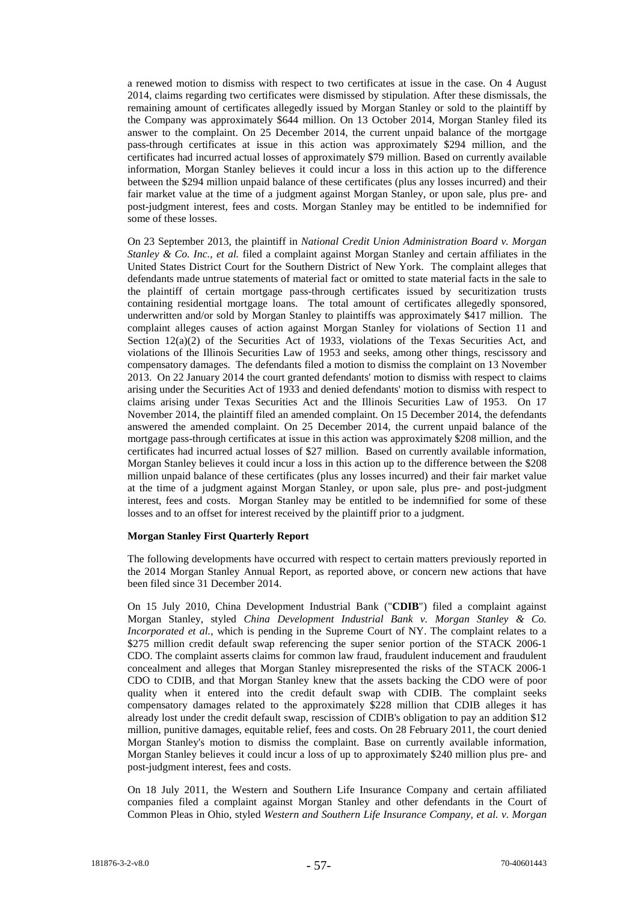a renewed motion to dismiss with respect to two certificates at issue in the case. On 4 August 2014, claims regarding two certificates were dismissed by stipulation. After these dismissals, the remaining amount of certificates allegedly issued by Morgan Stanley or sold to the plaintiff by the Company was approximately \$644 million. On 13 October 2014, Morgan Stanley filed its answer to the complaint. On 25 December 2014, the current unpaid balance of the mortgage pass-through certificates at issue in this action was approximately \$294 million, and the certificates had incurred actual losses of approximately \$79 million. Based on currently available information, Morgan Stanley believes it could incur a loss in this action up to the difference between the \$294 million unpaid balance of these certificates (plus any losses incurred) and their fair market value at the time of a judgment against Morgan Stanley, or upon sale, plus pre- and post-judgment interest, fees and costs. Morgan Stanley may be entitled to be indemnified for some of these losses.

On 23 September 2013, the plaintiff in *National Credit Union Administration Board v. Morgan Stanley & Co. Inc., et al.* filed a complaint against Morgan Stanley and certain affiliates in the United States District Court for the Southern District of New York. The complaint alleges that defendants made untrue statements of material fact or omitted to state material facts in the sale to the plaintiff of certain mortgage pass-through certificates issued by securitization trusts containing residential mortgage loans. The total amount of certificates allegedly sponsored, underwritten and/or sold by Morgan Stanley to plaintiffs was approximately \$417 million. The complaint alleges causes of action against Morgan Stanley for violations of Section 11 and Section  $12(a)(2)$  of the Securities Act of 1933, violations of the Texas Securities Act, and violations of the Illinois Securities Law of 1953 and seeks, among other things, rescissory and compensatory damages. The defendants filed a motion to dismiss the complaint on 13 November 2013. On 22 January 2014 the court granted defendants' motion to dismiss with respect to claims arising under the Securities Act of 1933 and denied defendants' motion to dismiss with respect to claims arising under Texas Securities Act and the Illinois Securities Law of 1953. On 17 November 2014, the plaintiff filed an amended complaint. On 15 December 2014, the defendants answered the amended complaint. On 25 December 2014, the current unpaid balance of the mortgage pass-through certificates at issue in this action was approximately \$208 million, and the certificates had incurred actual losses of \$27 million. Based on currently available information, Morgan Stanley believes it could incur a loss in this action up to the difference between the \$208 million unpaid balance of these certificates (plus any losses incurred) and their fair market value at the time of a judgment against Morgan Stanley, or upon sale, plus pre- and post-judgment interest, fees and costs. Morgan Stanley may be entitled to be indemnified for some of these losses and to an offset for interest received by the plaintiff prior to a judgment.

## **Morgan Stanley First Quarterly Report**

The following developments have occurred with respect to certain matters previously reported in the 2014 Morgan Stanley Annual Report, as reported above, or concern new actions that have been filed since 31 December 2014.

On 15 July 2010, China Development Industrial Bank ("**CDIB**") filed a complaint against Morgan Stanley, styled *China Development Industrial Bank v. Morgan Stanley & Co. Incorporated et al.*, which is pending in the Supreme Court of NY. The complaint relates to a \$275 million credit default swap referencing the super senior portion of the STACK 2006-1 CDO. The complaint asserts claims for common law fraud, fraudulent inducement and fraudulent concealment and alleges that Morgan Stanley misrepresented the risks of the STACK 2006-1 CDO to CDIB, and that Morgan Stanley knew that the assets backing the CDO were of poor quality when it entered into the credit default swap with CDIB. The complaint seeks compensatory damages related to the approximately \$228 million that CDIB alleges it has already lost under the credit default swap, rescission of CDIB's obligation to pay an addition \$12 million, punitive damages, equitable relief, fees and costs. On 28 February 2011, the court denied Morgan Stanley's motion to dismiss the complaint. Base on currently available information, Morgan Stanley believes it could incur a loss of up to approximately \$240 million plus pre- and post-judgment interest, fees and costs.

On 18 July 2011, the Western and Southern Life Insurance Company and certain affiliated companies filed a complaint against Morgan Stanley and other defendants in the Court of Common Pleas in Ohio, styled *Western and Southern Life Insurance Company, et al. v. Morgan*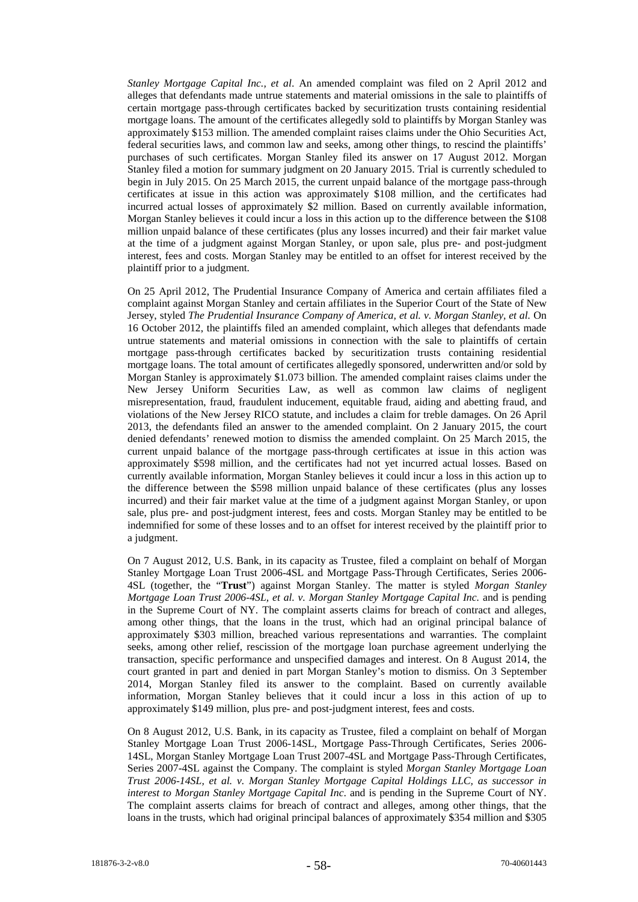*Stanley Mortgage Capital Inc., et al*. An amended complaint was filed on 2 April 2012 and alleges that defendants made untrue statements and material omissions in the sale to plaintiffs of certain mortgage pass-through certificates backed by securitization trusts containing residential mortgage loans. The amount of the certificates allegedly sold to plaintiffs by Morgan Stanley was approximately \$153 million. The amended complaint raises claims under the Ohio Securities Act, federal securities laws, and common law and seeks, among other things, to rescind the plaintiffs' purchases of such certificates. Morgan Stanley filed its answer on 17 August 2012. Morgan Stanley filed a motion for summary judgment on 20 January 2015. Trial is currently scheduled to begin in July 2015. On 25 March 2015, the current unpaid balance of the mortgage pass-through certificates at issue in this action was approximately \$108 million, and the certificates had incurred actual losses of approximately \$2 million. Based on currently available information, Morgan Stanley believes it could incur a loss in this action up to the difference between the \$108 million unpaid balance of these certificates (plus any losses incurred) and their fair market value at the time of a judgment against Morgan Stanley, or upon sale, plus pre- and post-judgment interest, fees and costs. Morgan Stanley may be entitled to an offset for interest received by the plaintiff prior to a judgment.

On 25 April 2012, The Prudential Insurance Company of America and certain affiliates filed a complaint against Morgan Stanley and certain affiliates in the Superior Court of the State of New Jersey, styled *The Prudential Insurance Company of America, et al. v. Morgan Stanley, et al.* On 16 October 2012, the plaintiffs filed an amended complaint, which alleges that defendants made untrue statements and material omissions in connection with the sale to plaintiffs of certain mortgage pass-through certificates backed by securitization trusts containing residential mortgage loans. The total amount of certificates allegedly sponsored, underwritten and/or sold by Morgan Stanley is approximately \$1.073 billion. The amended complaint raises claims under the New Jersey Uniform Securities Law, as well as common law claims of negligent misrepresentation, fraud, fraudulent inducement, equitable fraud, aiding and abetting fraud, and violations of the New Jersey RICO statute, and includes a claim for treble damages. On 26 April 2013, the defendants filed an answer to the amended complaint. On 2 January 2015, the court denied defendants' renewed motion to dismiss the amended complaint. On 25 March 2015, the current unpaid balance of the mortgage pass-through certificates at issue in this action was approximately \$598 million, and the certificates had not yet incurred actual losses. Based on currently available information, Morgan Stanley believes it could incur a loss in this action up to the difference between the \$598 million unpaid balance of these certificates (plus any losses incurred) and their fair market value at the time of a judgment against Morgan Stanley, or upon sale, plus pre- and post-judgment interest, fees and costs. Morgan Stanley may be entitled to be indemnified for some of these losses and to an offset for interest received by the plaintiff prior to a judgment.

On 7 August 2012, U.S. Bank, in its capacity as Trustee, filed a complaint on behalf of Morgan Stanley Mortgage Loan Trust 2006-4SL and Mortgage Pass-Through Certificates, Series 2006- 4SL (together, the "**Trust**") against Morgan Stanley. The matter is styled *Morgan Stanley Mortgage Loan Trust 2006-4SL, et al. v. Morgan Stanley Mortgage Capital Inc.* and is pending in the Supreme Court of NY. The complaint asserts claims for breach of contract and alleges, among other things, that the loans in the trust, which had an original principal balance of approximately \$303 million, breached various representations and warranties. The complaint seeks, among other relief, rescission of the mortgage loan purchase agreement underlying the transaction, specific performance and unspecified damages and interest. On 8 August 2014, the court granted in part and denied in part Morgan Stanley's motion to dismiss. On 3 September 2014, Morgan Stanley filed its answer to the complaint. Based on currently available information, Morgan Stanley believes that it could incur a loss in this action of up to approximately \$149 million, plus pre- and post-judgment interest, fees and costs.

On 8 August 2012, U.S. Bank, in its capacity as Trustee, filed a complaint on behalf of Morgan Stanley Mortgage Loan Trust 2006-14SL, Mortgage Pass-Through Certificates, Series 2006- 14SL, Morgan Stanley Mortgage Loan Trust 2007-4SL and Mortgage Pass-Through Certificates, Series 2007-4SL against the Company. The complaint is styled *Morgan Stanley Mortgage Loan Trust 2006-14SL, et al. v. Morgan Stanley Mortgage Capital Holdings LLC, as successor in interest to Morgan Stanley Mortgage Capital Inc*. and is pending in the Supreme Court of NY. The complaint asserts claims for breach of contract and alleges, among other things, that the loans in the trusts, which had original principal balances of approximately \$354 million and \$305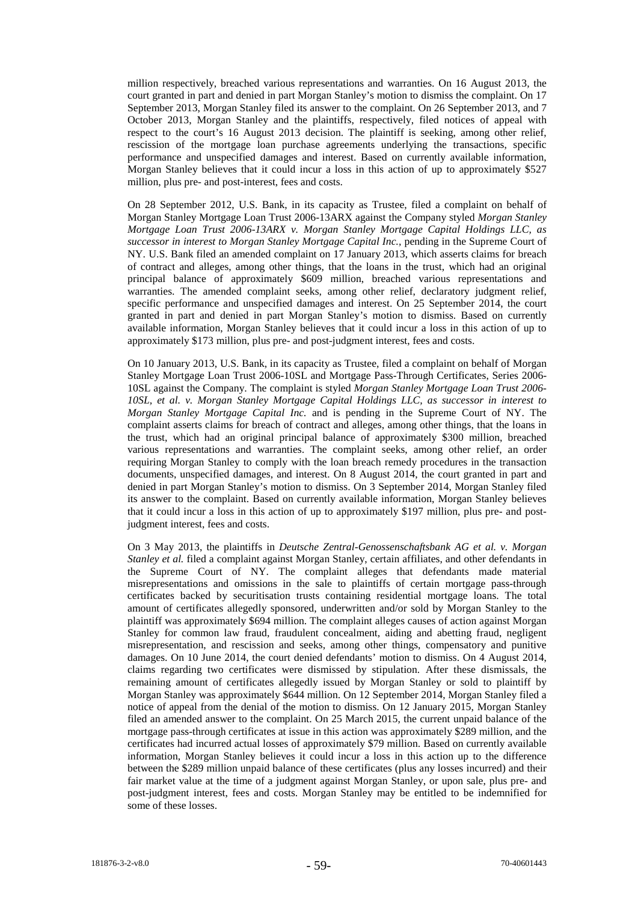million respectively, breached various representations and warranties. On 16 August 2013, the court granted in part and denied in part Morgan Stanley's motion to dismiss the complaint. On 17 September 2013, Morgan Stanley filed its answer to the complaint. On 26 September 2013, and 7 October 2013, Morgan Stanley and the plaintiffs, respectively, filed notices of appeal with respect to the court's 16 August 2013 decision. The plaintiff is seeking, among other relief, rescission of the mortgage loan purchase agreements underlying the transactions, specific performance and unspecified damages and interest. Based on currently available information, Morgan Stanley believes that it could incur a loss in this action of up to approximately \$527 million, plus pre- and post-interest, fees and costs.

On 28 September 2012, U.S. Bank, in its capacity as Trustee, filed a complaint on behalf of Morgan Stanley Mortgage Loan Trust 2006-13ARX against the Company styled *Morgan Stanley Mortgage Loan Trust 2006-13ARX v. Morgan Stanley Mortgage Capital Holdings LLC, as successor in interest to Morgan Stanley Mortgage Capital Inc.,* pending in the Supreme Court of NY. U.S. Bank filed an amended complaint on 17 January 2013, which asserts claims for breach of contract and alleges, among other things, that the loans in the trust, which had an original principal balance of approximately \$609 million, breached various representations and warranties. The amended complaint seeks, among other relief, declaratory judgment relief, specific performance and unspecified damages and interest. On 25 September 2014, the court granted in part and denied in part Morgan Stanley's motion to dismiss. Based on currently available information, Morgan Stanley believes that it could incur a loss in this action of up to approximately \$173 million, plus pre- and post-judgment interest, fees and costs.

On 10 January 2013, U.S. Bank, in its capacity as Trustee, filed a complaint on behalf of Morgan Stanley Mortgage Loan Trust 2006-10SL and Mortgage Pass-Through Certificates, Series 2006- 10SL against the Company. The complaint is styled *Morgan Stanley Mortgage Loan Trust 2006- 10SL, et al. v. Morgan Stanley Mortgage Capital Holdings LLC, as successor in interest to Morgan Stanley Mortgage Capital Inc.* and is pending in the Supreme Court of NY. The complaint asserts claims for breach of contract and alleges, among other things, that the loans in the trust, which had an original principal balance of approximately \$300 million, breached various representations and warranties. The complaint seeks, among other relief, an order requiring Morgan Stanley to comply with the loan breach remedy procedures in the transaction documents, unspecified damages, and interest. On 8 August 2014, the court granted in part and denied in part Morgan Stanley's motion to dismiss. On 3 September 2014, Morgan Stanley filed its answer to the complaint. Based on currently available information, Morgan Stanley believes that it could incur a loss in this action of up to approximately \$197 million, plus pre- and postjudgment interest, fees and costs.

On 3 May 2013, the plaintiffs in *Deutsche Zentral-Genossenschaftsbank AG et al. v. Morgan Stanley et al.* filed a complaint against Morgan Stanley, certain affiliates, and other defendants in the Supreme Court of NY. The complaint alleges that defendants made material misrepresentations and omissions in the sale to plaintiffs of certain mortgage pass-through certificates backed by securitisation trusts containing residential mortgage loans. The total amount of certificates allegedly sponsored, underwritten and/or sold by Morgan Stanley to the plaintiff was approximately \$694 million. The complaint alleges causes of action against Morgan Stanley for common law fraud, fraudulent concealment, aiding and abetting fraud, negligent misrepresentation, and rescission and seeks, among other things, compensatory and punitive damages. On 10 June 2014, the court denied defendants' motion to dismiss. On 4 August 2014, claims regarding two certificates were dismissed by stipulation. After these dismissals, the remaining amount of certificates allegedly issued by Morgan Stanley or sold to plaintiff by Morgan Stanley was approximately \$644 million. On 12 September 2014, Morgan Stanley filed a notice of appeal from the denial of the motion to dismiss. On 12 January 2015, Morgan Stanley filed an amended answer to the complaint. On 25 March 2015, the current unpaid balance of the mortgage pass-through certificates at issue in this action was approximately \$289 million, and the certificates had incurred actual losses of approximately \$79 million. Based on currently available information, Morgan Stanley believes it could incur a loss in this action up to the difference between the \$289 million unpaid balance of these certificates (plus any losses incurred) and their fair market value at the time of a judgment against Morgan Stanley, or upon sale, plus pre- and post-judgment interest, fees and costs. Morgan Stanley may be entitled to be indemnified for some of these losses.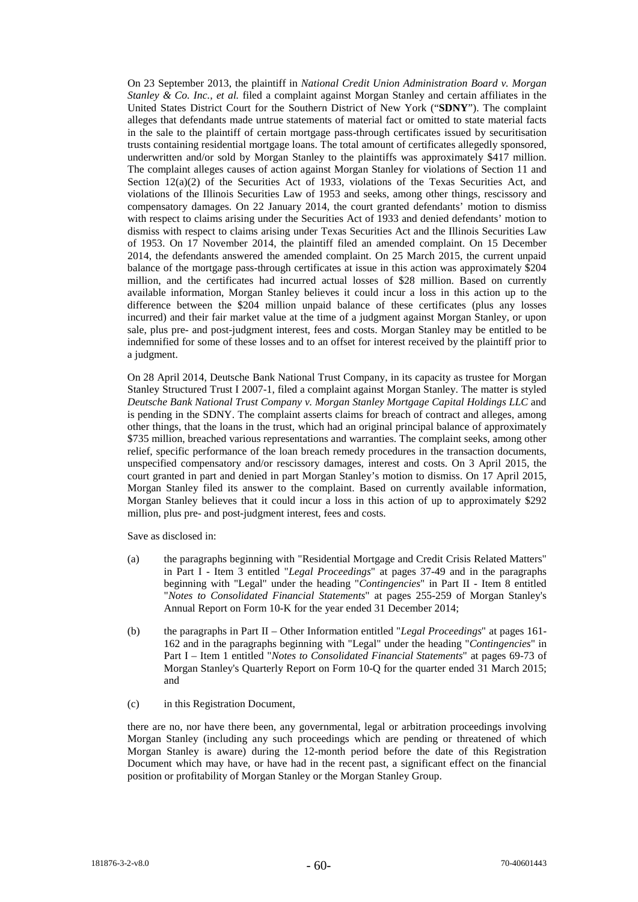On 23 September 2013, the plaintiff in *National Credit Union Administration Board v. Morgan Stanley & Co. Inc., et al.* filed a complaint against Morgan Stanley and certain affiliates in the United States District Court for the Southern District of New York ("**SDNY**"). The complaint alleges that defendants made untrue statements of material fact or omitted to state material facts in the sale to the plaintiff of certain mortgage pass-through certificates issued by securitisation trusts containing residential mortgage loans. The total amount of certificates allegedly sponsored, underwritten and/or sold by Morgan Stanley to the plaintiffs was approximately \$417 million. The complaint alleges causes of action against Morgan Stanley for violations of Section 11 and Section 12(a)(2) of the Securities Act of 1933, violations of the Texas Securities Act, and violations of the Illinois Securities Law of 1953 and seeks, among other things, rescissory and compensatory damages. On 22 January 2014, the court granted defendants' motion to dismiss with respect to claims arising under the Securities Act of 1933 and denied defendants' motion to dismiss with respect to claims arising under Texas Securities Act and the Illinois Securities Law of 1953. On 17 November 2014, the plaintiff filed an amended complaint. On 15 December 2014, the defendants answered the amended complaint. On 25 March 2015, the current unpaid balance of the mortgage pass-through certificates at issue in this action was approximately \$204 million, and the certificates had incurred actual losses of \$28 million. Based on currently available information, Morgan Stanley believes it could incur a loss in this action up to the difference between the \$204 million unpaid balance of these certificates (plus any losses incurred) and their fair market value at the time of a judgment against Morgan Stanley, or upon sale, plus pre- and post-judgment interest, fees and costs. Morgan Stanley may be entitled to be indemnified for some of these losses and to an offset for interest received by the plaintiff prior to a judgment.

On 28 April 2014, Deutsche Bank National Trust Company, in its capacity as trustee for Morgan Stanley Structured Trust I 2007-1, filed a complaint against Morgan Stanley. The matter is styled *Deutsche Bank National Trust Company v. Morgan Stanley Mortgage Capital Holdings LLC* and is pending in the SDNY. The complaint asserts claims for breach of contract and alleges, among other things, that the loans in the trust, which had an original principal balance of approximately \$735 million, breached various representations and warranties. The complaint seeks, among other relief, specific performance of the loan breach remedy procedures in the transaction documents, unspecified compensatory and/or rescissory damages, interest and costs. On 3 April 2015, the court granted in part and denied in part Morgan Stanley's motion to dismiss. On 17 April 2015, Morgan Stanley filed its answer to the complaint. Based on currently available information, Morgan Stanley believes that it could incur a loss in this action of up to approximately \$292 million, plus pre- and post-judgment interest, fees and costs.

Save as disclosed in:

- (a) the paragraphs beginning with "Residential Mortgage and Credit Crisis Related Matters" in Part I - Item 3 entitled "*Legal Proceedings*" at pages 37-49 and in the paragraphs beginning with "Legal" under the heading "*Contingencies*" in Part II - Item 8 entitled "*Notes to Consolidated Financial Statements*" at pages 255-259 of Morgan Stanley's Annual Report on Form 10-K for the year ended 31 December 2014;
- (b) the paragraphs in Part II Other Information entitled "*Legal Proceedings*" at pages 161- 162 and in the paragraphs beginning with "Legal" under the heading "*Contingencies*" in Part I – Item 1 entitled "*Notes to Consolidated Financial Statements*" at pages 69-73 of Morgan Stanley's Quarterly Report on Form 10-Q for the quarter ended 31 March 2015; and
- (c) in this Registration Document,

there are no, nor have there been, any governmental, legal or arbitration proceedings involving Morgan Stanley (including any such proceedings which are pending or threatened of which Morgan Stanley is aware) during the 12-month period before the date of this Registration Document which may have, or have had in the recent past, a significant effect on the financial position or profitability of Morgan Stanley or the Morgan Stanley Group.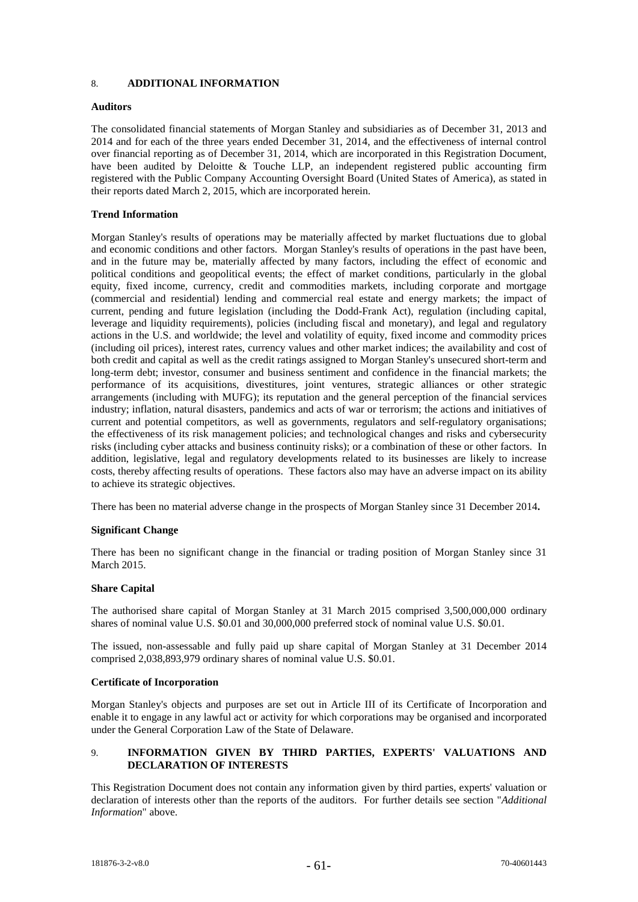## 8. **ADDITIONAL INFORMATION**

### **Auditors**

The consolidated financial statements of Morgan Stanley and subsidiaries as of December 31, 2013 and 2014 and for each of the three years ended December 31, 2014, and the effectiveness of internal control over financial reporting as of December 31, 2014, which are incorporated in this Registration Document, have been audited by Deloitte & Touche LLP, an independent registered public accounting firm registered with the Public Company Accounting Oversight Board (United States of America), as stated in their reports dated March 2, 2015, which are incorporated herein.

## **Trend Information**

Morgan Stanley's results of operations may be materially affected by market fluctuations due to global and economic conditions and other factors. Morgan Stanley's results of operations in the past have been, and in the future may be, materially affected by many factors, including the effect of economic and political conditions and geopolitical events; the effect of market conditions, particularly in the global equity, fixed income, currency, credit and commodities markets, including corporate and mortgage (commercial and residential) lending and commercial real estate and energy markets; the impact of current, pending and future legislation (including the Dodd-Frank Act), regulation (including capital, leverage and liquidity requirements), policies (including fiscal and monetary), and legal and regulatory actions in the U.S. and worldwide; the level and volatility of equity, fixed income and commodity prices (including oil prices), interest rates, currency values and other market indices; the availability and cost of both credit and capital as well as the credit ratings assigned to Morgan Stanley's unsecured short-term and long-term debt; investor, consumer and business sentiment and confidence in the financial markets; the performance of its acquisitions, divestitures, joint ventures, strategic alliances or other strategic arrangements (including with MUFG); its reputation and the general perception of the financial services industry; inflation, natural disasters, pandemics and acts of war or terrorism; the actions and initiatives of current and potential competitors, as well as governments, regulators and self-regulatory organisations; the effectiveness of its risk management policies; and technological changes and risks and cybersecurity risks (including cyber attacks and business continuity risks); or a combination of these or other factors. In addition, legislative, legal and regulatory developments related to its businesses are likely to increase costs, thereby affecting results of operations. These factors also may have an adverse impact on its ability to achieve its strategic objectives.

There has been no material adverse change in the prospects of Morgan Stanley since 31 December 2014**.**

#### **Significant Change**

There has been no significant change in the financial or trading position of Morgan Stanley since 31 March 2015.

#### **Share Capital**

The authorised share capital of Morgan Stanley at 31 March 2015 comprised 3,500,000,000 ordinary shares of nominal value U.S. \$0.01 and 30,000,000 preferred stock of nominal value U.S. \$0.01.

The issued, non-assessable and fully paid up share capital of Morgan Stanley at 31 December 2014 comprised 2,038,893,979 ordinary shares of nominal value U.S. \$0.01.

#### **Certificate of Incorporation**

Morgan Stanley's objects and purposes are set out in Article III of its Certificate of Incorporation and enable it to engage in any lawful act or activity for which corporations may be organised and incorporated under the General Corporation Law of the State of Delaware.

## 9. **INFORMATION GIVEN BY THIRD PARTIES, EXPERTS' VALUATIONS AND DECLARATION OF INTERESTS**

This Registration Document does not contain any information given by third parties, experts' valuation or declaration of interests other than the reports of the auditors. For further details see section "*Additional Information*" above.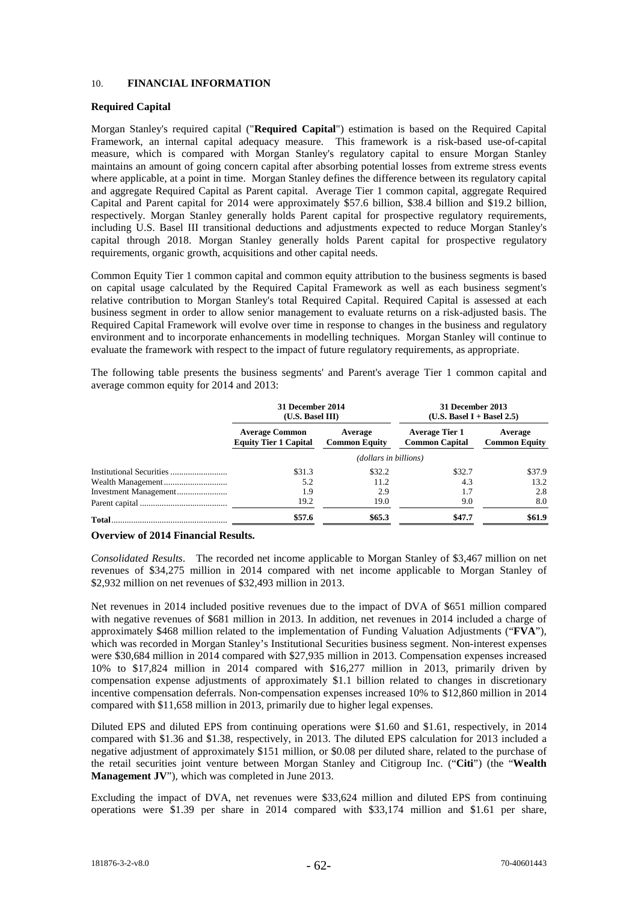## 10. **FINANCIAL INFORMATION**

## **Required Capital**

Morgan Stanley's required capital ("**Required Capital**") estimation is based on the Required Capital Framework, an internal capital adequacy measure. This framework is a risk-based use-of-capital measure, which is compared with Morgan Stanley's regulatory capital to ensure Morgan Stanley maintains an amount of going concern capital after absorbing potential losses from extreme stress events where applicable, at a point in time. Morgan Stanley defines the difference between its regulatory capital and aggregate Required Capital as Parent capital. Average Tier 1 common capital, aggregate Required Capital and Parent capital for 2014 were approximately \$57.6 billion, \$38.4 billion and \$19.2 billion, respectively. Morgan Stanley generally holds Parent capital for prospective regulatory requirements, including U.S. Basel III transitional deductions and adjustments expected to reduce Morgan Stanley's capital through 2018. Morgan Stanley generally holds Parent capital for prospective regulatory requirements, organic growth, acquisitions and other capital needs.

Common Equity Tier 1 common capital and common equity attribution to the business segments is based on capital usage calculated by the Required Capital Framework as well as each business segment's relative contribution to Morgan Stanley's total Required Capital. Required Capital is assessed at each business segment in order to allow senior management to evaluate returns on a risk-adjusted basis. The Required Capital Framework will evolve over time in response to changes in the business and regulatory environment and to incorporate enhancements in modelling techniques. Morgan Stanley will continue to evaluate the framework with respect to the impact of future regulatory requirements, as appropriate.

The following table presents the business segments' and Parent's average Tier 1 common capital and average common equity for 2014 and 2013:

| 31 December 2014<br>(U.S. Based III)                  |                                                                                   | 31 December 2013<br>$(U.S. Based I + Based 2.5)$ |                                 |  |  |  |
|-------------------------------------------------------|-----------------------------------------------------------------------------------|--------------------------------------------------|---------------------------------|--|--|--|
| <b>Average Common</b><br><b>Equity Tier 1 Capital</b> | <b>Average Tier 1</b><br>Average<br><b>Common Capital</b><br><b>Common Equity</b> |                                                  | Average<br><b>Common Equity</b> |  |  |  |
|                                                       | (dollars in billions)                                                             |                                                  |                                 |  |  |  |
| \$31.3                                                | \$32.2                                                                            | \$32.7                                           | \$37.9                          |  |  |  |
| 5.2                                                   | 11.2                                                                              | 4.3                                              | 13.2                            |  |  |  |
| 1.9                                                   | 2.9                                                                               | 1.7                                              | 2.8                             |  |  |  |
| 19.2                                                  | 19.0                                                                              | 9.0                                              | 8.0                             |  |  |  |
| \$57.6                                                | \$65.3                                                                            | \$47.7                                           | \$61.9                          |  |  |  |

### **Overview of 2014 Financial Results.**

*Consolidated Results*. The recorded net income applicable to Morgan Stanley of \$3,467 million on net revenues of \$34,275 million in 2014 compared with net income applicable to Morgan Stanley of \$2,932 million on net revenues of \$32,493 million in 2013.

Net revenues in 2014 included positive revenues due to the impact of DVA of \$651 million compared with negative revenues of \$681 million in 2013. In addition, net revenues in 2014 included a charge of approximately \$468 million related to the implementation of Funding Valuation Adjustments ("**FVA**"), which was recorded in Morgan Stanley's Institutional Securities business segment. Non-interest expenses were \$30,684 million in 2014 compared with \$27,935 million in 2013. Compensation expenses increased 10% to \$17,824 million in 2014 compared with \$16,277 million in 2013, primarily driven by compensation expense adjustments of approximately \$1.1 billion related to changes in discretionary incentive compensation deferrals. Non-compensation expenses increased 10% to \$12,860 million in 2014 compared with \$11,658 million in 2013, primarily due to higher legal expenses.

Diluted EPS and diluted EPS from continuing operations were \$1.60 and \$1.61, respectively, in 2014 compared with \$1.36 and \$1.38, respectively, in 2013. The diluted EPS calculation for 2013 included a negative adjustment of approximately \$151 million, or \$0.08 per diluted share, related to the purchase of the retail securities joint venture between Morgan Stanley and Citigroup Inc. ("**Citi**") (the "**Wealth Management JV**"), which was completed in June 2013.

Excluding the impact of DVA, net revenues were \$33,624 million and diluted EPS from continuing operations were \$1.39 per share in 2014 compared with \$33,174 million and \$1.61 per share,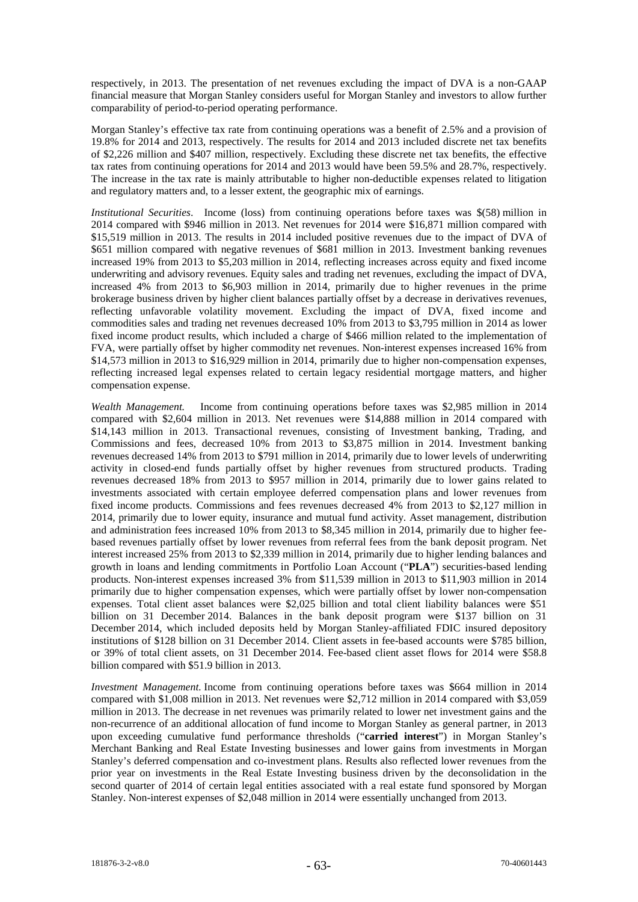respectively, in 2013. The presentation of net revenues excluding the impact of DVA is a non-GAAP financial measure that Morgan Stanley considers useful for Morgan Stanley and investors to allow further comparability of period-to-period operating performance.

Morgan Stanley's effective tax rate from continuing operations was a benefit of 2.5% and a provision of 19.8% for 2014 and 2013, respectively. The results for 2014 and 2013 included discrete net tax benefits of \$2,226 million and \$407 million, respectively. Excluding these discrete net tax benefits, the effective tax rates from continuing operations for 2014 and 2013 would have been 59.5% and 28.7%, respectively. The increase in the tax rate is mainly attributable to higher non-deductible expenses related to litigation and regulatory matters and, to a lesser extent, the geographic mix of earnings.

*Institutional Securities*. Income (loss) from continuing operations before taxes was \$(58) million in 2014 compared with \$946 million in 2013. Net revenues for 2014 were \$16,871 million compared with \$15,519 million in 2013. The results in 2014 included positive revenues due to the impact of DVA of \$651 million compared with negative revenues of \$681 million in 2013. Investment banking revenues increased 19% from 2013 to \$5,203 million in 2014, reflecting increases across equity and fixed income underwriting and advisory revenues. Equity sales and trading net revenues, excluding the impact of DVA, increased 4% from 2013 to \$6,903 million in 2014, primarily due to higher revenues in the prime brokerage business driven by higher client balances partially offset by a decrease in derivatives revenues, reflecting unfavorable volatility movement. Excluding the impact of DVA, fixed income and commodities sales and trading net revenues decreased 10% from 2013 to \$3,795 million in 2014 as lower fixed income product results, which included a charge of \$466 million related to the implementation of FVA, were partially offset by higher commodity net revenues. Non-interest expenses increased 16% from \$14,573 million in 2013 to \$16,929 million in 2014, primarily due to higher non-compensation expenses, reflecting increased legal expenses related to certain legacy residential mortgage matters, and higher compensation expense.

*Wealth Management.* Income from continuing operations before taxes was \$2,985 million in 2014 compared with \$2,604 million in 2013. Net revenues were \$14,888 million in 2014 compared with \$14,143 million in 2013. Transactional revenues, consisting of Investment banking, Trading, and Commissions and fees, decreased 10% from 2013 to \$3,875 million in 2014. Investment banking revenues decreased 14% from 2013 to \$791 million in 2014, primarily due to lower levels of underwriting activity in closed-end funds partially offset by higher revenues from structured products. Trading revenues decreased 18% from 2013 to \$957 million in 2014, primarily due to lower gains related to investments associated with certain employee deferred compensation plans and lower revenues from fixed income products. Commissions and fees revenues decreased 4% from 2013 to \$2,127 million in 2014, primarily due to lower equity, insurance and mutual fund activity. Asset management, distribution and administration fees increased 10% from 2013 to \$8,345 million in 2014, primarily due to higher feebased revenues partially offset by lower revenues from referral fees from the bank deposit program. Net interest increased 25% from 2013 to \$2,339 million in 2014, primarily due to higher lending balances and growth in loans and lending commitments in Portfolio Loan Account ("**PLA**") securities-based lending products. Non-interest expenses increased 3% from \$11,539 million in 2013 to \$11,903 million in 2014 primarily due to higher compensation expenses, which were partially offset by lower non-compensation expenses. Total client asset balances were \$2,025 billion and total client liability balances were \$51 billion on 31 December 2014. Balances in the bank deposit program were \$137 billion on 31 December 2014, which included deposits held by Morgan Stanley-affiliated FDIC insured depository institutions of \$128 billion on 31 December 2014. Client assets in fee-based accounts were \$785 billion, or 39% of total client assets, on 31 December 2014. Fee-based client asset flows for 2014 were \$58.8 billion compared with \$51.9 billion in 2013.

*Investment Management.* Income from continuing operations before taxes was \$664 million in 2014 compared with \$1,008 million in 2013. Net revenues were \$2,712 million in 2014 compared with \$3,059 million in 2013. The decrease in net revenues was primarily related to lower net investment gains and the non-recurrence of an additional allocation of fund income to Morgan Stanley as general partner, in 2013 upon exceeding cumulative fund performance thresholds ("**carried interest**") in Morgan Stanley's Merchant Banking and Real Estate Investing businesses and lower gains from investments in Morgan Stanley's deferred compensation and co-investment plans. Results also reflected lower revenues from the prior year on investments in the Real Estate Investing business driven by the deconsolidation in the second quarter of 2014 of certain legal entities associated with a real estate fund sponsored by Morgan Stanley. Non-interest expenses of \$2,048 million in 2014 were essentially unchanged from 2013.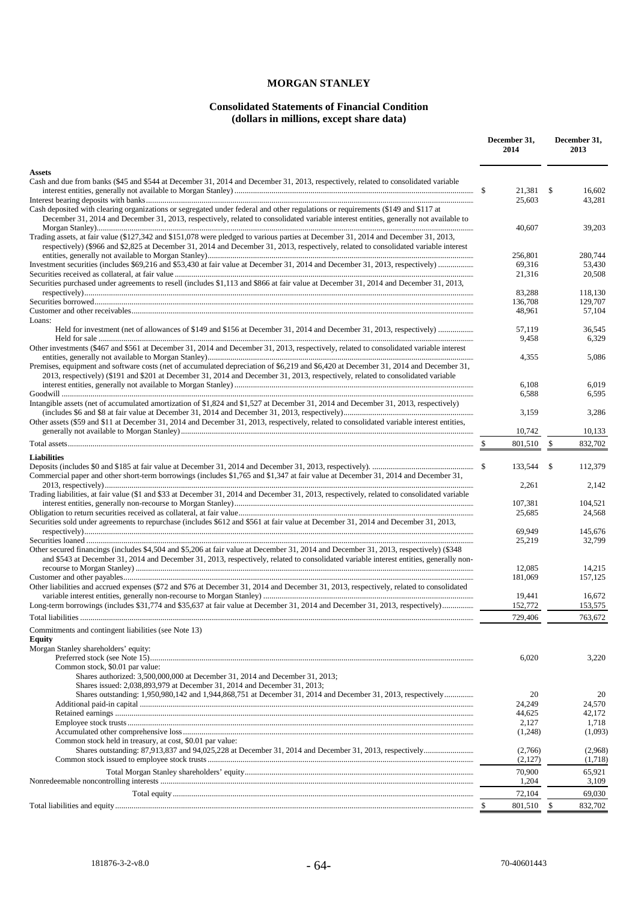# **MORGAN STANLEY**

## **Consolidated Statements of Financial Condition (dollars in millions, except share data)**

|                                                                                                                                                                                                                                                                                 |  | December 31,<br>2014 | December 31,<br>2013 |                    |
|---------------------------------------------------------------------------------------------------------------------------------------------------------------------------------------------------------------------------------------------------------------------------------|--|----------------------|----------------------|--------------------|
| <b>Assets</b><br>Cash and due from banks (\$45 and \$544 at December 31, 2014 and December 31, 2013, respectively, related to consolidated variable                                                                                                                             |  |                      |                      |                    |
|                                                                                                                                                                                                                                                                                 |  | 21.381<br>25,603     | \$                   | 16,602<br>43,281   |
| Cash deposited with clearing organizations or segregated under federal and other regulations or requirements (\$149 and \$117 at<br>December 31, 2014 and December 31, 2013, respectively, related to consolidated variable interest entities, generally not available to       |  |                      |                      |                    |
| Trading assets, at fair value (\$127,342 and \$151,078 were pledged to various parties at December 31, 2014 and December 31, 2013,<br>respectively) (\$966 and \$2,825 at December 31, 2014 and December 31, 2013, respectively, related to consolidated variable interest      |  | 40,607<br>256,801    |                      | 39,203<br>280,744  |
|                                                                                                                                                                                                                                                                                 |  | 69,316               |                      | 53,430             |
| Securities purchased under agreements to resell (includes \$1,113 and \$866 at fair value at December 31, 2014 and December 31, 2013,                                                                                                                                           |  | 21,316               |                      | 20,508             |
|                                                                                                                                                                                                                                                                                 |  | 83,288<br>136,708    |                      | 118,130<br>129,707 |
| Loans:                                                                                                                                                                                                                                                                          |  | 48,961               |                      | 57,104             |
|                                                                                                                                                                                                                                                                                 |  | 57.119<br>9,458      |                      | 36.545<br>6,329    |
| Other investments (\$467 and \$561 at December 31, 2014 and December 31, 2013, respectively, related to consolidated variable interest                                                                                                                                          |  | 4,355                |                      | 5,086              |
| Premises, equipment and software costs (net of accumulated depreciation of \$6,219 and \$6,420 at December 31, 2014 and December 31,<br>2013, respectively) (\$191 and \$201 at December 31, 2014 and December 31, 2013, respectively, related to consolidated variable         |  |                      |                      |                    |
|                                                                                                                                                                                                                                                                                 |  | 6,108<br>6,588       |                      | 6,019<br>6,595     |
| Intangible assets (net of accumulated amortization of \$1,824 and \$1,527 at December 31, 2014 and December 31, 2013, respectively)                                                                                                                                             |  | 3,159                |                      | 3,286              |
| Other assets (\$59 and \$11 at December 31, 2014 and December 31, 2013, respectively, related to consolidated variable interest entities,                                                                                                                                       |  | 10,742               |                      | 10.133             |
|                                                                                                                                                                                                                                                                                 |  | 801,510              | \$                   | 832,702            |
| <b>Liabilities</b>                                                                                                                                                                                                                                                              |  |                      |                      |                    |
| Commercial paper and other short-term borrowings (includes \$1,765 and \$1,347 at fair value at December 31, 2014 and December 31,                                                                                                                                              |  | 133,544<br>2,261     | \$                   | 112,379<br>2,142   |
| Trading liabilities, at fair value (\$1 and \$33 at December 31, 2014 and December 31, 2013, respectively, related to consolidated variable                                                                                                                                     |  | 107,381              |                      | 104,521            |
| Securities sold under agreements to repurchase (includes \$612 and \$561 at fair value at December 31, 2014 and December 31, 2013,                                                                                                                                              |  | 25,685               |                      | 24,568             |
|                                                                                                                                                                                                                                                                                 |  | 69.949               |                      | 145,676            |
| Other secured financings (includes \$4,504 and \$5,206 at fair value at December 31, 2014 and December 31, 2013, respectively) (\$348<br>and \$543 at December 31, 2014 and December 31, 2013, respectively, related to consolidated variable interest entities, generally non- |  | 25,219<br>12.085     |                      | 32,799<br>14,215   |
|                                                                                                                                                                                                                                                                                 |  | 181,069              |                      | 157,125            |
| Other liabilities and accrued expenses (\$72 and \$76 at December 31, 2014 and December 31, 2013, respectively, related to consolidated                                                                                                                                         |  | 19,441               |                      | 16,672             |
| Long-term borrowings (includes \$31,774 and \$35,637 at fair value at December 31, 2014 and December 31, 2013, respectively)                                                                                                                                                    |  | 152,772              |                      | 153,575            |
|                                                                                                                                                                                                                                                                                 |  | 729,406              |                      | 763,672            |
| Commitments and contingent liabilities (see Note 13)<br>Equity                                                                                                                                                                                                                  |  |                      |                      |                    |
| Morgan Stanley shareholders' equity:                                                                                                                                                                                                                                            |  | 6,020                |                      | 3,220              |
| Common stock, \$0.01 par value:<br>Shares authorized: 3,500,000,000 at December 31, 2014 and December 31, 2013;                                                                                                                                                                 |  |                      |                      |                    |
| Shares issued: 2,038,893,979 at December 31, 2014 and December 31, 2013;                                                                                                                                                                                                        |  | 20                   |                      | 20                 |
|                                                                                                                                                                                                                                                                                 |  | 24,249               |                      | 24,570             |
|                                                                                                                                                                                                                                                                                 |  | 44,625<br>2,127      |                      | 42,172<br>1,718    |
|                                                                                                                                                                                                                                                                                 |  | (1,248)              |                      | (1,093)            |
| Common stock held in treasury, at cost, \$0.01 par value:                                                                                                                                                                                                                       |  | (2,766)<br>(2,127)   |                      | (2,968)<br>(1,718) |
|                                                                                                                                                                                                                                                                                 |  | 70,900               |                      | 65,921             |
|                                                                                                                                                                                                                                                                                 |  | 1,204<br>72,104      |                      | 3,109<br>69,030    |
|                                                                                                                                                                                                                                                                                 |  | 801,510              | \$                   | 832,702            |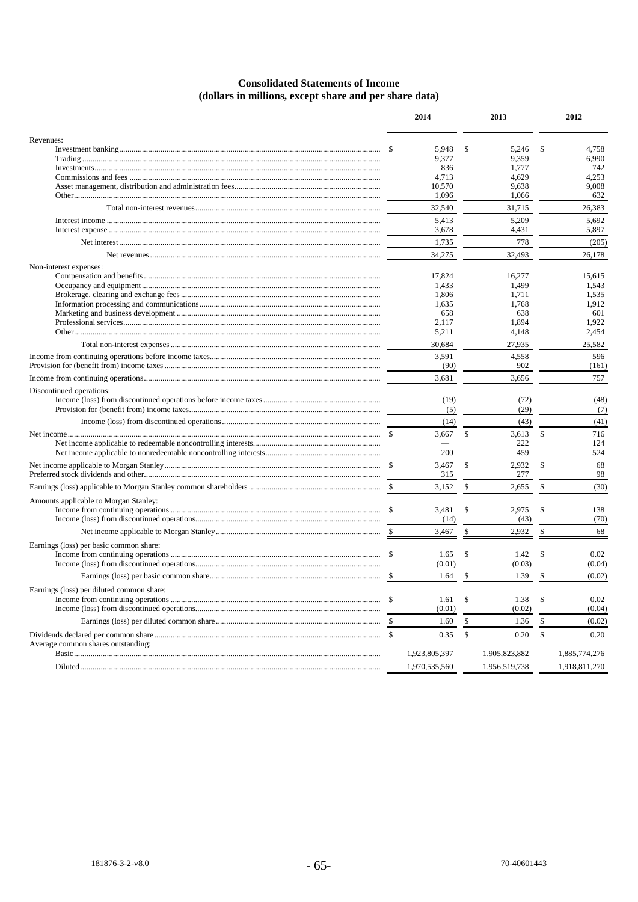# **Consolidated Statements of Income** (dollars in millions, except share and per share data)

|                                           |  | 2014          |              | 2013          |     | 2012          |
|-------------------------------------------|--|---------------|--------------|---------------|-----|---------------|
| Revenues:                                 |  |               |              |               |     |               |
|                                           |  | 5,948         | \$           | 5,246         | S   | 4,758         |
|                                           |  | 9,377         |              | 9,359         |     | 6,990         |
|                                           |  | 836           |              | 1,777         |     | 742           |
|                                           |  | 4,713         |              | 4,629         |     | 4,253         |
|                                           |  | 10,570        |              | 9,638         |     | 9,008         |
|                                           |  | 1,096         |              | 1,066         |     | 632           |
|                                           |  | 32,540        |              | 31,715        |     | 26,383        |
|                                           |  | 5,413         |              | 5,209         |     | 5,692         |
|                                           |  | 3,678         |              | 4,431         |     | 5,897         |
|                                           |  | 1,735         |              | 778           |     | (205)         |
|                                           |  | 34,275        |              | 32,493        |     | 26,178        |
| Non-interest expenses:                    |  |               |              |               |     |               |
|                                           |  | 17,824        |              | 16,277        |     | 15,615        |
|                                           |  | 1,433         |              | 1,499         |     | 1,543         |
|                                           |  | 1,806         |              | 1,711         |     | 1,535         |
|                                           |  | 1,635         |              | 1,768         |     | 1,912         |
|                                           |  | 658           |              | 638           |     | 601           |
|                                           |  | 2,117         |              | 1,894         |     | 1,922         |
|                                           |  | 5,211         |              | 4,148         |     | 2,454         |
|                                           |  | 30,684        |              | 27,935        |     | 25,582        |
|                                           |  | 3,591         |              | 4,558         |     | 596           |
|                                           |  | (90)          |              | 902           |     | (161)         |
|                                           |  | 3,681         |              | 3,656         |     | 757           |
| Discontinued operations:                  |  |               |              |               |     |               |
|                                           |  | (19)          |              | (72)          |     | (48)          |
|                                           |  | (5)           |              | (29)          |     | (7)           |
|                                           |  | (14)          |              | (43)          |     | (41)          |
|                                           |  | 3,667         | \$           | 3,613         | \$  | 716           |
|                                           |  |               |              | 222           |     | 124           |
|                                           |  | 200           |              | 459           |     | 524           |
|                                           |  | 3,467         | $\mathbb{S}$ | 2,932         | \$  | 68            |
|                                           |  | 315           |              | 277           |     | 98            |
|                                           |  | 3,152         | \$           | 2,655         | \$  | (30)          |
|                                           |  |               |              |               |     |               |
| Amounts applicable to Morgan Stanley:     |  |               |              |               |     |               |
|                                           |  | 3,481         | \$           | 2,975         | \$  | 138           |
|                                           |  | (14)          |              | (43)          |     | (70)          |
|                                           |  | 3,467         | \$           | 2,932         | \$  | 68            |
| Earnings (loss) per basic common share:   |  |               |              |               |     |               |
|                                           |  | 1.65          | \$           | 1.42          | S   | 0.02          |
|                                           |  | (0.01)        |              | (0.03)        |     | (0.04)        |
|                                           |  | 1.64          | \$           | 1.39          | \$. | (0.02)        |
| Earnings (loss) per diluted common share: |  |               |              |               |     |               |
|                                           |  | 1.61          | \$           | 1.38          | \$  | 0.02          |
|                                           |  | (0.01)        |              | (0.02)        |     | (0.04)        |
|                                           |  | 1.60          | \$           | 1.36          | S   | (0.02)        |
|                                           |  |               |              |               |     |               |
| Average common shares outstanding:        |  | 0.35          | \$           | 0.20          | \$  | 0.20          |
|                                           |  | 1,923,805,397 |              | 1,905,823,882 |     | 1,885,774,276 |
|                                           |  | 1,970,535,560 |              | 1,956,519,738 |     | 1,918,811,270 |
|                                           |  |               |              |               |     |               |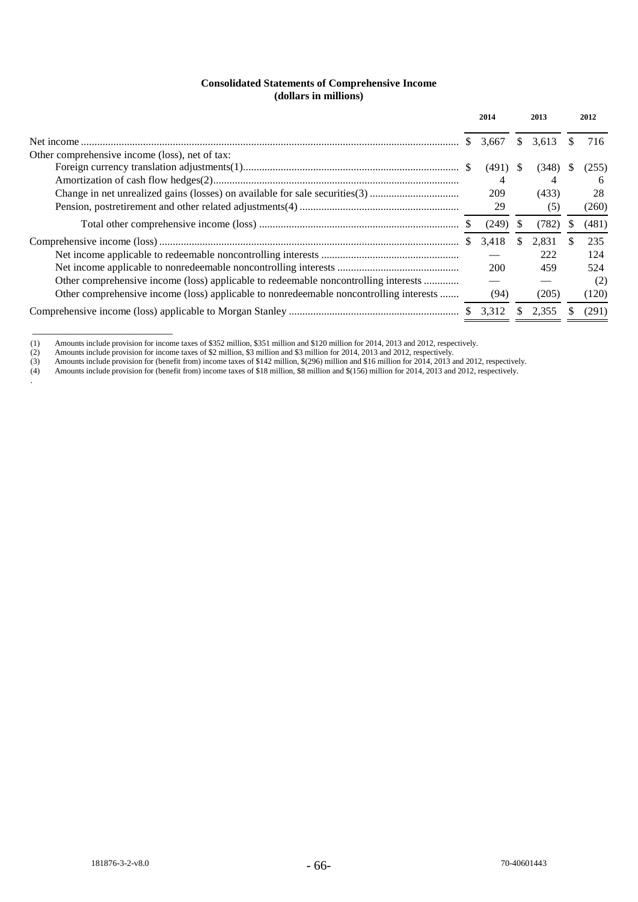## **Consolidated Statements of Comprehensive Income (dollars in millions)**

|                                                                                        |     | 2014       |              | 2013  |    | 2012  |
|----------------------------------------------------------------------------------------|-----|------------|--------------|-------|----|-------|
|                                                                                        | SS. | 3,667      | S            | 3.613 |    | 716.  |
| Other comprehensive income (loss), net of tax:                                         |     |            |              |       |    |       |
|                                                                                        |     | (491)      | <sup>S</sup> | (348) | S. | (255) |
|                                                                                        |     |            |              |       |    | 6     |
|                                                                                        |     | 209        |              | (433) |    | 28    |
|                                                                                        |     | 29         |              | (5)   |    | (260) |
|                                                                                        |     | (249)      | S.           | (782) |    | (481) |
|                                                                                        |     | 3,418      | \$.          | 2.831 |    | 235   |
|                                                                                        |     |            |              | 222   |    | 124   |
|                                                                                        |     | <b>200</b> |              | 459   |    | 524   |
| Other comprehensive income (loss) applicable to redeemable noncontrolling interests    |     |            |              |       |    | (2)   |
| Other comprehensive income (loss) applicable to nonredeemable noncontrolling interests |     | (94)       |              | (205) |    | (120) |
|                                                                                        |     |            | \$           | 2.355 |    | (291) |

<sup>(1)</sup> Amounts include provision for income taxes of \$352 million, \$351 million and \$120 million for 2014, 2013 and 2012, respectively.

- (3) Amounts include provision for (benefit from) income taxes of \$142 million, \$(296) million and \$16 million for 2014, 2013 and 2012, respectively.
- (4) Amounts include provision for (benefit from) income taxes of \$18 million, \$8 million and \$(156) million for 2014, 2013 and 2012, respectively.

\_\_\_\_\_\_\_\_\_\_\_\_\_\_\_\_\_\_\_\_\_\_\_\_\_\_

.

<sup>(2)</sup> Amounts include provision for income taxes of \$2 million, \$3 million and \$3 million for 2014, 2013 and 2012, respectively.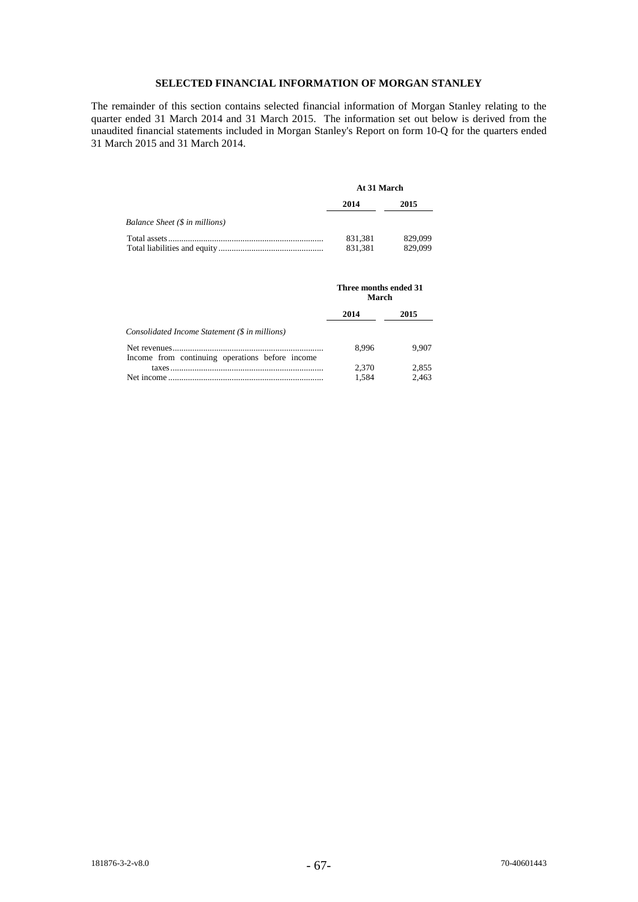## **SELECTED FINANCIAL INFORMATION OF MORGAN STANLEY**

The remainder of this section contains selected financial information of Morgan Stanley relating to the quarter ended 31 March 2014 and 31 March 2015. The information set out below is derived from the unaudited financial statements included in Morgan Stanley's Report on form 10-Q for the quarters ended 31 March 2015 and 31 March 2014.

|                                | At 31 March |         |  |  |
|--------------------------------|-------------|---------|--|--|
|                                | 2014        | 2015    |  |  |
| Balance Sheet (\$ in millions) |             |         |  |  |
|                                | 831.381     | 829,099 |  |  |
|                                | 831.381     | 829,099 |  |  |

|                                                 | Three months ended 31<br>March |                |
|-------------------------------------------------|--------------------------------|----------------|
|                                                 | 2014                           | 2015           |
| Consolidated Income Statement (\$ in millions)  |                                |                |
| Income from continuing operations before income | 8.996                          | 9.907          |
|                                                 | 2.370<br>1.584                 | 2,855<br>2.463 |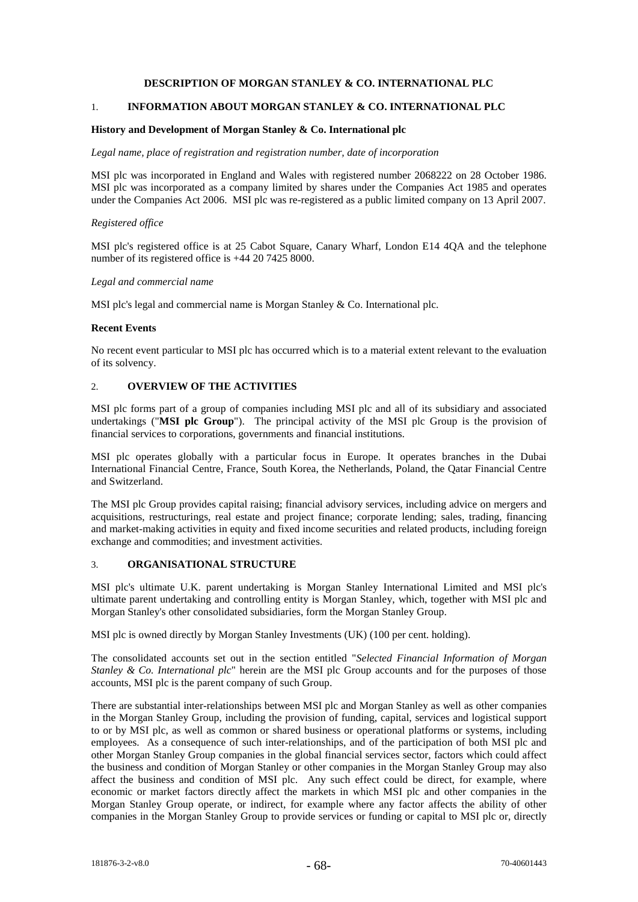## **DESCRIPTION OF MORGAN STANLEY & CO. INTERNATIONAL PLC**

## 1. **INFORMATION ABOUT MORGAN STANLEY & CO. INTERNATIONAL PLC**

### **History and Development of Morgan Stanley & Co. International plc**

#### *Legal name, place of registration and registration number, date of incorporation*

MSI plc was incorporated in England and Wales with registered number 2068222 on 28 October 1986. MSI plc was incorporated as a company limited by shares under the Companies Act 1985 and operates under the Companies Act 2006. MSI plc was re-registered as a public limited company on 13 April 2007.

#### *Registered office*

MSI plc's registered office is at 25 Cabot Square, Canary Wharf, London E14 4QA and the telephone number of its registered office is +44 20 7425 8000.

#### *Legal and commercial name*

MSI plc's legal and commercial name is Morgan Stanley & Co. International plc.

### **Recent Events**

No recent event particular to MSI plc has occurred which is to a material extent relevant to the evaluation of its solvency.

# 2. **OVERVIEW OF THE ACTIVITIES**

MSI plc forms part of a group of companies including MSI plc and all of its subsidiary and associated undertakings ("**MSI plc Group**"). The principal activity of the MSI plc Group is the provision of financial services to corporations, governments and financial institutions.

MSI plc operates globally with a particular focus in Europe. It operates branches in the Dubai International Financial Centre, France, South Korea, the Netherlands, Poland, the Qatar Financial Centre and Switzerland.

The MSI plc Group provides capital raising; financial advisory services, including advice on mergers and acquisitions, restructurings, real estate and project finance; corporate lending; sales, trading, financing and market-making activities in equity and fixed income securities and related products, including foreign exchange and commodities; and investment activities.

## 3. **ORGANISATIONAL STRUCTURE**

MSI plc's ultimate U.K. parent undertaking is Morgan Stanley International Limited and MSI plc's ultimate parent undertaking and controlling entity is Morgan Stanley, which, together with MSI plc and Morgan Stanley's other consolidated subsidiaries, form the Morgan Stanley Group.

MSI plc is owned directly by Morgan Stanley Investments (UK) (100 per cent. holding).

The consolidated accounts set out in the section entitled "*Selected Financial Information of Morgan Stanley & Co. International plc*" herein are the MSI plc Group accounts and for the purposes of those accounts, MSI plc is the parent company of such Group.

There are substantial inter-relationships between MSI plc and Morgan Stanley as well as other companies in the Morgan Stanley Group, including the provision of funding, capital, services and logistical support to or by MSI plc, as well as common or shared business or operational platforms or systems, including employees. As a consequence of such inter-relationships, and of the participation of both MSI plc and other Morgan Stanley Group companies in the global financial services sector, factors which could affect the business and condition of Morgan Stanley or other companies in the Morgan Stanley Group may also affect the business and condition of MSI plc. Any such effect could be direct, for example, where economic or market factors directly affect the markets in which MSI plc and other companies in the Morgan Stanley Group operate, or indirect, for example where any factor affects the ability of other companies in the Morgan Stanley Group to provide services or funding or capital to MSI plc or, directly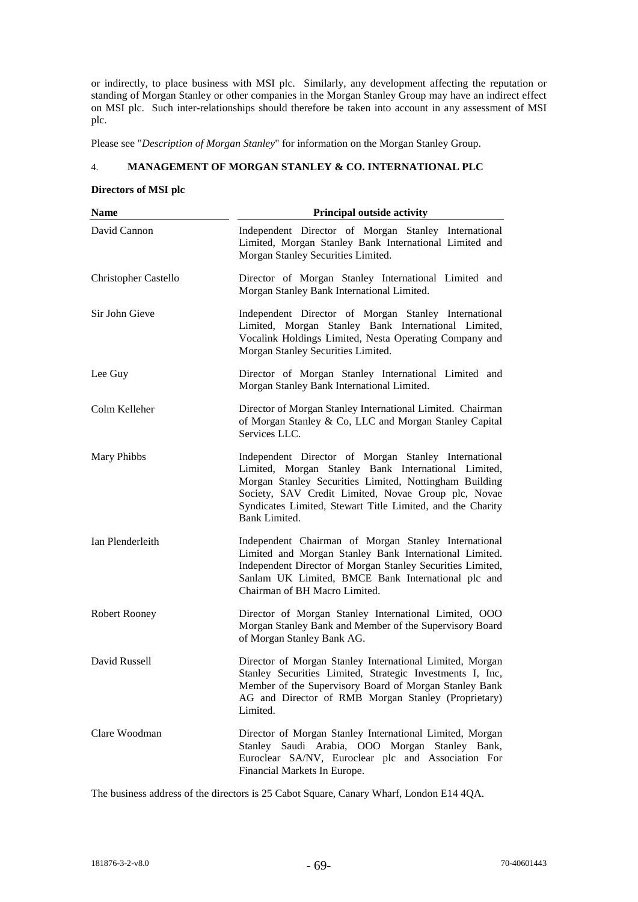or indirectly, to place business with MSI plc. Similarly, any development affecting the reputation or standing of Morgan Stanley or other companies in the Morgan Stanley Group may have an indirect effect on MSI plc. Such inter-relationships should therefore be taken into account in any assessment of MSI plc.

Please see "*Description of Morgan Stanley*" for information on the Morgan Stanley Group.

## 4. **MANAGEMENT OF MORGAN STANLEY & CO. INTERNATIONAL PLC**

## **Directors of MSI plc**

| <b>Name</b>                 | <b>Principal outside activity</b>                                                                                                                                                                                                                                                                           |
|-----------------------------|-------------------------------------------------------------------------------------------------------------------------------------------------------------------------------------------------------------------------------------------------------------------------------------------------------------|
| David Cannon                | Independent Director of Morgan Stanley International<br>Limited, Morgan Stanley Bank International Limited and<br>Morgan Stanley Securities Limited.                                                                                                                                                        |
| <b>Christopher Castello</b> | Director of Morgan Stanley International Limited and<br>Morgan Stanley Bank International Limited.                                                                                                                                                                                                          |
| Sir John Gieve              | Independent Director of Morgan Stanley International<br>Limited, Morgan Stanley Bank International Limited,<br>Vocalink Holdings Limited, Nesta Operating Company and<br>Morgan Stanley Securities Limited.                                                                                                 |
| Lee Guy                     | Director of Morgan Stanley International Limited and<br>Morgan Stanley Bank International Limited.                                                                                                                                                                                                          |
| Colm Kelleher               | Director of Morgan Stanley International Limited. Chairman<br>of Morgan Stanley & Co, LLC and Morgan Stanley Capital<br>Services LLC.                                                                                                                                                                       |
| Mary Phibbs                 | Independent Director of Morgan Stanley International<br>Limited, Morgan Stanley Bank International Limited,<br>Morgan Stanley Securities Limited, Nottingham Building<br>Society, SAV Credit Limited, Novae Group plc, Novae<br>Syndicates Limited, Stewart Title Limited, and the Charity<br>Bank Limited. |
| Ian Plenderleith            | Independent Chairman of Morgan Stanley International<br>Limited and Morgan Stanley Bank International Limited.<br>Independent Director of Morgan Stanley Securities Limited,<br>Sanlam UK Limited, BMCE Bank International plc and<br>Chairman of BH Macro Limited.                                         |
| <b>Robert Rooney</b>        | Director of Morgan Stanley International Limited, OOO<br>Morgan Stanley Bank and Member of the Supervisory Board<br>of Morgan Stanley Bank AG.                                                                                                                                                              |
| David Russell               | Director of Morgan Stanley International Limited, Morgan<br>Stanley Securities Limited, Strategic Investments I, Inc,<br>Member of the Supervisory Board of Morgan Stanley Bank<br>AG and Director of RMB Morgan Stanley (Proprietary)<br>Limited.                                                          |
| Clare Woodman               | Director of Morgan Stanley International Limited, Morgan<br>Stanley Saudi Arabia, OOO Morgan Stanley Bank,<br>Euroclear SA/NV, Euroclear plc and Association For<br>Financial Markets In Europe.                                                                                                            |

The business address of the directors is 25 Cabot Square, Canary Wharf, London E14 4QA.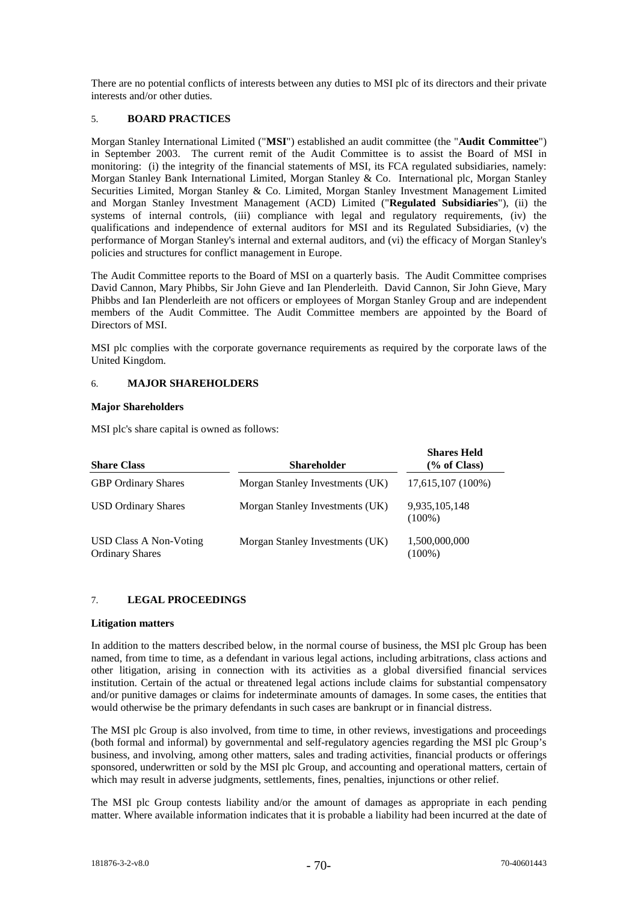There are no potential conflicts of interests between any duties to MSI plc of its directors and their private interests and/or other duties.

## 5. **BOARD PRACTICES**

Morgan Stanley International Limited ("**MSI**") established an audit committee (the "**Audit Committee**") in September 2003. The current remit of the Audit Committee is to assist the Board of MSI in monitoring: (i) the integrity of the financial statements of MSI, its FCA regulated subsidiaries, namely: Morgan Stanley Bank International Limited, Morgan Stanley & Co. International plc, Morgan Stanley Securities Limited, Morgan Stanley & Co. Limited, Morgan Stanley Investment Management Limited and Morgan Stanley Investment Management (ACD) Limited ("**Regulated Subsidiaries**"), (ii) the systems of internal controls, (iii) compliance with legal and regulatory requirements, (iv) the qualifications and independence of external auditors for MSI and its Regulated Subsidiaries, (v) the performance of Morgan Stanley's internal and external auditors, and (vi) the efficacy of Morgan Stanley's policies and structures for conflict management in Europe.

The Audit Committee reports to the Board of MSI on a quarterly basis. The Audit Committee comprises David Cannon, Mary Phibbs, Sir John Gieve and Ian Plenderleith. David Cannon, Sir John Gieve, Mary Phibbs and Ian Plenderleith are not officers or employees of Morgan Stanley Group and are independent members of the Audit Committee. The Audit Committee members are appointed by the Board of Directors of MSI.

MSI plc complies with the corporate governance requirements as required by the corporate laws of the United Kingdom.

## 6. **MAJOR SHAREHOLDERS**

### **Major Shareholders**

MSI plc's share capital is owned as follows:

| <b>Share Class</b>                               | <b>Shareholder</b>              | <b>Shares Held</b><br>$\frac{6}{6}$ of Class) |
|--------------------------------------------------|---------------------------------|-----------------------------------------------|
| <b>GBP</b> Ordinary Shares                       | Morgan Stanley Investments (UK) | 17,615,107 (100%)                             |
| <b>USD Ordinary Shares</b>                       | Morgan Stanley Investments (UK) | 9,935,105,148<br>$(100\%)$                    |
| USD Class A Non-Voting<br><b>Ordinary Shares</b> | Morgan Stanley Investments (UK) | 1,500,000,000<br>$(100\%)$                    |

## 7. **LEGAL PROCEEDINGS**

### **Litigation matters**

In addition to the matters described below, in the normal course of business, the MSI plc Group has been named, from time to time, as a defendant in various legal actions, including arbitrations, class actions and other litigation, arising in connection with its activities as a global diversified financial services institution. Certain of the actual or threatened legal actions include claims for substantial compensatory and/or punitive damages or claims for indeterminate amounts of damages. In some cases, the entities that would otherwise be the primary defendants in such cases are bankrupt or in financial distress.

The MSI plc Group is also involved, from time to time, in other reviews, investigations and proceedings (both formal and informal) by governmental and self-regulatory agencies regarding the MSI plc Group's business, and involving, among other matters, sales and trading activities, financial products or offerings sponsored, underwritten or sold by the MSI plc Group, and accounting and operational matters, certain of which may result in adverse judgments, settlements, fines, penalties, injunctions or other relief.

The MSI plc Group contests liability and/or the amount of damages as appropriate in each pending matter. Where available information indicates that it is probable a liability had been incurred at the date of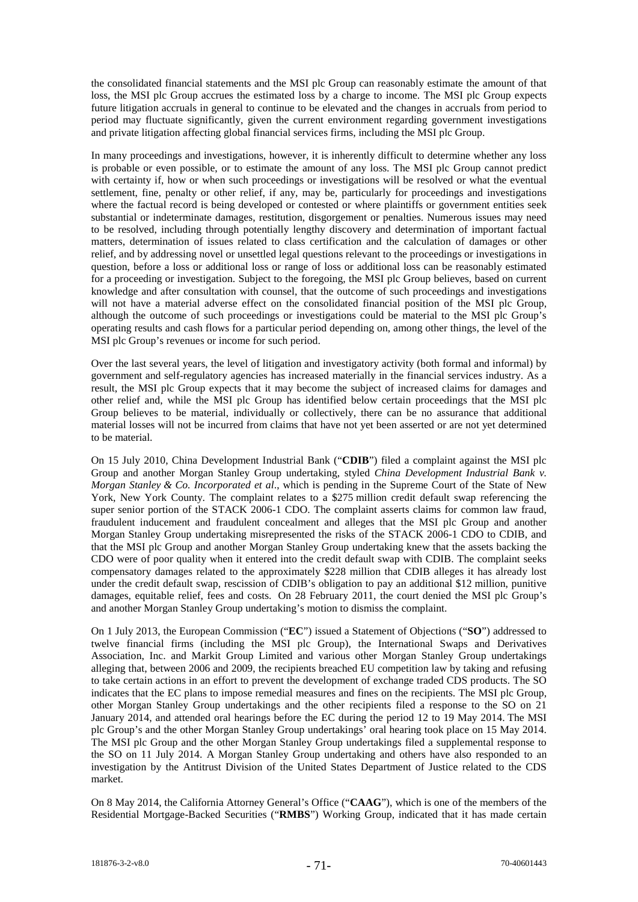the consolidated financial statements and the MSI plc Group can reasonably estimate the amount of that loss, the MSI plc Group accrues the estimated loss by a charge to income. The MSI plc Group expects future litigation accruals in general to continue to be elevated and the changes in accruals from period to period may fluctuate significantly, given the current environment regarding government investigations and private litigation affecting global financial services firms, including the MSI plc Group.

In many proceedings and investigations, however, it is inherently difficult to determine whether any loss is probable or even possible, or to estimate the amount of any loss. The MSI plc Group cannot predict with certainty if, how or when such proceedings or investigations will be resolved or what the eventual settlement, fine, penalty or other relief, if any, may be, particularly for proceedings and investigations where the factual record is being developed or contested or where plaintiffs or government entities seek substantial or indeterminate damages, restitution, disgorgement or penalties. Numerous issues may need to be resolved, including through potentially lengthy discovery and determination of important factual matters, determination of issues related to class certification and the calculation of damages or other relief, and by addressing novel or unsettled legal questions relevant to the proceedings or investigations in question, before a loss or additional loss or range of loss or additional loss can be reasonably estimated for a proceeding or investigation. Subject to the foregoing, the MSI plc Group believes, based on current knowledge and after consultation with counsel, that the outcome of such proceedings and investigations will not have a material adverse effect on the consolidated financial position of the MSI plc Group, although the outcome of such proceedings or investigations could be material to the MSI plc Group's operating results and cash flows for a particular period depending on, among other things, the level of the MSI plc Group's revenues or income for such period.

Over the last several years, the level of litigation and investigatory activity (both formal and informal) by government and self-regulatory agencies has increased materially in the financial services industry. As a result, the MSI plc Group expects that it may become the subject of increased claims for damages and other relief and, while the MSI plc Group has identified below certain proceedings that the MSI plc Group believes to be material, individually or collectively, there can be no assurance that additional material losses will not be incurred from claims that have not yet been asserted or are not yet determined to be material.

On 15 July 2010, China Development Industrial Bank ("**CDIB**") filed a complaint against the MSI plc Group and another Morgan Stanley Group undertaking, styled *China Development Industrial Bank v. Morgan Stanley & Co. Incorporated et al*., which is pending in the Supreme Court of the State of New York, New York County. The complaint relates to a \$275 million credit default swap referencing the super senior portion of the STACK 2006-1 CDO. The complaint asserts claims for common law fraud, fraudulent inducement and fraudulent concealment and alleges that the MSI plc Group and another Morgan Stanley Group undertaking misrepresented the risks of the STACK 2006-1 CDO to CDIB, and that the MSI plc Group and another Morgan Stanley Group undertaking knew that the assets backing the CDO were of poor quality when it entered into the credit default swap with CDIB. The complaint seeks compensatory damages related to the approximately \$228 million that CDIB alleges it has already lost under the credit default swap, rescission of CDIB's obligation to pay an additional \$12 million, punitive damages, equitable relief, fees and costs. On 28 February 2011, the court denied the MSI plc Group's and another Morgan Stanley Group undertaking's motion to dismiss the complaint.

On 1 July 2013, the European Commission ("**EC**") issued a Statement of Objections ("**SO**") addressed to twelve financial firms (including the MSI plc Group), the International Swaps and Derivatives Association, Inc. and Markit Group Limited and various other Morgan Stanley Group undertakings alleging that, between 2006 and 2009, the recipients breached EU competition law by taking and refusing to take certain actions in an effort to prevent the development of exchange traded CDS products. The SO indicates that the EC plans to impose remedial measures and fines on the recipients. The MSI plc Group, other Morgan Stanley Group undertakings and the other recipients filed a response to the SO on 21 January 2014, and attended oral hearings before the EC during the period 12 to 19 May 2014. The MSI plc Group's and the other Morgan Stanley Group undertakings' oral hearing took place on 15 May 2014. The MSI plc Group and the other Morgan Stanley Group undertakings filed a supplemental response to the SO on 11 July 2014. A Morgan Stanley Group undertaking and others have also responded to an investigation by the Antitrust Division of the United States Department of Justice related to the CDS market.

On 8 May 2014, the California Attorney General's Office ("**CAAG**"), which is one of the members of the Residential Mortgage-Backed Securities ("**RMBS**") Working Group, indicated that it has made certain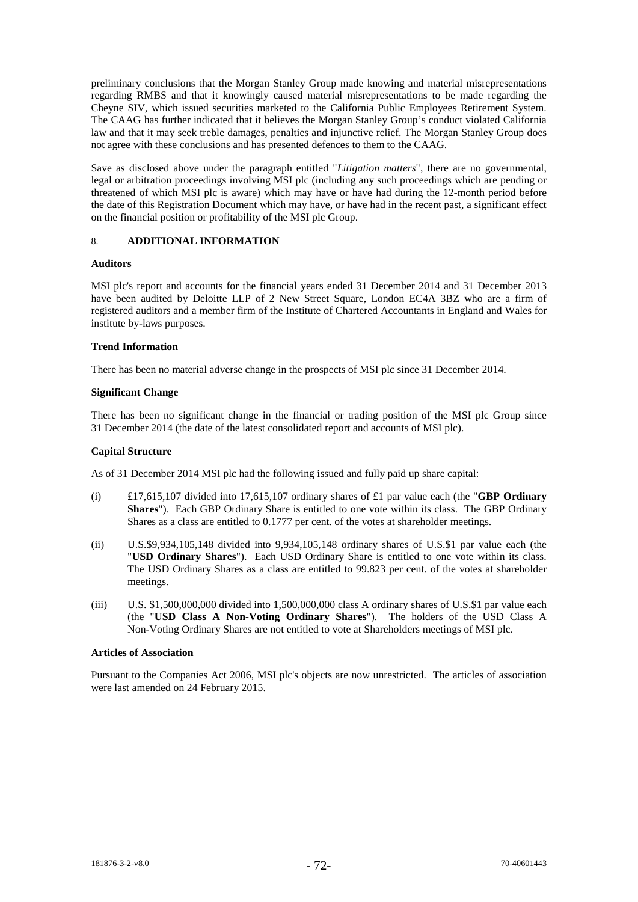preliminary conclusions that the Morgan Stanley Group made knowing and material misrepresentations regarding RMBS and that it knowingly caused material misrepresentations to be made regarding the Cheyne SIV, which issued securities marketed to the California Public Employees Retirement System. The CAAG has further indicated that it believes the Morgan Stanley Group's conduct violated California law and that it may seek treble damages, penalties and injunctive relief. The Morgan Stanley Group does not agree with these conclusions and has presented defences to them to the CAAG.

Save as disclosed above under the paragraph entitled "*Litigation matters*", there are no governmental, legal or arbitration proceedings involving MSI plc (including any such proceedings which are pending or threatened of which MSI plc is aware) which may have or have had during the 12-month period before the date of this Registration Document which may have, or have had in the recent past, a significant effect on the financial position or profitability of the MSI plc Group.

## 8. **ADDITIONAL INFORMATION**

## **Auditors**

MSI plc's report and accounts for the financial years ended 31 December 2014 and 31 December 2013 have been audited by Deloitte LLP of 2 New Street Square, London EC4A 3BZ who are a firm of registered auditors and a member firm of the Institute of Chartered Accountants in England and Wales for institute by-laws purposes.

## **Trend Information**

There has been no material adverse change in the prospects of MSI plc since 31 December 2014.

### **Significant Change**

There has been no significant change in the financial or trading position of the MSI plc Group since 31 December 2014 (the date of the latest consolidated report and accounts of MSI plc).

### **Capital Structure**

As of 31 December 2014 MSI plc had the following issued and fully paid up share capital:

- (i) £17,615,107 divided into 17,615,107 ordinary shares of £1 par value each (the "**GBP Ordinary Shares**"). Each GBP Ordinary Share is entitled to one vote within its class. The GBP Ordinary Shares as a class are entitled to 0.1777 per cent. of the votes at shareholder meetings.
- (ii) U.S.\$9,934,105,148 divided into 9,934,105,148 ordinary shares of U.S.\$1 par value each (the "**USD Ordinary Shares**"). Each USD Ordinary Share is entitled to one vote within its class. The USD Ordinary Shares as a class are entitled to 99.823 per cent. of the votes at shareholder meetings.
- (iii) U.S. \$1,500,000,000 divided into 1,500,000,000 class A ordinary shares of U.S.\$1 par value each (the "**USD Class A Non-Voting Ordinary Shares**"). The holders of the USD Class A Non-Voting Ordinary Shares are not entitled to vote at Shareholders meetings of MSI plc.

### **Articles of Association**

Pursuant to the Companies Act 2006, MSI plc's objects are now unrestricted. The articles of association were last amended on 24 February 2015.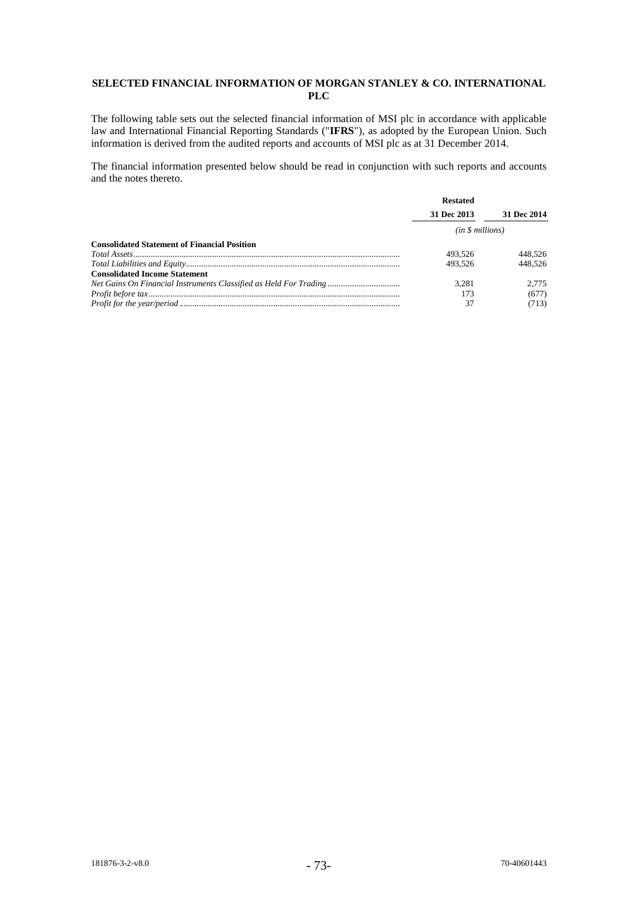## **SELECTED FINANCIAL INFORMATION OF MORGAN STANLEY & CO. INTERNATIONAL PLC**

The following table sets out the selected financial information of MSI plc in accordance with applicable law and International Financial Reporting Standards ("IFRS"), as adopted by the European Union. Such information is derived from the audited reports and accounts of MSI plc as at 31 December 2014.

The financial information presented below should be read in conjunction with such reports and accounts and the notes thereto.

|                                                                   | <b>Restated</b> |             |
|-------------------------------------------------------------------|-----------------|-------------|
|                                                                   | 31 Dec 2013     | 31 Dec 2014 |
|                                                                   | (in \$millions) |             |
| <b>Consolidated Statement of Financial Position</b>               |                 |             |
|                                                                   | 493.526         | 448.526     |
|                                                                   | 493.526         | 448.526     |
| <b>Consolidated Income Statement</b>                              |                 |             |
| Net Gains On Financial Instruments Classified as Held For Trading | 3.281           | 2.775       |
|                                                                   | 173             | (677)       |
|                                                                   | 37              | (713)       |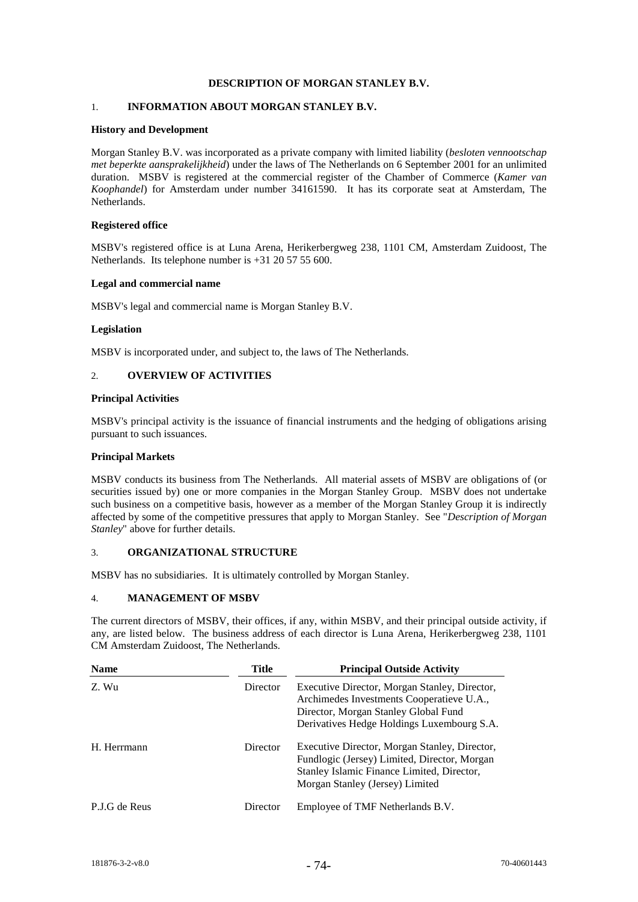## **DESCRIPTION OF MORGAN STANLEY B.V.**

## 1. **INFORMATION ABOUT MORGAN STANLEY B.V.**

### **History and Development**

Morgan Stanley B.V. was incorporated as a private company with limited liability (*besloten vennootschap met beperkte aansprakelijkheid*) under the laws of The Netherlands on 6 September 2001 for an unlimited duration. MSBV is registered at the commercial register of the Chamber of Commerce (*Kamer van Koophandel*) for Amsterdam under number 34161590. It has its corporate seat at Amsterdam, The Netherlands.

### **Registered office**

MSBV's registered office is at Luna Arena, Herikerbergweg 238, 1101 CM, Amsterdam Zuidoost, The Netherlands. Its telephone number is +31 20 57 55 600.

### **Legal and commercial name**

MSBV's legal and commercial name is Morgan Stanley B.V.

### **Legislation**

MSBV is incorporated under, and subject to, the laws of The Netherlands.

## 2. **OVERVIEW OF ACTIVITIES**

### **Principal Activities**

MSBV's principal activity is the issuance of financial instruments and the hedging of obligations arising pursuant to such issuances.

### **Principal Markets**

MSBV conducts its business from The Netherlands. All material assets of MSBV are obligations of (or securities issued by) one or more companies in the Morgan Stanley Group. MSBV does not undertake such business on a competitive basis, however as a member of the Morgan Stanley Group it is indirectly affected by some of the competitive pressures that apply to Morgan Stanley. See "*Description of Morgan Stanley*" above for further details.

### 3. **ORGANIZATIONAL STRUCTURE**

MSBV has no subsidiaries. It is ultimately controlled by Morgan Stanley.

### 4. **MANAGEMENT OF MSBV**

The current directors of MSBV, their offices, if any, within MSBV, and their principal outside activity, if any, are listed below. The business address of each director is Luna Arena, Herikerbergweg 238, 1101 CM Amsterdam Zuidoost, The Netherlands.

| <b>Name</b>   | <b>Title</b> | <b>Principal Outside Activity</b>                                                                                                                                                |
|---------------|--------------|----------------------------------------------------------------------------------------------------------------------------------------------------------------------------------|
| Z. Wu         | Director     | Executive Director, Morgan Stanley, Director,<br>Archimedes Investments Cooperatieve U.A.,<br>Director, Morgan Stanley Global Fund<br>Derivatives Hedge Holdings Luxembourg S.A. |
| H. Herrmann   | Director     | Executive Director, Morgan Stanley, Director,<br>Fundlogic (Jersey) Limited, Director, Morgan<br>Stanley Islamic Finance Limited, Director,<br>Morgan Stanley (Jersey) Limited   |
| P.J.G de Reus | Director     | Employee of TMF Netherlands B.V.                                                                                                                                                 |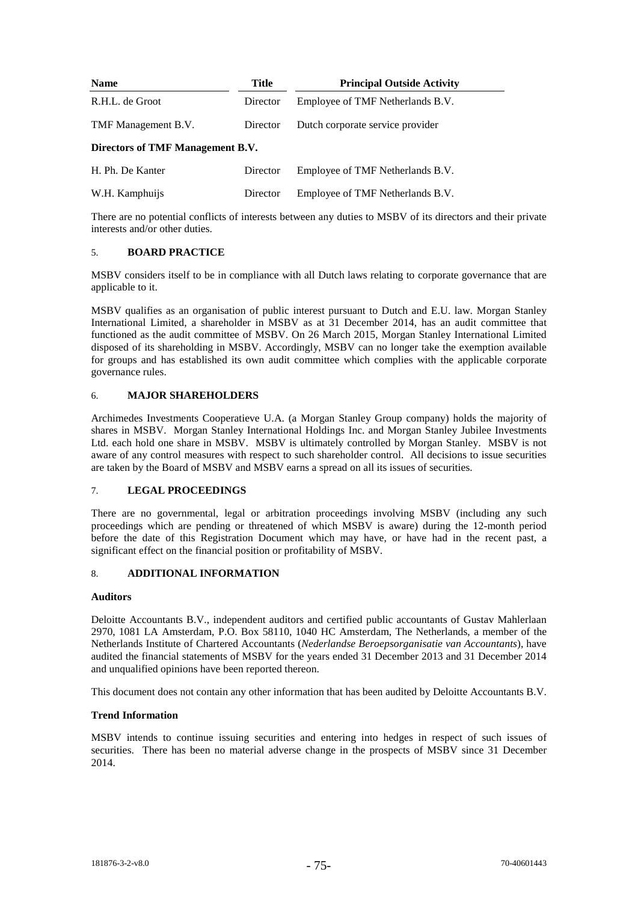| <b>Name</b>                      | <b>Title</b> | <b>Principal Outside Activity</b> |  |
|----------------------------------|--------------|-----------------------------------|--|
| R.H.L. de Groot                  | Director     | Employee of TMF Netherlands B.V.  |  |
| TMF Management B.V.              | Director     | Dutch corporate service provider  |  |
| Directors of TMF Management B.V. |              |                                   |  |
| H. Ph. De Kanter                 | Director     | Employee of TMF Netherlands B.V.  |  |

W.H. Kamphuijs Director Employee of TMF Netherlands B.V.

There are no potential conflicts of interests between any duties to MSBV of its directors and their private interests and/or other duties.

## 5. **BOARD PRACTICE**

MSBV considers itself to be in compliance with all Dutch laws relating to corporate governance that are applicable to it.

MSBV qualifies as an organisation of public interest pursuant to Dutch and E.U. law. Morgan Stanley International Limited, a shareholder in MSBV as at 31 December 2014, has an audit committee that functioned as the audit committee of MSBV. On 26 March 2015, Morgan Stanley International Limited disposed of its shareholding in MSBV. Accordingly, MSBV can no longer take the exemption available for groups and has established its own audit committee which complies with the applicable corporate governance rules.

## 6. **MAJOR SHAREHOLDERS**

Archimedes Investments Cooperatieve U.A. (a Morgan Stanley Group company) holds the majority of shares in MSBV. Morgan Stanley International Holdings Inc. and Morgan Stanley Jubilee Investments Ltd. each hold one share in MSBV. MSBV is ultimately controlled by Morgan Stanley. MSBV is not aware of any control measures with respect to such shareholder control. All decisions to issue securities are taken by the Board of MSBV and MSBV earns a spread on all its issues of securities.

## 7. **LEGAL PROCEEDINGS**

There are no governmental, legal or arbitration proceedings involving MSBV (including any such proceedings which are pending or threatened of which MSBV is aware) during the 12-month period before the date of this Registration Document which may have, or have had in the recent past, a significant effect on the financial position or profitability of MSBV.

## 8. **ADDITIONAL INFORMATION**

## **Auditors**

Deloitte Accountants B.V., independent auditors and certified public accountants of Gustav Mahlerlaan 2970, 1081 LA Amsterdam, P.O. Box 58110, 1040 HC Amsterdam, The Netherlands, a member of the Netherlands Institute of Chartered Accountants (*Nederlandse Beroepsorganisatie van Accountants*), have audited the financial statements of MSBV for the years ended 31 December 2013 and 31 December 2014 and unqualified opinions have been reported thereon.

This document does not contain any other information that has been audited by Deloitte Accountants B.V.

## **Trend Information**

MSBV intends to continue issuing securities and entering into hedges in respect of such issues of securities. There has been no material adverse change in the prospects of MSBV since 31 December 2014.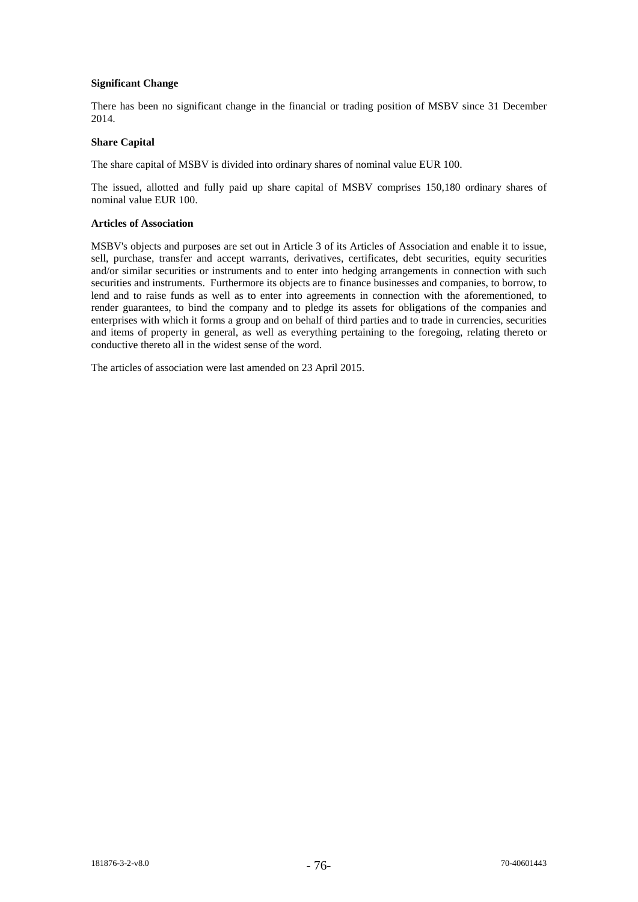## **Significant Change**

There has been no significant change in the financial or trading position of MSBV since 31 December 2014.

## **Share Capital**

The share capital of MSBV is divided into ordinary shares of nominal value EUR 100.

The issued, allotted and fully paid up share capital of MSBV comprises 150,180 ordinary shares of nominal value EUR 100.

## **Articles of Association**

MSBV's objects and purposes are set out in Article 3 of its Articles of Association and enable it to issue, sell, purchase, transfer and accept warrants, derivatives, certificates, debt securities, equity securities and/or similar securities or instruments and to enter into hedging arrangements in connection with such securities and instruments. Furthermore its objects are to finance businesses and companies, to borrow, to lend and to raise funds as well as to enter into agreements in connection with the aforementioned, to render guarantees, to bind the company and to pledge its assets for obligations of the companies and enterprises with which it forms a group and on behalf of third parties and to trade in currencies, securities and items of property in general, as well as everything pertaining to the foregoing, relating thereto or conductive thereto all in the widest sense of the word.

The articles of association were last amended on 23 April 2015.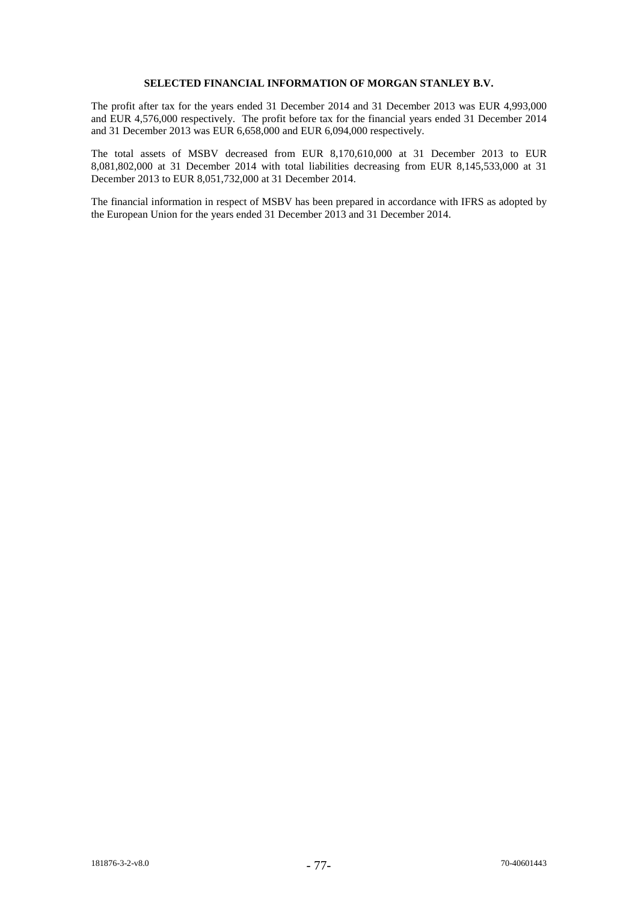### **SELECTED FINANCIAL INFORMATION OF MORGAN STANLEY B.V.**

The profit after tax for the years ended 31 December 2014 and 31 December 2013 was EUR 4,993,000 and EUR 4,576,000 respectively. The profit before tax for the financial years ended 31 December 2014 and 31 December 2013 was EUR 6,658,000 and EUR 6,094,000 respectively.

The total assets of MSBV decreased from EUR 8,170,610,000 at 31 December 2013 to EUR 8,081,802,000 at 31 December 2014 with total liabilities decreasing from EUR 8,145,533,000 at 31 December 2013 to EUR 8,051,732,000 at 31 December 2014.

The financial information in respect of MSBV has been prepared in accordance with IFRS as adopted by the European Union for the years ended 31 December 2013 and 31 December 2014.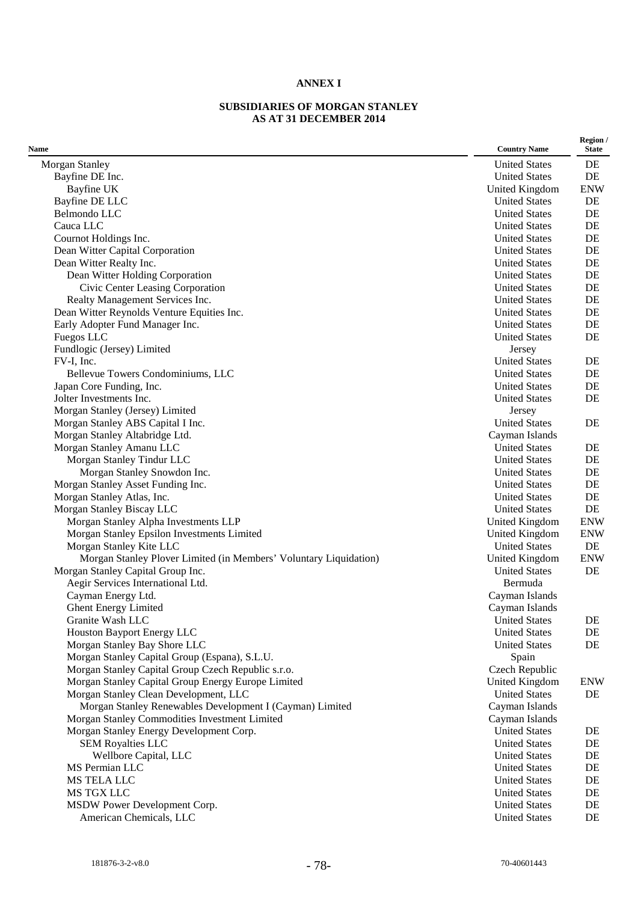## **ANNEX I**

## **SUBSIDIARIES OF MORGAN STANLEY AS AT 31 DECEMBER 2014**

| Name                                                              | <b>Country Name</b>  | Region /<br><b>State</b> |
|-------------------------------------------------------------------|----------------------|--------------------------|
| Morgan Stanley                                                    | <b>United States</b> | DE                       |
| Bayfine DE Inc.                                                   | <b>United States</b> | DE                       |
| Bayfine UK                                                        | United Kingdom       | <b>ENW</b>               |
| Bayfine DE LLC                                                    | <b>United States</b> | DE                       |
| Belmondo LLC                                                      | <b>United States</b> | DE                       |
| Cauca LLC                                                         | <b>United States</b> | DE                       |
| Cournot Holdings Inc.                                             | <b>United States</b> | DE                       |
| Dean Witter Capital Corporation                                   | <b>United States</b> | DE                       |
| Dean Witter Realty Inc.                                           | <b>United States</b> | DE                       |
| Dean Witter Holding Corporation                                   | <b>United States</b> | DE                       |
| Civic Center Leasing Corporation                                  | <b>United States</b> | DE                       |
| Realty Management Services Inc.                                   | <b>United States</b> | DE                       |
| Dean Witter Reynolds Venture Equities Inc.                        | <b>United States</b> | DE                       |
| Early Adopter Fund Manager Inc.                                   | <b>United States</b> | DE                       |
| Fuegos LLC                                                        | <b>United States</b> | DE                       |
| Fundlogic (Jersey) Limited                                        | Jersey               |                          |
| FV-I, Inc.                                                        | <b>United States</b> | DE                       |
| Bellevue Towers Condominiums, LLC                                 | <b>United States</b> | DE                       |
| Japan Core Funding, Inc.                                          | <b>United States</b> | DE                       |
| Jolter Investments Inc.                                           | <b>United States</b> | DE                       |
| Morgan Stanley (Jersey) Limited                                   | Jersey               |                          |
| Morgan Stanley ABS Capital I Inc.                                 | <b>United States</b> | DE                       |
| Morgan Stanley Altabridge Ltd.                                    | Cayman Islands       |                          |
| Morgan Stanley Amanu LLC                                          | <b>United States</b> | DE                       |
| Morgan Stanley Tindur LLC                                         | <b>United States</b> | DE                       |
| Morgan Stanley Snowdon Inc.                                       | <b>United States</b> | DE                       |
| Morgan Stanley Asset Funding Inc.                                 | <b>United States</b> | DE                       |
| Morgan Stanley Atlas, Inc.                                        | <b>United States</b> | DE                       |
| Morgan Stanley Biscay LLC                                         | <b>United States</b> | DE                       |
| Morgan Stanley Alpha Investments LLP                              | United Kingdom       | <b>ENW</b>               |
| Morgan Stanley Epsilon Investments Limited                        | United Kingdom       | <b>ENW</b>               |
| Morgan Stanley Kite LLC                                           | <b>United States</b> | DE                       |
| Morgan Stanley Plover Limited (in Members' Voluntary Liquidation) | United Kingdom       | <b>ENW</b>               |
| Morgan Stanley Capital Group Inc.                                 | <b>United States</b> | DE                       |
| Aegir Services International Ltd.                                 | Bermuda              |                          |
| Cayman Energy Ltd.                                                | Cayman Islands       |                          |
| Ghent Energy Limited                                              | Cayman Islands       |                          |
| Granite Wash LLC                                                  | <b>United States</b> | DE                       |
| Houston Bayport Energy LLC                                        | <b>United States</b> | DE                       |
| Morgan Stanley Bay Shore LLC                                      | <b>United States</b> | DE                       |
| Morgan Stanley Capital Group (Espana), S.L.U.                     | Spain                |                          |
| Morgan Stanley Capital Group Czech Republic s.r.o.                | Czech Republic       |                          |
| Morgan Stanley Capital Group Energy Europe Limited                | United Kingdom       | <b>ENW</b>               |
| Morgan Stanley Clean Development, LLC                             | <b>United States</b> | DE                       |
| Morgan Stanley Renewables Development I (Cayman) Limited          | Cayman Islands       |                          |
| Morgan Stanley Commodities Investment Limited                     | Cayman Islands       |                          |
| Morgan Stanley Energy Development Corp.                           | <b>United States</b> |                          |
| <b>SEM Royalties LLC</b>                                          | <b>United States</b> | DE<br>DE                 |
|                                                                   |                      |                          |
| Wellbore Capital, LLC                                             | <b>United States</b> | DE                       |
| MS Permian LLC                                                    | <b>United States</b> | DE                       |
| MS TELA LLC                                                       | <b>United States</b> | DE                       |
| MS TGX LLC                                                        | <b>United States</b> | DE                       |
| MSDW Power Development Corp.                                      | <b>United States</b> | DE                       |
| American Chemicals, LLC                                           | <b>United States</b> | DE                       |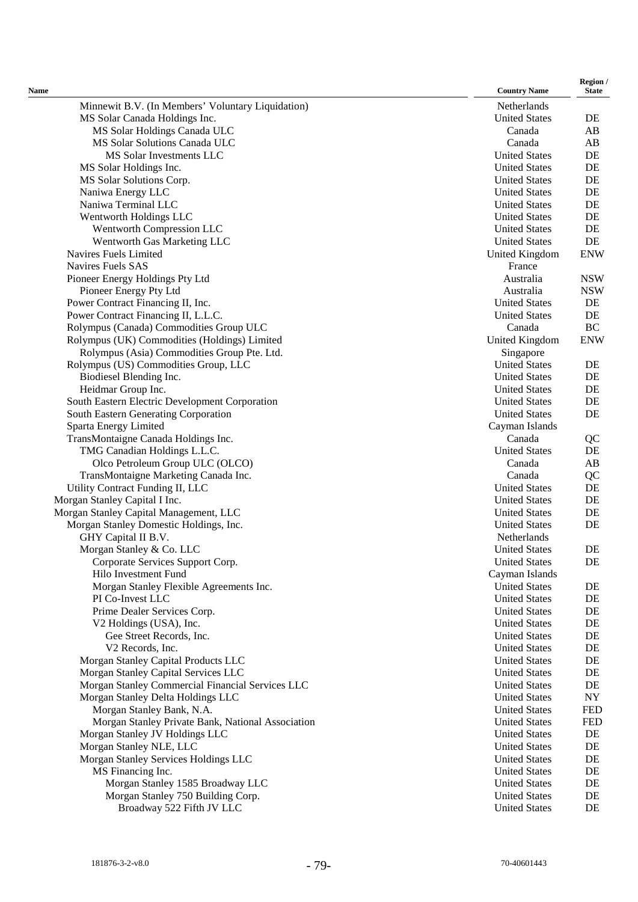| Name                                                                    | <b>Country Name</b>                          | Region /<br><b>State</b> |
|-------------------------------------------------------------------------|----------------------------------------------|--------------------------|
| Minnewit B.V. (In Members' Voluntary Liquidation)                       | Netherlands                                  |                          |
| MS Solar Canada Holdings Inc.                                           | <b>United States</b>                         | DE                       |
| MS Solar Holdings Canada ULC                                            | Canada                                       | AB                       |
| MS Solar Solutions Canada ULC                                           | Canada                                       | AB                       |
| MS Solar Investments LLC                                                | <b>United States</b>                         | DE                       |
| MS Solar Holdings Inc.                                                  | <b>United States</b>                         | DE                       |
| MS Solar Solutions Corp.                                                | <b>United States</b>                         | DE                       |
| Naniwa Energy LLC                                                       | <b>United States</b>                         | DE                       |
| Naniwa Terminal LLC                                                     | <b>United States</b>                         | DE                       |
| Wentworth Holdings LLC                                                  | <b>United States</b>                         | DE                       |
| Wentworth Compression LLC                                               | <b>United States</b>                         | DE                       |
| Wentworth Gas Marketing LLC<br>Navires Fuels Limited                    | <b>United States</b>                         | DE<br><b>ENW</b>         |
| Navires Fuels SAS                                                       | United Kingdom<br>France                     |                          |
| Pioneer Energy Holdings Pty Ltd                                         | Australia                                    | <b>NSW</b>               |
| Pioneer Energy Pty Ltd                                                  | Australia                                    | <b>NSW</b>               |
| Power Contract Financing II, Inc.                                       | <b>United States</b>                         | DE                       |
| Power Contract Financing II, L.L.C.                                     | <b>United States</b>                         | DE                       |
| Rolympus (Canada) Commodities Group ULC                                 | Canada                                       | BC                       |
| Rolympus (UK) Commodities (Holdings) Limited                            | <b>United Kingdom</b>                        | <b>ENW</b>               |
| Rolympus (Asia) Commodities Group Pte. Ltd.                             | Singapore                                    |                          |
| Rolympus (US) Commodities Group, LLC                                    | <b>United States</b>                         | DE                       |
| Biodiesel Blending Inc.                                                 | <b>United States</b>                         | DE                       |
| Heidmar Group Inc.                                                      | <b>United States</b>                         | DE                       |
| South Eastern Electric Development Corporation                          | <b>United States</b>                         | DE                       |
| South Eastern Generating Corporation                                    | <b>United States</b>                         | DE                       |
| Sparta Energy Limited                                                   | Cayman Islands                               |                          |
| TransMontaigne Canada Holdings Inc.                                     | Canada                                       | QC                       |
| TMG Canadian Holdings L.L.C.                                            | <b>United States</b><br>Canada               | DE<br>AB                 |
| Olco Petroleum Group ULC (OLCO)<br>TransMontaigne Marketing Canada Inc. | Canada                                       | QC                       |
| Utility Contract Funding II, LLC                                        | <b>United States</b>                         | DE                       |
| Morgan Stanley Capital I Inc.                                           | <b>United States</b>                         | DE                       |
| Morgan Stanley Capital Management, LLC                                  | <b>United States</b>                         | DE                       |
| Morgan Stanley Domestic Holdings, Inc.                                  | <b>United States</b>                         | DE                       |
| GHY Capital II B.V.                                                     | Netherlands                                  |                          |
| Morgan Stanley & Co. LLC                                                | <b>United States</b>                         | DE                       |
| Corporate Services Support Corp.                                        | <b>United States</b>                         | DE                       |
| Hilo Investment Fund                                                    | Cayman Islands                               |                          |
| Morgan Stanley Flexible Agreements Inc.                                 | <b>United States</b>                         | DE                       |
| PI Co-Invest LLC                                                        | <b>United States</b>                         | DE                       |
| Prime Dealer Services Corp.                                             | <b>United States</b>                         | DE                       |
| V2 Holdings (USA), Inc.                                                 | <b>United States</b>                         | DE                       |
| Gee Street Records, Inc.<br>V2 Records, Inc.                            | <b>United States</b><br><b>United States</b> | DE<br>DE                 |
| Morgan Stanley Capital Products LLC                                     | <b>United States</b>                         | DE                       |
| Morgan Stanley Capital Services LLC                                     | <b>United States</b>                         | DE                       |
| Morgan Stanley Commercial Financial Services LLC                        | <b>United States</b>                         | DE                       |
| Morgan Stanley Delta Holdings LLC                                       | <b>United States</b>                         | NY                       |
| Morgan Stanley Bank, N.A.                                               | <b>United States</b>                         | <b>FED</b>               |
| Morgan Stanley Private Bank, National Association                       | <b>United States</b>                         | <b>FED</b>               |
| Morgan Stanley JV Holdings LLC                                          | <b>United States</b>                         | DE                       |
| Morgan Stanley NLE, LLC                                                 | <b>United States</b>                         | DE                       |
| Morgan Stanley Services Holdings LLC                                    | <b>United States</b>                         | DE                       |
| MS Financing Inc.                                                       | <b>United States</b>                         | DE                       |
| Morgan Stanley 1585 Broadway LLC                                        | <b>United States</b>                         | DE                       |
| Morgan Stanley 750 Building Corp.                                       | <b>United States</b>                         | DE                       |
| Broadway 522 Fifth JV LLC                                               | <b>United States</b>                         | DE                       |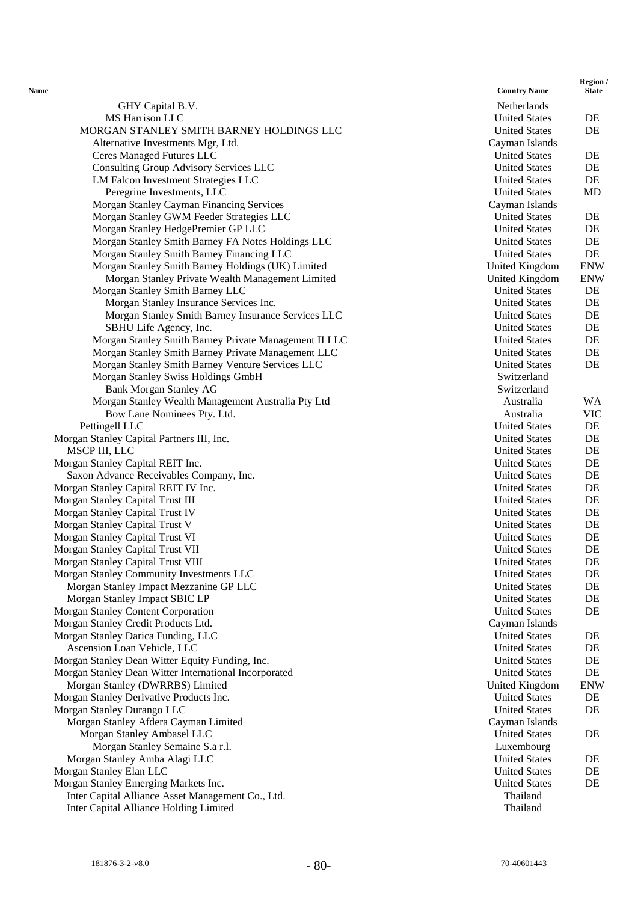| Name                                                                        | <b>Country Name</b>                          | Region /<br><b>State</b> |
|-----------------------------------------------------------------------------|----------------------------------------------|--------------------------|
| GHY Capital B.V.                                                            | Netherlands                                  |                          |
| <b>MS</b> Harrison LLC                                                      | <b>United States</b>                         | DE                       |
| MORGAN STANLEY SMITH BARNEY HOLDINGS LLC                                    | <b>United States</b>                         | DE                       |
| Alternative Investments Mgr, Ltd.                                           | Cayman Islands                               |                          |
| <b>Ceres Managed Futures LLC</b>                                            | <b>United States</b>                         | DE                       |
| Consulting Group Advisory Services LLC                                      | <b>United States</b>                         | DE                       |
| LM Falcon Investment Strategies LLC                                         | <b>United States</b>                         | DE                       |
| Peregrine Investments, LLC                                                  | <b>United States</b>                         | <b>MD</b>                |
| Morgan Stanley Cayman Financing Services                                    | Cayman Islands                               |                          |
| Morgan Stanley GWM Feeder Strategies LLC                                    | <b>United States</b>                         | DE                       |
| Morgan Stanley HedgePremier GP LLC                                          | <b>United States</b>                         | DE                       |
| Morgan Stanley Smith Barney FA Notes Holdings LLC                           | <b>United States</b>                         | DE                       |
| Morgan Stanley Smith Barney Financing LLC                                   | <b>United States</b>                         | DE                       |
| Morgan Stanley Smith Barney Holdings (UK) Limited                           | United Kingdom                               | <b>ENW</b>               |
| Morgan Stanley Private Wealth Management Limited                            | United Kingdom                               | <b>ENW</b>               |
| Morgan Stanley Smith Barney LLC                                             | <b>United States</b>                         | DE                       |
| Morgan Stanley Insurance Services Inc.                                      | <b>United States</b>                         | DE                       |
| Morgan Stanley Smith Barney Insurance Services LLC                          | <b>United States</b>                         | DE                       |
| SBHU Life Agency, Inc.                                                      | <b>United States</b>                         | DE                       |
| Morgan Stanley Smith Barney Private Management II LLC                       | <b>United States</b>                         | DE                       |
| Morgan Stanley Smith Barney Private Management LLC                          | <b>United States</b>                         | DE                       |
| Morgan Stanley Smith Barney Venture Services LLC                            | <b>United States</b>                         | DE                       |
| Morgan Stanley Swiss Holdings GmbH                                          | Switzerland                                  |                          |
| <b>Bank Morgan Stanley AG</b>                                               | Switzerland                                  |                          |
| Morgan Stanley Wealth Management Australia Pty Ltd                          | Australia                                    | <b>WA</b>                |
| Bow Lane Nominees Pty. Ltd.                                                 | Australia                                    | <b>VIC</b>               |
| Pettingell LLC                                                              | <b>United States</b>                         | $\rm DE$                 |
| Morgan Stanley Capital Partners III, Inc.                                   | <b>United States</b>                         | DE                       |
| MSCP III, LLC                                                               | <b>United States</b><br><b>United States</b> | DE<br>$\rm DE$           |
| Morgan Stanley Capital REIT Inc.<br>Saxon Advance Receivables Company, Inc. | <b>United States</b>                         | DE                       |
| Morgan Stanley Capital REIT IV Inc.                                         | <b>United States</b>                         | DE                       |
| Morgan Stanley Capital Trust III                                            | <b>United States</b>                         | DE                       |
| Morgan Stanley Capital Trust IV                                             | <b>United States</b>                         | DE                       |
| Morgan Stanley Capital Trust V                                              | <b>United States</b>                         | DE                       |
| Morgan Stanley Capital Trust VI                                             | <b>United States</b>                         | DE                       |
| Morgan Stanley Capital Trust VII                                            | <b>United States</b>                         | DE                       |
| Morgan Stanley Capital Trust VIII                                           | <b>United States</b>                         | DE                       |
| Morgan Stanley Community Investments LLC                                    | <b>United States</b>                         | $\rm DE$                 |
| Morgan Stanley Impact Mezzanine GP LLC                                      | <b>United States</b>                         | $\rm DE$                 |
| Morgan Stanley Impact SBIC LP                                               | <b>United States</b>                         | DE                       |
| Morgan Stanley Content Corporation                                          | <b>United States</b>                         | DE                       |
| Morgan Stanley Credit Products Ltd.                                         | Cayman Islands                               |                          |
| Morgan Stanley Darica Funding, LLC                                          | <b>United States</b>                         | DE                       |
| Ascension Loan Vehicle, LLC                                                 | <b>United States</b>                         | $\rm DE$                 |
| Morgan Stanley Dean Witter Equity Funding, Inc.                             | <b>United States</b>                         | DE                       |
| Morgan Stanley Dean Witter International Incorporated                       | <b>United States</b>                         | DE                       |
| Morgan Stanley (DWRRBS) Limited                                             | United Kingdom                               | <b>ENW</b>               |
| Morgan Stanley Derivative Products Inc.                                     | <b>United States</b>                         | DE                       |
| Morgan Stanley Durango LLC                                                  | <b>United States</b>                         | DE                       |
| Morgan Stanley Afdera Cayman Limited                                        | Cayman Islands                               |                          |
| Morgan Stanley Ambasel LLC                                                  | <b>United States</b>                         | DE                       |
| Morgan Stanley Semaine S.a r.l.                                             | Luxembourg                                   |                          |
| Morgan Stanley Amba Alagi LLC                                               | <b>United States</b>                         | DE                       |
| Morgan Stanley Elan LLC                                                     | <b>United States</b>                         | DE                       |
| Morgan Stanley Emerging Markets Inc.                                        | <b>United States</b>                         | DE                       |
| Inter Capital Alliance Asset Management Co., Ltd.                           | Thailand                                     |                          |
| Inter Capital Alliance Holding Limited                                      | Thailand                                     |                          |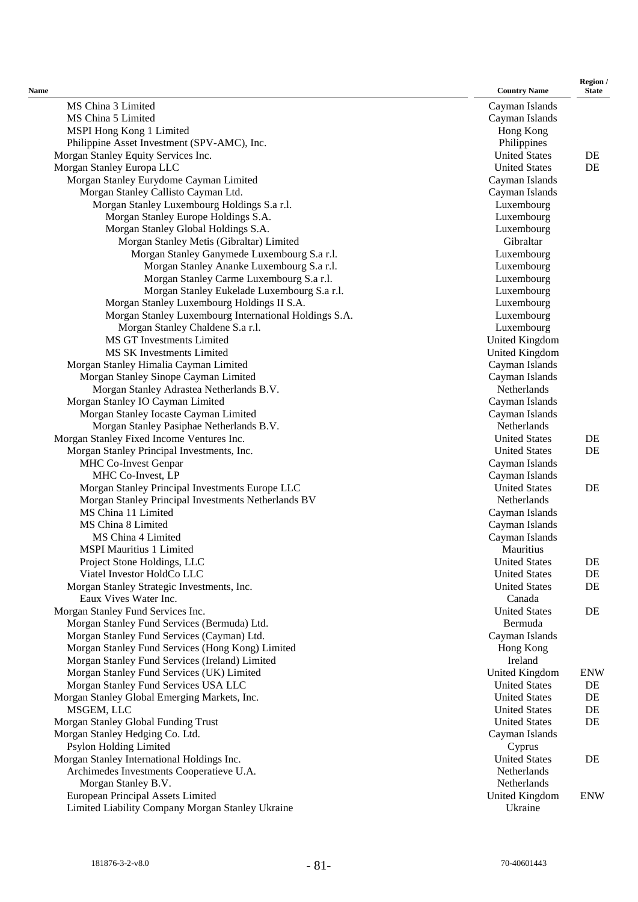| Name                                                                                      | <b>Country Name</b>             | Region /<br><b>State</b> |
|-------------------------------------------------------------------------------------------|---------------------------------|--------------------------|
| MS China 3 Limited                                                                        | Cayman Islands                  |                          |
| MS China 5 Limited                                                                        | Cayman Islands                  |                          |
| MSPI Hong Kong 1 Limited                                                                  | Hong Kong                       |                          |
| Philippine Asset Investment (SPV-AMC), Inc.                                               | Philippines                     |                          |
| Morgan Stanley Equity Services Inc.                                                       | <b>United States</b>            | DE                       |
| Morgan Stanley Europa LLC                                                                 | <b>United States</b>            | DE                       |
| Morgan Stanley Eurydome Cayman Limited                                                    | Cayman Islands                  |                          |
| Morgan Stanley Callisto Cayman Ltd.                                                       | Cayman Islands                  |                          |
| Morgan Stanley Luxembourg Holdings S.a r.l.                                               | Luxembourg                      |                          |
| Morgan Stanley Europe Holdings S.A.                                                       | Luxembourg                      |                          |
| Morgan Stanley Global Holdings S.A.                                                       | Luxembourg                      |                          |
| Morgan Stanley Metis (Gibraltar) Limited                                                  | Gibraltar                       |                          |
| Morgan Stanley Ganymede Luxembourg S.a r.l.                                               | Luxembourg                      |                          |
| Morgan Stanley Ananke Luxembourg S.a r.l.                                                 | Luxembourg                      |                          |
| Morgan Stanley Carme Luxembourg S.a r.l.                                                  | Luxembourg                      |                          |
| Morgan Stanley Eukelade Luxembourg S.a r.l.                                               | Luxembourg                      |                          |
| Morgan Stanley Luxembourg Holdings II S.A.                                                | Luxembourg                      |                          |
| Morgan Stanley Luxembourg International Holdings S.A.<br>Morgan Stanley Chaldene S.a r.l. | Luxembourg<br>Luxembourg        |                          |
| <b>MS GT Investments Limited</b>                                                          | United Kingdom                  |                          |
| MS SK Investments Limited                                                                 | United Kingdom                  |                          |
| Morgan Stanley Himalia Cayman Limited                                                     | Cayman Islands                  |                          |
| Morgan Stanley Sinope Cayman Limited                                                      | Cayman Islands                  |                          |
| Morgan Stanley Adrastea Netherlands B.V.                                                  | Netherlands                     |                          |
| Morgan Stanley IO Cayman Limited                                                          | Cayman Islands                  |                          |
| Morgan Stanley Iocaste Cayman Limited                                                     | Cayman Islands                  |                          |
| Morgan Stanley Pasiphae Netherlands B.V.                                                  | Netherlands                     |                          |
| Morgan Stanley Fixed Income Ventures Inc.                                                 | <b>United States</b>            | DE                       |
| Morgan Stanley Principal Investments, Inc.                                                | <b>United States</b>            | DE                       |
| MHC Co-Invest Genpar                                                                      | Cayman Islands                  |                          |
| MHC Co-Invest, LP                                                                         | Cayman Islands                  |                          |
| Morgan Stanley Principal Investments Europe LLC                                           | <b>United States</b>            | DE                       |
| Morgan Stanley Principal Investments Netherlands BV                                       | Netherlands                     |                          |
| MS China 11 Limited                                                                       | Cayman Islands                  |                          |
| MS China 8 Limited                                                                        | Cayman Islands                  |                          |
| MS China 4 Limited                                                                        | Cayman Islands                  |                          |
| <b>MSPI Mauritius 1 Limited</b>                                                           | Mauritius                       |                          |
| Project Stone Holdings, LLC                                                               | <b>United States</b>            | DE                       |
| Viatel Investor HoldCo LLC                                                                | <b>United States</b>            | DE                       |
| Morgan Stanley Strategic Investments, Inc.                                                | <b>United States</b>            | DE                       |
| Eaux Vives Water Inc.                                                                     | Canada                          |                          |
| Morgan Stanley Fund Services Inc.<br>Morgan Stanley Fund Services (Bermuda) Ltd.          | <b>United States</b><br>Bermuda | DE                       |
| Morgan Stanley Fund Services (Cayman) Ltd.                                                | Cayman Islands                  |                          |
| Morgan Stanley Fund Services (Hong Kong) Limited                                          | Hong Kong                       |                          |
| Morgan Stanley Fund Services (Ireland) Limited                                            | Ireland                         |                          |
| Morgan Stanley Fund Services (UK) Limited                                                 | United Kingdom                  | <b>ENW</b>               |
| Morgan Stanley Fund Services USA LLC                                                      | <b>United States</b>            | DE                       |
| Morgan Stanley Global Emerging Markets, Inc.                                              | <b>United States</b>            | DE                       |
| MSGEM, LLC                                                                                | <b>United States</b>            | DE                       |
| Morgan Stanley Global Funding Trust                                                       | <b>United States</b>            | DE                       |
| Morgan Stanley Hedging Co. Ltd.                                                           | Cayman Islands                  |                          |
| Psylon Holding Limited                                                                    | Cyprus                          |                          |
| Morgan Stanley International Holdings Inc.                                                | <b>United States</b>            | DE                       |
| Archimedes Investments Cooperatieve U.A.                                                  | Netherlands                     |                          |
| Morgan Stanley B.V.                                                                       | Netherlands                     |                          |
| European Principal Assets Limited                                                         | United Kingdom                  | <b>ENW</b>               |
| Limited Liability Company Morgan Stanley Ukraine                                          | Ukraine                         |                          |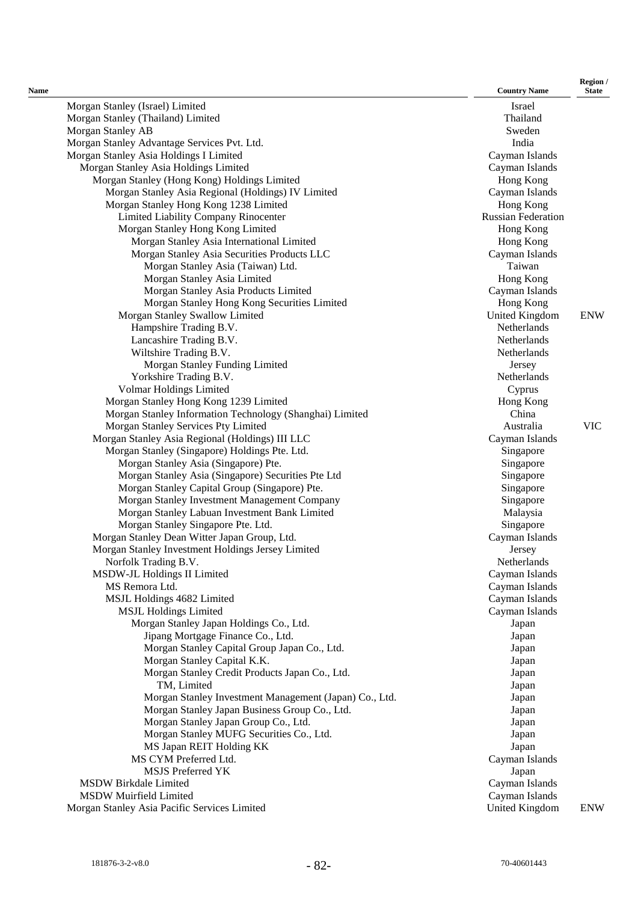| Name |                                                          | <b>Country Name</b>       | <b>State</b> |
|------|----------------------------------------------------------|---------------------------|--------------|
|      | Morgan Stanley (Israel) Limited                          | Israel                    |              |
|      | Morgan Stanley (Thailand) Limited                        | Thailand                  |              |
|      | Morgan Stanley AB                                        | Sweden                    |              |
|      | Morgan Stanley Advantage Services Pvt. Ltd.              | India                     |              |
|      | Morgan Stanley Asia Holdings I Limited                   | Cayman Islands            |              |
|      | Morgan Stanley Asia Holdings Limited                     | Cayman Islands            |              |
|      | Morgan Stanley (Hong Kong) Holdings Limited              | Hong Kong                 |              |
|      | Morgan Stanley Asia Regional (Holdings) IV Limited       | Cayman Islands            |              |
|      | Morgan Stanley Hong Kong 1238 Limited                    | Hong Kong                 |              |
|      | Limited Liability Company Rinocenter                     | <b>Russian Federation</b> |              |
|      | Morgan Stanley Hong Kong Limited                         | Hong Kong                 |              |
|      | Morgan Stanley Asia International Limited                | Hong Kong                 |              |
|      | Morgan Stanley Asia Securities Products LLC              | Cayman Islands            |              |
|      | Morgan Stanley Asia (Taiwan) Ltd.                        | Taiwan                    |              |
|      | Morgan Stanley Asia Limited                              | Hong Kong                 |              |
|      | Morgan Stanley Asia Products Limited                     | Cayman Islands            |              |
|      | Morgan Stanley Hong Kong Securities Limited              | Hong Kong                 |              |
|      | Morgan Stanley Swallow Limited                           | United Kingdom            | <b>ENW</b>   |
|      | Hampshire Trading B.V.                                   | Netherlands               |              |
|      | Lancashire Trading B.V.                                  | Netherlands               |              |
|      | Wiltshire Trading B.V.                                   | Netherlands               |              |
|      | Morgan Stanley Funding Limited                           | Jersey                    |              |
|      | Yorkshire Trading B.V.                                   | Netherlands               |              |
|      | Volmar Holdings Limited                                  | Cyprus                    |              |
|      | Morgan Stanley Hong Kong 1239 Limited                    | Hong Kong                 |              |
|      | Morgan Stanley Information Technology (Shanghai) Limited | China                     |              |
|      | Morgan Stanley Services Pty Limited                      | Australia                 | <b>VIC</b>   |
|      | Morgan Stanley Asia Regional (Holdings) III LLC          | Cayman Islands            |              |
|      | Morgan Stanley (Singapore) Holdings Pte. Ltd.            | Singapore                 |              |
|      | Morgan Stanley Asia (Singapore) Pte.                     | Singapore                 |              |
|      | Morgan Stanley Asia (Singapore) Securities Pte Ltd       | Singapore                 |              |
|      | Morgan Stanley Capital Group (Singapore) Pte.            | Singapore                 |              |
|      | Morgan Stanley Investment Management Company             | Singapore                 |              |
|      | Morgan Stanley Labuan Investment Bank Limited            | Malaysia                  |              |
|      | Morgan Stanley Singapore Pte. Ltd.                       | Singapore                 |              |
|      | Morgan Stanley Dean Witter Japan Group, Ltd.             | Cayman Islands            |              |
|      | Morgan Stanley Investment Holdings Jersey Limited        | Jersey                    |              |
|      | Norfolk Trading B.V.                                     | Netherlands               |              |
|      | MSDW-JL Holdings II Limited                              | Cayman Islands            |              |
|      | MS Remora Ltd.                                           | Cayman Islands            |              |
|      | MSJL Holdings 4682 Limited                               | Cayman Islands            |              |
|      | <b>MSJL Holdings Limited</b>                             | Cayman Islands            |              |
|      | Morgan Stanley Japan Holdings Co., Ltd.                  | Japan                     |              |
|      | Jipang Mortgage Finance Co., Ltd.                        | Japan                     |              |
|      | Morgan Stanley Capital Group Japan Co., Ltd.             | Japan                     |              |
|      | Morgan Stanley Capital K.K.                              | Japan                     |              |
|      | Morgan Stanley Credit Products Japan Co., Ltd.           | Japan                     |              |
|      | TM, Limited                                              | Japan                     |              |
|      | Morgan Stanley Investment Management (Japan) Co., Ltd.   | Japan                     |              |
|      | Morgan Stanley Japan Business Group Co., Ltd.            | Japan                     |              |
|      | Morgan Stanley Japan Group Co., Ltd.                     | Japan                     |              |
|      | Morgan Stanley MUFG Securities Co., Ltd.                 | Japan                     |              |
|      | MS Japan REIT Holding KK                                 | Japan                     |              |
|      | MS CYM Preferred Ltd.                                    | Cayman Islands            |              |
|      | MSJS Preferred YK                                        | Japan                     |              |
|      | <b>MSDW Birkdale Limited</b>                             | Cayman Islands            |              |
|      | <b>MSDW Muirfield Limited</b>                            | Cayman Islands            |              |
|      | Morgan Stanley Asia Pacific Services Limited             | United Kingdom            | <b>ENW</b>   |
|      |                                                          |                           |              |

**Region /**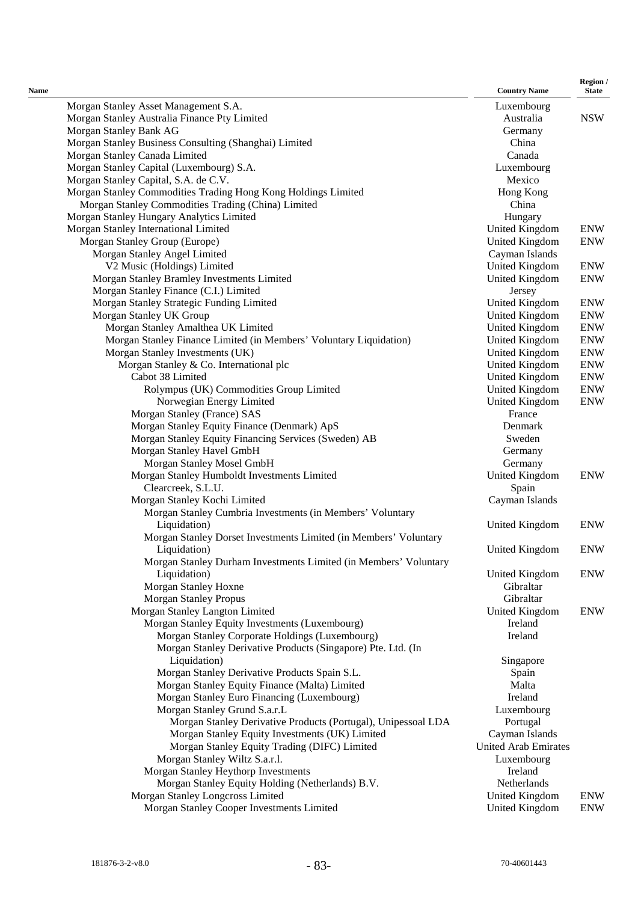| Name |                                                                    | <b>Country Name</b>         | Region /<br><b>State</b> |
|------|--------------------------------------------------------------------|-----------------------------|--------------------------|
|      | Morgan Stanley Asset Management S.A.                               | Luxembourg                  |                          |
|      | Morgan Stanley Australia Finance Pty Limited                       | Australia                   | <b>NSW</b>               |
|      | Morgan Stanley Bank AG                                             | Germany                     |                          |
|      | Morgan Stanley Business Consulting (Shanghai) Limited              | China                       |                          |
|      | Morgan Stanley Canada Limited                                      | Canada                      |                          |
|      | Morgan Stanley Capital (Luxembourg) S.A.                           | Luxembourg                  |                          |
|      | Morgan Stanley Capital, S.A. de C.V.                               | Mexico                      |                          |
|      | Morgan Stanley Commodities Trading Hong Kong Holdings Limited      | Hong Kong                   |                          |
|      | Morgan Stanley Commodities Trading (China) Limited                 | China                       |                          |
|      | Morgan Stanley Hungary Analytics Limited                           | Hungary                     |                          |
|      | Morgan Stanley International Limited                               | United Kingdom              | <b>ENW</b>               |
|      | Morgan Stanley Group (Europe)                                      | United Kingdom              | <b>ENW</b>               |
|      | Morgan Stanley Angel Limited                                       | Cayman Islands              |                          |
|      | V2 Music (Holdings) Limited                                        | United Kingdom              | <b>ENW</b>               |
|      | Morgan Stanley Bramley Investments Limited                         | United Kingdom              | <b>ENW</b>               |
|      | Morgan Stanley Finance (C.I.) Limited                              | Jersey                      |                          |
|      | Morgan Stanley Strategic Funding Limited                           | United Kingdom              | <b>ENW</b>               |
|      | Morgan Stanley UK Group                                            | United Kingdom              | <b>ENW</b>               |
|      | Morgan Stanley Amalthea UK Limited                                 | United Kingdom              | <b>ENW</b>               |
|      | Morgan Stanley Finance Limited (in Members' Voluntary Liquidation) | United Kingdom              | <b>ENW</b>               |
|      | Morgan Stanley Investments (UK)                                    | United Kingdom              | <b>ENW</b>               |
|      | Morgan Stanley & Co. International plc                             | United Kingdom              | <b>ENW</b>               |
|      | Cabot 38 Limited                                                   | United Kingdom              | <b>ENW</b>               |
|      | Rolympus (UK) Commodities Group Limited                            | United Kingdom              | <b>ENW</b>               |
|      | Norwegian Energy Limited                                           | United Kingdom              | <b>ENW</b>               |
|      |                                                                    | France                      |                          |
|      | Morgan Stanley (France) SAS                                        | Denmark                     |                          |
|      | Morgan Stanley Equity Finance (Denmark) ApS                        |                             |                          |
|      | Morgan Stanley Equity Financing Services (Sweden) AB               | Sweden                      |                          |
|      | Morgan Stanley Havel GmbH                                          | Germany                     |                          |
|      | Morgan Stanley Mosel GmbH                                          | Germany                     |                          |
|      | Morgan Stanley Humboldt Investments Limited                        | United Kingdom              | <b>ENW</b>               |
|      | Clearcreek, S.L.U.                                                 | Spain                       |                          |
|      | Morgan Stanley Kochi Limited                                       | Cayman Islands              |                          |
|      | Morgan Stanley Cumbria Investments (in Members' Voluntary          |                             |                          |
|      | Liquidation)                                                       | United Kingdom              | <b>ENW</b>               |
|      | Morgan Stanley Dorset Investments Limited (in Members' Voluntary   |                             |                          |
|      | Liquidation)                                                       | United Kingdom              | <b>ENW</b>               |
|      | Morgan Stanley Durham Investments Limited (in Members' Voluntary   |                             |                          |
|      | Liquidation)                                                       | United Kingdom              | <b>ENW</b>               |
|      | Morgan Stanley Hoxne                                               | Gibraltar                   |                          |
|      | <b>Morgan Stanley Propus</b>                                       | Gibraltar                   |                          |
|      | Morgan Stanley Langton Limited                                     | United Kingdom              | <b>ENW</b>               |
|      | Morgan Stanley Equity Investments (Luxembourg)                     | Ireland                     |                          |
|      | Morgan Stanley Corporate Holdings (Luxembourg)                     | Ireland                     |                          |
|      | Morgan Stanley Derivative Products (Singapore) Pte. Ltd. (In       |                             |                          |
|      | Liquidation)                                                       | Singapore                   |                          |
|      | Morgan Stanley Derivative Products Spain S.L.                      | Spain                       |                          |
|      | Morgan Stanley Equity Finance (Malta) Limited                      | Malta                       |                          |
|      | Morgan Stanley Euro Financing (Luxembourg)                         | Ireland                     |                          |
|      | Morgan Stanley Grund S.a.r.L                                       | Luxembourg                  |                          |
|      | Morgan Stanley Derivative Products (Portugal), Unipessoal LDA      | Portugal                    |                          |
|      | Morgan Stanley Equity Investments (UK) Limited                     | Cayman Islands              |                          |
|      | Morgan Stanley Equity Trading (DIFC) Limited                       | <b>United Arab Emirates</b> |                          |
|      | Morgan Stanley Wiltz S.a.r.l.                                      | Luxembourg                  |                          |
|      | Morgan Stanley Heythorp Investments                                | Ireland                     |                          |
|      | Morgan Stanley Equity Holding (Netherlands) B.V.                   | Netherlands                 |                          |
|      | Morgan Stanley Longcross Limited                                   | United Kingdom              | <b>ENW</b>               |
|      | Morgan Stanley Cooper Investments Limited                          | United Kingdom              | <b>ENW</b>               |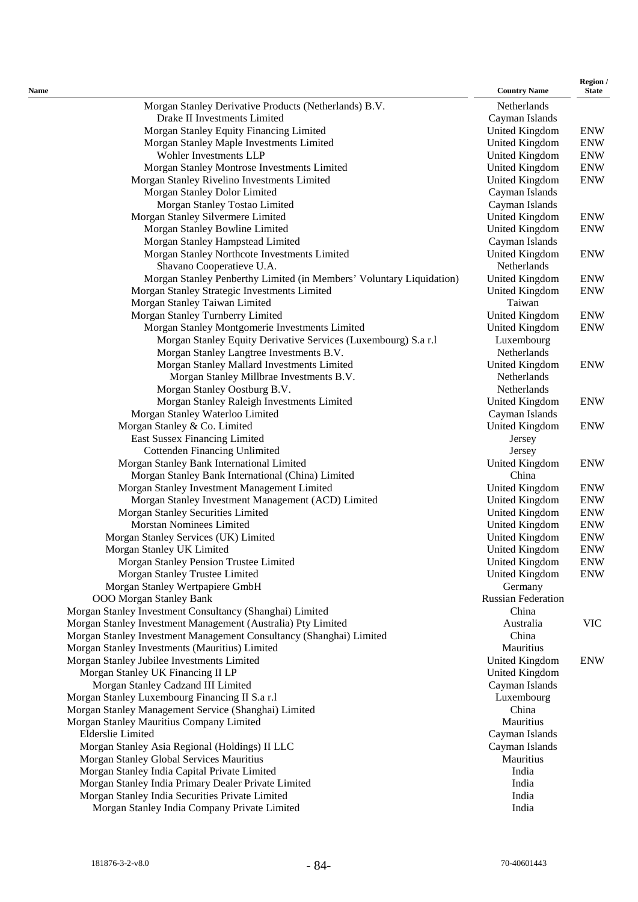| Name                                                                     | <b>Country Name</b>              | Region /<br><b>State</b> |
|--------------------------------------------------------------------------|----------------------------------|--------------------------|
| Morgan Stanley Derivative Products (Netherlands) B.V.                    | Netherlands                      |                          |
| Drake II Investments Limited                                             | Cayman Islands                   |                          |
| Morgan Stanley Equity Financing Limited                                  | United Kingdom                   | <b>ENW</b>               |
| Morgan Stanley Maple Investments Limited                                 | United Kingdom                   | <b>ENW</b>               |
| Wohler Investments LLP                                                   | United Kingdom                   | <b>ENW</b>               |
| Morgan Stanley Montrose Investments Limited                              | <b>United Kingdom</b>            | <b>ENW</b>               |
| Morgan Stanley Rivelino Investments Limited                              | United Kingdom                   | <b>ENW</b>               |
| Morgan Stanley Dolor Limited                                             | Cayman Islands                   |                          |
| Morgan Stanley Tostao Limited                                            | Cayman Islands                   |                          |
| Morgan Stanley Silvermere Limited                                        | <b>United Kingdom</b>            | <b>ENW</b>               |
| Morgan Stanley Bowline Limited                                           | <b>United Kingdom</b>            | <b>ENW</b>               |
| Morgan Stanley Hampstead Limited                                         | Cayman Islands                   |                          |
| Morgan Stanley Northcote Investments Limited                             | United Kingdom                   | <b>ENW</b>               |
| Shavano Cooperatieve U.A.                                                | Netherlands                      |                          |
| Morgan Stanley Penberthy Limited (in Members' Voluntary Liquidation)     | <b>United Kingdom</b>            | <b>ENW</b>               |
| Morgan Stanley Strategic Investments Limited                             | <b>United Kingdom</b>            | <b>ENW</b>               |
| Morgan Stanley Taiwan Limited                                            | Taiwan                           |                          |
| Morgan Stanley Turnberry Limited                                         | United Kingdom                   | <b>ENW</b>               |
| Morgan Stanley Montgomerie Investments Limited                           | United Kingdom                   | <b>ENW</b>               |
| Morgan Stanley Equity Derivative Services (Luxembourg) S.a r.l           | Luxembourg                       |                          |
| Morgan Stanley Langtree Investments B.V.                                 | Netherlands                      |                          |
| Morgan Stanley Mallard Investments Limited                               | United Kingdom                   | <b>ENW</b>               |
| Morgan Stanley Millbrae Investments B.V.                                 | Netherlands                      |                          |
| Morgan Stanley Oostburg B.V.                                             | Netherlands                      |                          |
| Morgan Stanley Raleigh Investments Limited                               | United Kingdom                   | <b>ENW</b>               |
| Morgan Stanley Waterloo Limited                                          | Cayman Islands                   |                          |
| Morgan Stanley & Co. Limited                                             | United Kingdom                   | <b>ENW</b>               |
| East Sussex Financing Limited                                            | Jersey                           |                          |
| <b>Cottenden Financing Unlimited</b>                                     | Jersey                           |                          |
| Morgan Stanley Bank International Limited                                | United Kingdom                   | <b>ENW</b>               |
| Morgan Stanley Bank International (China) Limited                        | China                            |                          |
| Morgan Stanley Investment Management Limited                             | United Kingdom                   | <b>ENW</b>               |
| Morgan Stanley Investment Management (ACD) Limited                       | <b>United Kingdom</b>            | <b>ENW</b>               |
| Morgan Stanley Securities Limited<br><b>Morstan Nominees Limited</b>     | United Kingdom                   | <b>ENW</b><br><b>ENW</b> |
| Morgan Stanley Services (UK) Limited                                     | United Kingdom<br>United Kingdom | <b>ENW</b>               |
|                                                                          | <b>United Kingdom</b>            | <b>ENW</b>               |
| Morgan Stanley UK Limited                                                | United Kingdom                   | <b>ENW</b>               |
| Morgan Stanley Pension Trustee Limited<br>Morgan Stanley Trustee Limited | United Kingdom                   | <b>ENW</b>               |
| Morgan Stanley Wertpapiere GmbH                                          | Germany                          |                          |
| <b>OOO Morgan Stanley Bank</b>                                           | <b>Russian Federation</b>        |                          |
| Morgan Stanley Investment Consultancy (Shanghai) Limited                 | China                            |                          |
| Morgan Stanley Investment Management (Australia) Pty Limited             | Australia                        | <b>VIC</b>               |
| Morgan Stanley Investment Management Consultancy (Shanghai) Limited      | China                            |                          |
| Morgan Stanley Investments (Mauritius) Limited                           | Mauritius                        |                          |
| Morgan Stanley Jubilee Investments Limited                               | <b>United Kingdom</b>            | <b>ENW</b>               |
| Morgan Stanley UK Financing II LP                                        | <b>United Kingdom</b>            |                          |
| Morgan Stanley Cadzand III Limited                                       | Cayman Islands                   |                          |
| Morgan Stanley Luxembourg Financing II S.a r.l                           | Luxembourg                       |                          |
| Morgan Stanley Management Service (Shanghai) Limited                     | China                            |                          |
| Morgan Stanley Mauritius Company Limited                                 | Mauritius                        |                          |
| <b>Elderslie Limited</b>                                                 | Cayman Islands                   |                          |
| Morgan Stanley Asia Regional (Holdings) II LLC                           | Cayman Islands                   |                          |
| Morgan Stanley Global Services Mauritius                                 | Mauritius                        |                          |
| Morgan Stanley India Capital Private Limited                             | India                            |                          |
| Morgan Stanley India Primary Dealer Private Limited                      | India                            |                          |
| Morgan Stanley India Securities Private Limited                          | India                            |                          |
| Morgan Stanley India Company Private Limited                             | India                            |                          |
|                                                                          |                                  |                          |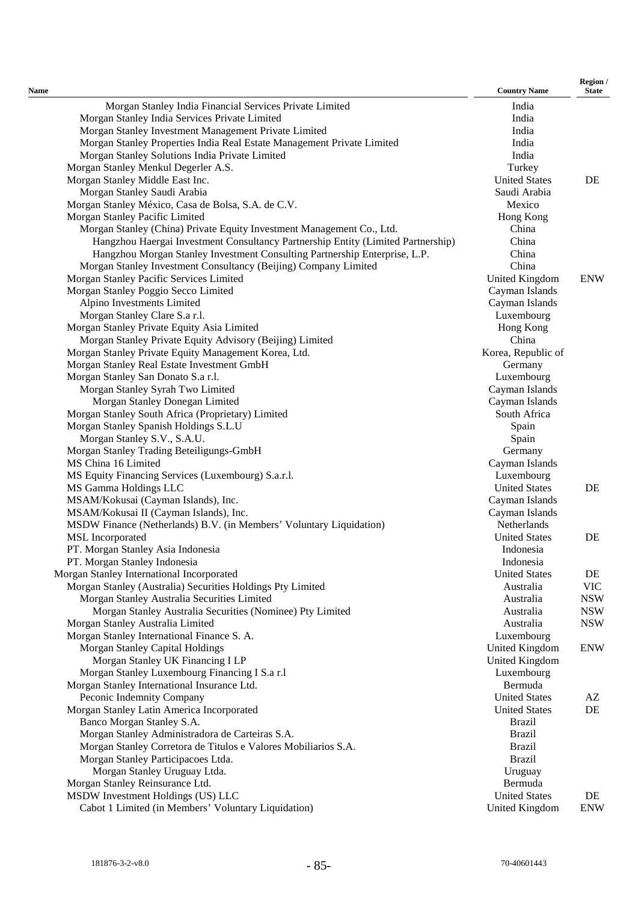| <b>Name</b>                                                                      | <b>Country Name</b>  | Region /<br><b>State</b> |
|----------------------------------------------------------------------------------|----------------------|--------------------------|
| Morgan Stanley India Financial Services Private Limited                          | India                |                          |
| Morgan Stanley India Services Private Limited                                    | India                |                          |
| Morgan Stanley Investment Management Private Limited                             | India                |                          |
| Morgan Stanley Properties India Real Estate Management Private Limited           | India                |                          |
| Morgan Stanley Solutions India Private Limited                                   | India                |                          |
| Morgan Stanley Menkul Degerler A.S.                                              | Turkey               |                          |
| Morgan Stanley Middle East Inc.                                                  | <b>United States</b> | DE                       |
| Morgan Stanley Saudi Arabia                                                      | Saudi Arabia         |                          |
| Morgan Stanley México, Casa de Bolsa, S.A. de C.V.                               | Mexico               |                          |
| Morgan Stanley Pacific Limited                                                   | Hong Kong            |                          |
| Morgan Stanley (China) Private Equity Investment Management Co., Ltd.            | China                |                          |
| Hangzhou Haergai Investment Consultancy Partnership Entity (Limited Partnership) | China                |                          |
| Hangzhou Morgan Stanley Investment Consulting Partnership Enterprise, L.P.       | China                |                          |
| Morgan Stanley Investment Consultancy (Beijing) Company Limited                  | China                |                          |
| Morgan Stanley Pacific Services Limited                                          | United Kingdom       | <b>ENW</b>               |
| Morgan Stanley Poggio Secco Limited                                              | Cayman Islands       |                          |
| Alpino Investments Limited                                                       | Cayman Islands       |                          |
| Morgan Stanley Clare S.a r.l.                                                    | Luxembourg           |                          |
| Morgan Stanley Private Equity Asia Limited                                       | Hong Kong            |                          |
| Morgan Stanley Private Equity Advisory (Beijing) Limited                         | China                |                          |
| Morgan Stanley Private Equity Management Korea, Ltd.                             | Korea, Republic of   |                          |
| Morgan Stanley Real Estate Investment GmbH                                       |                      |                          |
|                                                                                  | Germany              |                          |
| Morgan Stanley San Donato S.a r.l.                                               | Luxembourg           |                          |
| Morgan Stanley Syrah Two Limited                                                 | Cayman Islands       |                          |
| Morgan Stanley Donegan Limited                                                   | Cayman Islands       |                          |
| Morgan Stanley South Africa (Proprietary) Limited                                | South Africa         |                          |
| Morgan Stanley Spanish Holdings S.L.U                                            | Spain                |                          |
| Morgan Stanley S.V., S.A.U.                                                      | Spain                |                          |
| Morgan Stanley Trading Beteiligungs-GmbH                                         | Germany              |                          |
| MS China 16 Limited                                                              | Cayman Islands       |                          |
| MS Equity Financing Services (Luxembourg) S.a.r.l.                               | Luxembourg           |                          |
| MS Gamma Holdings LLC                                                            | <b>United States</b> | DE                       |
| MSAM/Kokusai (Cayman Islands), Inc.                                              | Cayman Islands       |                          |
| MSAM/Kokusai II (Cayman Islands), Inc.                                           | Cayman Islands       |                          |
| MSDW Finance (Netherlands) B.V. (in Members' Voluntary Liquidation)              | Netherlands          |                          |
| MSL Incorporated                                                                 | <b>United States</b> | DE                       |
| PT. Morgan Stanley Asia Indonesia                                                | Indonesia            |                          |
| PT. Morgan Stanley Indonesia                                                     | Indonesia            |                          |
| Morgan Stanley International Incorporated                                        | <b>United States</b> | DE                       |
| Morgan Stanley (Australia) Securities Holdings Pty Limited                       | Australia            | <b>VIC</b>               |
| Morgan Stanley Australia Securities Limited                                      | Australia            | <b>NSW</b>               |
| Morgan Stanley Australia Securities (Nominee) Pty Limited                        | Australia            | <b>NSW</b>               |
| Morgan Stanley Australia Limited                                                 | Australia            | <b>NSW</b>               |
| Morgan Stanley International Finance S. A.                                       | Luxembourg           |                          |
| Morgan Stanley Capital Holdings                                                  | United Kingdom       | <b>ENW</b>               |
| Morgan Stanley UK Financing I LP                                                 | United Kingdom       |                          |
| Morgan Stanley Luxembourg Financing I S.a r.l                                    | Luxembourg           |                          |
| Morgan Stanley International Insurance Ltd.                                      | Bermuda              |                          |
| Peconic Indemnity Company                                                        | <b>United States</b> | AZ                       |
| Morgan Stanley Latin America Incorporated                                        | <b>United States</b> | DE                       |
| Banco Morgan Stanley S.A.                                                        | <b>Brazil</b>        |                          |
| Morgan Stanley Administradora de Carteiras S.A.                                  | <b>Brazil</b>        |                          |
| Morgan Stanley Corretora de Titulos e Valores Mobiliarios S.A.                   | <b>Brazil</b>        |                          |
| Morgan Stanley Participacoes Ltda.                                               | <b>Brazil</b>        |                          |
| Morgan Stanley Uruguay Ltda.                                                     | Uruguay              |                          |
| Morgan Stanley Reinsurance Ltd.                                                  | Bermuda              |                          |
| MSDW Investment Holdings (US) LLC                                                | <b>United States</b> | DE                       |
| Cabot 1 Limited (in Members' Voluntary Liquidation)                              | United Kingdom       | <b>ENW</b>               |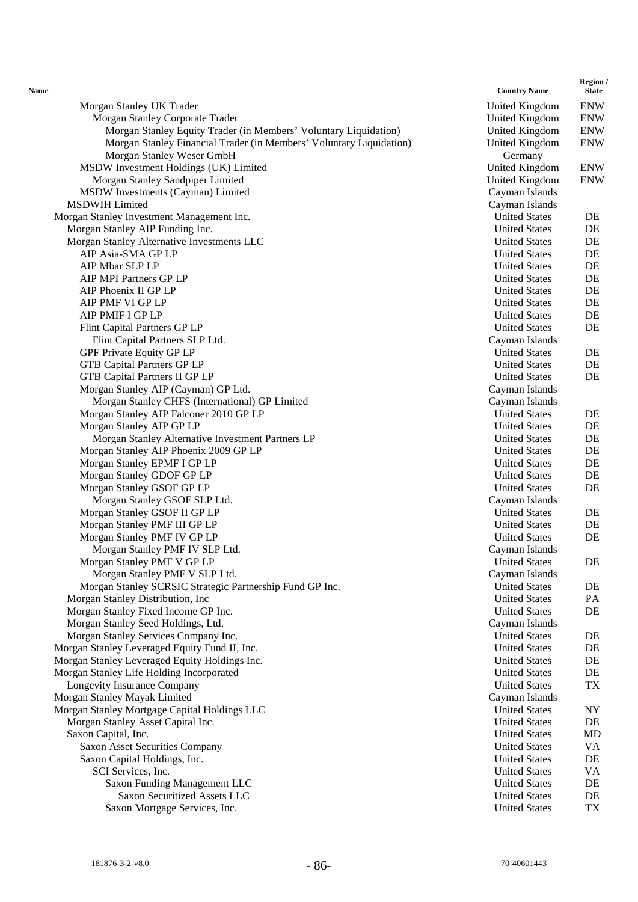| Name                                                                                         | <b>Country Name</b>                          | Region /<br><b>State</b> |
|----------------------------------------------------------------------------------------------|----------------------------------------------|--------------------------|
| Morgan Stanley UK Trader                                                                     | United Kingdom                               | <b>ENW</b>               |
| Morgan Stanley Corporate Trader                                                              | United Kingdom                               | <b>ENW</b>               |
| Morgan Stanley Equity Trader (in Members' Voluntary Liquidation)                             | United Kingdom                               | <b>ENW</b>               |
| Morgan Stanley Financial Trader (in Members' Voluntary Liquidation)                          | United Kingdom                               | <b>ENW</b>               |
| Morgan Stanley Weser GmbH                                                                    | Germany                                      |                          |
| MSDW Investment Holdings (UK) Limited                                                        | United Kingdom                               | <b>ENW</b>               |
| Morgan Stanley Sandpiper Limited                                                             | <b>United Kingdom</b>                        | <b>ENW</b>               |
| MSDW Investments (Cayman) Limited                                                            | Cayman Islands                               |                          |
| <b>MSDWIH Limited</b>                                                                        | Cayman Islands                               |                          |
| Morgan Stanley Investment Management Inc.                                                    | <b>United States</b>                         | DE                       |
| Morgan Stanley AIP Funding Inc.                                                              | <b>United States</b>                         | DE                       |
| Morgan Stanley Alternative Investments LLC                                                   | <b>United States</b>                         | DE                       |
| AIP Asia-SMA GP LP                                                                           | <b>United States</b>                         | DE                       |
| AIP Mbar SLP LP                                                                              | <b>United States</b>                         | DE                       |
| AIP MPI Partners GP LP                                                                       | <b>United States</b>                         | DE                       |
| AIP Phoenix II GP LP                                                                         | <b>United States</b>                         | DE                       |
| AIP PMF VI GP LP                                                                             | <b>United States</b>                         | DE                       |
| AIP PMIF I GP LP                                                                             | <b>United States</b>                         | DE                       |
| Flint Capital Partners GP LP                                                                 | <b>United States</b>                         | DE                       |
| Flint Capital Partners SLP Ltd.                                                              | Cayman Islands                               |                          |
| GPF Private Equity GP LP                                                                     | <b>United States</b>                         | DE                       |
| <b>GTB Capital Partners GP LP</b>                                                            | <b>United States</b>                         | DE                       |
| <b>GTB Capital Partners II GP LP</b>                                                         | <b>United States</b>                         | DE                       |
| Morgan Stanley AIP (Cayman) GP Ltd.                                                          | Cayman Islands                               |                          |
| Morgan Stanley CHFS (International) GP Limited                                               | Cayman Islands                               |                          |
| Morgan Stanley AIP Falconer 2010 GP LP                                                       | <b>United States</b>                         | DE                       |
| Morgan Stanley AIP GP LP                                                                     | <b>United States</b>                         | DE                       |
| Morgan Stanley Alternative Investment Partners LP                                            | <b>United States</b>                         | DE                       |
| Morgan Stanley AIP Phoenix 2009 GP LP                                                        | <b>United States</b>                         | DE                       |
| Morgan Stanley EPMF I GP LP                                                                  | <b>United States</b>                         | DE                       |
| Morgan Stanley GDOF GP LP                                                                    | <b>United States</b>                         | DE                       |
| Morgan Stanley GSOF GP LP                                                                    | <b>United States</b>                         | DE                       |
| Morgan Stanley GSOF SLP Ltd.                                                                 | Cayman Islands                               |                          |
| Morgan Stanley GSOF II GP LP                                                                 | <b>United States</b>                         | DE                       |
| Morgan Stanley PMF III GP LP                                                                 | <b>United States</b>                         | DE                       |
| Morgan Stanley PMF IV GP LP                                                                  | <b>United States</b>                         | DE                       |
| Morgan Stanley PMF IV SLP Ltd.                                                               | Cayman Islands                               |                          |
| Morgan Stanley PMF V GP LP                                                                   | <b>United States</b>                         | DE                       |
| Morgan Stanley PMF V SLP Ltd.                                                                | Cayman Islands                               |                          |
| Morgan Stanley SCRSIC Strategic Partnership Fund GP Inc.<br>Morgan Stanley Distribution, Inc | <b>United States</b><br><b>United States</b> | DE<br>PA                 |
| Morgan Stanley Fixed Income GP Inc.                                                          | <b>United States</b>                         | DE                       |
| Morgan Stanley Seed Holdings, Ltd.                                                           | Cayman Islands                               |                          |
| Morgan Stanley Services Company Inc.                                                         | <b>United States</b>                         | DE                       |
| Morgan Stanley Leveraged Equity Fund II, Inc.                                                | <b>United States</b>                         | DE                       |
| Morgan Stanley Leveraged Equity Holdings Inc.                                                | <b>United States</b>                         | DE                       |
| Morgan Stanley Life Holding Incorporated                                                     | <b>United States</b>                         | DE                       |
| Longevity Insurance Company                                                                  | <b>United States</b>                         | TX                       |
| Morgan Stanley Mayak Limited                                                                 | Cayman Islands                               |                          |
| Morgan Stanley Mortgage Capital Holdings LLC                                                 | <b>United States</b>                         | NY                       |
| Morgan Stanley Asset Capital Inc.                                                            | <b>United States</b>                         | DE                       |
| Saxon Capital, Inc.                                                                          | <b>United States</b>                         | MD                       |
| Saxon Asset Securities Company                                                               | <b>United States</b>                         | VA                       |
| Saxon Capital Holdings, Inc.                                                                 | <b>United States</b>                         | DE                       |
| SCI Services, Inc.                                                                           | <b>United States</b>                         | VA                       |
| Saxon Funding Management LLC                                                                 | <b>United States</b>                         | DE                       |
| Saxon Securitized Assets LLC                                                                 | <b>United States</b>                         | DE                       |
| Saxon Mortgage Services, Inc.                                                                | <b>United States</b>                         | TX                       |
|                                                                                              |                                              |                          |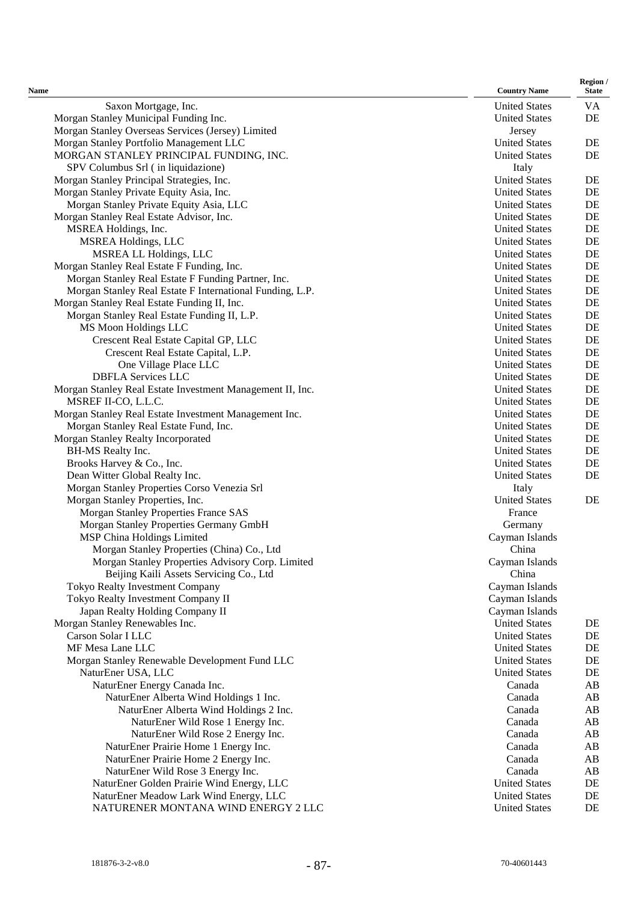| Name                                                      | <b>Country Name</b>                    | Region /<br><b>State</b> |
|-----------------------------------------------------------|----------------------------------------|--------------------------|
| Saxon Mortgage, Inc.                                      | <b>United States</b>                   | VA                       |
| Morgan Stanley Municipal Funding Inc.                     | <b>United States</b>                   | DE                       |
| Morgan Stanley Overseas Services (Jersey) Limited         | Jersey                                 |                          |
| Morgan Stanley Portfolio Management LLC                   | <b>United States</b>                   | DE                       |
| MORGAN STANLEY PRINCIPAL FUNDING, INC.                    | <b>United States</b>                   | DE                       |
| SPV Columbus Srl (in liquidazione)                        | Italy                                  |                          |
| Morgan Stanley Principal Strategies, Inc.                 | <b>United States</b>                   | DE                       |
| Morgan Stanley Private Equity Asia, Inc.                  | <b>United States</b>                   | DE                       |
| Morgan Stanley Private Equity Asia, LLC                   | <b>United States</b>                   | DE                       |
| Morgan Stanley Real Estate Advisor, Inc.                  | <b>United States</b>                   | DE                       |
| MSREA Holdings, Inc.                                      | <b>United States</b>                   | DE                       |
| <b>MSREA Holdings, LLC</b>                                | <b>United States</b>                   | DE                       |
| <b>MSREA LL Holdings, LLC</b>                             | <b>United States</b>                   | DE                       |
| Morgan Stanley Real Estate F Funding, Inc.                | <b>United States</b>                   | DE                       |
| Morgan Stanley Real Estate F Funding Partner, Inc.        | <b>United States</b>                   | DE                       |
| Morgan Stanley Real Estate F International Funding, L.P.  | <b>United States</b>                   | DE                       |
| Morgan Stanley Real Estate Funding II, Inc.               | <b>United States</b>                   | DE                       |
| Morgan Stanley Real Estate Funding II, L.P.               | <b>United States</b>                   | DE                       |
| MS Moon Holdings LLC                                      | <b>United States</b>                   | DE                       |
| Crescent Real Estate Capital GP, LLC                      | <b>United States</b>                   | DE                       |
| Crescent Real Estate Capital, L.P.                        | <b>United States</b>                   | DE                       |
| One Village Place LLC                                     | <b>United States</b>                   | DE                       |
| <b>DBFLA Services LLC</b>                                 | <b>United States</b>                   | DE                       |
| Morgan Stanley Real Estate Investment Management II, Inc. | <b>United States</b>                   | DE                       |
| MSREF II-CO, L.L.C.                                       | <b>United States</b>                   | DE                       |
| Morgan Stanley Real Estate Investment Management Inc.     | <b>United States</b>                   | DE                       |
| Morgan Stanley Real Estate Fund, Inc.                     | <b>United States</b>                   | $\rm DE$                 |
| Morgan Stanley Realty Incorporated                        | <b>United States</b>                   | DE                       |
| BH-MS Realty Inc.                                         | <b>United States</b>                   | DE                       |
| Brooks Harvey & Co., Inc.                                 | <b>United States</b>                   | DE                       |
| Dean Witter Global Realty Inc.                            | <b>United States</b>                   | DE                       |
| Morgan Stanley Properties Corso Venezia Srl               | Italy                                  |                          |
| Morgan Stanley Properties, Inc.                           | <b>United States</b>                   | DE                       |
| Morgan Stanley Properties France SAS                      | France                                 |                          |
| Morgan Stanley Properties Germany GmbH                    | Germany                                |                          |
| MSP China Holdings Limited                                | Cayman Islands                         |                          |
| Morgan Stanley Properties (China) Co., Ltd                | China                                  |                          |
| Morgan Stanley Properties Advisory Corp. Limited          | Cayman Islands                         |                          |
| Beijing Kaili Assets Servicing Co., Ltd                   | China                                  |                          |
| <b>Tokyo Realty Investment Company</b>                    | Cayman Islands                         |                          |
| Tokyo Realty Investment Company II                        | Cayman Islands                         |                          |
| Japan Realty Holding Company II                           | Cayman Islands<br><b>United States</b> |                          |
| Morgan Stanley Renewables Inc.<br>Carson Solar I LLC      | <b>United States</b>                   | DE<br>DE                 |
| MF Mesa Lane LLC                                          | <b>United States</b>                   | $\rm DE$                 |
| Morgan Stanley Renewable Development Fund LLC             | <b>United States</b>                   | DE                       |
| NaturEner USA, LLC                                        | <b>United States</b>                   | DE                       |
| NaturEner Energy Canada Inc.                              | Canada                                 | AB                       |
| NaturEner Alberta Wind Holdings 1 Inc.                    | Canada                                 | AB                       |
| NaturEner Alberta Wind Holdings 2 Inc.                    | Canada                                 | AB                       |
| NaturEner Wild Rose 1 Energy Inc.                         | Canada                                 | AB                       |
| NaturEner Wild Rose 2 Energy Inc.                         | Canada                                 | AB                       |
| NaturEner Prairie Home 1 Energy Inc.                      | Canada                                 | AB                       |
| NaturEner Prairie Home 2 Energy Inc.                      | Canada                                 | AB                       |
| NaturEner Wild Rose 3 Energy Inc.                         | Canada                                 | AB                       |
| NaturEner Golden Prairie Wind Energy, LLC                 | <b>United States</b>                   | DE                       |
| NaturEner Meadow Lark Wind Energy, LLC                    | <b>United States</b>                   | $\rm DE$                 |
| NATURENER MONTANA WIND ENERGY 2 LLC                       | <b>United States</b>                   | DE                       |
|                                                           |                                        |                          |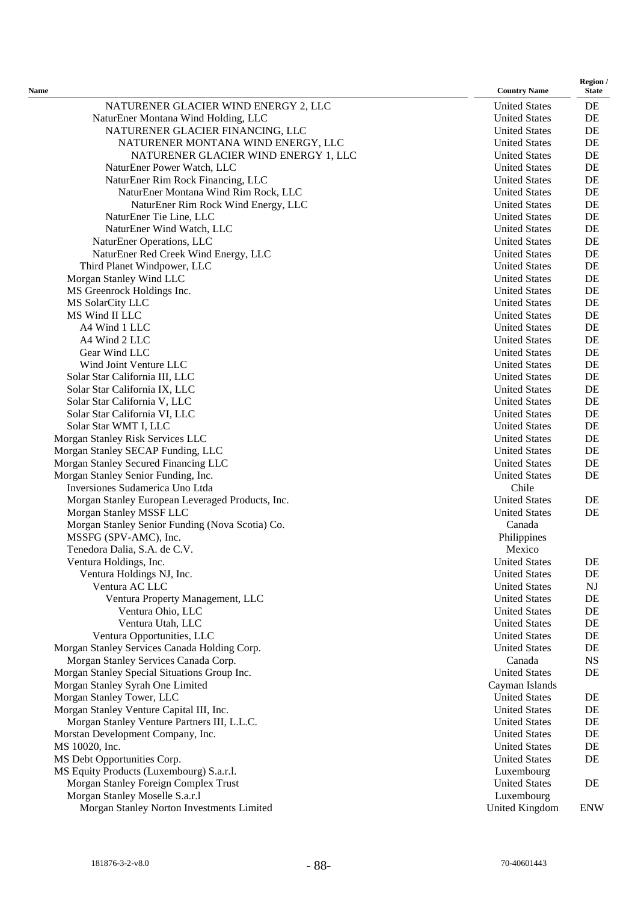| <b>Name</b>                                      | <b>Country Name</b>  | Region /<br><b>State</b> |
|--------------------------------------------------|----------------------|--------------------------|
| NATURENER GLACIER WIND ENERGY 2, LLC             | <b>United States</b> | DE                       |
| NaturEner Montana Wind Holding, LLC              | <b>United States</b> | DE                       |
| NATURENER GLACIER FINANCING, LLC                 | <b>United States</b> | DE                       |
| NATURENER MONTANA WIND ENERGY, LLC               | <b>United States</b> | DE                       |
| NATURENER GLACIER WIND ENERGY 1, LLC             | <b>United States</b> | DE                       |
| NaturEner Power Watch, LLC                       | <b>United States</b> | DE                       |
| NaturEner Rim Rock Financing, LLC                | <b>United States</b> | DE                       |
| NaturEner Montana Wind Rim Rock, LLC             | <b>United States</b> | DE                       |
| NaturEner Rim Rock Wind Energy, LLC              | <b>United States</b> | DE                       |
| NaturEner Tie Line, LLC                          | <b>United States</b> | DE                       |
| NaturEner Wind Watch, LLC                        | <b>United States</b> | DE                       |
| NaturEner Operations, LLC                        | <b>United States</b> | DE                       |
| NaturEner Red Creek Wind Energy, LLC             | <b>United States</b> | DE                       |
| Third Planet Windpower, LLC                      | <b>United States</b> | DE                       |
| Morgan Stanley Wind LLC                          | <b>United States</b> | DE                       |
| MS Greenrock Holdings Inc.                       | <b>United States</b> | DE                       |
| MS SolarCity LLC                                 | <b>United States</b> | DE                       |
| MS Wind II LLC                                   | <b>United States</b> | DE                       |
| A4 Wind 1 LLC                                    | <b>United States</b> | DE                       |
| A4 Wind 2 LLC                                    | <b>United States</b> | DE                       |
| Gear Wind LLC                                    | <b>United States</b> | DE                       |
| Wind Joint Venture LLC                           | <b>United States</b> | DE                       |
| Solar Star California III, LLC                   | <b>United States</b> | DE                       |
| Solar Star California IX, LLC                    | <b>United States</b> | DE                       |
| Solar Star California V, LLC                     | <b>United States</b> | DE                       |
| Solar Star California VI, LLC                    | <b>United States</b> | DE                       |
| Solar Star WMT I, LLC                            | <b>United States</b> | DE                       |
| Morgan Stanley Risk Services LLC                 | <b>United States</b> | DE                       |
| Morgan Stanley SECAP Funding, LLC                | <b>United States</b> | DE                       |
| Morgan Stanley Secured Financing LLC             | <b>United States</b> | DE                       |
| Morgan Stanley Senior Funding, Inc.              | <b>United States</b> | DE                       |
| Inversiones Sudamerica Uno Ltda                  | Chile                |                          |
| Morgan Stanley European Leveraged Products, Inc. | <b>United States</b> | DE                       |
| Morgan Stanley MSSF LLC                          | <b>United States</b> | DE                       |
| Morgan Stanley Senior Funding (Nova Scotia) Co.  | Canada               |                          |
| MSSFG (SPV-AMC), Inc.                            | Philippines          |                          |
| Tenedora Dalia, S.A. de C.V.                     | Mexico               |                          |
| Ventura Holdings, Inc.                           | <b>United States</b> | DE                       |
| Ventura Holdings NJ, Inc.                        | <b>United States</b> | DE                       |
| Ventura AC LLC                                   | <b>United States</b> | NJ                       |
| Ventura Property Management, LLC                 | <b>United States</b> | DE                       |
| Ventura Ohio, LLC                                | <b>United States</b> | DE                       |
| Ventura Utah, LLC                                | <b>United States</b> | DE                       |
| Ventura Opportunities, LLC                       | <b>United States</b> | DE                       |
| Morgan Stanley Services Canada Holding Corp.     | <b>United States</b> | DE                       |
| Morgan Stanley Services Canada Corp.             | Canada               | $_{\rm NS}$              |
| Morgan Stanley Special Situations Group Inc.     | <b>United States</b> | DE                       |
| Morgan Stanley Syrah One Limited                 | Cayman Islands       |                          |
| Morgan Stanley Tower, LLC                        | <b>United States</b> | DE                       |
| Morgan Stanley Venture Capital III, Inc.         | <b>United States</b> | DE                       |
| Morgan Stanley Venture Partners III, L.L.C.      | <b>United States</b> | DE                       |
| Morstan Development Company, Inc.                | <b>United States</b> | DE                       |
| MS 10020, Inc.                                   | <b>United States</b> | DE                       |
| MS Debt Opportunities Corp.                      | <b>United States</b> | DE                       |
| MS Equity Products (Luxembourg) S.a.r.l.         | Luxembourg           |                          |
| Morgan Stanley Foreign Complex Trust             | <b>United States</b> | DE                       |
| Morgan Stanley Moselle S.a.r.l                   | Luxembourg           |                          |
| Morgan Stanley Norton Investments Limited        | United Kingdom       | <b>ENW</b>               |
|                                                  |                      |                          |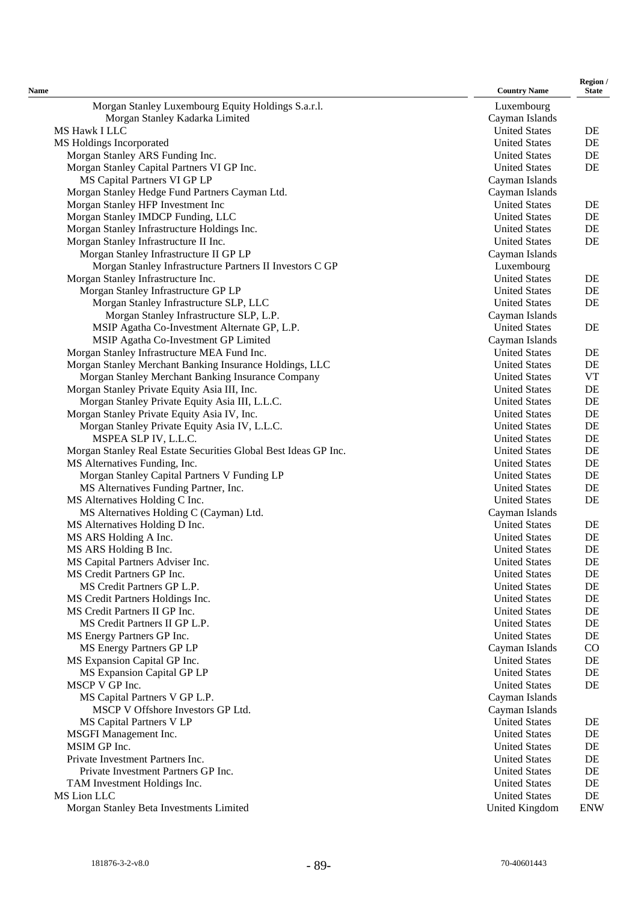| Name                                                            | <b>Country Name</b>   | Region /<br><b>State</b> |
|-----------------------------------------------------------------|-----------------------|--------------------------|
| Morgan Stanley Luxembourg Equity Holdings S.a.r.l.              | Luxembourg            |                          |
| Morgan Stanley Kadarka Limited                                  | Cayman Islands        |                          |
| MS Hawk I LLC                                                   | <b>United States</b>  | DE                       |
| MS Holdings Incorporated                                        | <b>United States</b>  | DE                       |
| Morgan Stanley ARS Funding Inc.                                 | <b>United States</b>  | DE                       |
| Morgan Stanley Capital Partners VI GP Inc.                      | <b>United States</b>  | DE                       |
| MS Capital Partners VI GP LP                                    | Cayman Islands        |                          |
| Morgan Stanley Hedge Fund Partners Cayman Ltd.                  | Cayman Islands        |                          |
| Morgan Stanley HFP Investment Inc                               | <b>United States</b>  | DE                       |
| Morgan Stanley IMDCP Funding, LLC                               | <b>United States</b>  | DE                       |
| Morgan Stanley Infrastructure Holdings Inc.                     | <b>United States</b>  | DE                       |
| Morgan Stanley Infrastructure II Inc.                           | <b>United States</b>  | DE                       |
| Morgan Stanley Infrastructure II GP LP                          | Cayman Islands        |                          |
| Morgan Stanley Infrastructure Partners II Investors C GP        | Luxembourg            |                          |
| Morgan Stanley Infrastructure Inc.                              | <b>United States</b>  | DE                       |
| Morgan Stanley Infrastructure GP LP                             | <b>United States</b>  | DE                       |
| Morgan Stanley Infrastructure SLP, LLC                          | <b>United States</b>  | DE                       |
| Morgan Stanley Infrastructure SLP, L.P.                         | Cayman Islands        |                          |
| MSIP Agatha Co-Investment Alternate GP, L.P.                    | <b>United States</b>  | DE                       |
| MSIP Agatha Co-Investment GP Limited                            | Cayman Islands        |                          |
| Morgan Stanley Infrastructure MEA Fund Inc.                     | <b>United States</b>  | DE                       |
| Morgan Stanley Merchant Banking Insurance Holdings, LLC         | <b>United States</b>  | $\rm DE$                 |
| Morgan Stanley Merchant Banking Insurance Company               | <b>United States</b>  | <b>VT</b>                |
| Morgan Stanley Private Equity Asia III, Inc.                    | <b>United States</b>  | DE                       |
| Morgan Stanley Private Equity Asia III, L.L.C.                  | <b>United States</b>  | DE                       |
| Morgan Stanley Private Equity Asia IV, Inc.                     | <b>United States</b>  | $\rm DE$                 |
| Morgan Stanley Private Equity Asia IV, L.L.C.                   | <b>United States</b>  | $\rm DE$                 |
| MSPEA SLP IV, L.L.C.                                            | <b>United States</b>  | DE                       |
| Morgan Stanley Real Estate Securities Global Best Ideas GP Inc. | <b>United States</b>  | DE                       |
| MS Alternatives Funding, Inc.                                   | <b>United States</b>  | DE                       |
| Morgan Stanley Capital Partners V Funding LP                    | <b>United States</b>  | DE                       |
| MS Alternatives Funding Partner, Inc.                           | <b>United States</b>  | DE                       |
| MS Alternatives Holding C Inc.                                  | <b>United States</b>  | DE                       |
| MS Alternatives Holding C (Cayman) Ltd.                         | Cayman Islands        |                          |
| MS Alternatives Holding D Inc.                                  | <b>United States</b>  | DE                       |
| MS ARS Holding A Inc.                                           | <b>United States</b>  | DE                       |
| MS ARS Holding B Inc.                                           | <b>United States</b>  | DE                       |
| MS Capital Partners Adviser Inc.                                | <b>United States</b>  | DE                       |
| MS Credit Partners GP Inc.                                      | <b>United States</b>  | DE                       |
| MS Credit Partners GP L.P.                                      | <b>United States</b>  | DE                       |
| MS Credit Partners Holdings Inc.                                | <b>United States</b>  | DE                       |
| MS Credit Partners II GP Inc.                                   | <b>United States</b>  | DE                       |
| MS Credit Partners II GP L.P.                                   | <b>United States</b>  | DE                       |
| MS Energy Partners GP Inc.                                      | <b>United States</b>  | DE                       |
| MS Energy Partners GP LP                                        | Cayman Islands        | $\rm CO$                 |
| MS Expansion Capital GP Inc.                                    | <b>United States</b>  | DE                       |
| MS Expansion Capital GP LP                                      | <b>United States</b>  | DE                       |
| MSCP V GP Inc.                                                  | <b>United States</b>  | DE                       |
| MS Capital Partners V GP L.P.                                   | Cayman Islands        |                          |
| MSCP V Offshore Investors GP Ltd.                               | Cayman Islands        |                          |
| MS Capital Partners V LP                                        | <b>United States</b>  | DE                       |
| MSGFI Management Inc.                                           | <b>United States</b>  | DE                       |
| MSIM GP Inc.                                                    | <b>United States</b>  | DE                       |
| Private Investment Partners Inc.                                | <b>United States</b>  | DE                       |
| Private Investment Partners GP Inc.                             | <b>United States</b>  | DE                       |
| TAM Investment Holdings Inc.                                    | <b>United States</b>  | DE                       |
| MS Lion LLC                                                     | <b>United States</b>  | DE                       |
| Morgan Stanley Beta Investments Limited                         | <b>United Kingdom</b> | <b>ENW</b>               |
|                                                                 |                       |                          |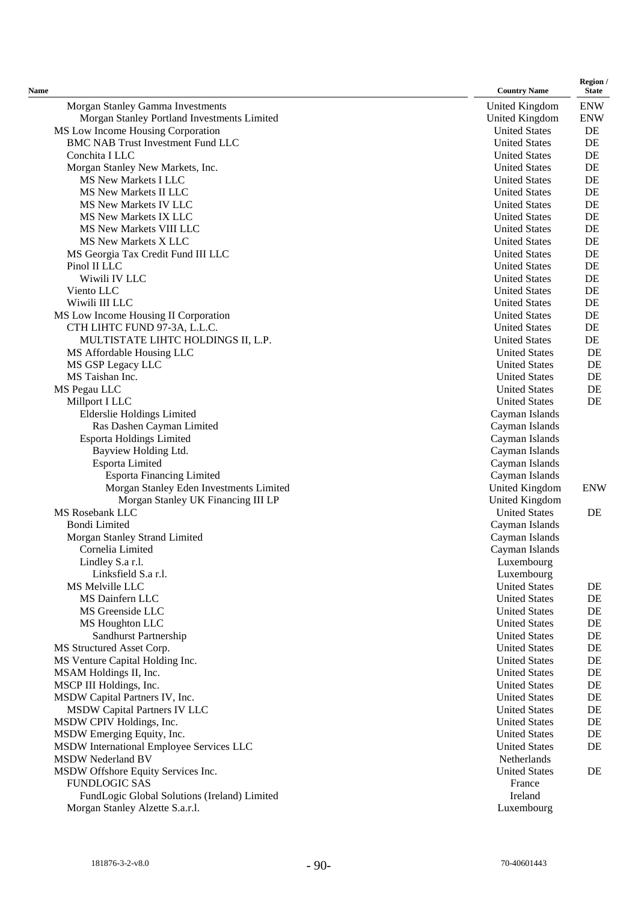| $\sim$<br>. |
|-------------|
|-------------|

| Name                                                                   | <b>Country Name</b>                          | Region /<br><b>State</b> |
|------------------------------------------------------------------------|----------------------------------------------|--------------------------|
| Morgan Stanley Gamma Investments                                       | United Kingdom                               | <b>ENW</b>               |
| Morgan Stanley Portland Investments Limited                            | <b>United Kingdom</b>                        | <b>ENW</b>               |
| MS Low Income Housing Corporation                                      | <b>United States</b>                         | DE                       |
| <b>BMC NAB Trust Investment Fund LLC</b>                               | <b>United States</b>                         | DE                       |
| Conchita I LLC                                                         | <b>United States</b>                         | DE                       |
| Morgan Stanley New Markets, Inc.                                       | <b>United States</b>                         | DE                       |
| MS New Markets I LLC                                                   | <b>United States</b>                         | DE                       |
| MS New Markets II LLC                                                  | <b>United States</b>                         | DE                       |
| <b>MS New Markets IV LLC</b>                                           | <b>United States</b>                         | DE                       |
| MS New Markets IX LLC                                                  | <b>United States</b>                         | DE                       |
| MS New Markets VIII LLC                                                | <b>United States</b>                         | DE                       |
| <b>MS New Markets X LLC</b>                                            | <b>United States</b>                         | DE                       |
| MS Georgia Tax Credit Fund III LLC                                     | <b>United States</b>                         | DE                       |
| Pinol II LLC                                                           | <b>United States</b>                         | DE                       |
| Wiwili IV LLC                                                          | <b>United States</b>                         | DE                       |
| Viento LLC                                                             | <b>United States</b>                         | DE                       |
| Wiwili III LLC                                                         | <b>United States</b>                         | DE                       |
| MS Low Income Housing II Corporation                                   | <b>United States</b>                         | DE                       |
| CTH LIHTC FUND 97-3A, L.L.C.<br>MULTISTATE LIHTC HOLDINGS II, L.P.     | <b>United States</b><br><b>United States</b> | DE<br>DE                 |
| MS Affordable Housing LLC                                              | <b>United States</b>                         | DE                       |
| MS GSP Legacy LLC                                                      | <b>United States</b>                         | DE                       |
| MS Taishan Inc.                                                        | <b>United States</b>                         | DE                       |
| MS Pegau LLC                                                           | <b>United States</b>                         | DE                       |
| Millport I LLC                                                         | <b>United States</b>                         | DE                       |
| <b>Elderslie Holdings Limited</b>                                      | Cayman Islands                               |                          |
| Ras Dashen Cayman Limited                                              | Cayman Islands                               |                          |
| Esporta Holdings Limited                                               | Cayman Islands                               |                          |
| Bayview Holding Ltd.                                                   | Cayman Islands                               |                          |
| Esporta Limited                                                        | Cayman Islands                               |                          |
| <b>Esporta Financing Limited</b>                                       | Cayman Islands                               |                          |
| Morgan Stanley Eden Investments Limited                                | United Kingdom                               | <b>ENW</b>               |
| Morgan Stanley UK Financing III LP                                     | United Kingdom                               |                          |
| <b>MS Rosebank LLC</b>                                                 | <b>United States</b>                         | DE                       |
| <b>Bondi Limited</b>                                                   | Cayman Islands                               |                          |
| Morgan Stanley Strand Limited                                          | Cayman Islands                               |                          |
| Cornelia Limited                                                       | Cayman Islands                               |                          |
| Lindley S.a r.l.                                                       | Luxembourg                                   |                          |
| Linksfield S.a r.l.                                                    | Luxembourg                                   |                          |
| MS Melville LLC                                                        | <b>United States</b>                         | DE                       |
| MS Dainfern LLC                                                        | <b>United States</b>                         | DE                       |
| MS Greenside LLC                                                       | <b>United States</b>                         | DE                       |
| MS Houghton LLC                                                        | <b>United States</b>                         | DE                       |
| Sandhurst Partnership                                                  | <b>United States</b>                         | DE                       |
| MS Structured Asset Corp.                                              | <b>United States</b>                         | DE                       |
| MS Venture Capital Holding Inc.                                        | <b>United States</b>                         | DE                       |
| MSAM Holdings II, Inc.                                                 | <b>United States</b>                         | DE                       |
| MSCP III Holdings, Inc.                                                | <b>United States</b>                         | DE                       |
| MSDW Capital Partners IV, Inc.                                         | <b>United States</b>                         | DE                       |
| <b>MSDW Capital Partners IV LLC</b><br>MSDW CPIV Holdings, Inc.        | <b>United States</b><br><b>United States</b> | DE<br>DE                 |
|                                                                        | <b>United States</b>                         | DE                       |
| MSDW Emerging Equity, Inc.<br>MSDW International Employee Services LLC | <b>United States</b>                         | DE                       |
| <b>MSDW Nederland BV</b>                                               | Netherlands                                  |                          |
| MSDW Offshore Equity Services Inc.                                     | <b>United States</b>                         | DE                       |
| <b>FUNDLOGIC SAS</b>                                                   | France                                       |                          |
| FundLogic Global Solutions (Ireland) Limited                           | Ireland                                      |                          |
| Morgan Stanley Alzette S.a.r.l.                                        | Luxembourg                                   |                          |
|                                                                        |                                              |                          |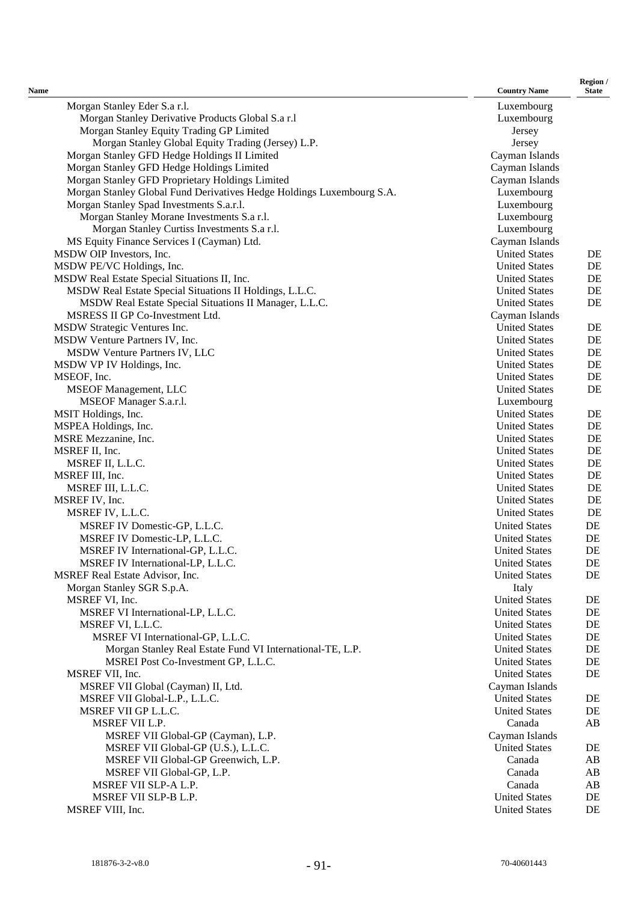| $\sim$ |
|--------|

| <b>Name</b>                                                           | <b>Country Name</b>  | Region /<br><b>State</b> |
|-----------------------------------------------------------------------|----------------------|--------------------------|
| Morgan Stanley Eder S.a r.l.                                          | Luxembourg           |                          |
| Morgan Stanley Derivative Products Global S.a r.l                     | Luxembourg           |                          |
| Morgan Stanley Equity Trading GP Limited                              | Jersey               |                          |
| Morgan Stanley Global Equity Trading (Jersey) L.P.                    | Jersey               |                          |
| Morgan Stanley GFD Hedge Holdings II Limited                          | Cayman Islands       |                          |
| Morgan Stanley GFD Hedge Holdings Limited                             | Cayman Islands       |                          |
| Morgan Stanley GFD Proprietary Holdings Limited                       | Cayman Islands       |                          |
| Morgan Stanley Global Fund Derivatives Hedge Holdings Luxembourg S.A. | Luxembourg           |                          |
| Morgan Stanley Spad Investments S.a.r.l.                              | Luxembourg           |                          |
| Morgan Stanley Morane Investments S.a r.l.                            | Luxembourg           |                          |
| Morgan Stanley Curtiss Investments S.a r.l.                           | Luxembourg           |                          |
| MS Equity Finance Services I (Cayman) Ltd.                            | Cayman Islands       |                          |
| MSDW OIP Investors, Inc.                                              | <b>United States</b> | DE                       |
| MSDW PE/VC Holdings, Inc.                                             | <b>United States</b> | DE                       |
| MSDW Real Estate Special Situations II, Inc.                          | <b>United States</b> | DE                       |
| MSDW Real Estate Special Situations II Holdings, L.L.C.               | <b>United States</b> | DE                       |
| MSDW Real Estate Special Situations II Manager, L.L.C.                | <b>United States</b> | DE                       |
| MSRESS II GP Co-Investment Ltd.                                       | Cayman Islands       |                          |
| MSDW Strategic Ventures Inc.                                          | <b>United States</b> | DE                       |
| MSDW Venture Partners IV, Inc.                                        | <b>United States</b> | DE                       |
| MSDW Venture Partners IV, LLC                                         | <b>United States</b> | DE                       |
| MSDW VP IV Holdings, Inc.                                             | <b>United States</b> | DE                       |
| MSEOF, Inc.                                                           | <b>United States</b> | DE                       |
| <b>MSEOF Management, LLC</b>                                          | <b>United States</b> | DE                       |
| MSEOF Manager S.a.r.l.                                                | Luxembourg           |                          |
| MSIT Holdings, Inc.                                                   | <b>United States</b> | DE                       |
| MSPEA Holdings, Inc.                                                  | <b>United States</b> | DE                       |
| MSRE Mezzanine, Inc.                                                  | <b>United States</b> | DE                       |
| MSREF II, Inc.                                                        | <b>United States</b> | DE                       |
| MSREF II, L.L.C.                                                      | <b>United States</b> | DE                       |
| MSREF III, Inc.                                                       | <b>United States</b> | DE                       |
| MSREF III, L.L.C.                                                     | <b>United States</b> | DE                       |
| MSREF IV, Inc.                                                        | <b>United States</b> | DE                       |
| MSREF IV, L.L.C.                                                      | <b>United States</b> | DE                       |
| MSREF IV Domestic-GP, L.L.C.                                          | <b>United States</b> | DE                       |
| MSREF IV Domestic-LP, L.L.C.                                          | <b>United States</b> | DE                       |
| MSREF IV International-GP, L.L.C.                                     | <b>United States</b> | DE                       |
| MSREF IV International-LP, L.L.C.                                     | <b>United States</b> | DE                       |
| MSREF Real Estate Advisor, Inc.                                       | <b>United States</b> | DE                       |
| Morgan Stanley SGR S.p.A.                                             | Italy                |                          |
| MSREF VI, Inc.                                                        | <b>United States</b> | DE                       |
| MSREF VI International-LP, L.L.C.                                     | <b>United States</b> | DE                       |
| MSREF VI, L.L.C.                                                      | <b>United States</b> | DE                       |
| MSREF VI International-GP, L.L.C.                                     | <b>United States</b> | DE                       |
| Morgan Stanley Real Estate Fund VI International-TE, L.P.             | <b>United States</b> | DE                       |
| MSREI Post Co-Investment GP, L.L.C.                                   | <b>United States</b> | DE                       |
| MSREF VII, Inc.                                                       | <b>United States</b> | DE                       |
| MSREF VII Global (Cayman) II, Ltd.                                    | Cayman Islands       |                          |
| MSREF VII Global-L.P., L.L.C.                                         | <b>United States</b> | DE                       |
| MSREF VII GP L.L.C.                                                   | <b>United States</b> | DE                       |
| MSREF VII L.P.                                                        | Canada               | AB                       |
| MSREF VII Global-GP (Cayman), L.P.                                    | Cayman Islands       |                          |
| MSREF VII Global-GP (U.S.), L.L.C.                                    | <b>United States</b> | DE                       |
| MSREF VII Global-GP Greenwich, L.P.                                   | Canada               | AB                       |
| MSREF VII Global-GP, L.P.                                             | Canada               | AB                       |
| MSREF VII SLP-A L.P.                                                  | Canada               | AB                       |
| MSREF VII SLP-B L.P.                                                  | <b>United States</b> | DE                       |
| MSREF VIII, Inc.                                                      | <b>United States</b> | DE                       |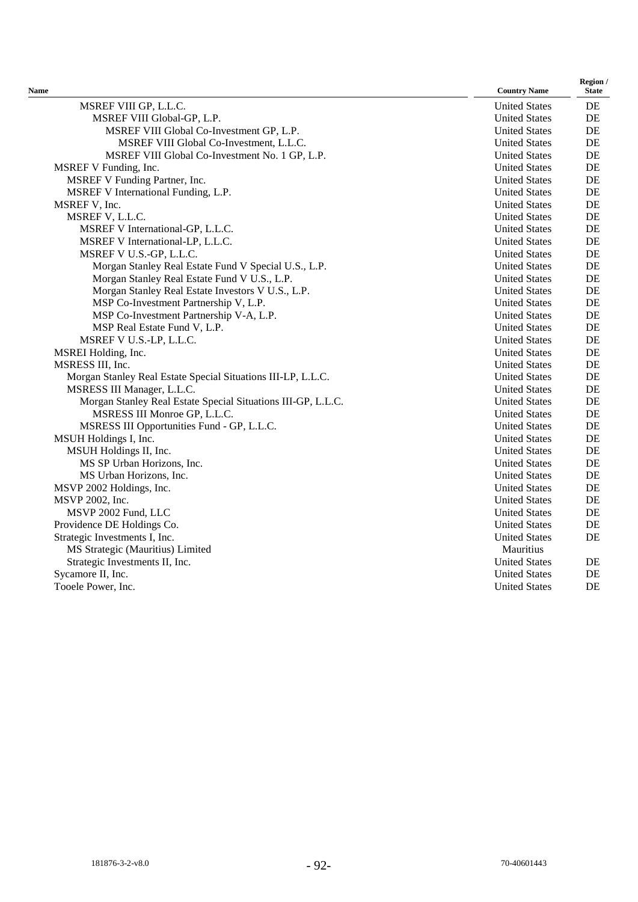| Name                                                         | <b>Country Name</b>  | <b>State</b> |
|--------------------------------------------------------------|----------------------|--------------|
| MSREF VIII GP, L.L.C.                                        | <b>United States</b> | DE           |
| MSREF VIII Global-GP, L.P.                                   | <b>United States</b> | DE           |
| MSREF VIII Global Co-Investment GP, L.P.                     | <b>United States</b> | DE           |
| MSREF VIII Global Co-Investment, L.L.C.                      | <b>United States</b> | DE           |
| MSREF VIII Global Co-Investment No. 1 GP, L.P.               | <b>United States</b> | DE           |
| MSREF V Funding, Inc.                                        | <b>United States</b> | DE           |
| MSREF V Funding Partner, Inc.                                | <b>United States</b> | DE           |
| MSREF V International Funding, L.P.                          | <b>United States</b> | DE           |
| MSREF V, Inc.                                                | <b>United States</b> | DE           |
| MSREF V, L.L.C.                                              | <b>United States</b> | DE           |
| MSREF V International-GP, L.L.C.                             | <b>United States</b> | DE           |
| MSREF V International-LP, L.L.C.                             | <b>United States</b> | DE           |
| MSREF V U.S.-GP, L.L.C.                                      | <b>United States</b> | DE           |
| Morgan Stanley Real Estate Fund V Special U.S., L.P.         | <b>United States</b> | DE           |
| Morgan Stanley Real Estate Fund V U.S., L.P.                 | <b>United States</b> | DE           |
| Morgan Stanley Real Estate Investors V U.S., L.P.            | <b>United States</b> | DE           |
| MSP Co-Investment Partnership V, L.P.                        | <b>United States</b> | DE           |
| MSP Co-Investment Partnership V-A, L.P.                      | <b>United States</b> | DE           |
| MSP Real Estate Fund V, L.P.                                 | <b>United States</b> | DE           |
| MSREF V U.S.-LP, L.L.C.                                      | <b>United States</b> | DE           |
| MSREI Holding, Inc.                                          | <b>United States</b> | DE           |
| MSRESS III, Inc.                                             | <b>United States</b> | DE           |
| Morgan Stanley Real Estate Special Situations III-LP, L.L.C. | <b>United States</b> | DE           |
| MSRESS III Manager, L.L.C.                                   | <b>United States</b> | DE           |
| Morgan Stanley Real Estate Special Situations III-GP, L.L.C. | <b>United States</b> | DE           |
| MSRESS III Monroe GP, L.L.C.                                 | <b>United States</b> | DE           |
| MSRESS III Opportunities Fund - GP, L.L.C.                   | <b>United States</b> | DE           |
| MSUH Holdings I, Inc.                                        | <b>United States</b> | DE           |
| MSUH Holdings II, Inc.                                       | <b>United States</b> | DE           |
| MS SP Urban Horizons, Inc.                                   | <b>United States</b> | DE           |
| MS Urban Horizons, Inc.                                      | <b>United States</b> | DE           |
| MSVP 2002 Holdings, Inc.                                     | <b>United States</b> | DE           |
| MSVP 2002, Inc.                                              | <b>United States</b> | DE           |
| MSVP 2002 Fund, LLC                                          | <b>United States</b> | DE           |
| Providence DE Holdings Co.                                   | <b>United States</b> | DE           |
| Strategic Investments I, Inc.                                | <b>United States</b> | DE           |
| MS Strategic (Mauritius) Limited                             | Mauritius            |              |
| Strategic Investments II, Inc.                               | <b>United States</b> | DE           |
| Sycamore II, Inc.                                            | <b>United States</b> | DE           |
| Tooele Power, Inc.                                           | <b>United States</b> | DE           |

**Region /**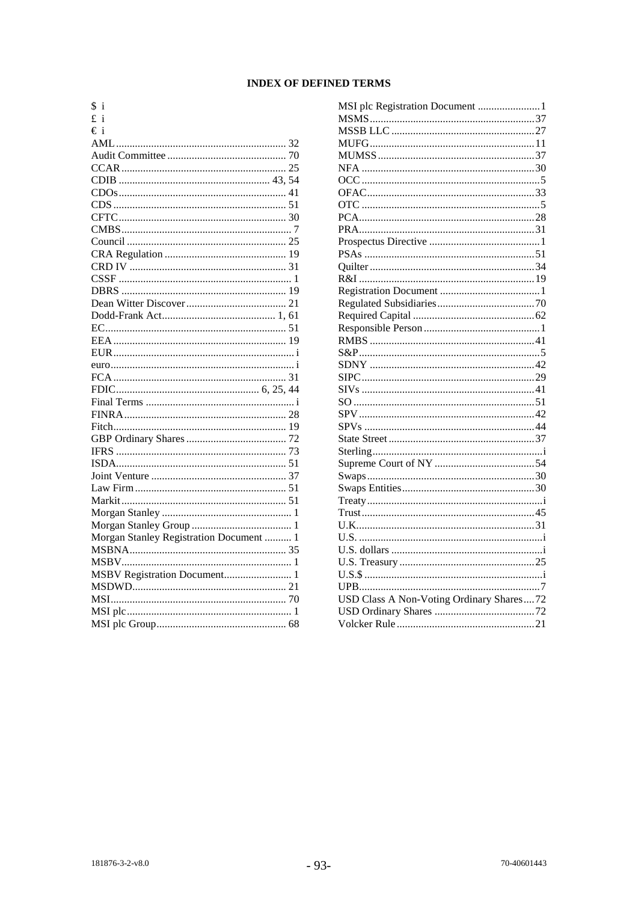# **INDEX OF DEFINED TERMS**

| \$<br>$\mathbf{1}$                      |  |
|-----------------------------------------|--|
| £<br>i                                  |  |
| €i                                      |  |
|                                         |  |
|                                         |  |
|                                         |  |
|                                         |  |
|                                         |  |
|                                         |  |
|                                         |  |
|                                         |  |
|                                         |  |
|                                         |  |
|                                         |  |
|                                         |  |
|                                         |  |
|                                         |  |
|                                         |  |
|                                         |  |
|                                         |  |
|                                         |  |
|                                         |  |
|                                         |  |
|                                         |  |
|                                         |  |
|                                         |  |
|                                         |  |
|                                         |  |
|                                         |  |
|                                         |  |
|                                         |  |
|                                         |  |
|                                         |  |
|                                         |  |
|                                         |  |
| Morgan Stanley Registration Document  1 |  |
|                                         |  |
|                                         |  |
|                                         |  |
|                                         |  |
|                                         |  |
|                                         |  |
|                                         |  |
|                                         |  |

| MSI plc Registration Document  1         |  |
|------------------------------------------|--|
|                                          |  |
|                                          |  |
|                                          |  |
|                                          |  |
|                                          |  |
|                                          |  |
|                                          |  |
|                                          |  |
|                                          |  |
|                                          |  |
|                                          |  |
|                                          |  |
|                                          |  |
|                                          |  |
|                                          |  |
|                                          |  |
|                                          |  |
|                                          |  |
|                                          |  |
|                                          |  |
|                                          |  |
|                                          |  |
|                                          |  |
|                                          |  |
|                                          |  |
|                                          |  |
|                                          |  |
|                                          |  |
|                                          |  |
|                                          |  |
|                                          |  |
|                                          |  |
|                                          |  |
|                                          |  |
|                                          |  |
|                                          |  |
|                                          |  |
|                                          |  |
|                                          |  |
| USD Class A Non-Voting Ordinary Shares72 |  |
|                                          |  |
|                                          |  |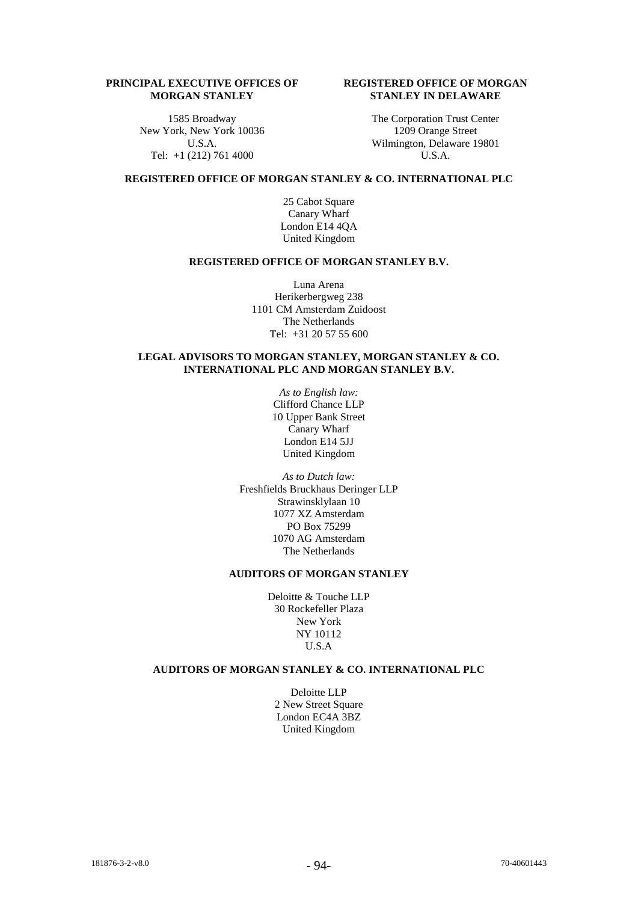## **PRINCIPAL EXECUTIVE OFFICES OF MORGAN STANLEY**

1585 Broadway New York, New York 10036 U.S.A. Tel: +1 (212) 761 4000

## **REGISTERED OFFICE OF MORGAN STANLEY IN DELAWARE**

The Corporation Trust Center 1209 Orange Street Wilmington, Delaware 19801 U.S.A.

## **REGISTERED OFFICE OF MORGAN STANLEY & CO. INTERNATIONAL PLC**

25 Cabot Square Canary Wharf London E14 4QA United Kingdom

### **REGISTERED OFFICE OF MORGAN STANLEY B.V.**

Luna Arena Herikerbergweg 238 1101 CM Amsterdam Zuidoost The Netherlands Tel: +31 20 57 55 600

## **LEGAL ADVISORS TO MORGAN STANLEY, MORGAN STANLEY & CO. INTERNATIONAL PLC AND MORGAN STANLEY B.V.**

*As to English law:* Clifford Chance LLP 10 Upper Bank Street Canary Wharf London E14 5JJ United Kingdom

*As to Dutch law:* Freshfields Bruckhaus Deringer LLP Strawinsklylaan 10 1077 XZ Amsterdam PO Box 75299 1070 AG Amsterdam The Netherlands

## **AUDITORS OF MORGAN STANLEY**

Deloitte & Touche LLP 30 Rockefeller Plaza New York NY 10112 U.S.A

### **AUDITORS OF MORGAN STANLEY & CO. INTERNATIONAL PLC**

Deloitte LLP 2 New Street Square London EC4A 3BZ United Kingdom